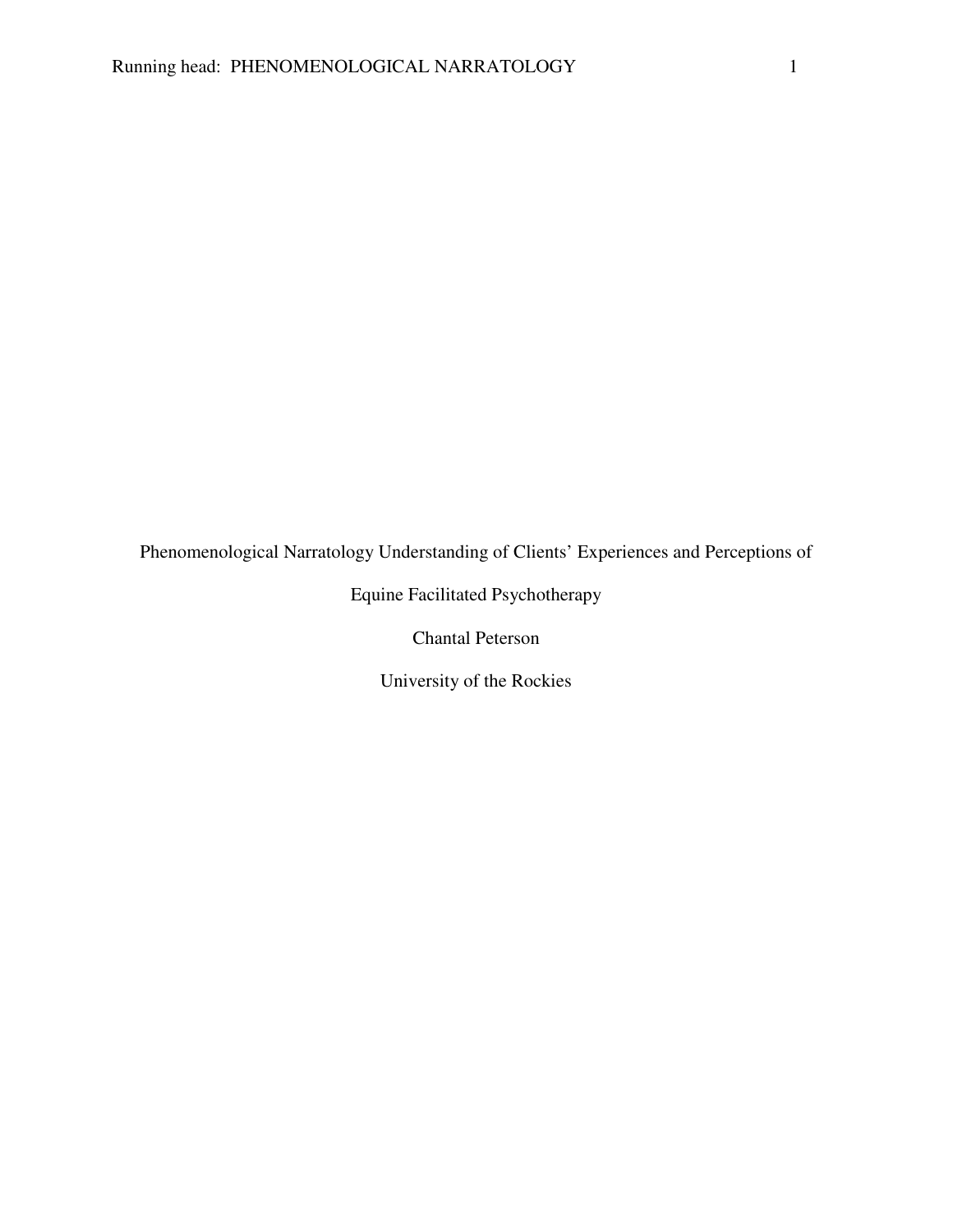Phenomenological Narratology Understanding of Clients' Experiences and Perceptions of

Equine Facilitated Psychotherapy

Chantal Peterson

University of the Rockies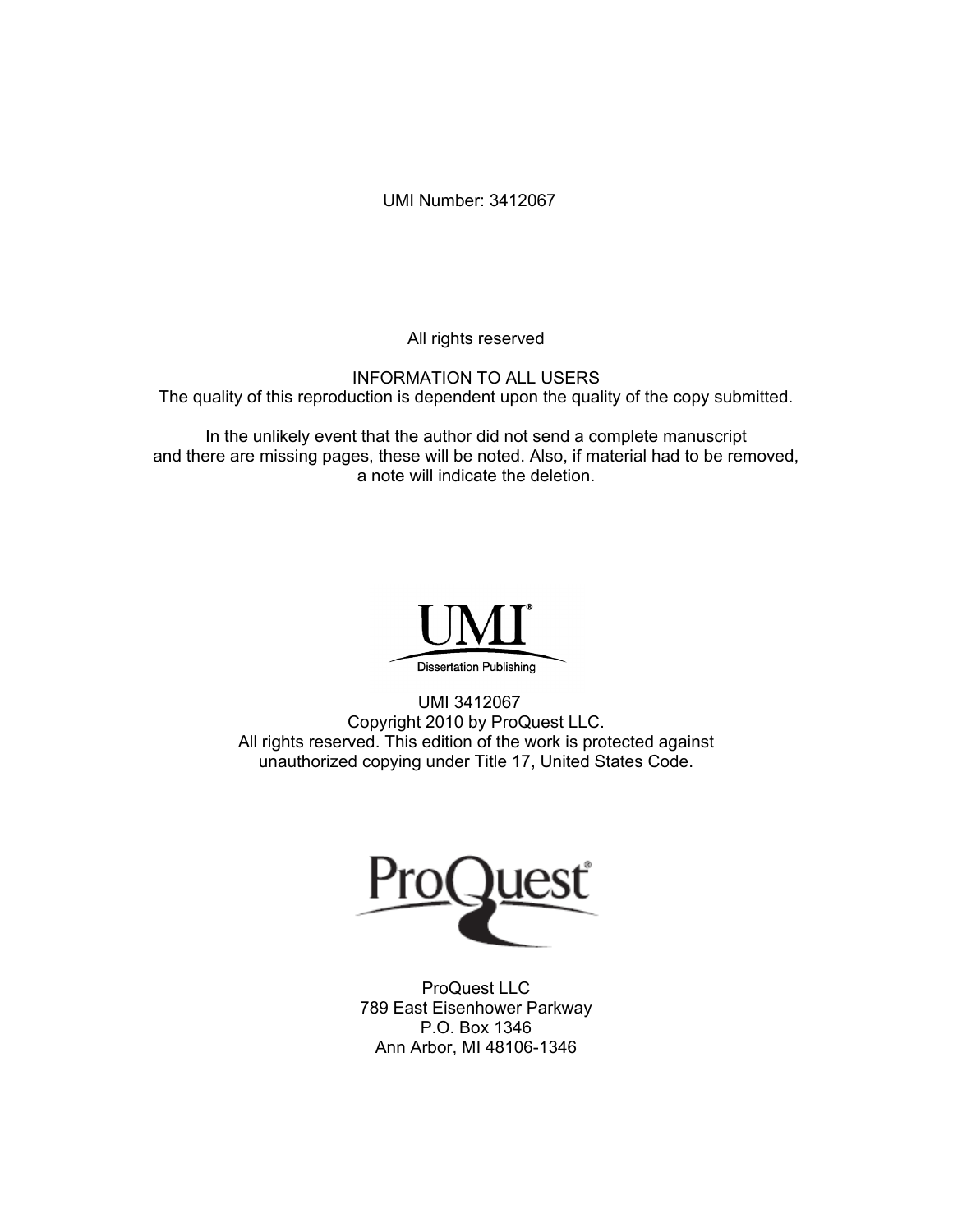UMI Number: 3412067

All rights reserved

INFORMATION TO ALL USERS The quality of this reproduction is dependent upon the quality of the copy submitted.

In the unlikely event that the author did not send a complete manuscript and there are missing pages, these will be noted. Also, if material had to be removed, a note will indicate the deletion.



UMI 3412067 Copyright 2010 by ProQuest LLC. All rights reserved. This edition of the work is protected against unauthorized copying under Title 17, United States Code.



ProQuest LLC 789 East Eisenhower Parkway P.O. Box 1346 Ann Arbor, MI 48106-1346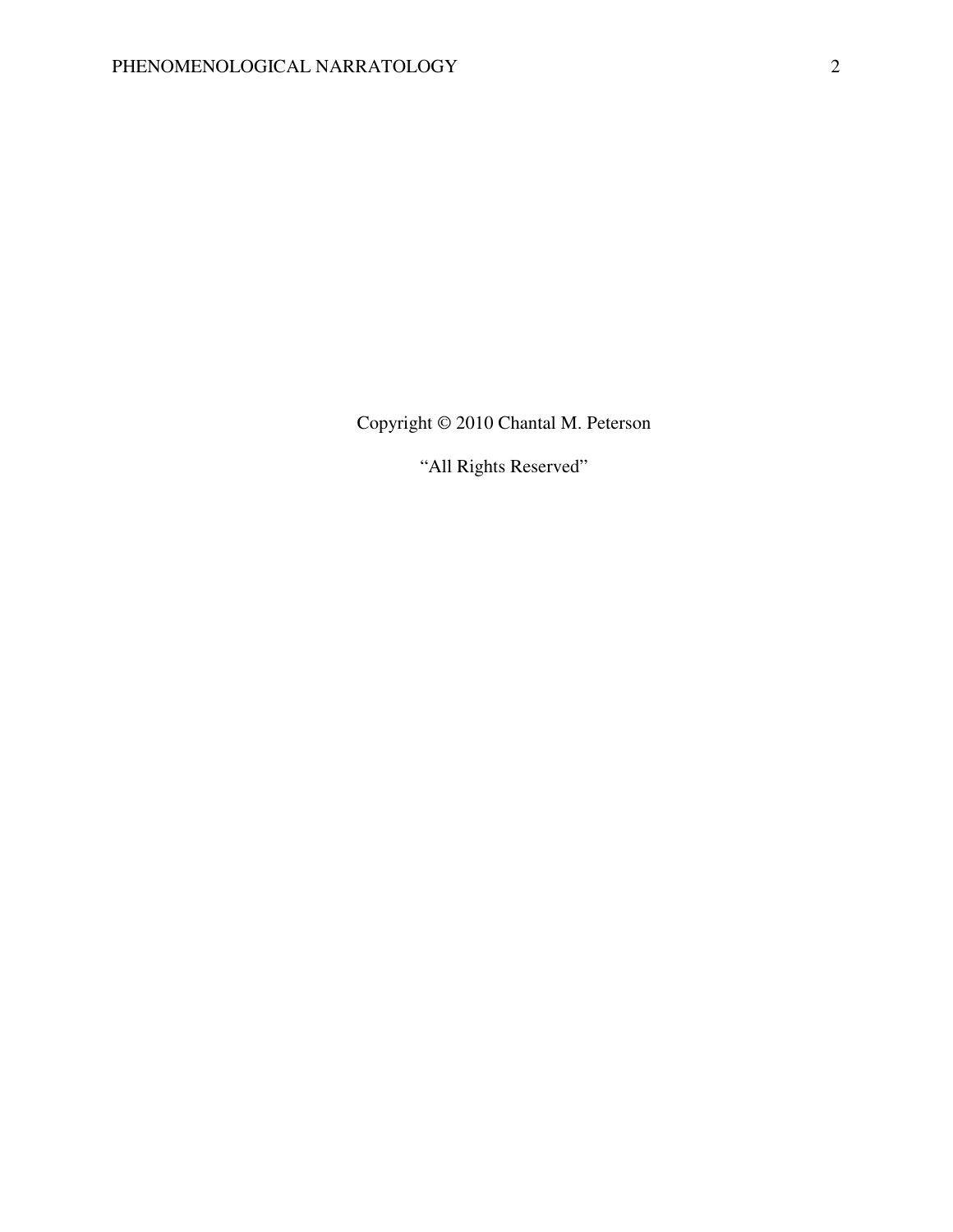Copyright © 2010 Chantal M. Peterson

"All Rights Reserved"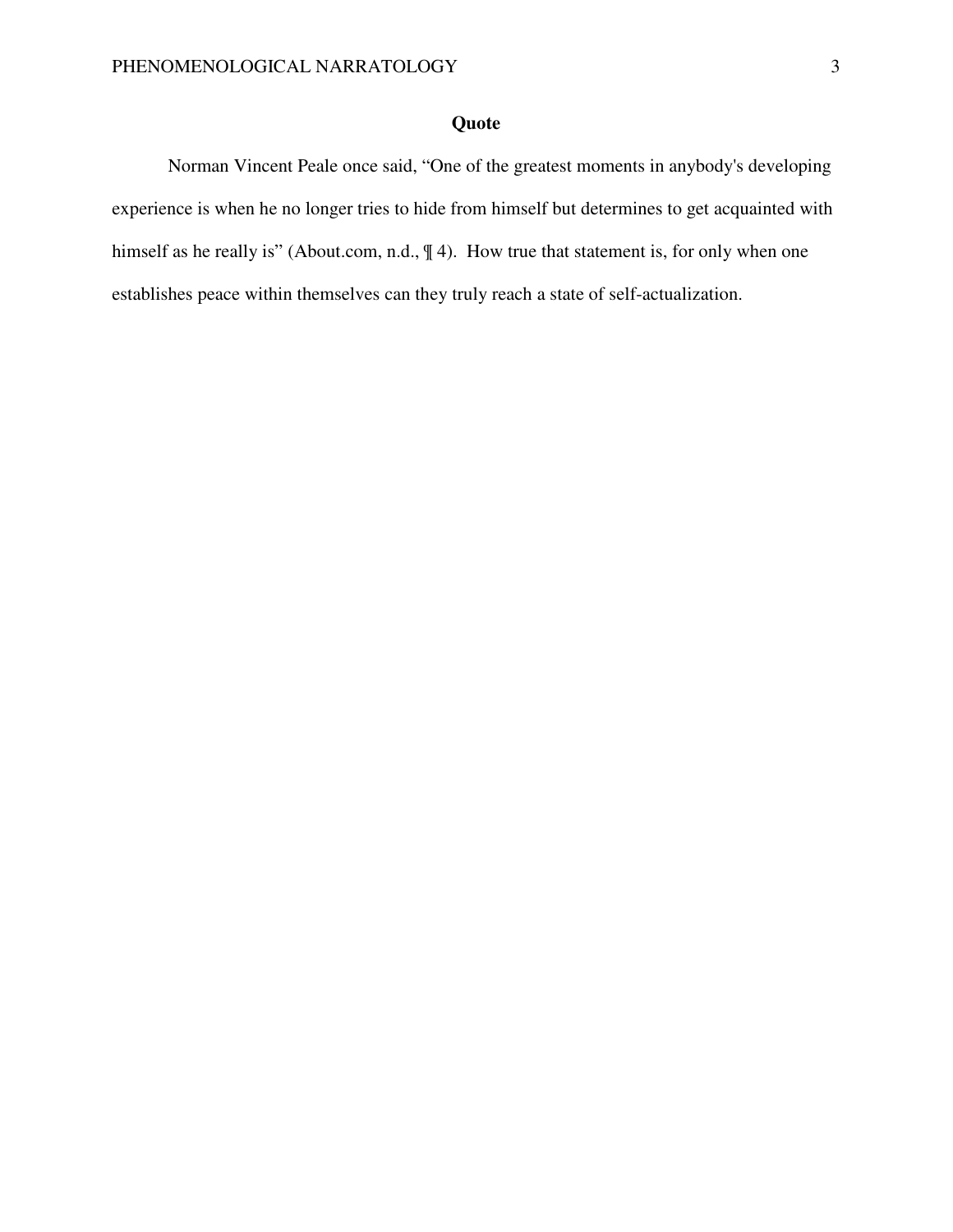# **Quote**

Norman Vincent Peale once said, "One of the greatest moments in anybody's developing experience is when he no longer tries to hide from himself but determines to get acquainted with himself as he really is" (About.com, n.d.,  $\parallel$  4). How true that statement is, for only when one establishes peace within themselves can they truly reach a state of self-actualization.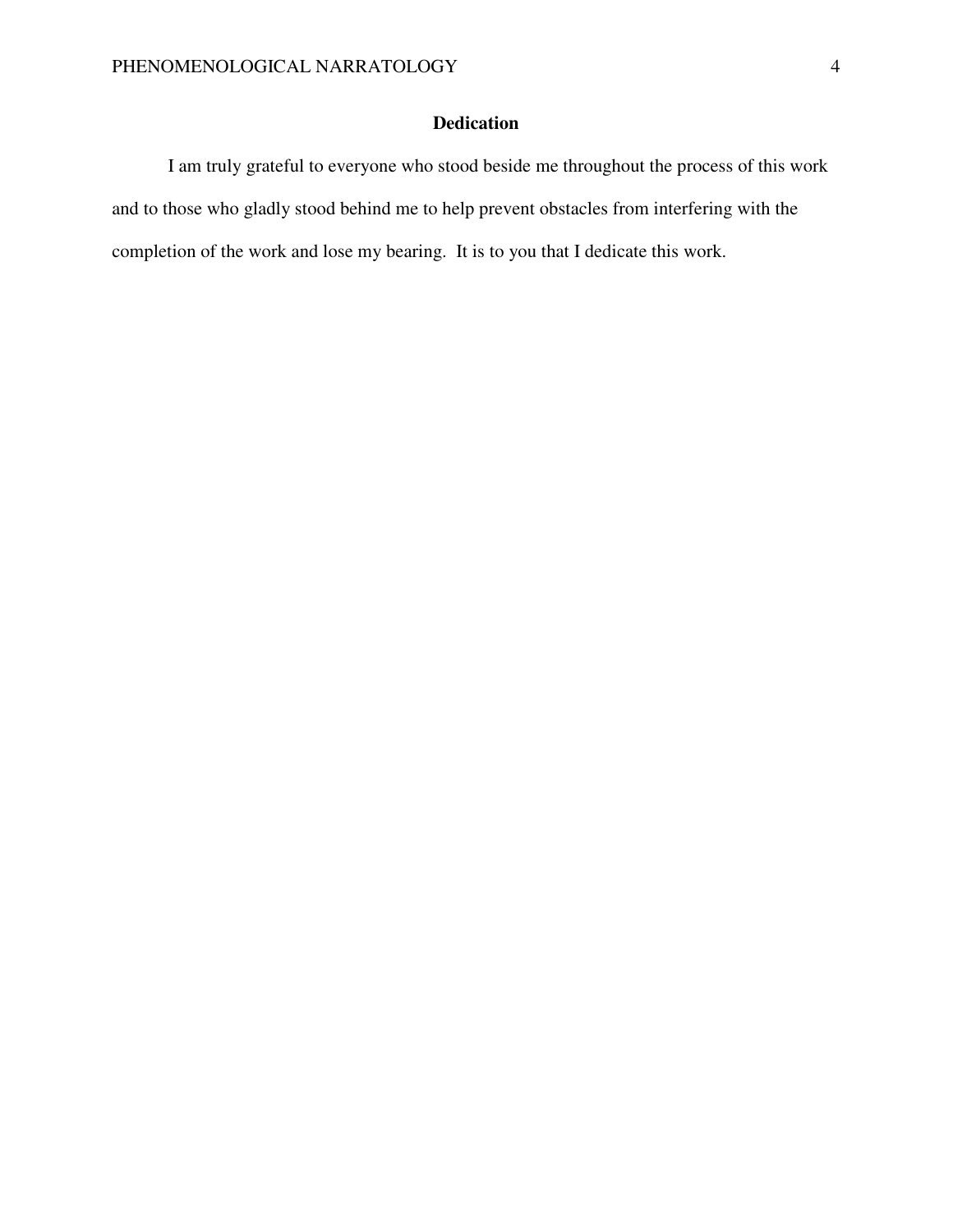# **Dedication**

I am truly grateful to everyone who stood beside me throughout the process of this work and to those who gladly stood behind me to help prevent obstacles from interfering with the completion of the work and lose my bearing. It is to you that I dedicate this work.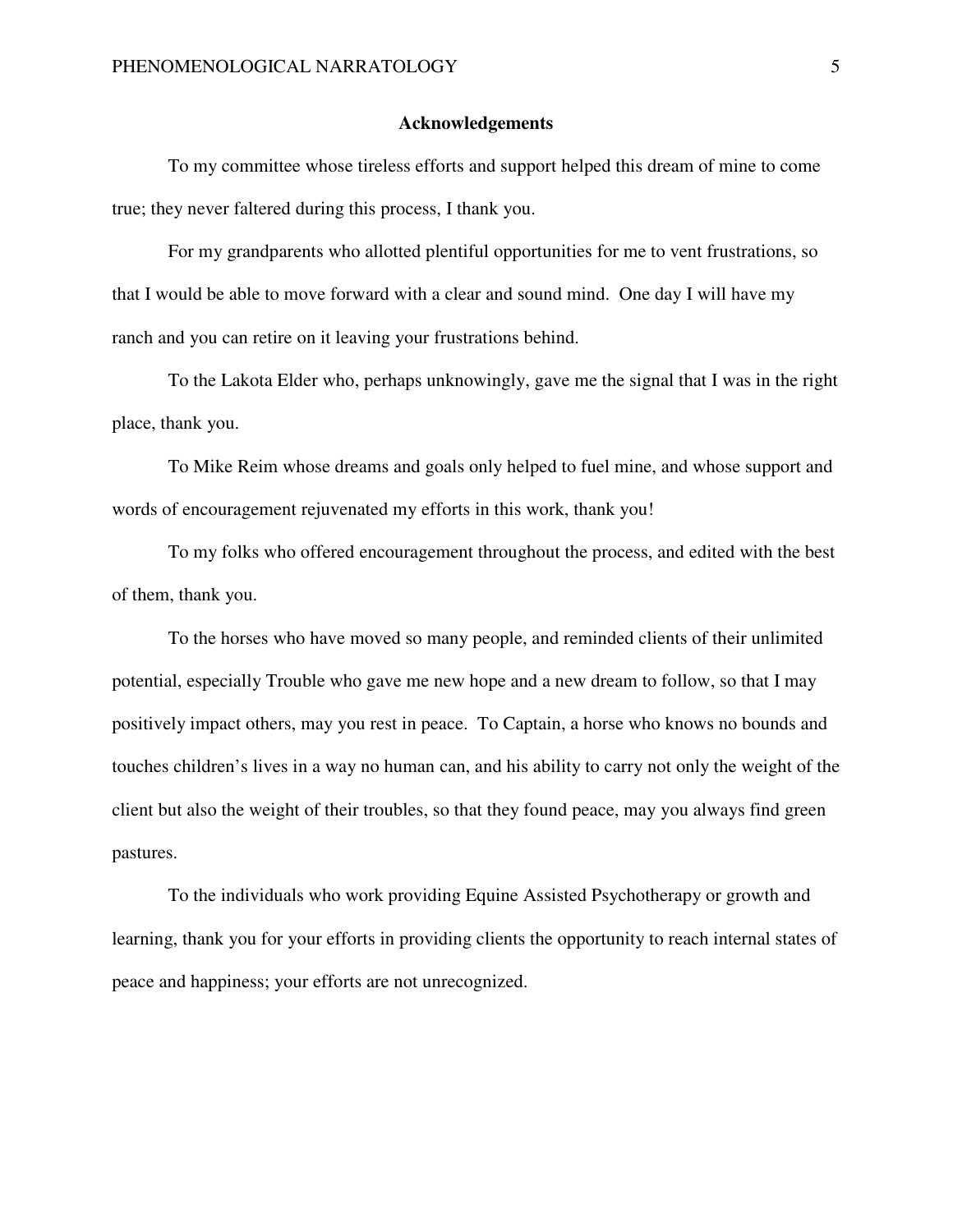#### **Acknowledgements**

To my committee whose tireless efforts and support helped this dream of mine to come true; they never faltered during this process, I thank you.

For my grandparents who allotted plentiful opportunities for me to vent frustrations, so that I would be able to move forward with a clear and sound mind. One day I will have my ranch and you can retire on it leaving your frustrations behind.

To the Lakota Elder who, perhaps unknowingly, gave me the signal that I was in the right place, thank you.

To Mike Reim whose dreams and goals only helped to fuel mine, and whose support and words of encouragement rejuvenated my efforts in this work, thank you!

To my folks who offered encouragement throughout the process, and edited with the best of them, thank you.

To the horses who have moved so many people, and reminded clients of their unlimited potential, especially Trouble who gave me new hope and a new dream to follow, so that I may positively impact others, may you rest in peace. To Captain, a horse who knows no bounds and touches children's lives in a way no human can, and his ability to carry not only the weight of the client but also the weight of their troubles, so that they found peace, may you always find green pastures.

 To the individuals who work providing Equine Assisted Psychotherapy or growth and learning, thank you for your efforts in providing clients the opportunity to reach internal states of peace and happiness; your efforts are not unrecognized.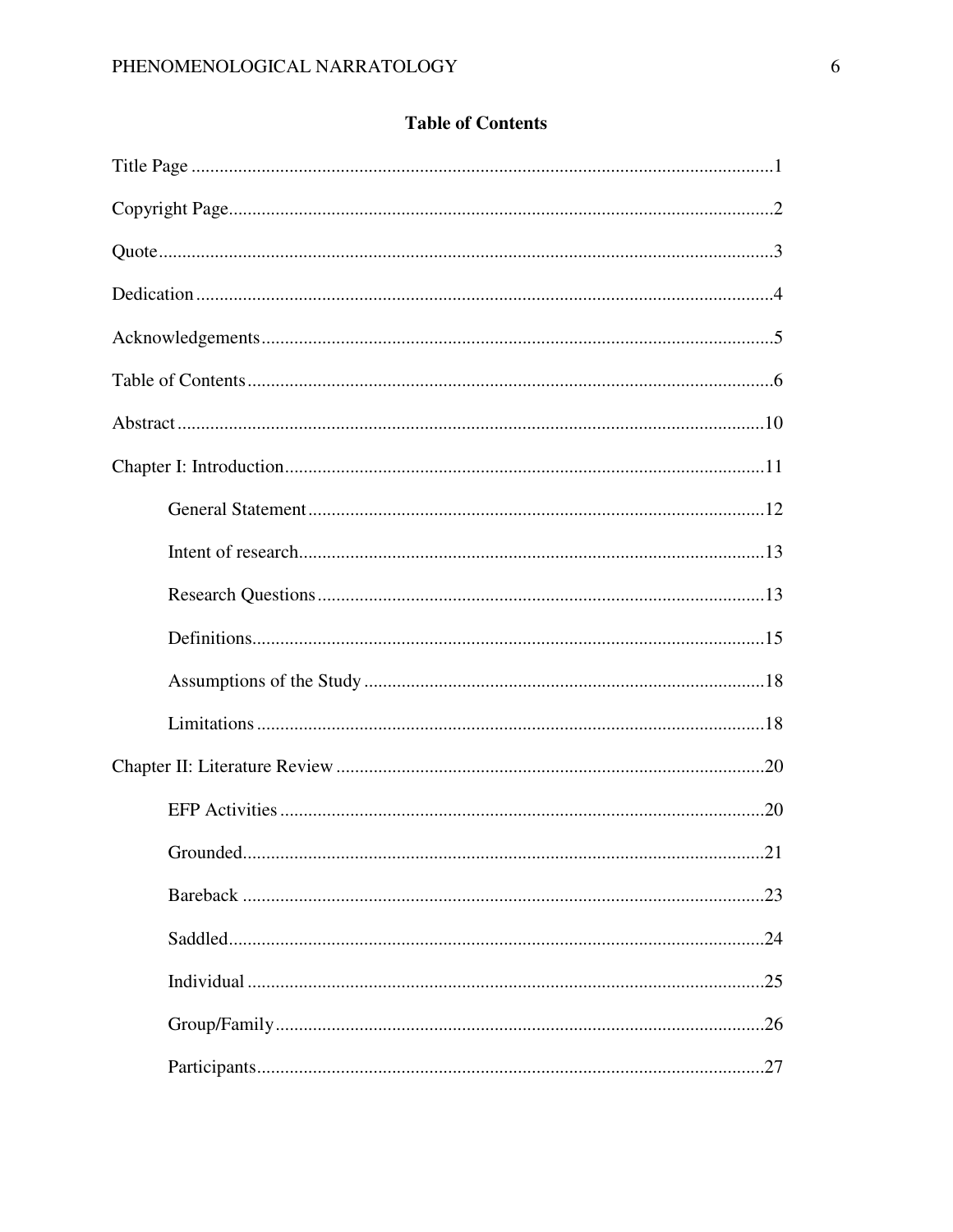|  | <b>Table of Contents</b> |
|--|--------------------------|
|  |                          |

| .21<br>Grounded |
|-----------------|
|                 |
|                 |
|                 |
|                 |
|                 |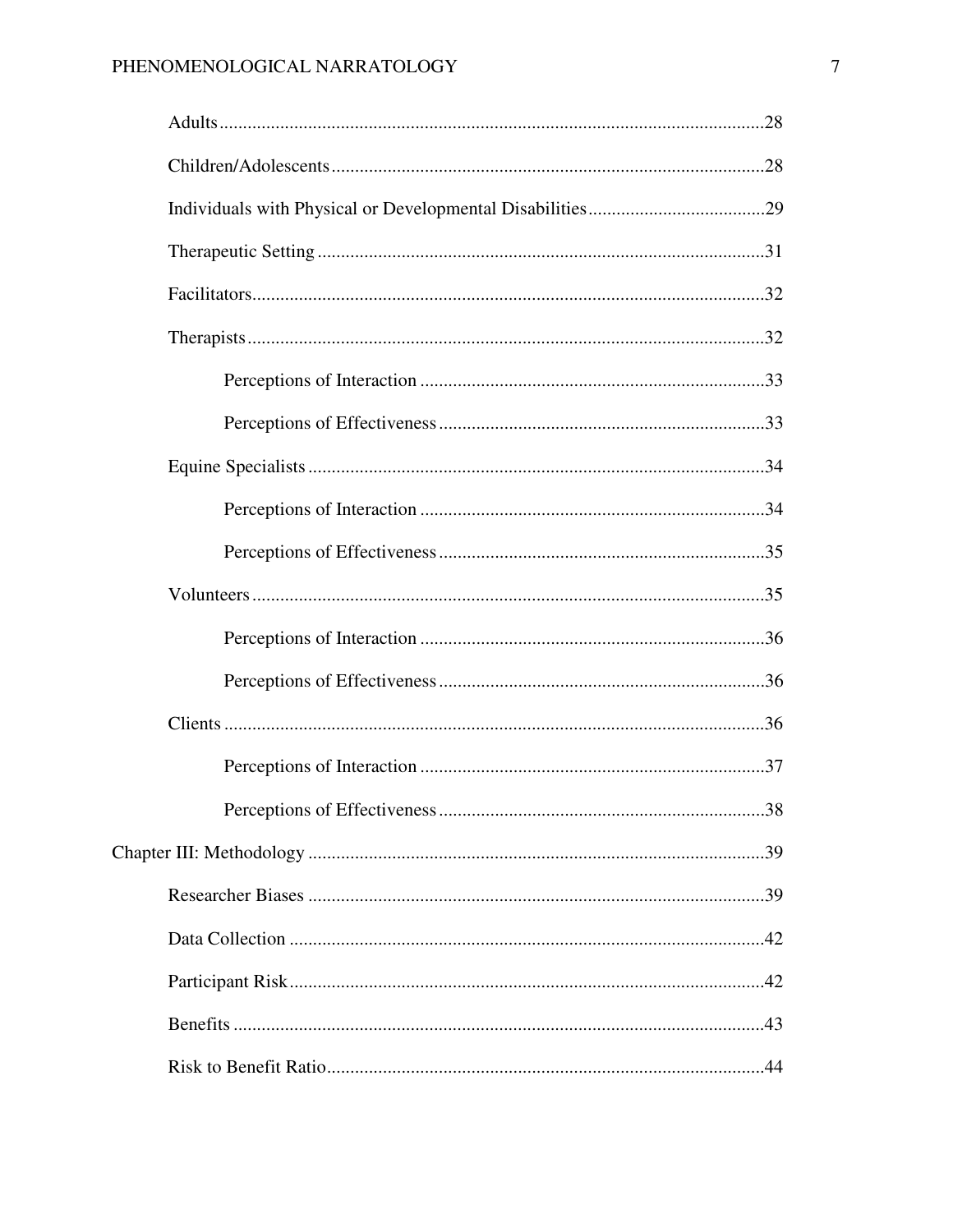|  | 38 |
|--|----|
|  |    |
|  |    |
|  |    |
|  |    |
|  |    |
|  |    |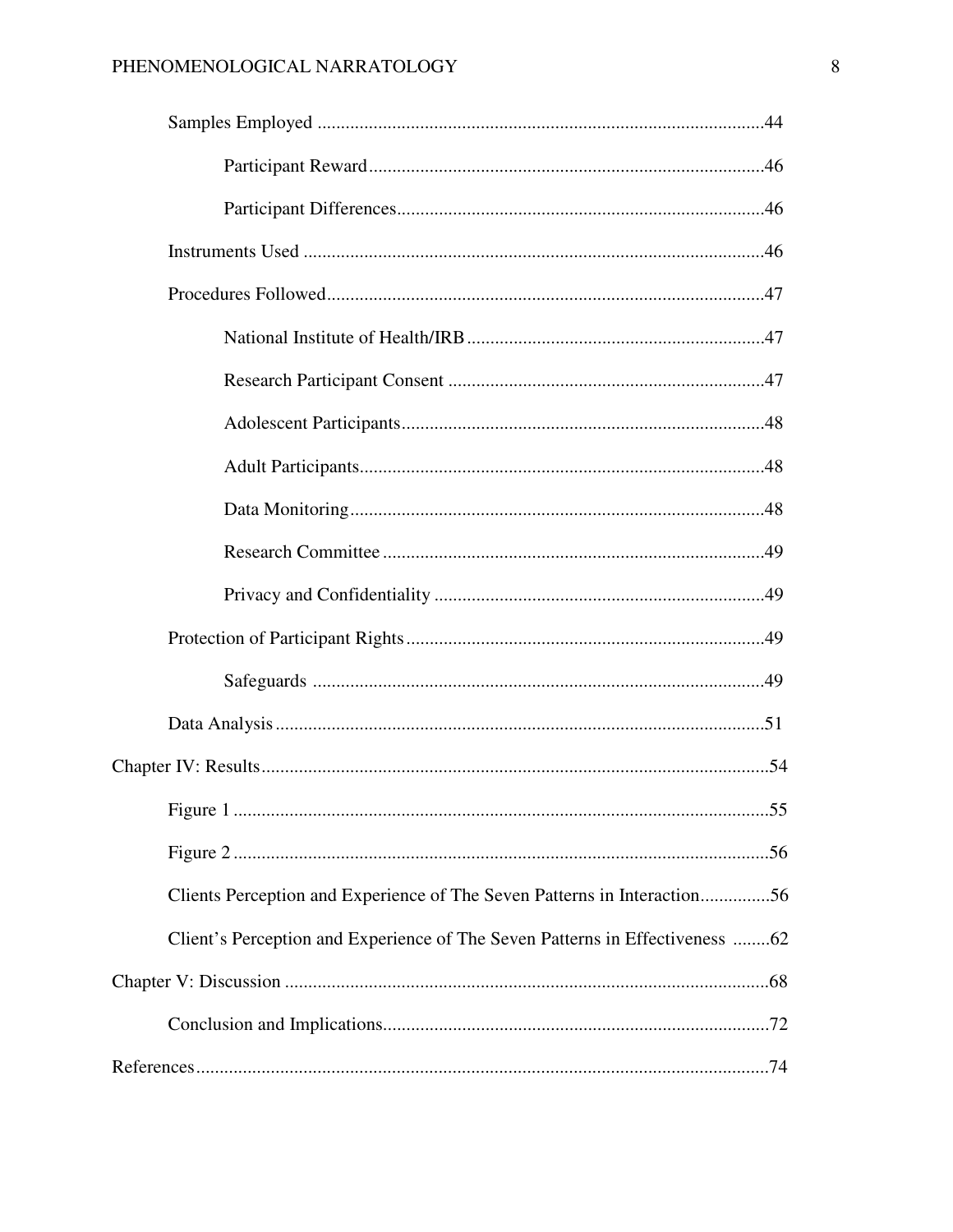# PHENOMENOLOGICAL NARRATOLOGY

| Clients Perception and Experience of The Seven Patterns in Interaction56     |
|------------------------------------------------------------------------------|
| Client's Perception and Experience of The Seven Patterns in Effectiveness 62 |
|                                                                              |
|                                                                              |
|                                                                              |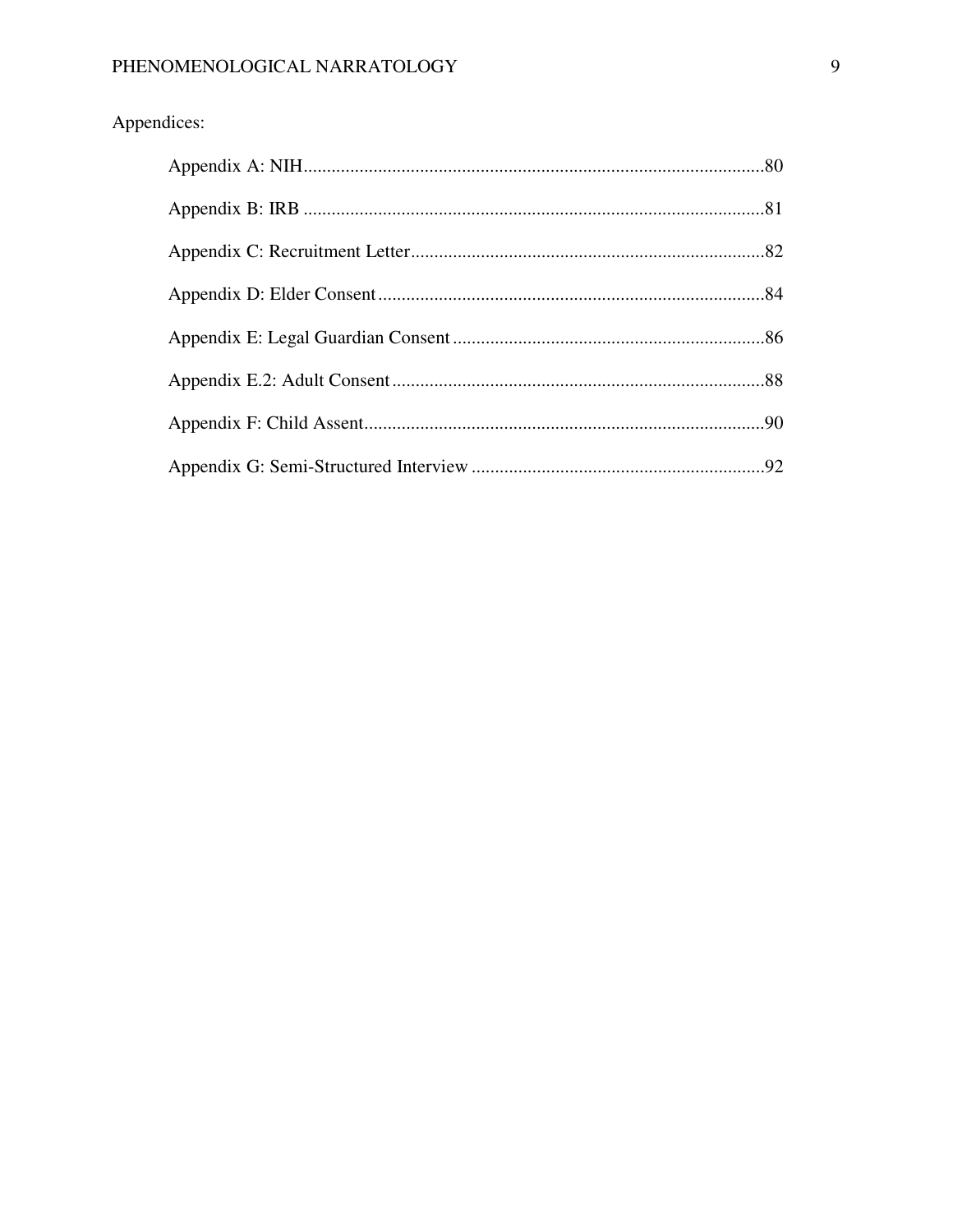# Appendices: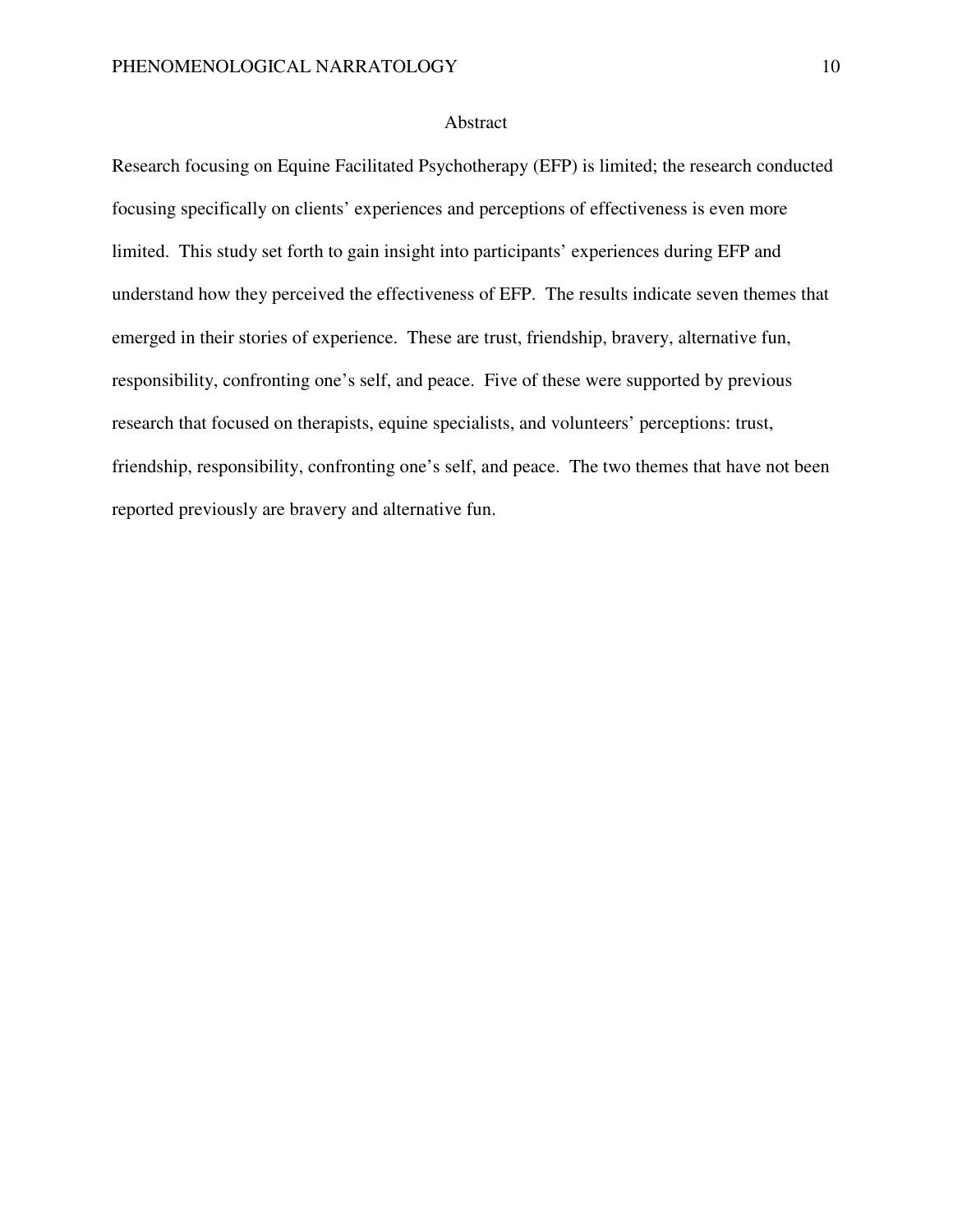# Abstract

Research focusing on Equine Facilitated Psychotherapy (EFP) is limited; the research conducted focusing specifically on clients' experiences and perceptions of effectiveness is even more limited. This study set forth to gain insight into participants' experiences during EFP and understand how they perceived the effectiveness of EFP. The results indicate seven themes that emerged in their stories of experience. These are trust, friendship, bravery, alternative fun, responsibility, confronting one's self, and peace. Five of these were supported by previous research that focused on therapists, equine specialists, and volunteers' perceptions: trust, friendship, responsibility, confronting one's self, and peace. The two themes that have not been reported previously are bravery and alternative fun.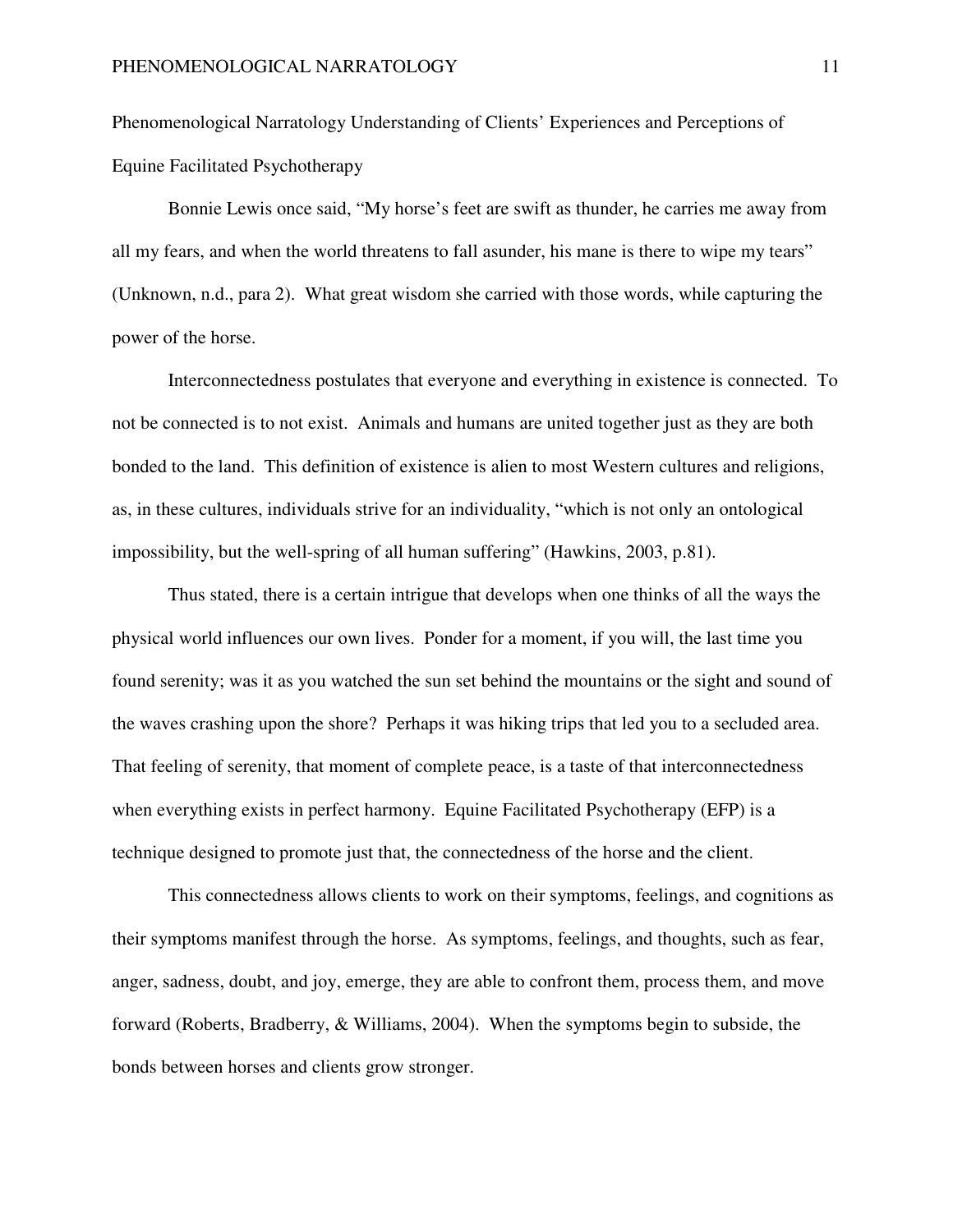Phenomenological Narratology Understanding of Clients' Experiences and Perceptions of Equine Facilitated Psychotherapy

Bonnie Lewis once said, "My horse's feet are swift as thunder, he carries me away from all my fears, and when the world threatens to fall asunder, his mane is there to wipe my tears" (Unknown, n.d., para 2). What great wisdom she carried with those words, while capturing the power of the horse.

Interconnectedness postulates that everyone and everything in existence is connected. To not be connected is to not exist. Animals and humans are united together just as they are both bonded to the land. This definition of existence is alien to most Western cultures and religions, as, in these cultures, individuals strive for an individuality, "which is not only an ontological impossibility, but the well-spring of all human suffering" (Hawkins, 2003, p.81).

Thus stated, there is a certain intrigue that develops when one thinks of all the ways the physical world influences our own lives. Ponder for a moment, if you will, the last time you found serenity; was it as you watched the sun set behind the mountains or the sight and sound of the waves crashing upon the shore? Perhaps it was hiking trips that led you to a secluded area. That feeling of serenity, that moment of complete peace, is a taste of that interconnectedness when everything exists in perfect harmony. Equine Facilitated Psychotherapy (EFP) is a technique designed to promote just that, the connectedness of the horse and the client.

This connectedness allows clients to work on their symptoms, feelings, and cognitions as their symptoms manifest through the horse. As symptoms, feelings, and thoughts, such as fear, anger, sadness, doubt, and joy, emerge, they are able to confront them, process them, and move forward (Roberts, Bradberry, & Williams, 2004). When the symptoms begin to subside, the bonds between horses and clients grow stronger.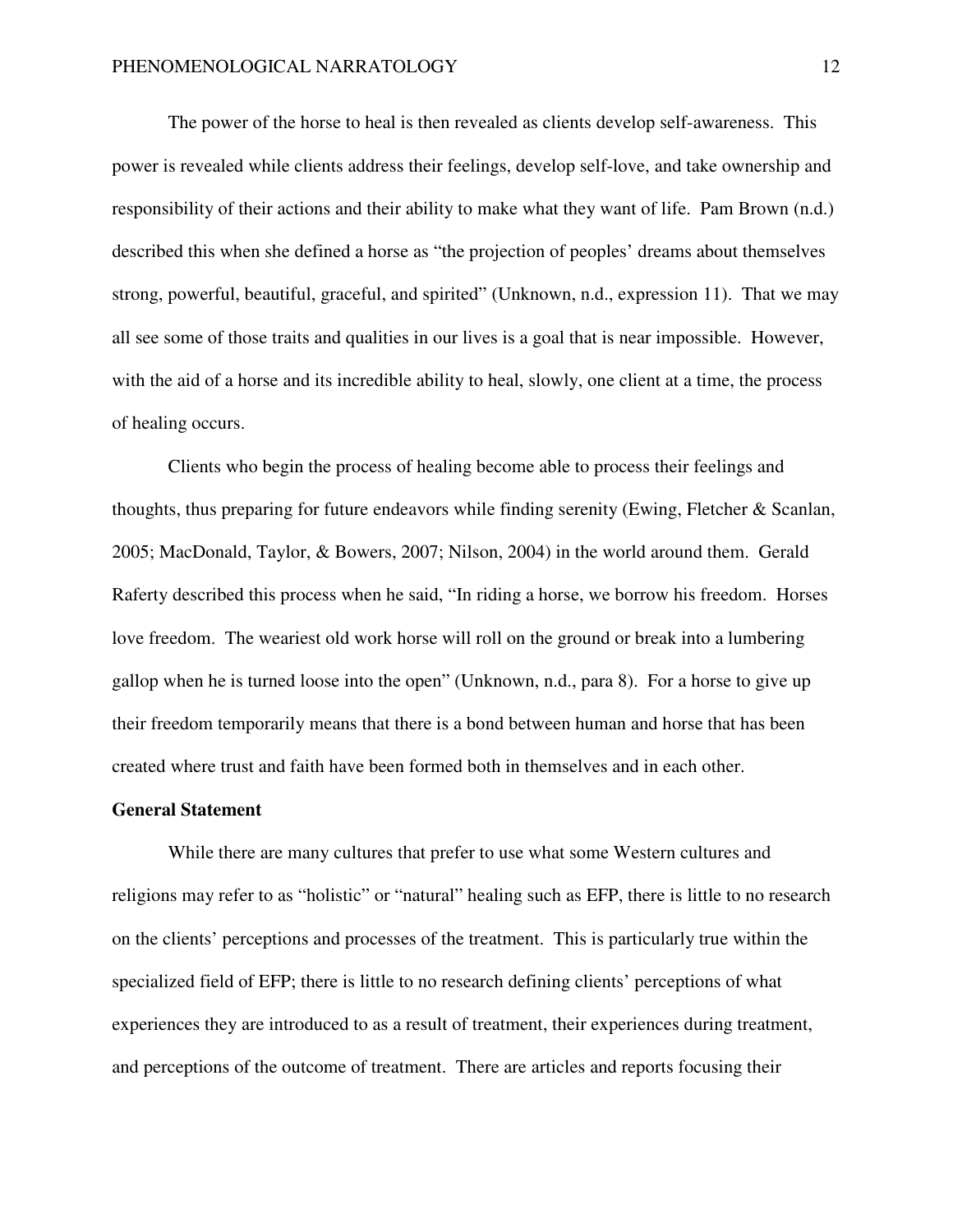The power of the horse to heal is then revealed as clients develop self-awareness. This power is revealed while clients address their feelings, develop self-love, and take ownership and responsibility of their actions and their ability to make what they want of life. Pam Brown (n.d.) described this when she defined a horse as "the projection of peoples' dreams about themselves strong, powerful, beautiful, graceful, and spirited" (Unknown, n.d., expression 11). That we may all see some of those traits and qualities in our lives is a goal that is near impossible. However, with the aid of a horse and its incredible ability to heal, slowly, one client at a time, the process of healing occurs.

Clients who begin the process of healing become able to process their feelings and thoughts, thus preparing for future endeavors while finding serenity (Ewing, Fletcher & Scanlan, 2005; MacDonald, Taylor, & Bowers, 2007; Nilson, 2004) in the world around them. Gerald Raferty described this process when he said, "In riding a horse, we borrow his freedom. Horses love freedom. The weariest old work horse will roll on the ground or break into a lumbering gallop when he is turned loose into the open" (Unknown, n.d., para 8). For a horse to give up their freedom temporarily means that there is a bond between human and horse that has been created where trust and faith have been formed both in themselves and in each other.

#### **General Statement**

 While there are many cultures that prefer to use what some Western cultures and religions may refer to as "holistic" or "natural" healing such as EFP, there is little to no research on the clients' perceptions and processes of the treatment. This is particularly true within the specialized field of EFP; there is little to no research defining clients' perceptions of what experiences they are introduced to as a result of treatment, their experiences during treatment, and perceptions of the outcome of treatment. There are articles and reports focusing their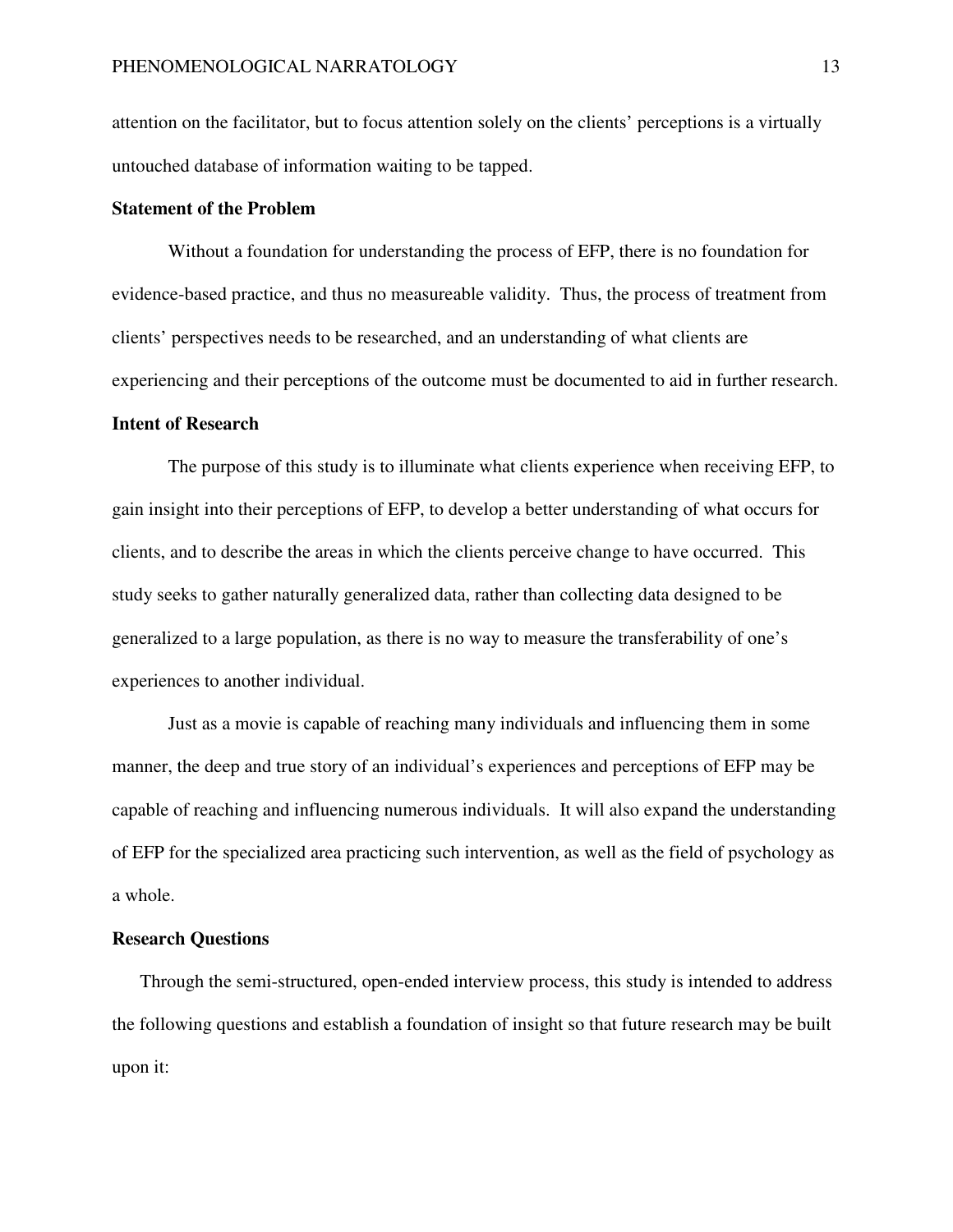attention on the facilitator, but to focus attention solely on the clients' perceptions is a virtually untouched database of information waiting to be tapped.

# **Statement of the Problem**

Without a foundation for understanding the process of EFP, there is no foundation for evidence-based practice, and thus no measureable validity. Thus, the process of treatment from clients' perspectives needs to be researched, and an understanding of what clients are experiencing and their perceptions of the outcome must be documented to aid in further research.

#### **Intent of Research**

The purpose of this study is to illuminate what clients experience when receiving EFP, to gain insight into their perceptions of EFP, to develop a better understanding of what occurs for clients, and to describe the areas in which the clients perceive change to have occurred. This study seeks to gather naturally generalized data, rather than collecting data designed to be generalized to a large population, as there is no way to measure the transferability of one's experiences to another individual.

Just as a movie is capable of reaching many individuals and influencing them in some manner, the deep and true story of an individual's experiences and perceptions of EFP may be capable of reaching and influencing numerous individuals. It will also expand the understanding of EFP for the specialized area practicing such intervention, as well as the field of psychology as a whole.

# **Research Questions**

Through the semi-structured, open-ended interview process, this study is intended to address the following questions and establish a foundation of insight so that future research may be built upon it: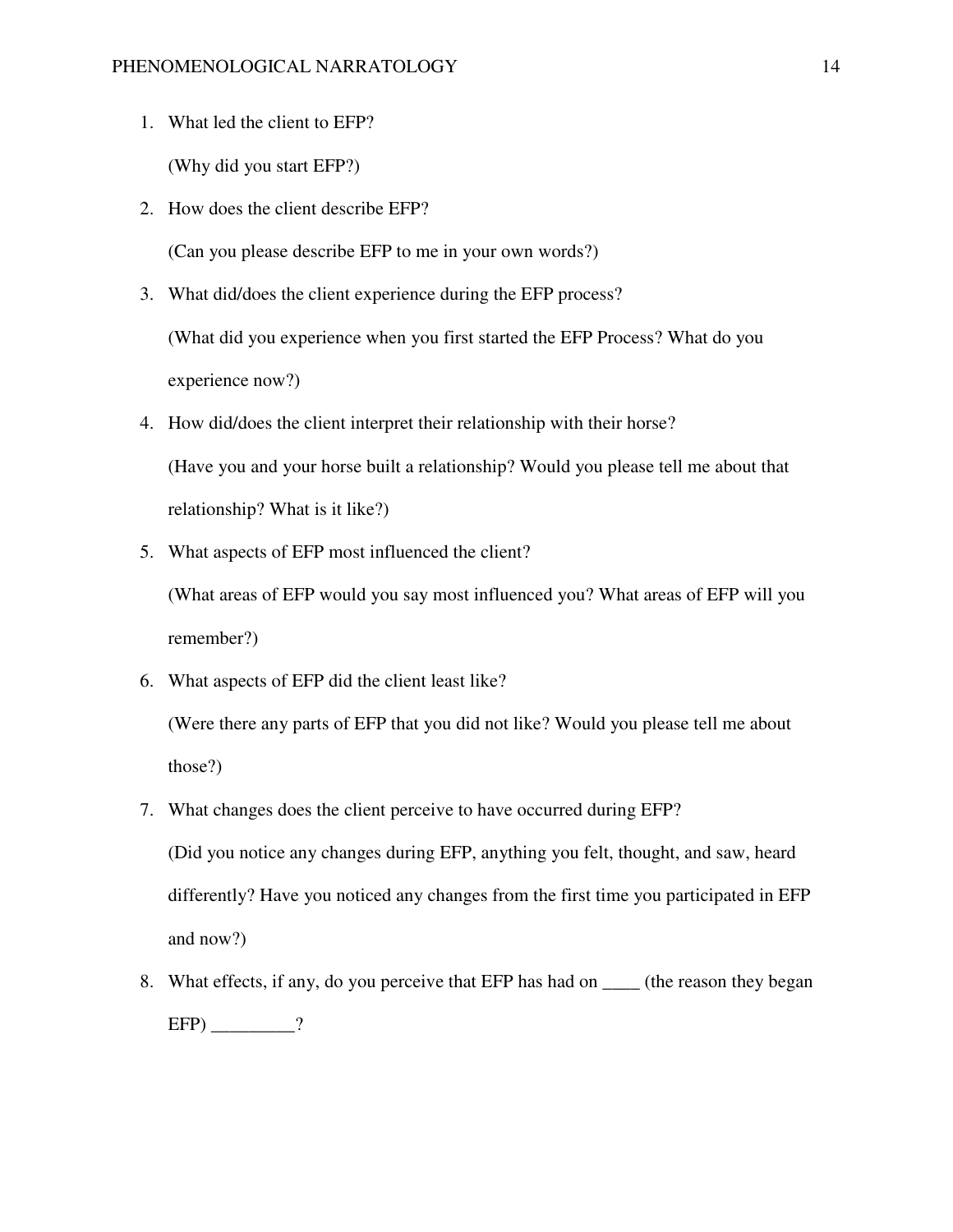1. What led the client to EFP?

(Why did you start EFP?)

2. How does the client describe EFP?

(Can you please describe EFP to me in your own words?)

- 3. What did/does the client experience during the EFP process? (What did you experience when you first started the EFP Process? What do you experience now?)
- 4. How did/does the client interpret their relationship with their horse? (Have you and your horse built a relationship? Would you please tell me about that relationship? What is it like?)
- 5. What aspects of EFP most influenced the client?

(What areas of EFP would you say most influenced you? What areas of EFP will you remember?)

6. What aspects of EFP did the client least like?

(Were there any parts of EFP that you did not like? Would you please tell me about those?)

- 7. What changes does the client perceive to have occurred during EFP? (Did you notice any changes during EFP, anything you felt, thought, and saw, heard differently? Have you noticed any changes from the first time you participated in EFP and now?)
- 8. What effects, if any, do you perceive that EFP has had on \_\_\_\_ (the reason they began  $EFP$ ) \_\_\_\_\_\_\_\_\_?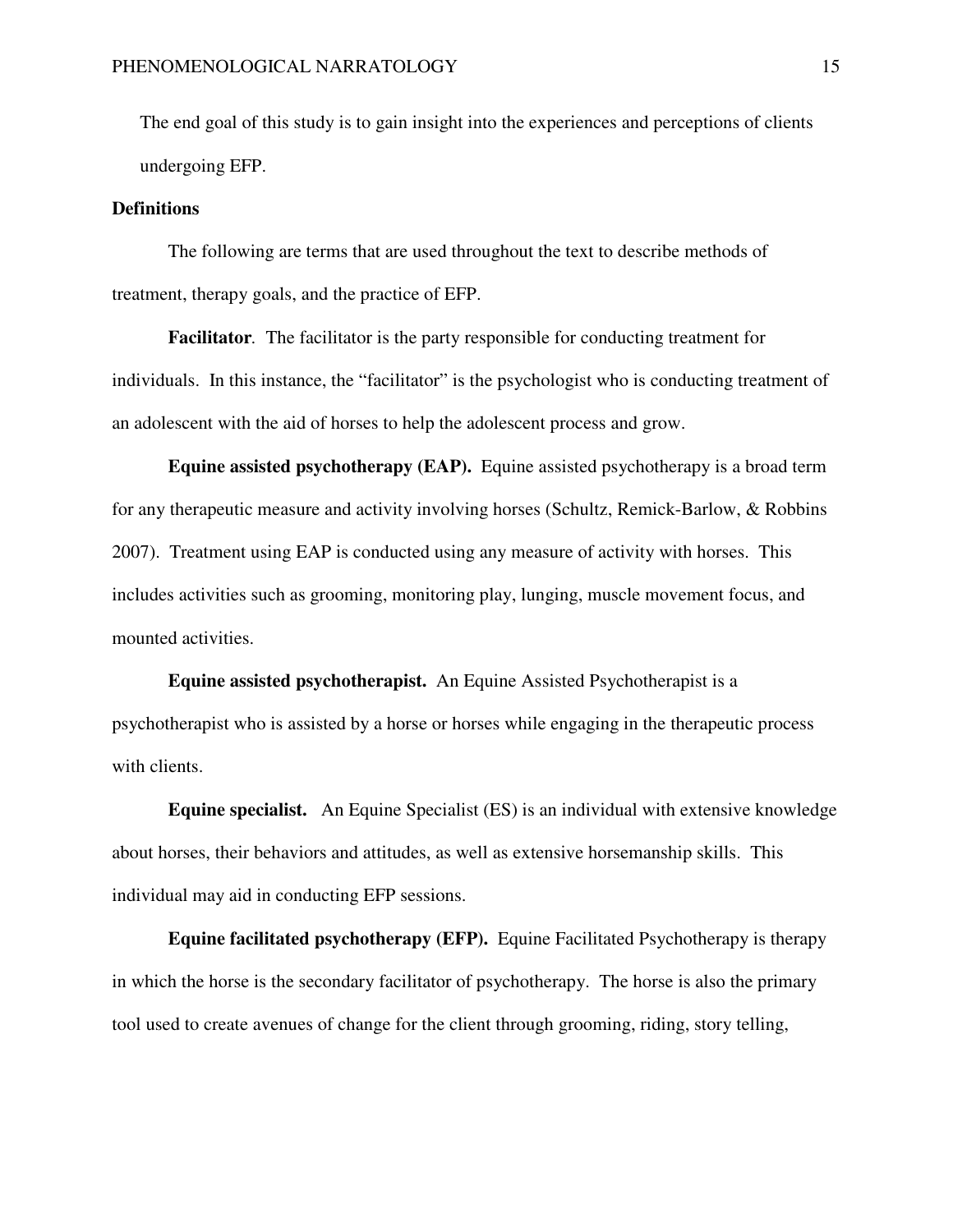The end goal of this study is to gain insight into the experiences and perceptions of clients undergoing EFP.

#### **Definitions**

The following are terms that are used throughout the text to describe methods of treatment, therapy goals, and the practice of EFP.

**Facilitator***.* The facilitator is the party responsible for conducting treatment for individuals. In this instance, the "facilitator" is the psychologist who is conducting treatment of an adolescent with the aid of horses to help the adolescent process and grow.

**Equine assisted psychotherapy (EAP).**Equine assisted psychotherapy is a broad term for any therapeutic measure and activity involving horses (Schultz, Remick-Barlow, & Robbins 2007). Treatment using EAP is conducted using any measure of activity with horses. This includes activities such as grooming, monitoring play, lunging, muscle movement focus, and mounted activities.

**Equine assisted psychotherapist.** An Equine Assisted Psychotherapist is a psychotherapist who is assisted by a horse or horses while engaging in the therapeutic process with clients.

**Equine specialist.** An Equine Specialist (ES) is an individual with extensive knowledge about horses, their behaviors and attitudes, as well as extensive horsemanship skills. This individual may aid in conducting EFP sessions.

**Equine facilitated psychotherapy (EFP).** Equine Facilitated Psychotherapy is therapy in which the horse is the secondary facilitator of psychotherapy. The horse is also the primary tool used to create avenues of change for the client through grooming, riding, story telling,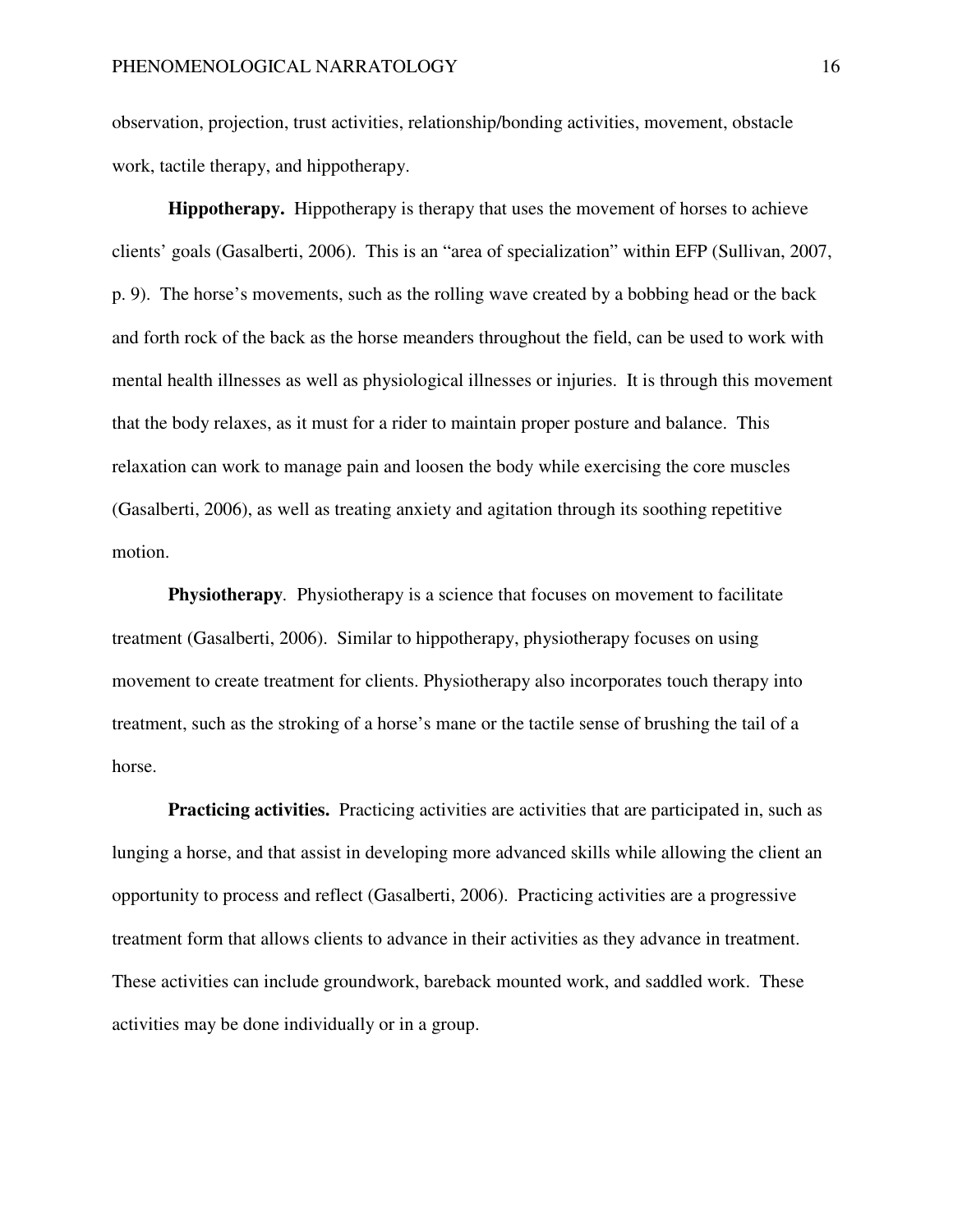observation, projection, trust activities, relationship/bonding activities, movement, obstacle work, tactile therapy, and hippotherapy.

**Hippotherapy.** Hippotherapy is therapy that uses the movement of horses to achieve clients' goals (Gasalberti, 2006). This is an "area of specialization" within EFP (Sullivan, 2007, p. 9). The horse's movements, such as the rolling wave created by a bobbing head or the back and forth rock of the back as the horse meanders throughout the field, can be used to work with mental health illnesses as well as physiological illnesses or injuries. It is through this movement that the body relaxes, as it must for a rider to maintain proper posture and balance. This relaxation can work to manage pain and loosen the body while exercising the core muscles (Gasalberti, 2006), as well as treating anxiety and agitation through its soothing repetitive motion.

**Physiotherapy***.* Physiotherapy is a science that focuses on movement to facilitate treatment (Gasalberti, 2006). Similar to hippotherapy, physiotherapy focuses on using movement to create treatment for clients. Physiotherapy also incorporates touch therapy into treatment, such as the stroking of a horse's mane or the tactile sense of brushing the tail of a horse.

**Practicing activities.** Practicing activities are activities that are participated in, such as lunging a horse, and that assist in developing more advanced skills while allowing the client an opportunity to process and reflect (Gasalberti, 2006). Practicing activities are a progressive treatment form that allows clients to advance in their activities as they advance in treatment. These activities can include groundwork, bareback mounted work, and saddled work. These activities may be done individually or in a group.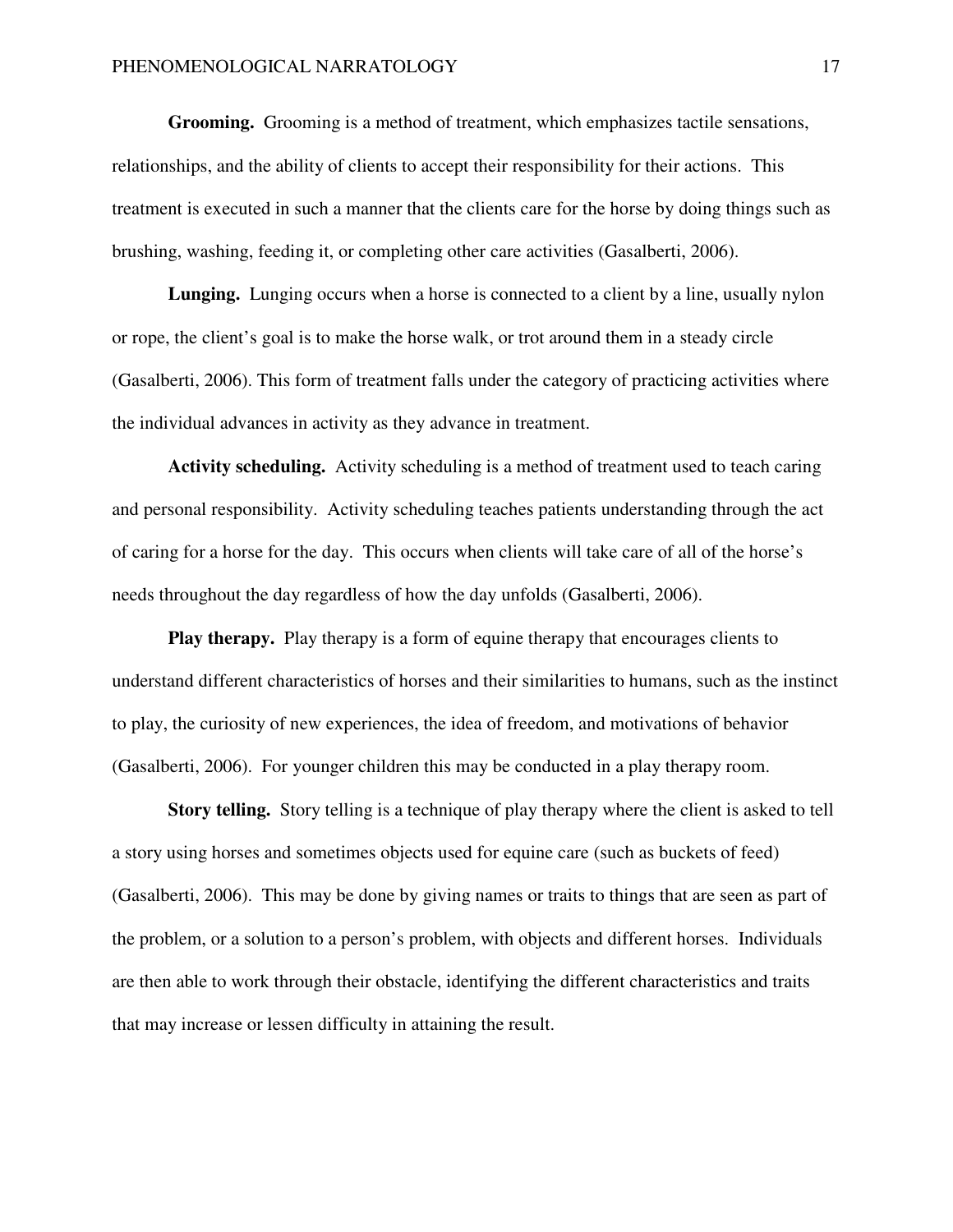**Grooming.** Grooming is a method of treatment, which emphasizes tactile sensations, relationships, and the ability of clients to accept their responsibility for their actions. This treatment is executed in such a manner that the clients care for the horse by doing things such as brushing, washing, feeding it, or completing other care activities (Gasalberti, 2006).

**Lunging.**Lunging occurs when a horse is connected to a client by a line, usually nylon or rope, the client's goal is to make the horse walk, or trot around them in a steady circle (Gasalberti, 2006). This form of treatment falls under the category of practicing activities where the individual advances in activity as they advance in treatment.

**Activity scheduling.** Activity scheduling is a method of treatment used to teach caring and personal responsibility. Activity scheduling teaches patients understanding through the act of caring for a horse for the day. This occurs when clients will take care of all of the horse's needs throughout the day regardless of how the day unfolds (Gasalberti, 2006).

**Play therapy.**Play therapy is a form of equine therapy that encourages clients to understand different characteristics of horses and their similarities to humans, such as the instinct to play, the curiosity of new experiences, the idea of freedom, and motivations of behavior (Gasalberti, 2006). For younger children this may be conducted in a play therapy room.

**Story telling.** Story telling is a technique of play therapy where the client is asked to tell a story using horses and sometimes objects used for equine care (such as buckets of feed) (Gasalberti, 2006). This may be done by giving names or traits to things that are seen as part of the problem, or a solution to a person's problem, with objects and different horses. Individuals are then able to work through their obstacle, identifying the different characteristics and traits that may increase or lessen difficulty in attaining the result.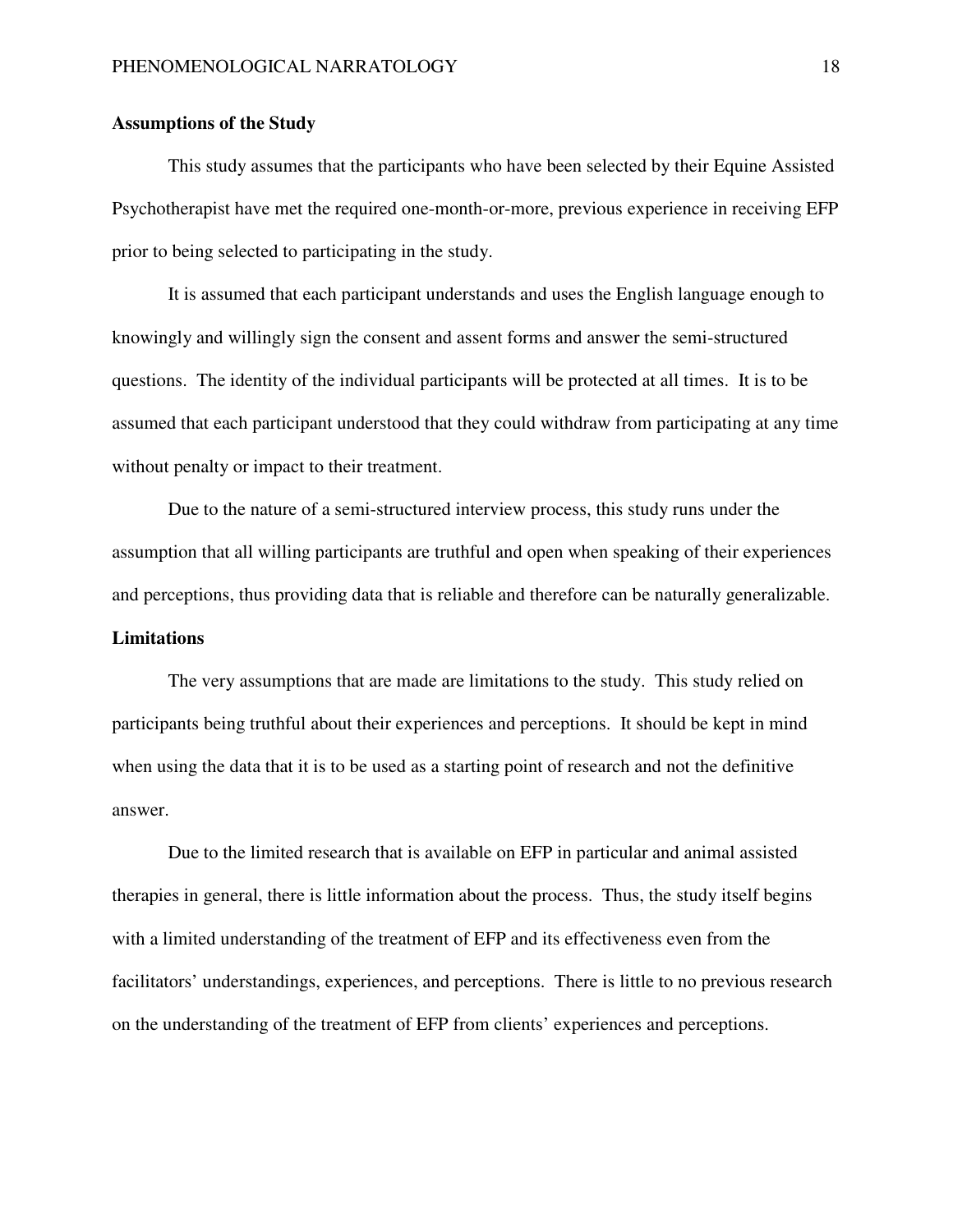# **Assumptions of the Study**

This study assumes that the participants who have been selected by their Equine Assisted Psychotherapist have met the required one-month-or-more, previous experience in receiving EFP prior to being selected to participating in the study.

It is assumed that each participant understands and uses the English language enough to knowingly and willingly sign the consent and assent forms and answer the semi-structured questions. The identity of the individual participants will be protected at all times. It is to be assumed that each participant understood that they could withdraw from participating at any time without penalty or impact to their treatment.

Due to the nature of a semi-structured interview process, this study runs under the assumption that all willing participants are truthful and open when speaking of their experiences and perceptions, thus providing data that is reliable and therefore can be naturally generalizable. **Limitations** 

The very assumptions that are made are limitations to the study. This study relied on participants being truthful about their experiences and perceptions. It should be kept in mind when using the data that it is to be used as a starting point of research and not the definitive answer.

Due to the limited research that is available on EFP in particular and animal assisted therapies in general, there is little information about the process. Thus, the study itself begins with a limited understanding of the treatment of EFP and its effectiveness even from the facilitators' understandings, experiences, and perceptions. There is little to no previous research on the understanding of the treatment of EFP from clients' experiences and perceptions.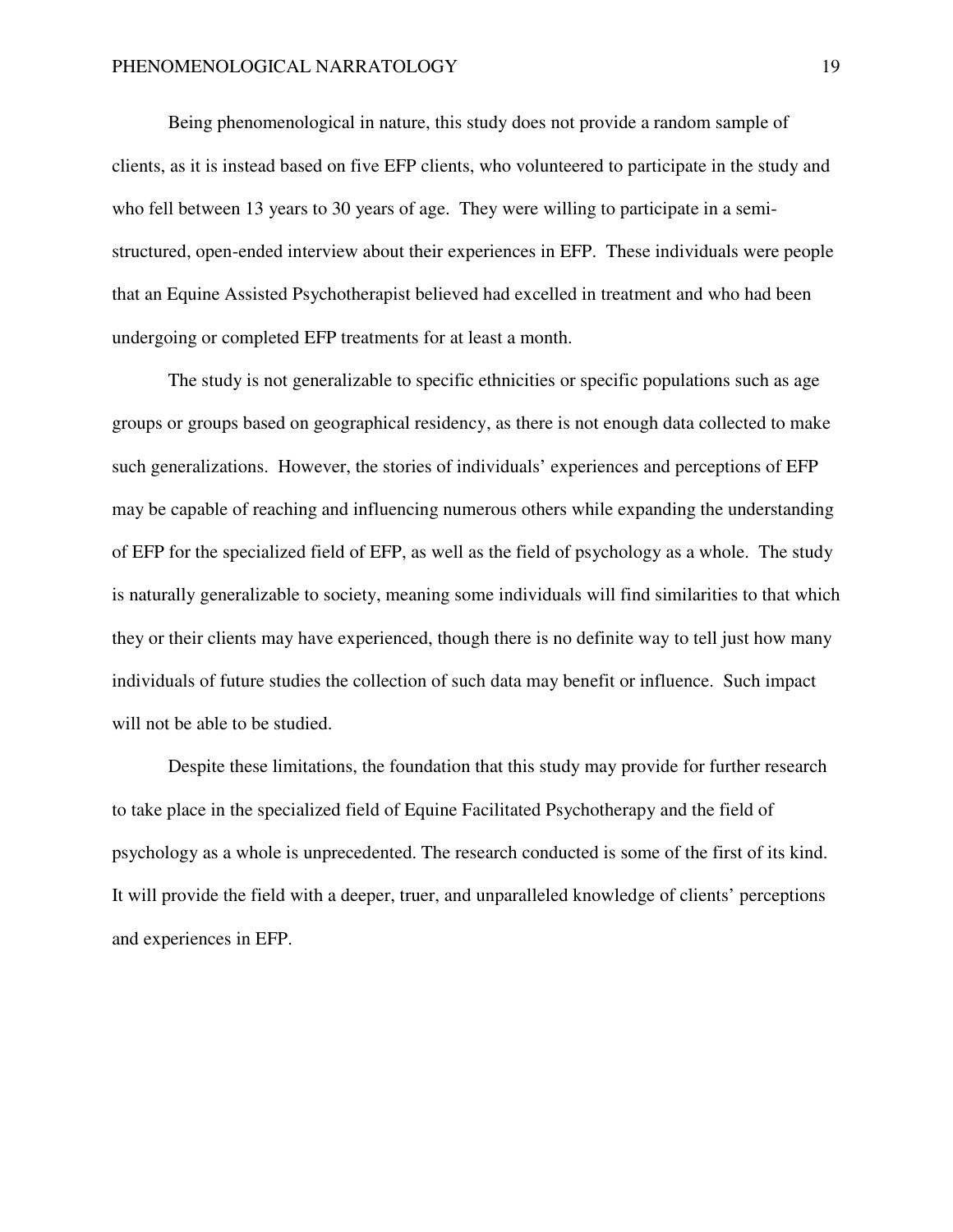Being phenomenological in nature, this study does not provide a random sample of clients, as it is instead based on five EFP clients, who volunteered to participate in the study and who fell between 13 years to 30 years of age. They were willing to participate in a semistructured, open-ended interview about their experiences in EFP. These individuals were people that an Equine Assisted Psychotherapist believed had excelled in treatment and who had been undergoing or completed EFP treatments for at least a month.

The study is not generalizable to specific ethnicities or specific populations such as age groups or groups based on geographical residency, as there is not enough data collected to make such generalizations. However, the stories of individuals' experiences and perceptions of EFP may be capable of reaching and influencing numerous others while expanding the understanding of EFP for the specialized field of EFP, as well as the field of psychology as a whole. The study is naturally generalizable to society, meaning some individuals will find similarities to that which they or their clients may have experienced, though there is no definite way to tell just how many individuals of future studies the collection of such data may benefit or influence. Such impact will not be able to be studied.

Despite these limitations, the foundation that this study may provide for further research to take place in the specialized field of Equine Facilitated Psychotherapy and the field of psychology as a whole is unprecedented. The research conducted is some of the first of its kind. It will provide the field with a deeper, truer, and unparalleled knowledge of clients' perceptions and experiences in EFP.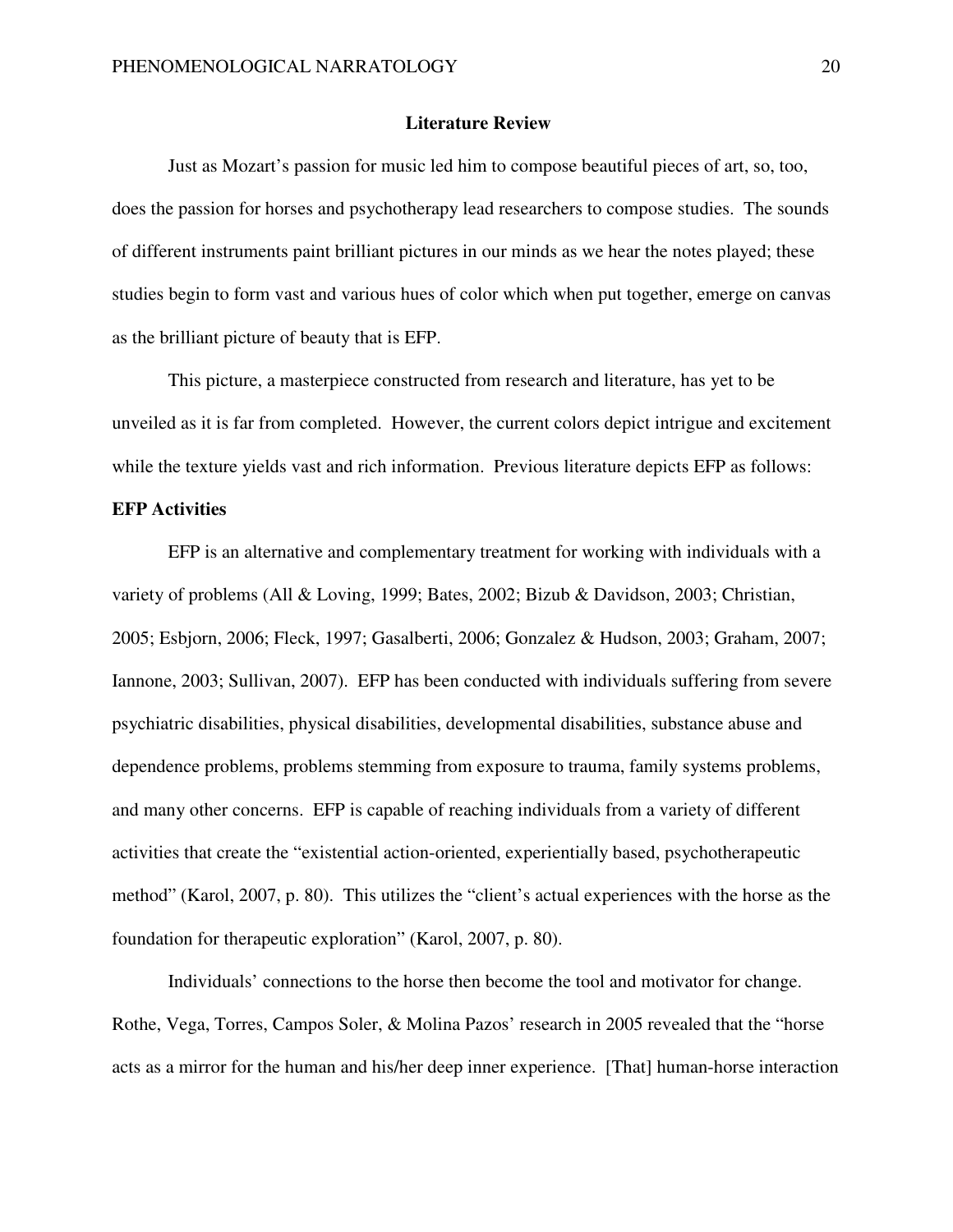#### **Literature Review**

Just as Mozart's passion for music led him to compose beautiful pieces of art, so, too, does the passion for horses and psychotherapy lead researchers to compose studies. The sounds of different instruments paint brilliant pictures in our minds as we hear the notes played; these studies begin to form vast and various hues of color which when put together, emerge on canvas as the brilliant picture of beauty that is EFP.

This picture, a masterpiece constructed from research and literature, has yet to be unveiled as it is far from completed. However, the current colors depict intrigue and excitement while the texture yields vast and rich information. Previous literature depicts EFP as follows:

#### **EFP Activities**

EFP is an alternative and complementary treatment for working with individuals with a variety of problems (All & Loving, 1999; Bates, 2002; Bizub & Davidson, 2003; Christian, 2005; Esbjorn, 2006; Fleck, 1997; Gasalberti, 2006; Gonzalez & Hudson, 2003; Graham, 2007; Iannone, 2003; Sullivan, 2007). EFP has been conducted with individuals suffering from severe psychiatric disabilities, physical disabilities, developmental disabilities, substance abuse and dependence problems, problems stemming from exposure to trauma, family systems problems, and many other concerns. EFP is capable of reaching individuals from a variety of different activities that create the "existential action-oriented, experientially based, psychotherapeutic method" (Karol, 2007, p. 80). This utilizes the "client's actual experiences with the horse as the foundation for therapeutic exploration" (Karol, 2007, p. 80).

Individuals' connections to the horse then become the tool and motivator for change. Rothe, Vega, Torres, Campos Soler, & Molina Pazos' research in 2005 revealed that the "horse acts as a mirror for the human and his/her deep inner experience. [That] human-horse interaction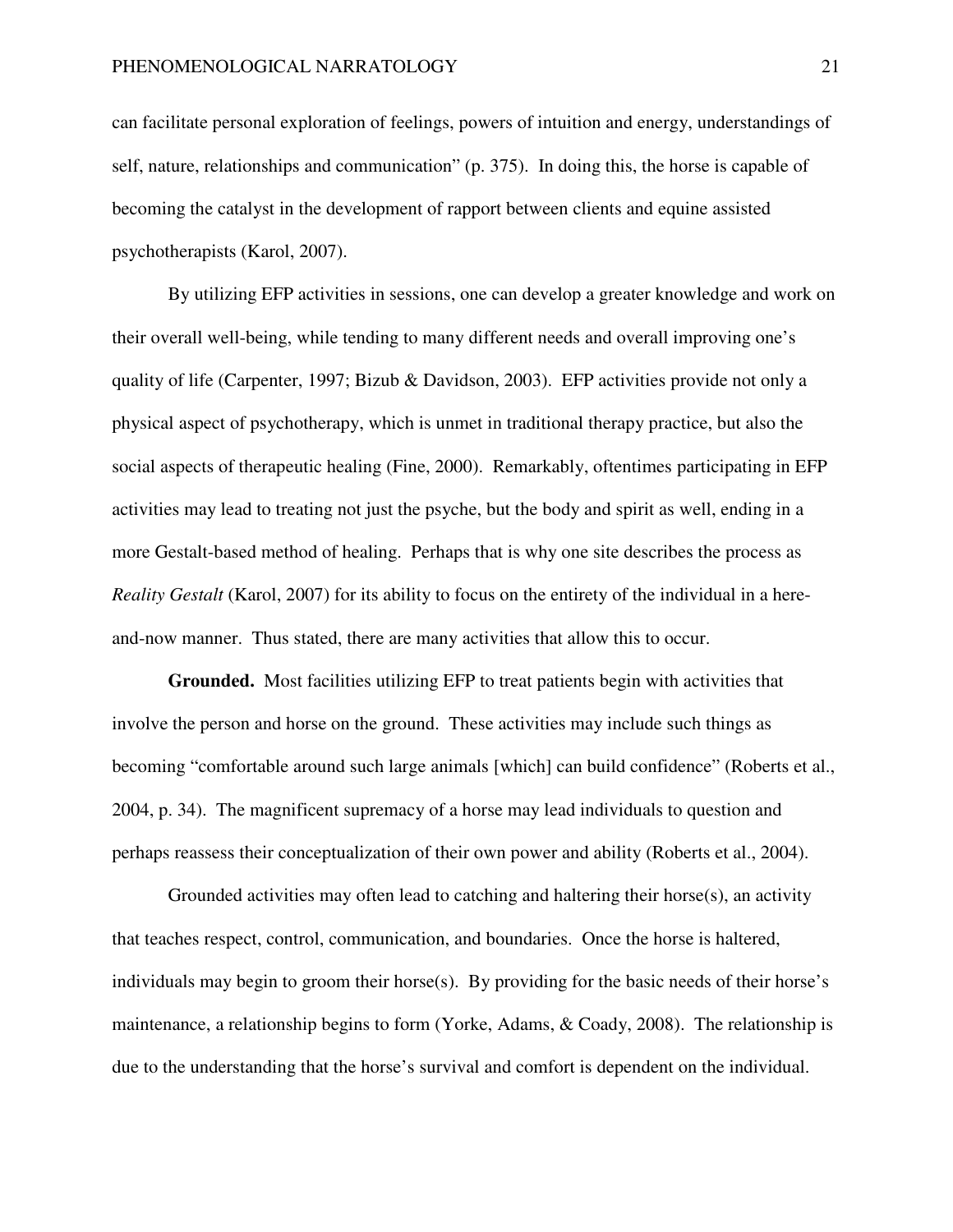can facilitate personal exploration of feelings, powers of intuition and energy, understandings of self, nature, relationships and communication" (p. 375). In doing this, the horse is capable of becoming the catalyst in the development of rapport between clients and equine assisted psychotherapists (Karol, 2007).

By utilizing EFP activities in sessions, one can develop a greater knowledge and work on their overall well-being, while tending to many different needs and overall improving one's quality of life (Carpenter, 1997; Bizub & Davidson, 2003). EFP activities provide not only a physical aspect of psychotherapy, which is unmet in traditional therapy practice, but also the social aspects of therapeutic healing (Fine, 2000). Remarkably, oftentimes participating in EFP activities may lead to treating not just the psyche, but the body and spirit as well, ending in a more Gestalt-based method of healing. Perhaps that is why one site describes the process as *Reality Gestalt* (Karol, 2007) for its ability to focus on the entirety of the individual in a hereand-now manner. Thus stated, there are many activities that allow this to occur.

**Grounded.** Most facilities utilizing EFP to treat patients begin with activities that involve the person and horse on the ground. These activities may include such things as becoming "comfortable around such large animals [which] can build confidence" (Roberts et al., 2004, p. 34). The magnificent supremacy of a horse may lead individuals to question and perhaps reassess their conceptualization of their own power and ability (Roberts et al., 2004).

Grounded activities may often lead to catching and haltering their horse $(s)$ , an activity that teaches respect, control, communication, and boundaries. Once the horse is haltered, individuals may begin to groom their horse(s). By providing for the basic needs of their horse's maintenance, a relationship begins to form (Yorke, Adams, & Coady, 2008). The relationship is due to the understanding that the horse's survival and comfort is dependent on the individual.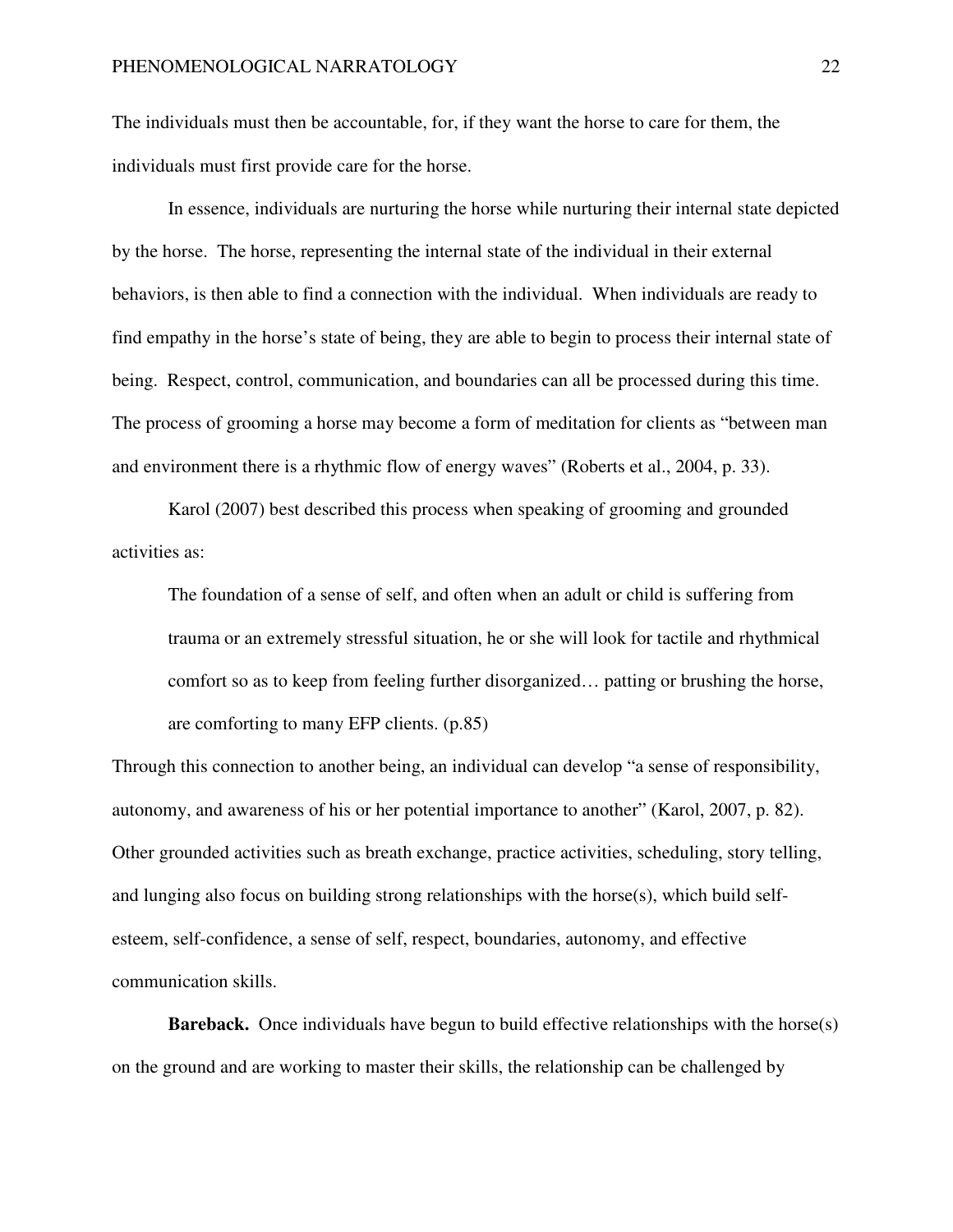The individuals must then be accountable, for, if they want the horse to care for them, the individuals must first provide care for the horse.

In essence, individuals are nurturing the horse while nurturing their internal state depicted by the horse. The horse, representing the internal state of the individual in their external behaviors, is then able to find a connection with the individual. When individuals are ready to find empathy in the horse's state of being, they are able to begin to process their internal state of being. Respect, control, communication, and boundaries can all be processed during this time. The process of grooming a horse may become a form of meditation for clients as "between man and environment there is a rhythmic flow of energy waves" (Roberts et al., 2004, p. 33).

Karol (2007) best described this process when speaking of grooming and grounded activities as:

The foundation of a sense of self, and often when an adult or child is suffering from trauma or an extremely stressful situation, he or she will look for tactile and rhythmical comfort so as to keep from feeling further disorganized… patting or brushing the horse, are comforting to many EFP clients. (p.85)

Through this connection to another being, an individual can develop "a sense of responsibility, autonomy, and awareness of his or her potential importance to another" (Karol, 2007, p. 82). Other grounded activities such as breath exchange, practice activities, scheduling, story telling, and lunging also focus on building strong relationships with the horse $(s)$ , which build selfesteem, self-confidence, a sense of self, respect, boundaries, autonomy, and effective communication skills.

**Bareback.** Once individuals have begun to build effective relationships with the horse(s) on the ground and are working to master their skills, the relationship can be challenged by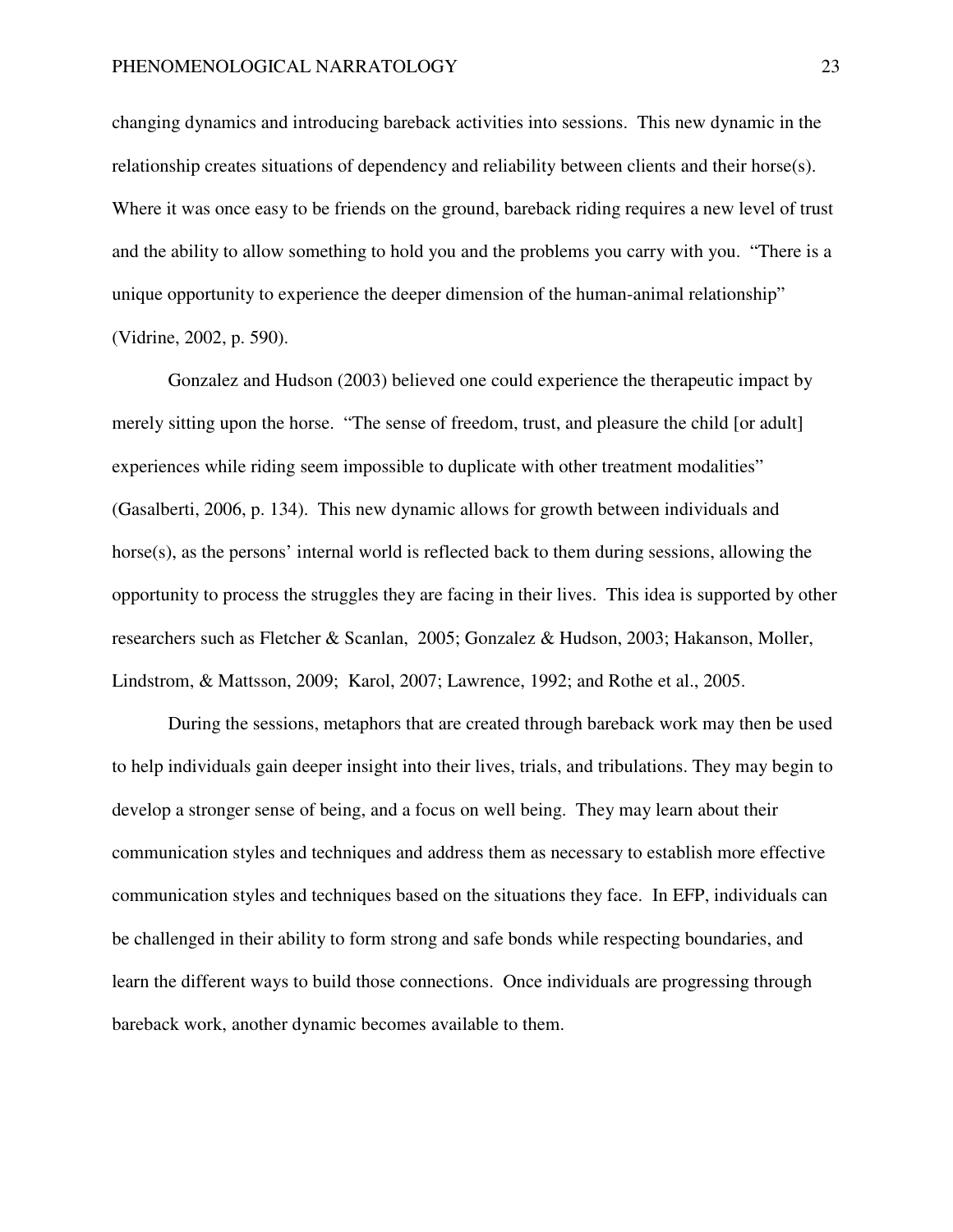changing dynamics and introducing bareback activities into sessions. This new dynamic in the relationship creates situations of dependency and reliability between clients and their horse(s). Where it was once easy to be friends on the ground, bareback riding requires a new level of trust and the ability to allow something to hold you and the problems you carry with you. "There is a unique opportunity to experience the deeper dimension of the human-animal relationship" (Vidrine, 2002, p. 590).

Gonzalez and Hudson (2003) believed one could experience the therapeutic impact by merely sitting upon the horse. "The sense of freedom, trust, and pleasure the child [or adult] experiences while riding seem impossible to duplicate with other treatment modalities" (Gasalberti, 2006, p. 134). This new dynamic allows for growth between individuals and horse(s), as the persons' internal world is reflected back to them during sessions, allowing the opportunity to process the struggles they are facing in their lives. This idea is supported by other researchers such as Fletcher & Scanlan, 2005; Gonzalez & Hudson, 2003; Hakanson, Moller, Lindstrom, & Mattsson, 2009; Karol, 2007; Lawrence, 1992; and Rothe et al., 2005.

During the sessions, metaphors that are created through bareback work may then be used to help individuals gain deeper insight into their lives, trials, and tribulations. They may begin to develop a stronger sense of being, and a focus on well being. They may learn about their communication styles and techniques and address them as necessary to establish more effective communication styles and techniques based on the situations they face. In EFP, individuals can be challenged in their ability to form strong and safe bonds while respecting boundaries, and learn the different ways to build those connections. Once individuals are progressing through bareback work, another dynamic becomes available to them.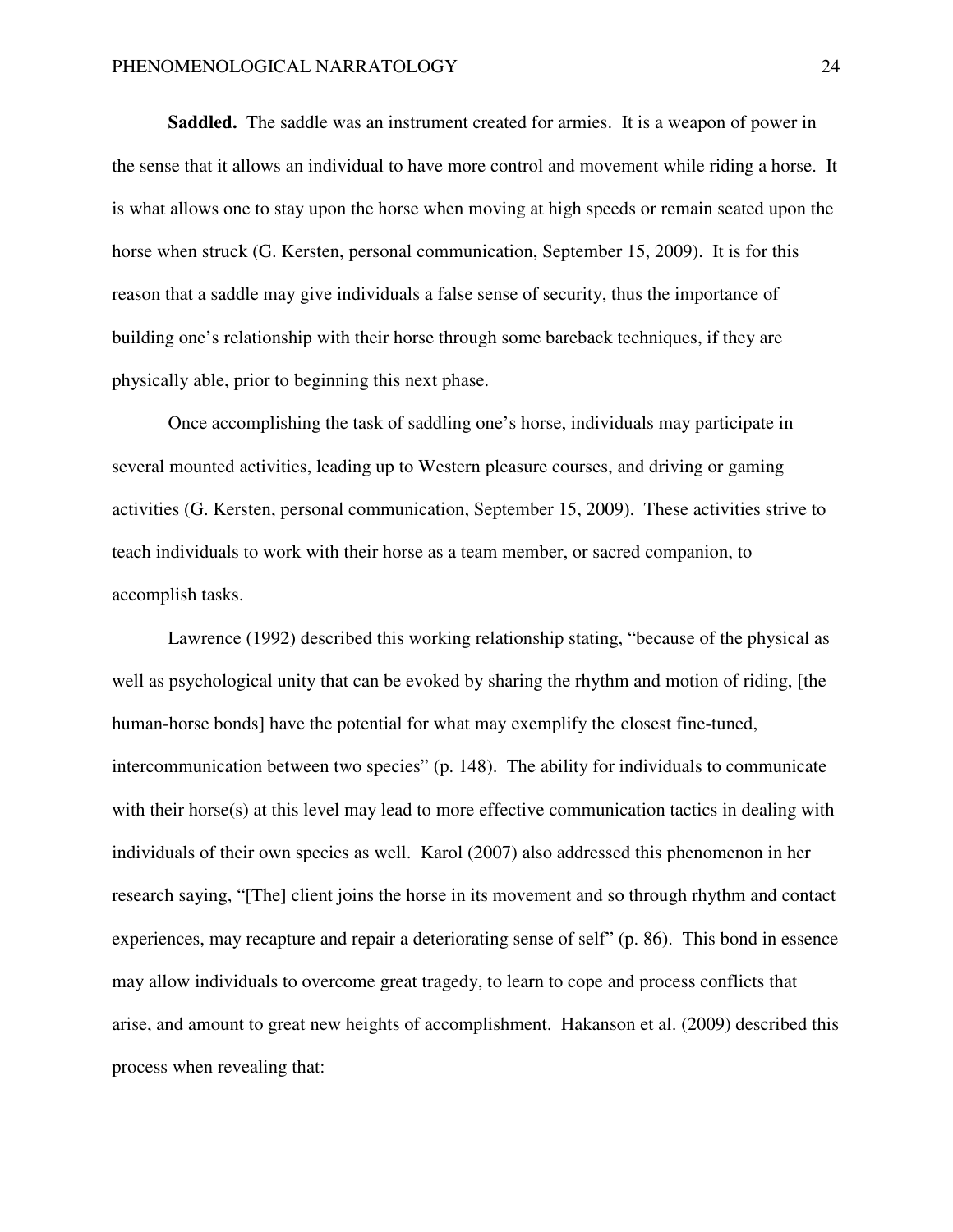**Saddled.** The saddle was an instrument created for armies. It is a weapon of power in the sense that it allows an individual to have more control and movement while riding a horse. It is what allows one to stay upon the horse when moving at high speeds or remain seated upon the horse when struck (G. Kersten, personal communication, September 15, 2009). It is for this reason that a saddle may give individuals a false sense of security, thus the importance of building one's relationship with their horse through some bareback techniques, if they are physically able, prior to beginning this next phase.

 Once accomplishing the task of saddling one's horse, individuals may participate in several mounted activities, leading up to Western pleasure courses, and driving or gaming activities (G. Kersten, personal communication, September 15, 2009). These activities strive to teach individuals to work with their horse as a team member, or sacred companion, to accomplish tasks.

 Lawrence (1992) described this working relationship stating, "because of the physical as well as psychological unity that can be evoked by sharing the rhythm and motion of riding, [the human-horse bonds] have the potential for what may exemplify the closest fine-tuned, intercommunication between two species" (p. 148). The ability for individuals to communicate with their horse(s) at this level may lead to more effective communication tactics in dealing with individuals of their own species as well. Karol (2007) also addressed this phenomenon in her research saying, "[The] client joins the horse in its movement and so through rhythm and contact experiences, may recapture and repair a deteriorating sense of self" (p. 86). This bond in essence may allow individuals to overcome great tragedy, to learn to cope and process conflicts that arise, and amount to great new heights of accomplishment. Hakanson et al. (2009) described this process when revealing that: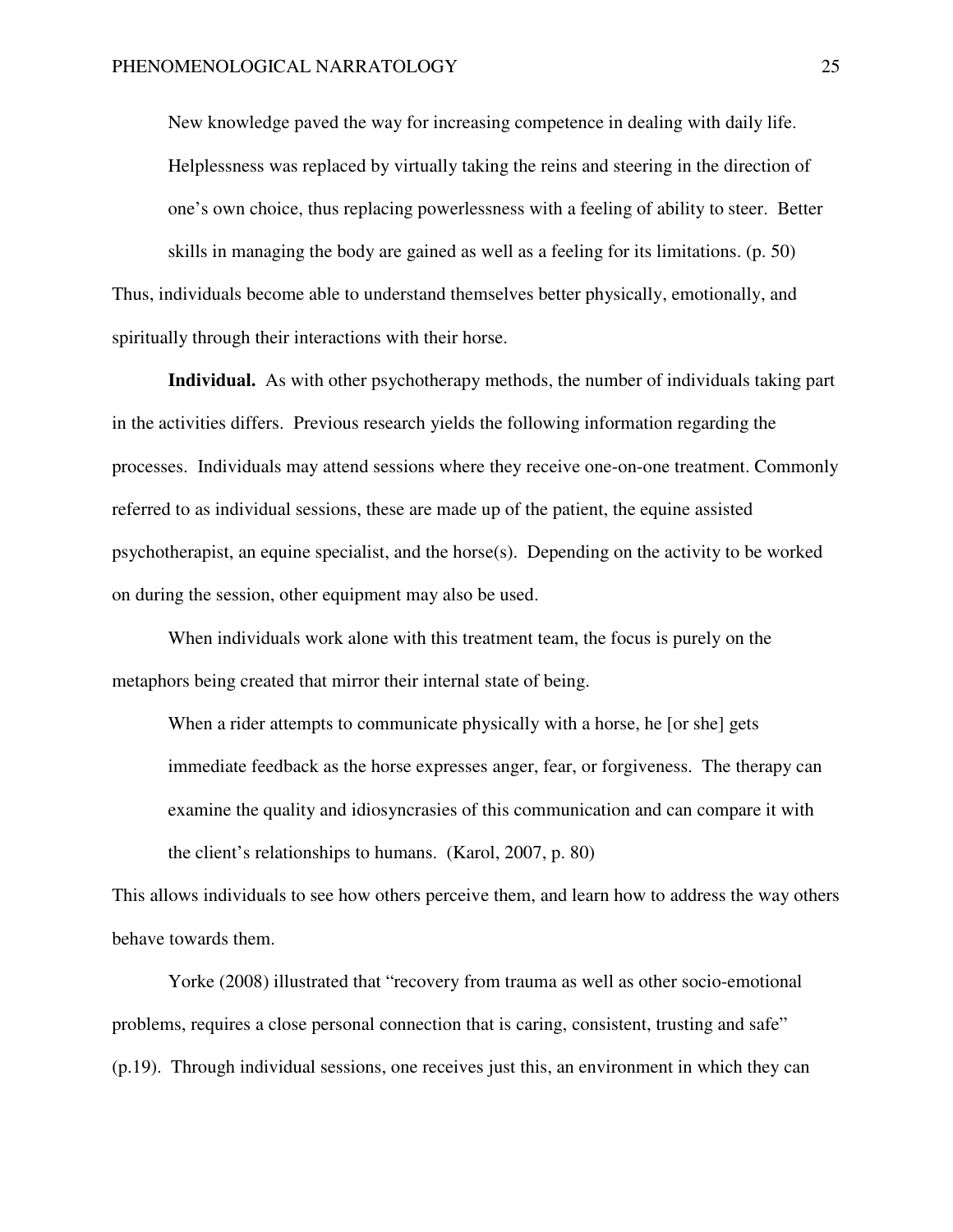New knowledge paved the way for increasing competence in dealing with daily life. Helplessness was replaced by virtually taking the reins and steering in the direction of one's own choice, thus replacing powerlessness with a feeling of ability to steer. Better skills in managing the body are gained as well as a feeling for its limitations. (p. 50) Thus, individuals become able to understand themselves better physically, emotionally, and spiritually through their interactions with their horse.

**Individual.** As with other psychotherapy methods, the number of individuals taking part in the activities differs. Previous research yields the following information regarding the processes. Individuals may attend sessions where they receive one-on-one treatment. Commonly referred to as individual sessions, these are made up of the patient, the equine assisted psychotherapist, an equine specialist, and the horse(s). Depending on the activity to be worked on during the session, other equipment may also be used.

When individuals work alone with this treatment team, the focus is purely on the metaphors being created that mirror their internal state of being.

When a rider attempts to communicate physically with a horse, he [or she] gets immediate feedback as the horse expresses anger, fear, or forgiveness. The therapy can examine the quality and idiosyncrasies of this communication and can compare it with the client's relationships to humans. (Karol, 2007, p. 80)

This allows individuals to see how others perceive them, and learn how to address the way others behave towards them.

Yorke (2008) illustrated that "recovery from trauma as well as other socio-emotional problems, requires a close personal connection that is caring, consistent, trusting and safe" (p.19). Through individual sessions, one receives just this, an environment in which they can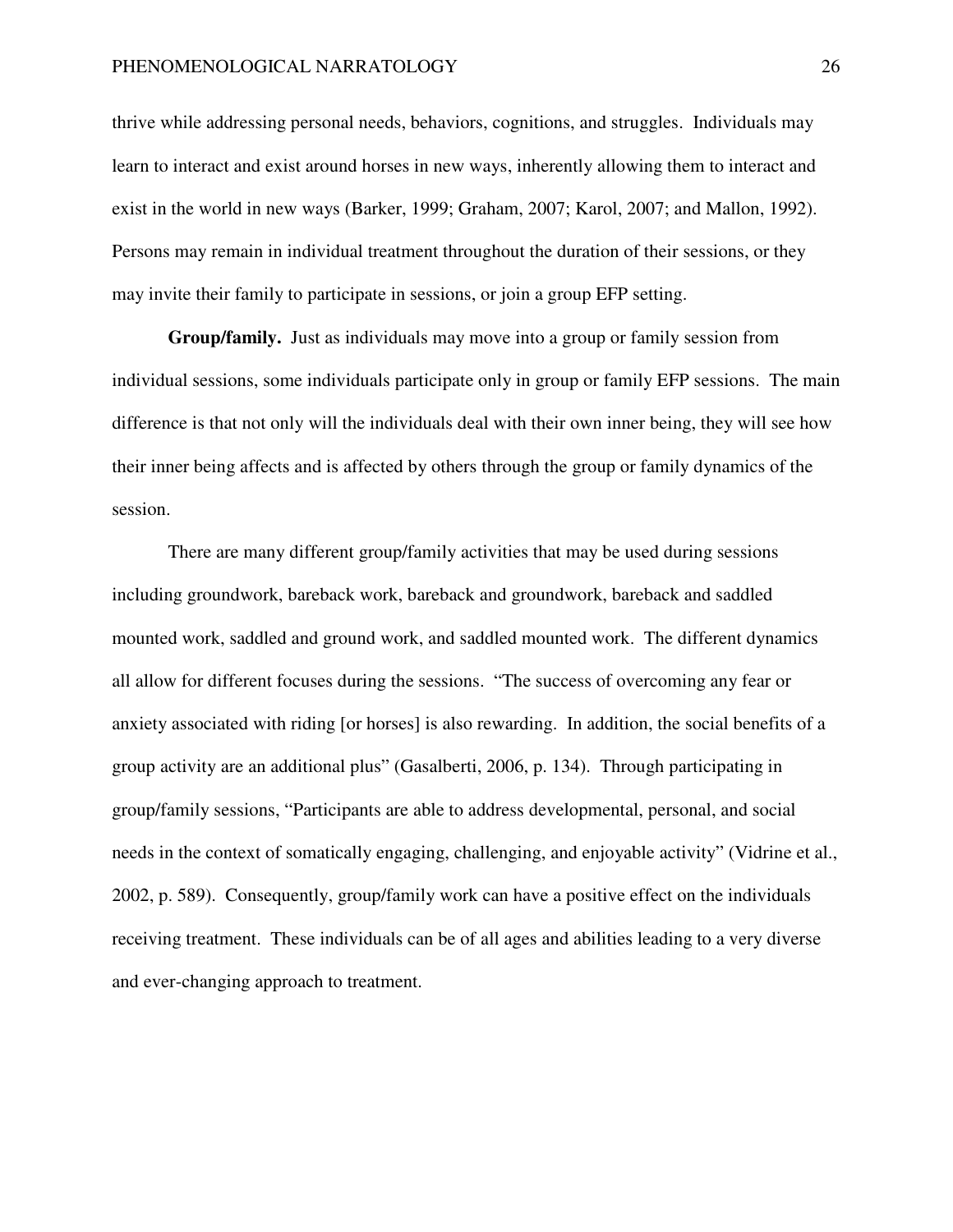thrive while addressing personal needs, behaviors, cognitions, and struggles. Individuals may learn to interact and exist around horses in new ways, inherently allowing them to interact and exist in the world in new ways (Barker, 1999; Graham, 2007; Karol, 2007; and Mallon, 1992). Persons may remain in individual treatment throughout the duration of their sessions, or they may invite their family to participate in sessions, or join a group EFP setting.

**Group/family.** Just as individuals may move into a group or family session from individual sessions, some individuals participate only in group or family EFP sessions. The main difference is that not only will the individuals deal with their own inner being, they will see how their inner being affects and is affected by others through the group or family dynamics of the session.

There are many different group/family activities that may be used during sessions including groundwork, bareback work, bareback and groundwork, bareback and saddled mounted work, saddled and ground work, and saddled mounted work. The different dynamics all allow for different focuses during the sessions. "The success of overcoming any fear or anxiety associated with riding [or horses] is also rewarding. In addition, the social benefits of a group activity are an additional plus" (Gasalberti, 2006, p. 134). Through participating in group/family sessions, "Participants are able to address developmental, personal, and social needs in the context of somatically engaging, challenging, and enjoyable activity" (Vidrine et al., 2002, p. 589). Consequently, group/family work can have a positive effect on the individuals receiving treatment. These individuals can be of all ages and abilities leading to a very diverse and ever-changing approach to treatment.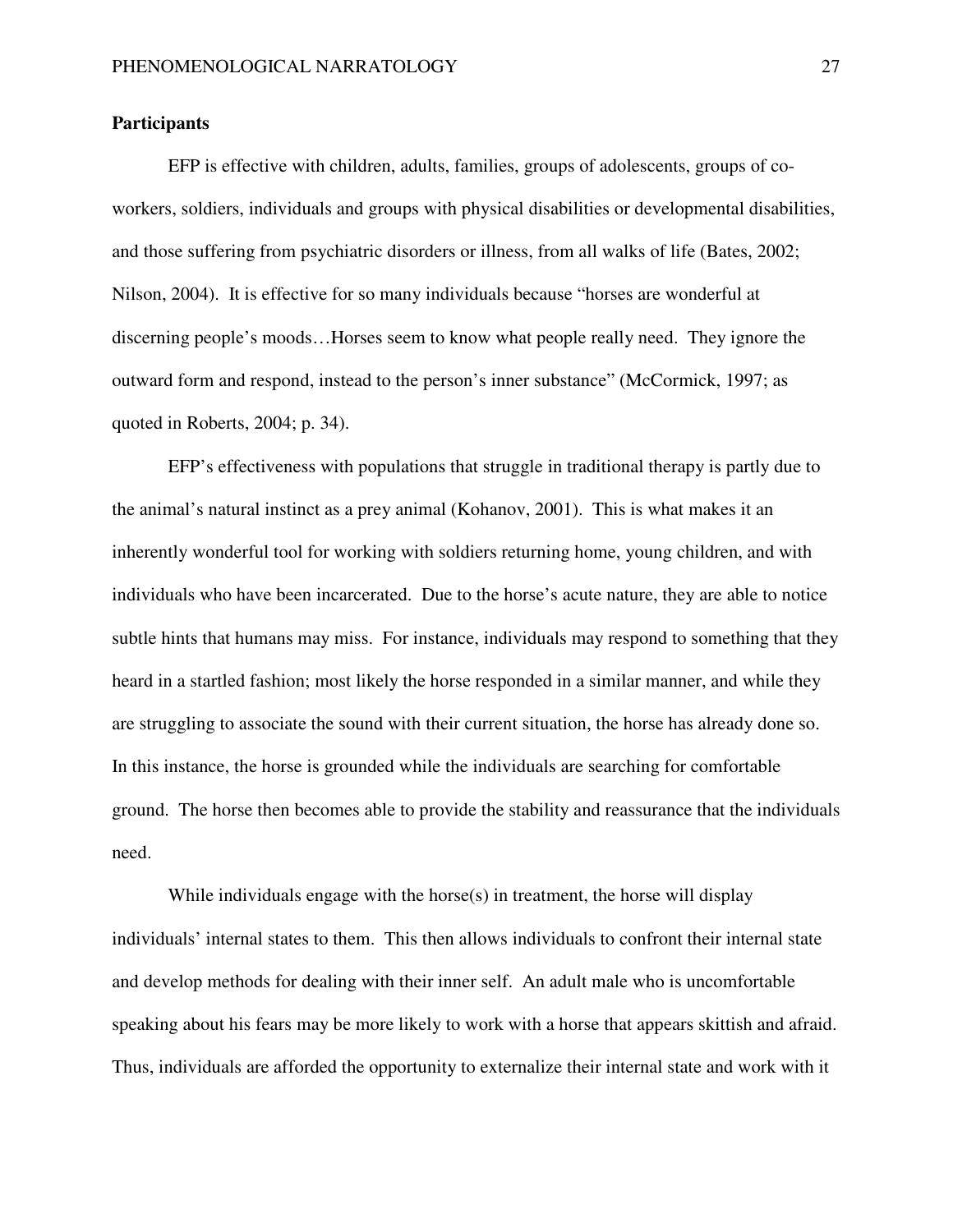## **Participants**

EFP is effective with children, adults, families, groups of adolescents, groups of coworkers, soldiers, individuals and groups with physical disabilities or developmental disabilities, and those suffering from psychiatric disorders or illness, from all walks of life (Bates, 2002; Nilson, 2004). It is effective for so many individuals because "horses are wonderful at discerning people's moods…Horses seem to know what people really need. They ignore the outward form and respond, instead to the person's inner substance" (McCormick, 1997; as quoted in Roberts, 2004; p. 34).

EFP's effectiveness with populations that struggle in traditional therapy is partly due to the animal's natural instinct as a prey animal (Kohanov, 2001). This is what makes it an inherently wonderful tool for working with soldiers returning home, young children, and with individuals who have been incarcerated. Due to the horse's acute nature, they are able to notice subtle hints that humans may miss. For instance, individuals may respond to something that they heard in a startled fashion; most likely the horse responded in a similar manner, and while they are struggling to associate the sound with their current situation, the horse has already done so. In this instance, the horse is grounded while the individuals are searching for comfortable ground. The horse then becomes able to provide the stability and reassurance that the individuals need.

While individuals engage with the horse $(s)$  in treatment, the horse will display individuals' internal states to them. This then allows individuals to confront their internal state and develop methods for dealing with their inner self. An adult male who is uncomfortable speaking about his fears may be more likely to work with a horse that appears skittish and afraid. Thus, individuals are afforded the opportunity to externalize their internal state and work with it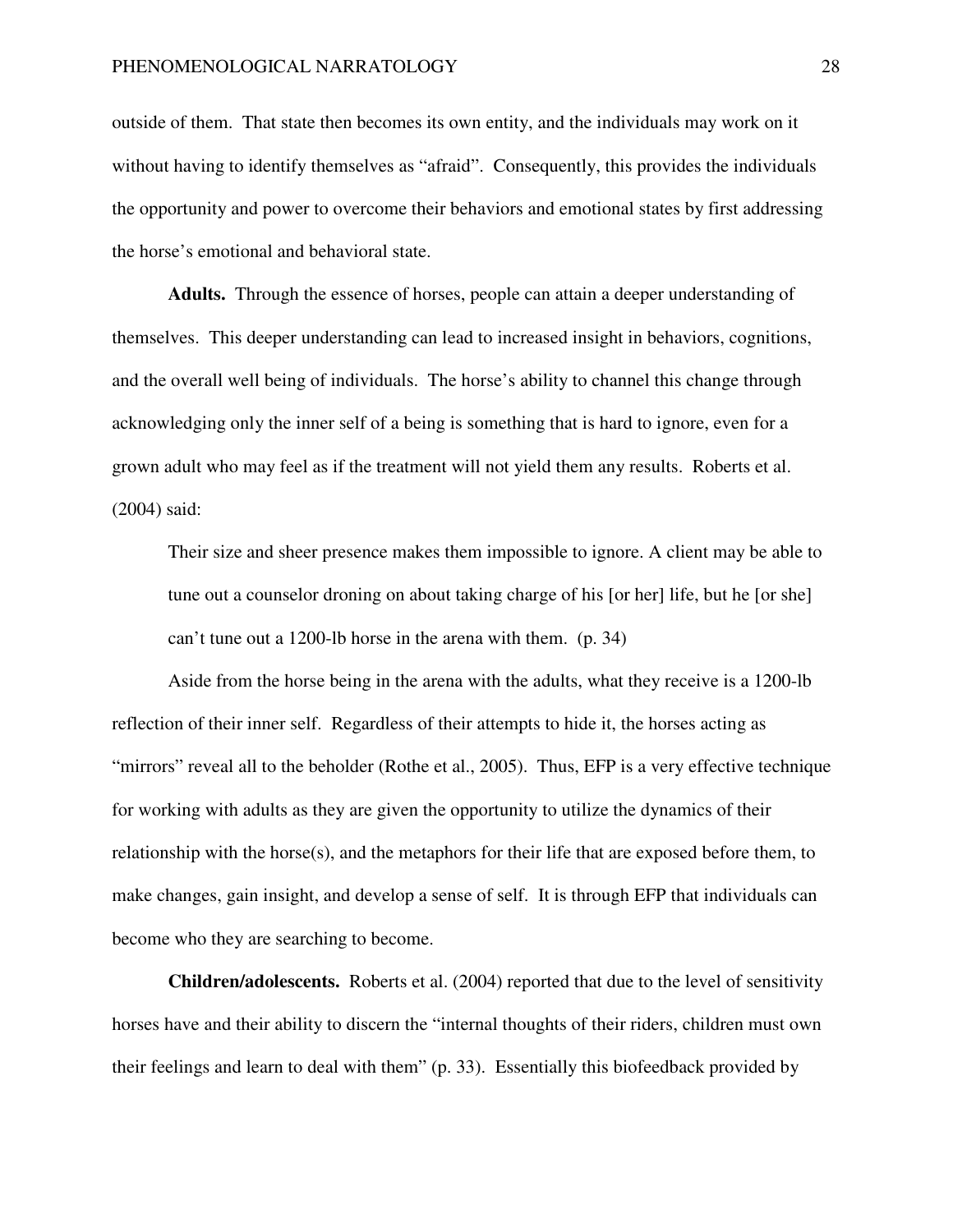outside of them. That state then becomes its own entity, and the individuals may work on it without having to identify themselves as "afraid". Consequently, this provides the individuals the opportunity and power to overcome their behaviors and emotional states by first addressing the horse's emotional and behavioral state.

**Adults.** Through the essence of horses, people can attain a deeper understanding of themselves. This deeper understanding can lead to increased insight in behaviors, cognitions, and the overall well being of individuals. The horse's ability to channel this change through acknowledging only the inner self of a being is something that is hard to ignore, even for a grown adult who may feel as if the treatment will not yield them any results. Roberts et al. (2004) said:

Their size and sheer presence makes them impossible to ignore. A client may be able to tune out a counselor droning on about taking charge of his [or her] life, but he [or she] can't tune out a 1200-lb horse in the arena with them. (p. 34)

Aside from the horse being in the arena with the adults, what they receive is a 1200-lb reflection of their inner self. Regardless of their attempts to hide it, the horses acting as "mirrors" reveal all to the beholder (Rothe et al., 2005). Thus, EFP is a very effective technique for working with adults as they are given the opportunity to utilize the dynamics of their relationship with the horse(s), and the metaphors for their life that are exposed before them, to make changes, gain insight, and develop a sense of self. It is through EFP that individuals can become who they are searching to become.

**Children/adolescents.** Roberts et al. (2004) reported that due to the level of sensitivity horses have and their ability to discern the "internal thoughts of their riders, children must own their feelings and learn to deal with them" (p. 33). Essentially this biofeedback provided by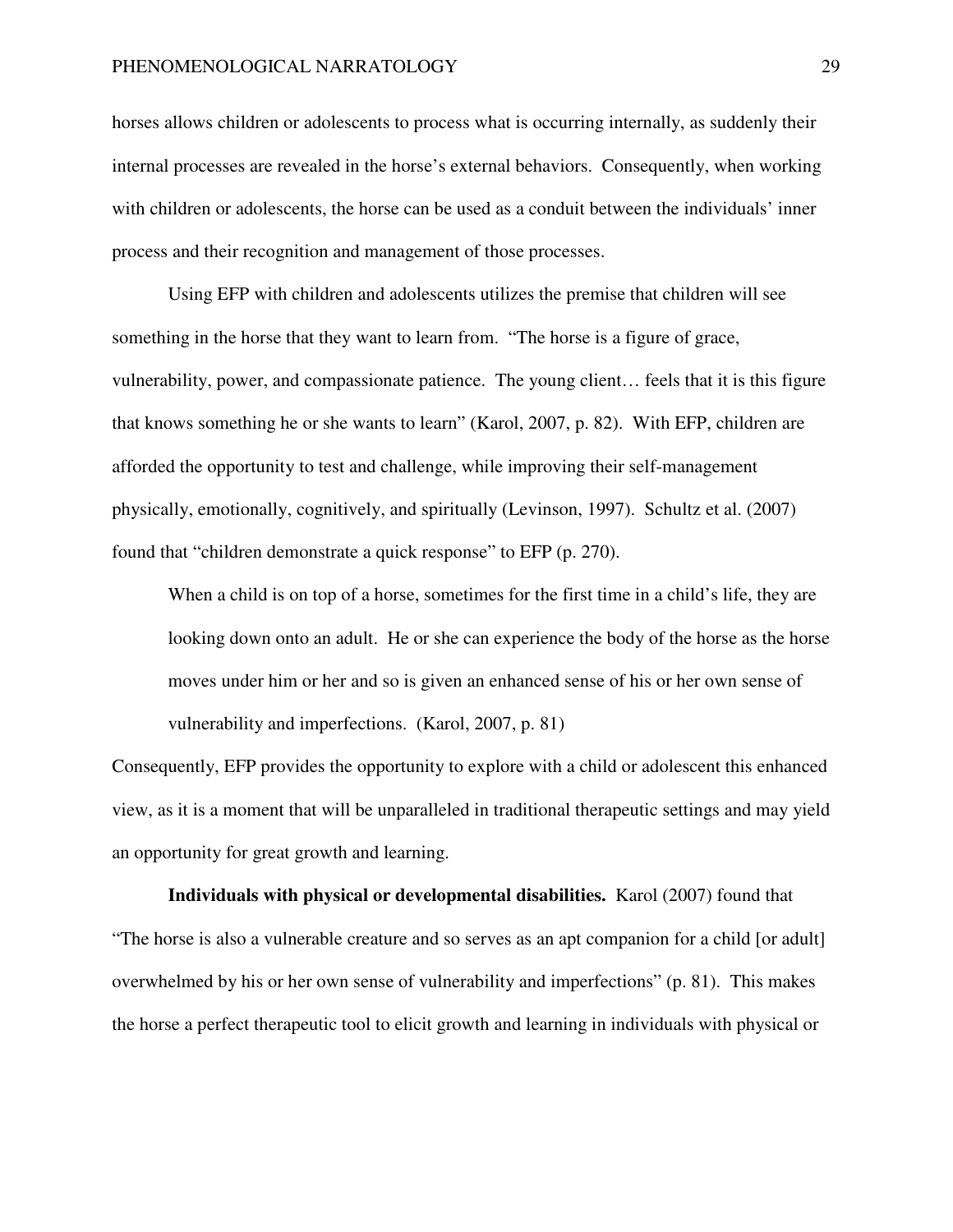horses allows children or adolescents to process what is occurring internally, as suddenly their internal processes are revealed in the horse's external behaviors. Consequently, when working with children or adolescents, the horse can be used as a conduit between the individuals' inner process and their recognition and management of those processes.

Using EFP with children and adolescents utilizes the premise that children will see something in the horse that they want to learn from. "The horse is a figure of grace, vulnerability, power, and compassionate patience. The young client… feels that it is this figure that knows something he or she wants to learn" (Karol, 2007, p. 82). With EFP, children are afforded the opportunity to test and challenge, while improving their self-management physically, emotionally, cognitively, and spiritually (Levinson, 1997). Schultz et al. (2007) found that "children demonstrate a quick response" to EFP (p. 270).

When a child is on top of a horse, sometimes for the first time in a child's life, they are looking down onto an adult. He or she can experience the body of the horse as the horse moves under him or her and so is given an enhanced sense of his or her own sense of vulnerability and imperfections. (Karol, 2007, p. 81)

Consequently, EFP provides the opportunity to explore with a child or adolescent this enhanced view, as it is a moment that will be unparalleled in traditional therapeutic settings and may yield an opportunity for great growth and learning.

**Individuals with physical or developmental disabilities.** Karol (2007) found that "The horse is also a vulnerable creature and so serves as an apt companion for a child [or adult] overwhelmed by his or her own sense of vulnerability and imperfections" (p. 81). This makes the horse a perfect therapeutic tool to elicit growth and learning in individuals with physical or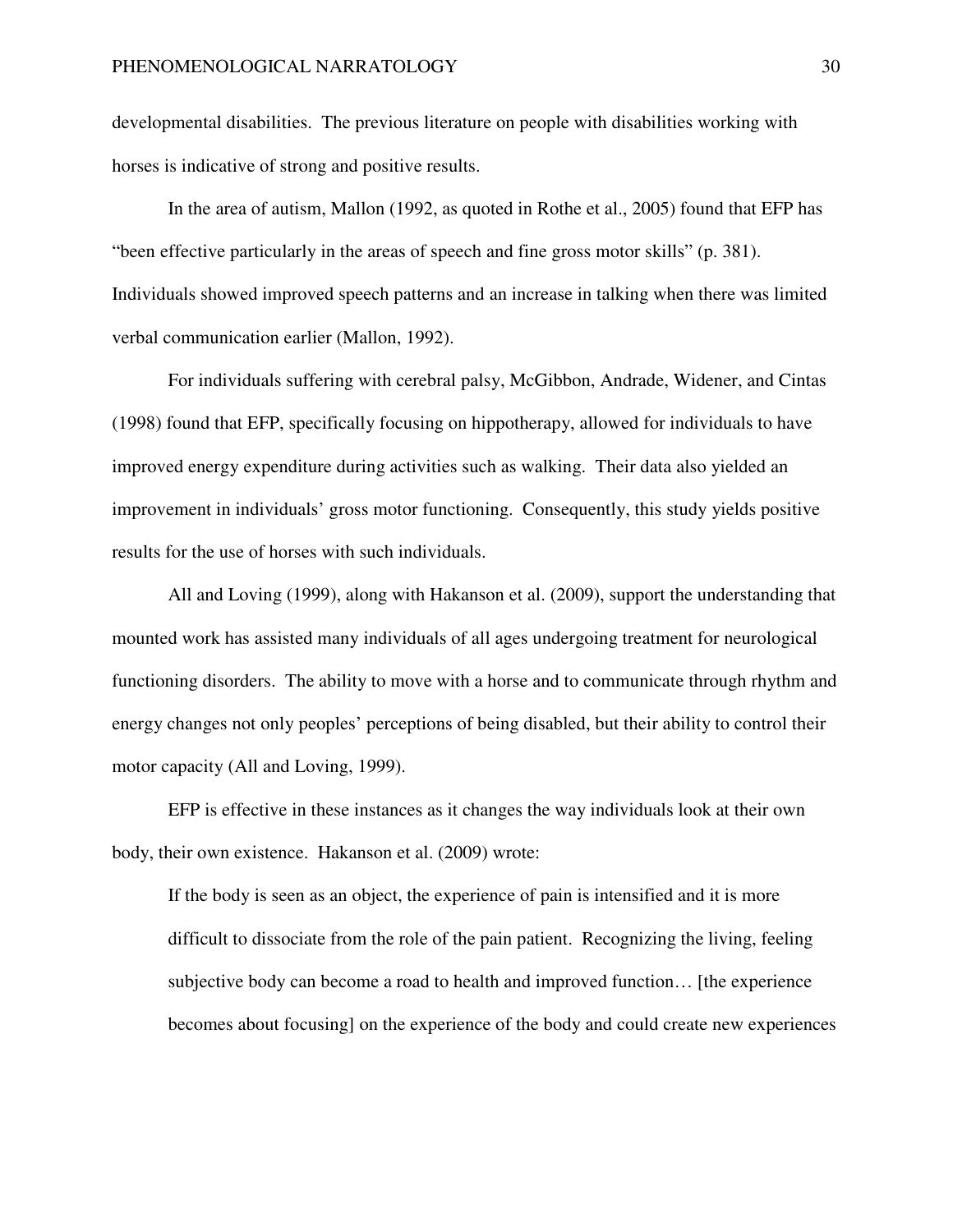developmental disabilities. The previous literature on people with disabilities working with horses is indicative of strong and positive results.

In the area of autism, Mallon (1992, as quoted in Rothe et al., 2005) found that EFP has "been effective particularly in the areas of speech and fine gross motor skills" (p. 381). Individuals showed improved speech patterns and an increase in talking when there was limited verbal communication earlier (Mallon, 1992).

For individuals suffering with cerebral palsy, McGibbon, Andrade, Widener, and Cintas (1998) found that EFP, specifically focusing on hippotherapy, allowed for individuals to have improved energy expenditure during activities such as walking. Their data also yielded an improvement in individuals' gross motor functioning. Consequently, this study yields positive results for the use of horses with such individuals.

All and Loving (1999), along with Hakanson et al. (2009), support the understanding that mounted work has assisted many individuals of all ages undergoing treatment for neurological functioning disorders. The ability to move with a horse and to communicate through rhythm and energy changes not only peoples' perceptions of being disabled, but their ability to control their motor capacity (All and Loving, 1999).

EFP is effective in these instances as it changes the way individuals look at their own body, their own existence. Hakanson et al. (2009) wrote:

If the body is seen as an object, the experience of pain is intensified and it is more difficult to dissociate from the role of the pain patient. Recognizing the living, feeling subjective body can become a road to health and improved function… [the experience becomes about focusing] on the experience of the body and could create new experiences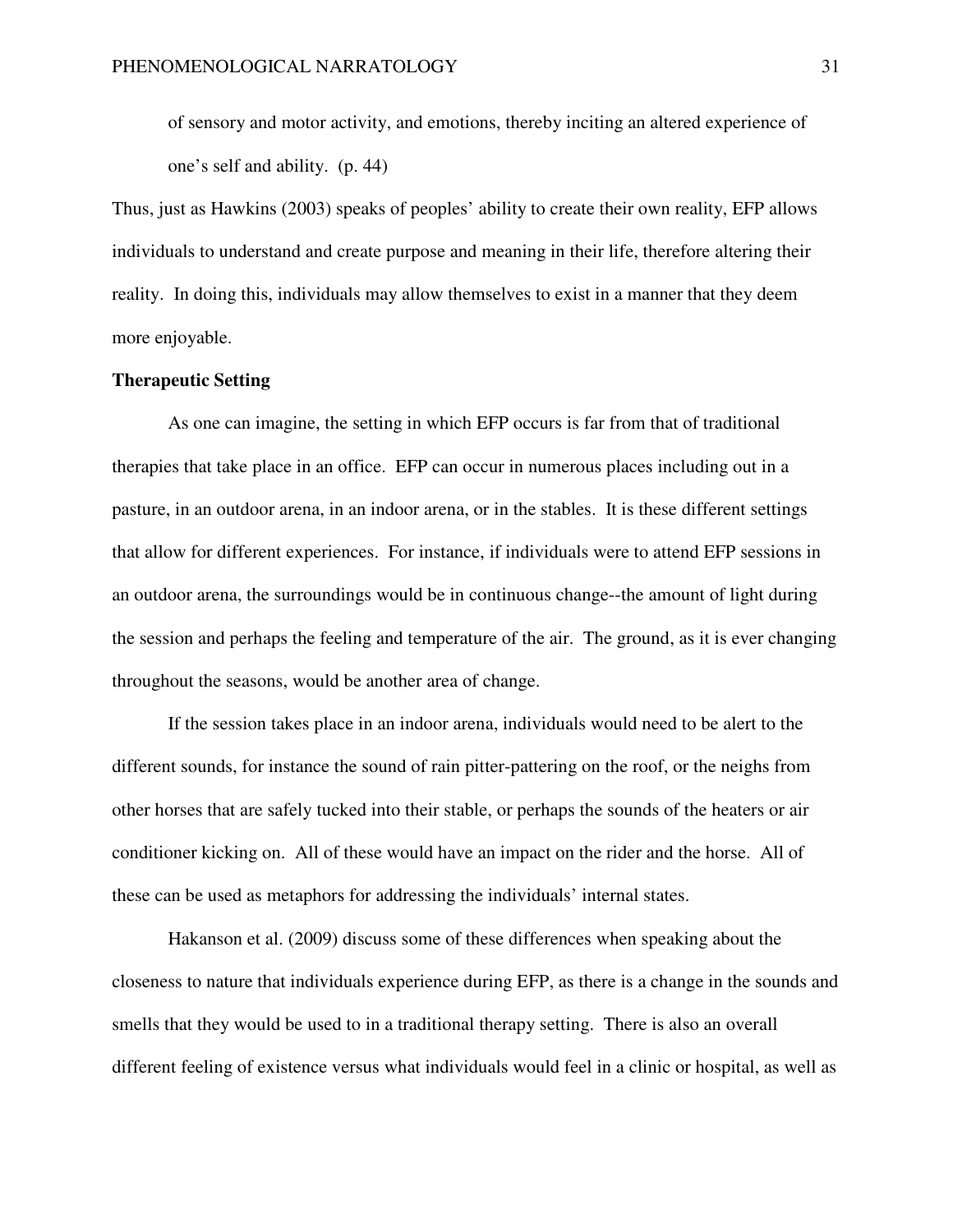of sensory and motor activity, and emotions, thereby inciting an altered experience of one's self and ability. (p. 44)

Thus, just as Hawkins (2003) speaks of peoples' ability to create their own reality, EFP allows individuals to understand and create purpose and meaning in their life, therefore altering their reality. In doing this, individuals may allow themselves to exist in a manner that they deem more enjoyable.

### **Therapeutic Setting**

As one can imagine, the setting in which EFP occurs is far from that of traditional therapies that take place in an office. EFP can occur in numerous places including out in a pasture, in an outdoor arena, in an indoor arena, or in the stables. It is these different settings that allow for different experiences. For instance, if individuals were to attend EFP sessions in an outdoor arena, the surroundings would be in continuous change--the amount of light during the session and perhaps the feeling and temperature of the air. The ground, as it is ever changing throughout the seasons, would be another area of change.

If the session takes place in an indoor arena, individuals would need to be alert to the different sounds, for instance the sound of rain pitter-pattering on the roof, or the neighs from other horses that are safely tucked into their stable, or perhaps the sounds of the heaters or air conditioner kicking on. All of these would have an impact on the rider and the horse. All of these can be used as metaphors for addressing the individuals' internal states.

Hakanson et al. (2009) discuss some of these differences when speaking about the closeness to nature that individuals experience during EFP, as there is a change in the sounds and smells that they would be used to in a traditional therapy setting. There is also an overall different feeling of existence versus what individuals would feel in a clinic or hospital, as well as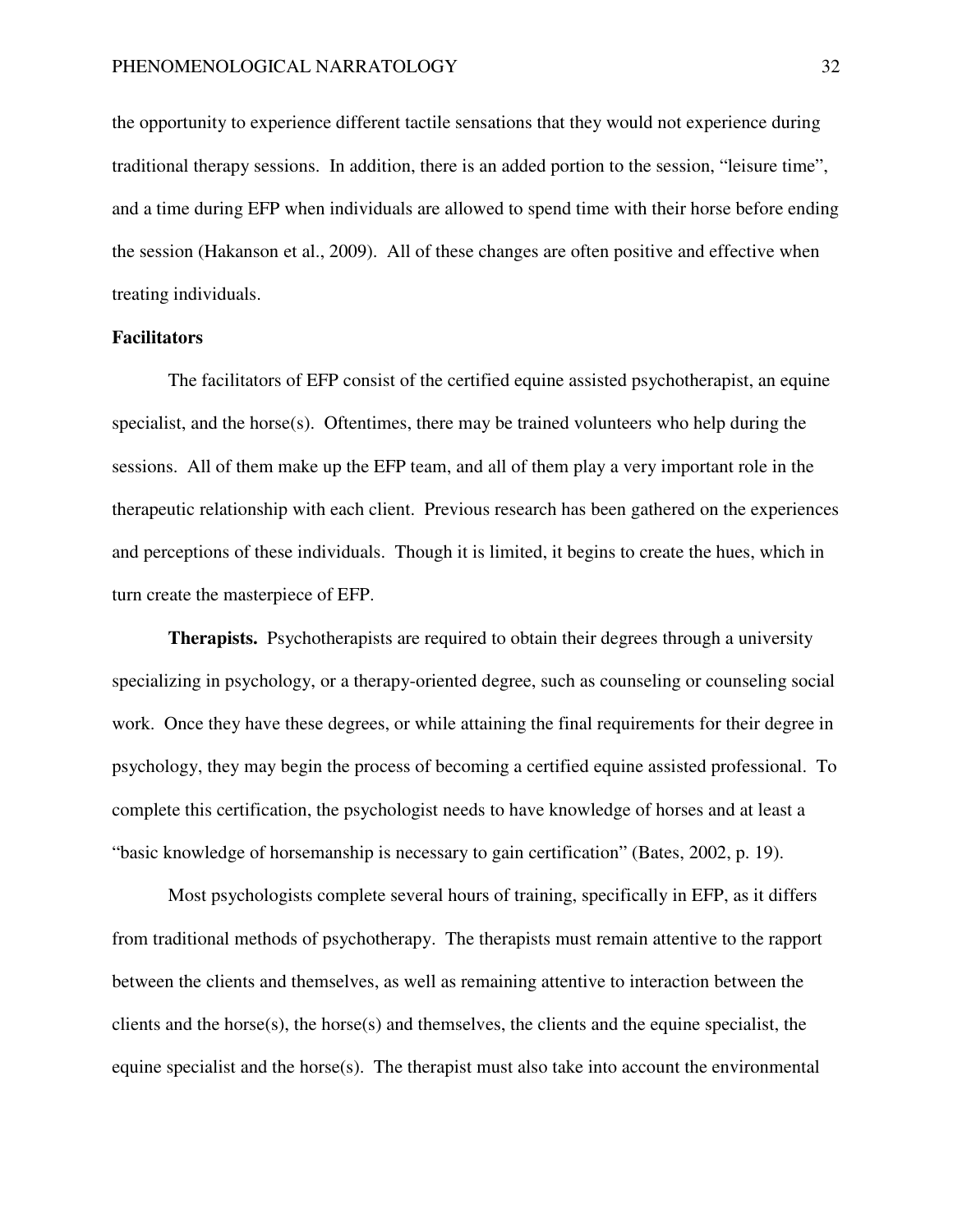the opportunity to experience different tactile sensations that they would not experience during traditional therapy sessions. In addition, there is an added portion to the session, "leisure time", and a time during EFP when individuals are allowed to spend time with their horse before ending the session (Hakanson et al., 2009). All of these changes are often positive and effective when treating individuals.

# **Facilitators**

The facilitators of EFP consist of the certified equine assisted psychotherapist, an equine specialist, and the horse $(s)$ . Oftentimes, there may be trained volunteers who help during the sessions. All of them make up the EFP team, and all of them play a very important role in the therapeutic relationship with each client. Previous research has been gathered on the experiences and perceptions of these individuals. Though it is limited, it begins to create the hues, which in turn create the masterpiece of EFP.

**Therapists.** Psychotherapists are required to obtain their degrees through a university specializing in psychology, or a therapy-oriented degree, such as counseling or counseling social work. Once they have these degrees, or while attaining the final requirements for their degree in psychology, they may begin the process of becoming a certified equine assisted professional. To complete this certification, the psychologist needs to have knowledge of horses and at least a "basic knowledge of horsemanship is necessary to gain certification" (Bates, 2002, p. 19).

Most psychologists complete several hours of training, specifically in EFP, as it differs from traditional methods of psychotherapy. The therapists must remain attentive to the rapport between the clients and themselves, as well as remaining attentive to interaction between the clients and the horse(s), the horse(s) and themselves, the clients and the equine specialist, the equine specialist and the horse(s). The therapist must also take into account the environmental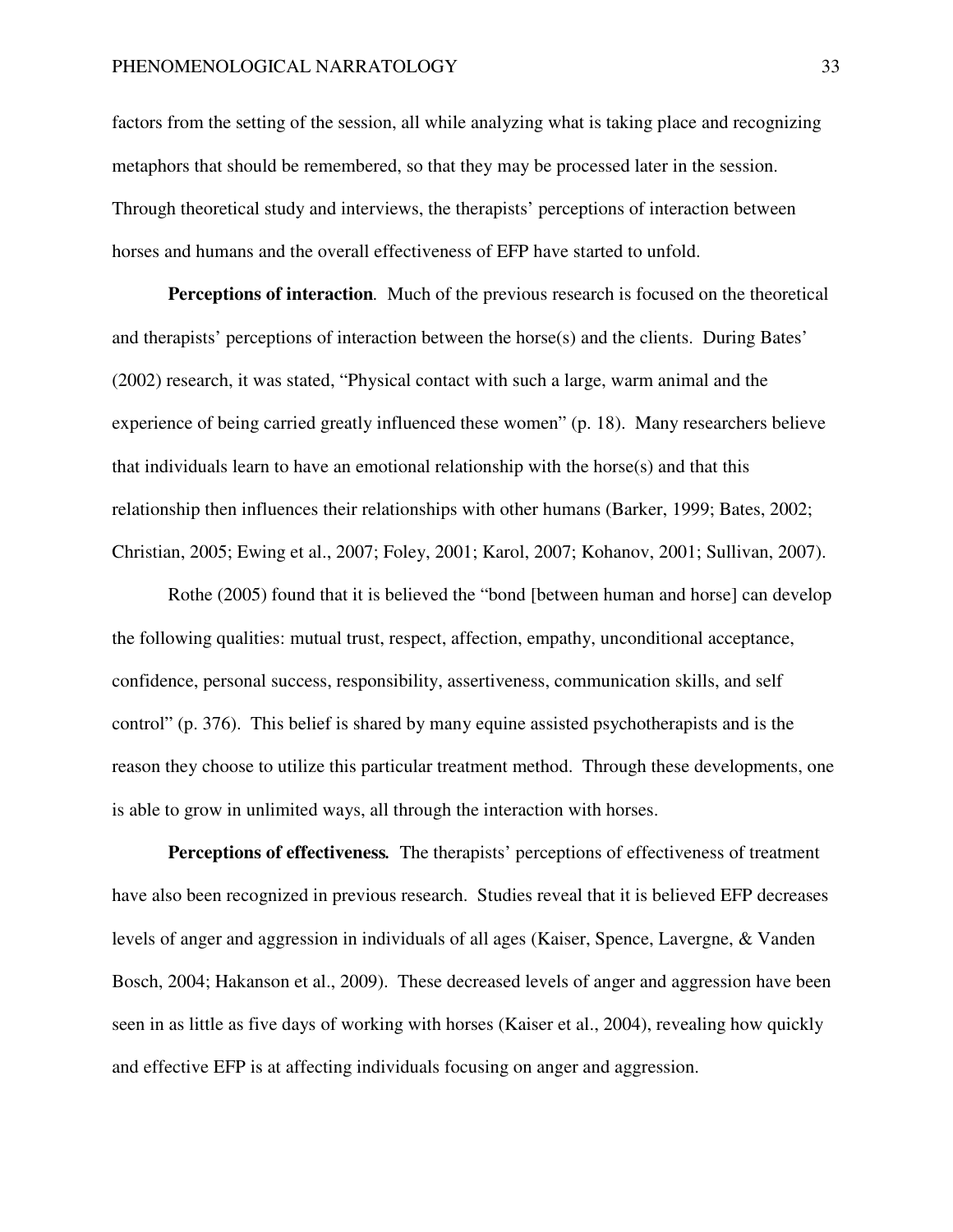factors from the setting of the session, all while analyzing what is taking place and recognizing metaphors that should be remembered, so that they may be processed later in the session. Through theoretical study and interviews, the therapists' perceptions of interaction between horses and humans and the overall effectiveness of EFP have started to unfold.

**Perceptions of interaction***.* Much of the previous research is focused on the theoretical and therapists' perceptions of interaction between the horse(s) and the clients. During Bates' (2002) research, it was stated, "Physical contact with such a large, warm animal and the experience of being carried greatly influenced these women" (p. 18). Many researchers believe that individuals learn to have an emotional relationship with the horse(s) and that this relationship then influences their relationships with other humans (Barker, 1999; Bates, 2002; Christian, 2005; Ewing et al., 2007; Foley, 2001; Karol, 2007; Kohanov, 2001; Sullivan, 2007).

Rothe (2005) found that it is believed the "bond [between human and horse] can develop the following qualities: mutual trust, respect, affection, empathy, unconditional acceptance, confidence, personal success, responsibility, assertiveness, communication skills, and self control" (p. 376). This belief is shared by many equine assisted psychotherapists and is the reason they choose to utilize this particular treatment method. Through these developments, one is able to grow in unlimited ways, all through the interaction with horses.

**Perceptions of effectiveness***.* The therapists' perceptions of effectiveness of treatment have also been recognized in previous research. Studies reveal that it is believed EFP decreases levels of anger and aggression in individuals of all ages (Kaiser, Spence, Lavergne, & Vanden Bosch, 2004; Hakanson et al., 2009). These decreased levels of anger and aggression have been seen in as little as five days of working with horses (Kaiser et al., 2004), revealing how quickly and effective EFP is at affecting individuals focusing on anger and aggression.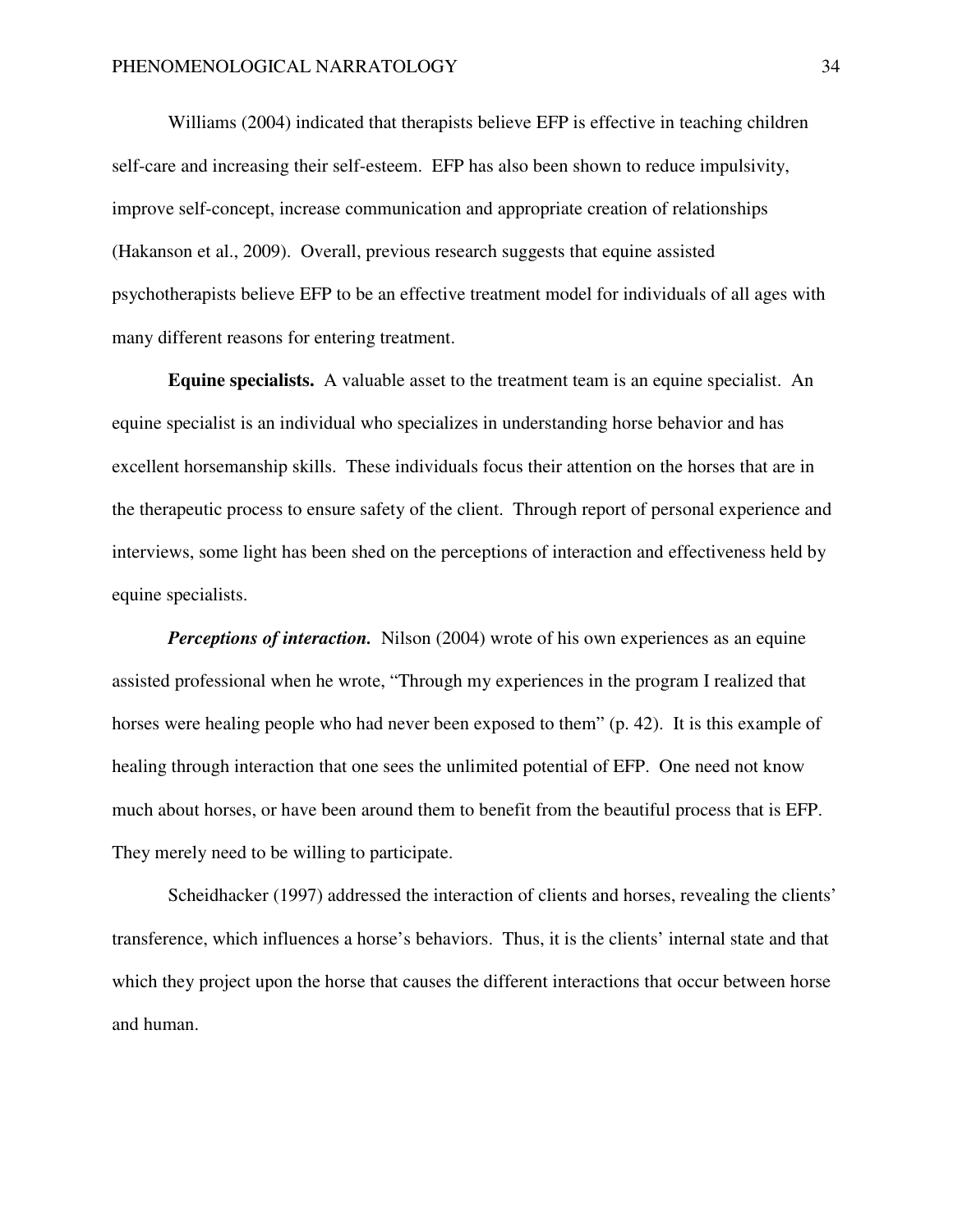Williams (2004) indicated that therapists believe EFP is effective in teaching children self-care and increasing their self-esteem. EFP has also been shown to reduce impulsivity, improve self-concept, increase communication and appropriate creation of relationships (Hakanson et al., 2009). Overall, previous research suggests that equine assisted psychotherapists believe EFP to be an effective treatment model for individuals of all ages with many different reasons for entering treatment.

**Equine specialists.** A valuable asset to the treatment team is an equine specialist. An equine specialist is an individual who specializes in understanding horse behavior and has excellent horsemanship skills. These individuals focus their attention on the horses that are in the therapeutic process to ensure safety of the client. Through report of personal experience and interviews, some light has been shed on the perceptions of interaction and effectiveness held by equine specialists.

*Perceptions of interaction.* Nilson (2004) wrote of his own experiences as an equine assisted professional when he wrote, "Through my experiences in the program I realized that horses were healing people who had never been exposed to them" (p. 42). It is this example of healing through interaction that one sees the unlimited potential of EFP. One need not know much about horses, or have been around them to benefit from the beautiful process that is EFP. They merely need to be willing to participate.

 Scheidhacker (1997) addressed the interaction of clients and horses, revealing the clients' transference, which influences a horse's behaviors. Thus, it is the clients' internal state and that which they project upon the horse that causes the different interactions that occur between horse and human.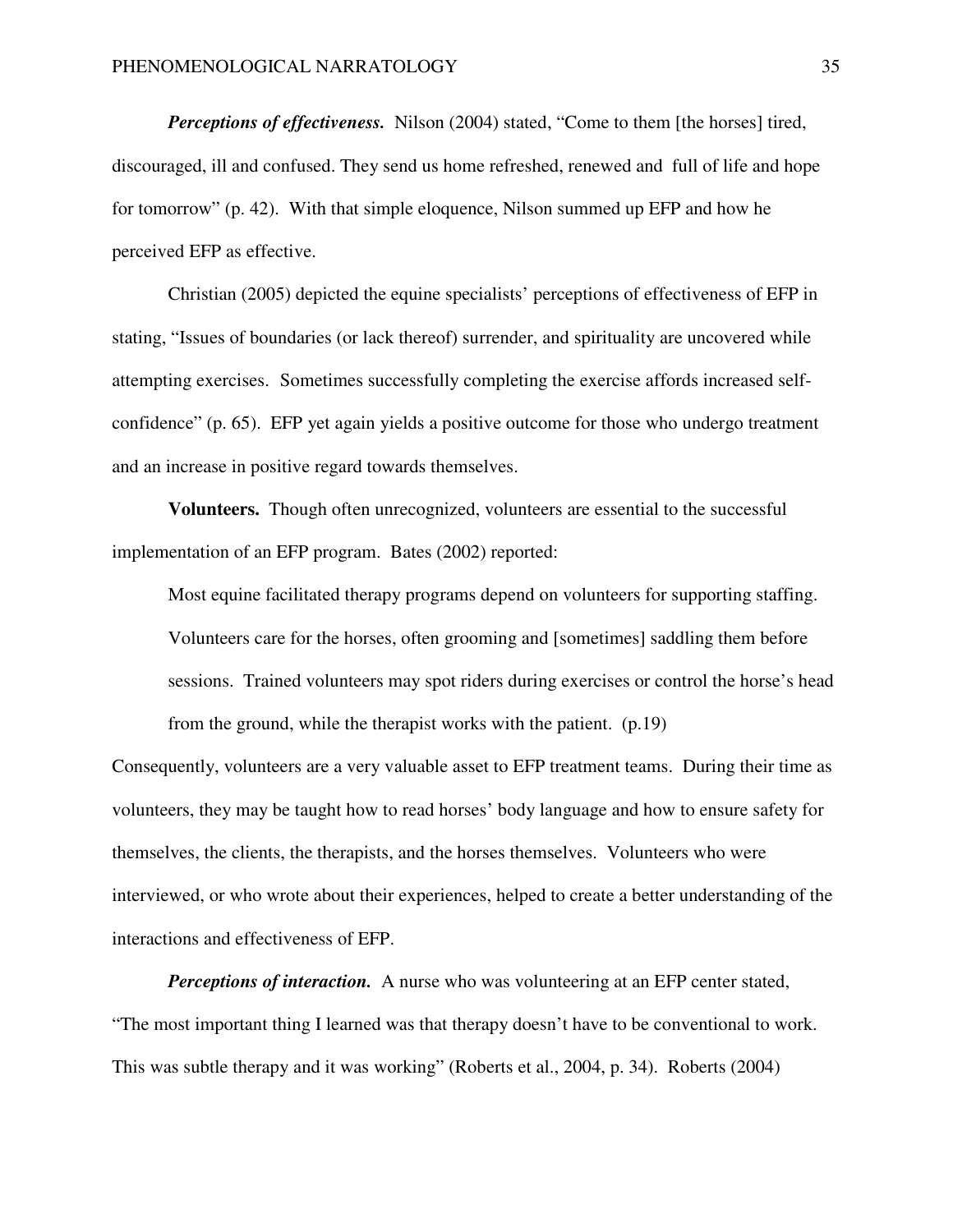*Perceptions of effectiveness.* Nilson (2004) stated, "Come to them [the horses] tired, discouraged, ill and confused. They send us home refreshed, renewed and full of life and hope for tomorrow" (p. 42). With that simple eloquence, Nilson summed up EFP and how he perceived EFP as effective.

 Christian (2005) depicted the equine specialists' perceptions of effectiveness of EFP in stating, "Issues of boundaries (or lack thereof) surrender, and spirituality are uncovered while attempting exercises. Sometimes successfully completing the exercise affords increased selfconfidence" (p. 65). EFP yet again yields a positive outcome for those who undergo treatment and an increase in positive regard towards themselves.

**Volunteers.** Though often unrecognized, volunteers are essential to the successful implementation of an EFP program. Bates (2002) reported:

Most equine facilitated therapy programs depend on volunteers for supporting staffing. Volunteers care for the horses, often grooming and [sometimes] saddling them before sessions. Trained volunteers may spot riders during exercises or control the horse's head from the ground, while the therapist works with the patient. (p.19)

Consequently, volunteers are a very valuable asset to EFP treatment teams. During their time as volunteers, they may be taught how to read horses' body language and how to ensure safety for themselves, the clients, the therapists, and the horses themselves. Volunteers who were interviewed, or who wrote about their experiences, helped to create a better understanding of the interactions and effectiveness of EFP.

*Perceptions of interaction.* A nurse who was volunteering at an EFP center stated, "The most important thing I learned was that therapy doesn't have to be conventional to work. This was subtle therapy and it was working" (Roberts et al., 2004, p. 34). Roberts (2004)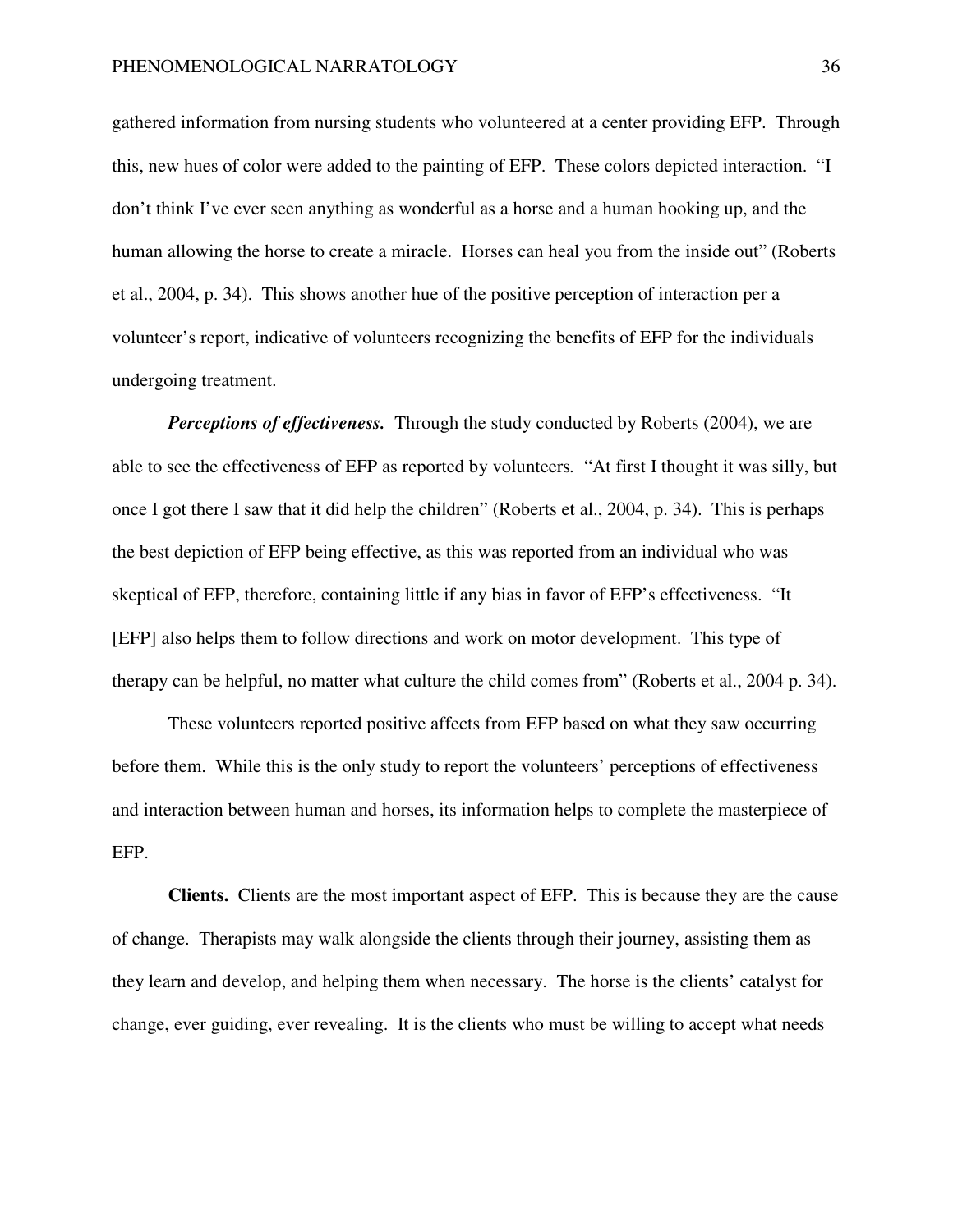gathered information from nursing students who volunteered at a center providing EFP. Through this, new hues of color were added to the painting of EFP. These colors depicted interaction. "I don't think I've ever seen anything as wonderful as a horse and a human hooking up, and the human allowing the horse to create a miracle. Horses can heal you from the inside out" (Roberts et al., 2004, p. 34). This shows another hue of the positive perception of interaction per a volunteer's report, indicative of volunteers recognizing the benefits of EFP for the individuals undergoing treatment.

*Perceptions of effectiveness.* Through the study conducted by Roberts (2004), we are able to see the effectiveness of EFP as reported by volunteers*.* "At first I thought it was silly, but once I got there I saw that it did help the children" (Roberts et al., 2004, p. 34). This is perhaps the best depiction of EFP being effective, as this was reported from an individual who was skeptical of EFP, therefore, containing little if any bias in favor of EFP's effectiveness. "It [EFP] also helps them to follow directions and work on motor development. This type of therapy can be helpful, no matter what culture the child comes from" (Roberts et al., 2004 p. 34).

These volunteers reported positive affects from EFP based on what they saw occurring before them. While this is the only study to report the volunteers' perceptions of effectiveness and interaction between human and horses, its information helps to complete the masterpiece of EFP.

**Clients.** Clients are the most important aspect of EFP. This is because they are the cause of change. Therapists may walk alongside the clients through their journey, assisting them as they learn and develop, and helping them when necessary. The horse is the clients' catalyst for change, ever guiding, ever revealing. It is the clients who must be willing to accept what needs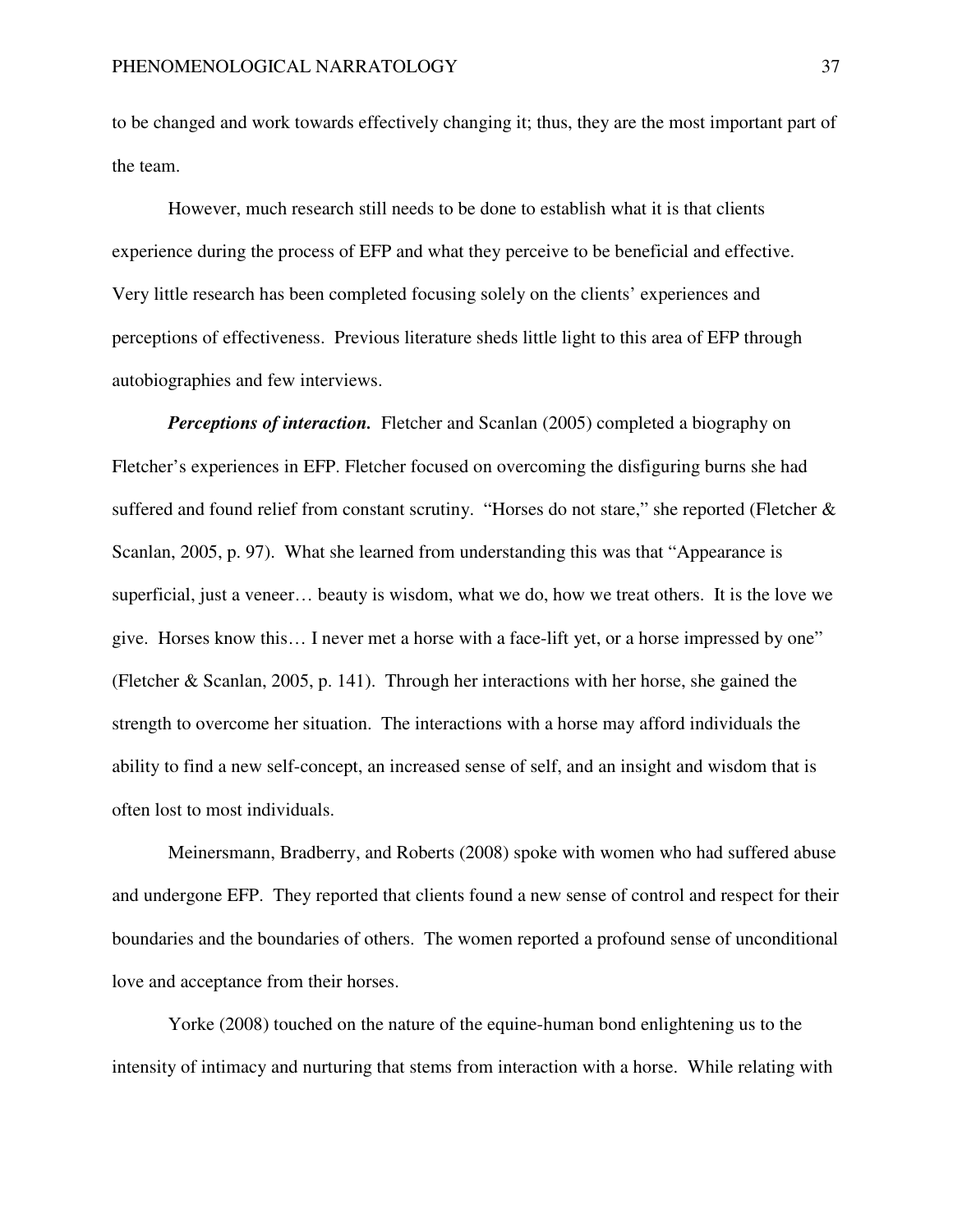to be changed and work towards effectively changing it; thus, they are the most important part of the team.

 However, much research still needs to be done to establish what it is that clients experience during the process of EFP and what they perceive to be beneficial and effective. Very little research has been completed focusing solely on the clients' experiences and perceptions of effectiveness. Previous literature sheds little light to this area of EFP through autobiographies and few interviews.

*Perceptions of interaction.* Fletcher and Scanlan (2005) completed a biography on Fletcher's experiences in EFP. Fletcher focused on overcoming the disfiguring burns she had suffered and found relief from constant scrutiny. "Horses do not stare," she reported (Fletcher  $\&$ Scanlan, 2005, p. 97). What she learned from understanding this was that "Appearance is superficial, just a veneer… beauty is wisdom, what we do, how we treat others. It is the love we give. Horses know this… I never met a horse with a face-lift yet, or a horse impressed by one" (Fletcher & Scanlan, 2005, p. 141). Through her interactions with her horse, she gained the strength to overcome her situation. The interactions with a horse may afford individuals the ability to find a new self-concept, an increased sense of self, and an insight and wisdom that is often lost to most individuals.

 Meinersmann, Bradberry, and Roberts (2008) spoke with women who had suffered abuse and undergone EFP. They reported that clients found a new sense of control and respect for their boundaries and the boundaries of others. The women reported a profound sense of unconditional love and acceptance from their horses.

 Yorke (2008) touched on the nature of the equine-human bond enlightening us to the intensity of intimacy and nurturing that stems from interaction with a horse. While relating with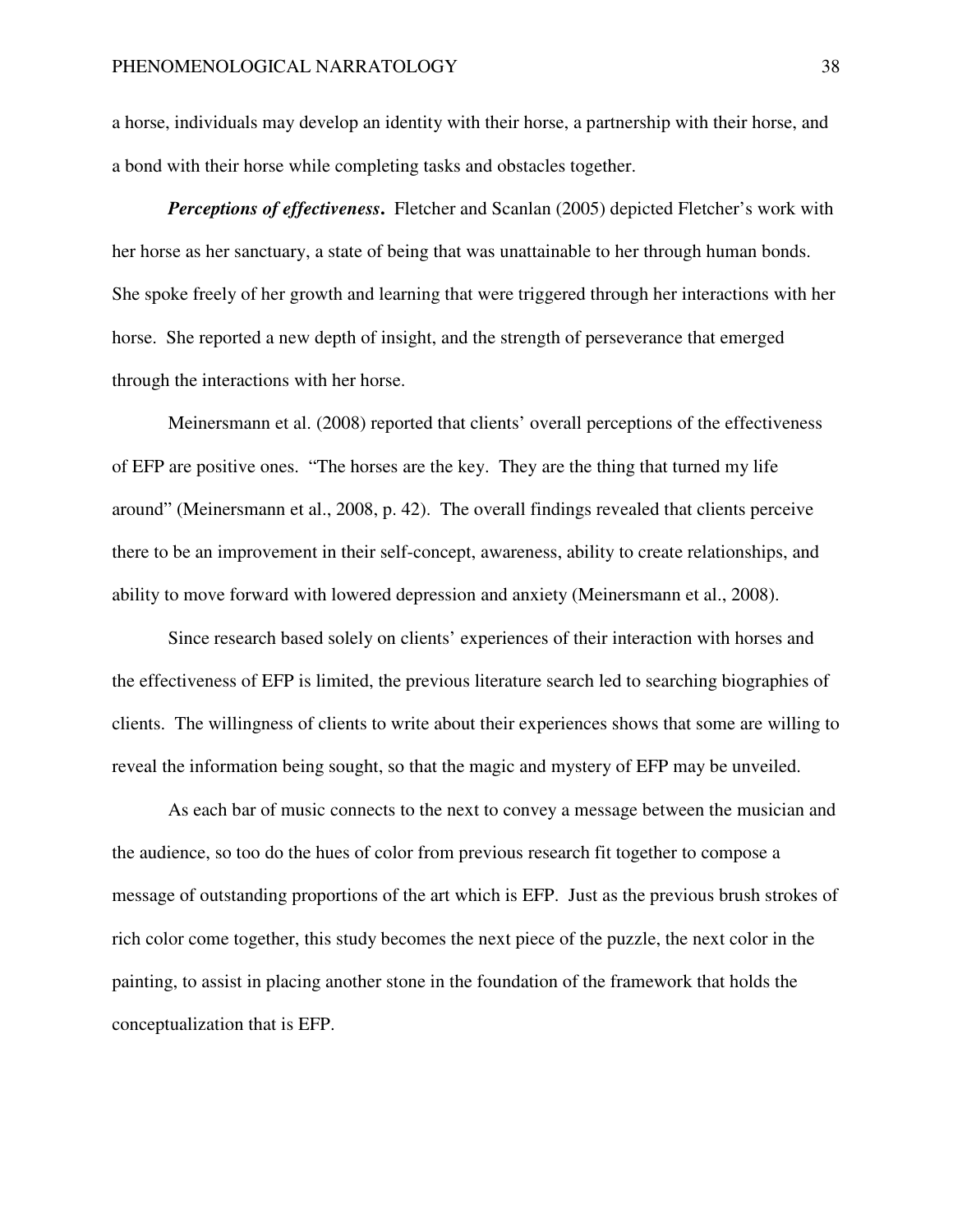a horse, individuals may develop an identity with their horse, a partnership with their horse, and a bond with their horse while completing tasks and obstacles together.

*Perceptions of effectiveness.* Fletcher and Scanlan (2005) depicted Fletcher's work with her horse as her sanctuary, a state of being that was unattainable to her through human bonds. She spoke freely of her growth and learning that were triggered through her interactions with her horse. She reported a new depth of insight, and the strength of perseverance that emerged through the interactions with her horse.

 Meinersmann et al. (2008) reported that clients' overall perceptions of the effectiveness of EFP are positive ones. "The horses are the key. They are the thing that turned my life around" (Meinersmann et al., 2008, p. 42). The overall findings revealed that clients perceive there to be an improvement in their self-concept, awareness, ability to create relationships, and ability to move forward with lowered depression and anxiety (Meinersmann et al., 2008).

 Since research based solely on clients' experiences of their interaction with horses and the effectiveness of EFP is limited, the previous literature search led to searching biographies of clients. The willingness of clients to write about their experiences shows that some are willing to reveal the information being sought, so that the magic and mystery of EFP may be unveiled.

 As each bar of music connects to the next to convey a message between the musician and the audience, so too do the hues of color from previous research fit together to compose a message of outstanding proportions of the art which is EFP. Just as the previous brush strokes of rich color come together, this study becomes the next piece of the puzzle, the next color in the painting, to assist in placing another stone in the foundation of the framework that holds the conceptualization that is EFP.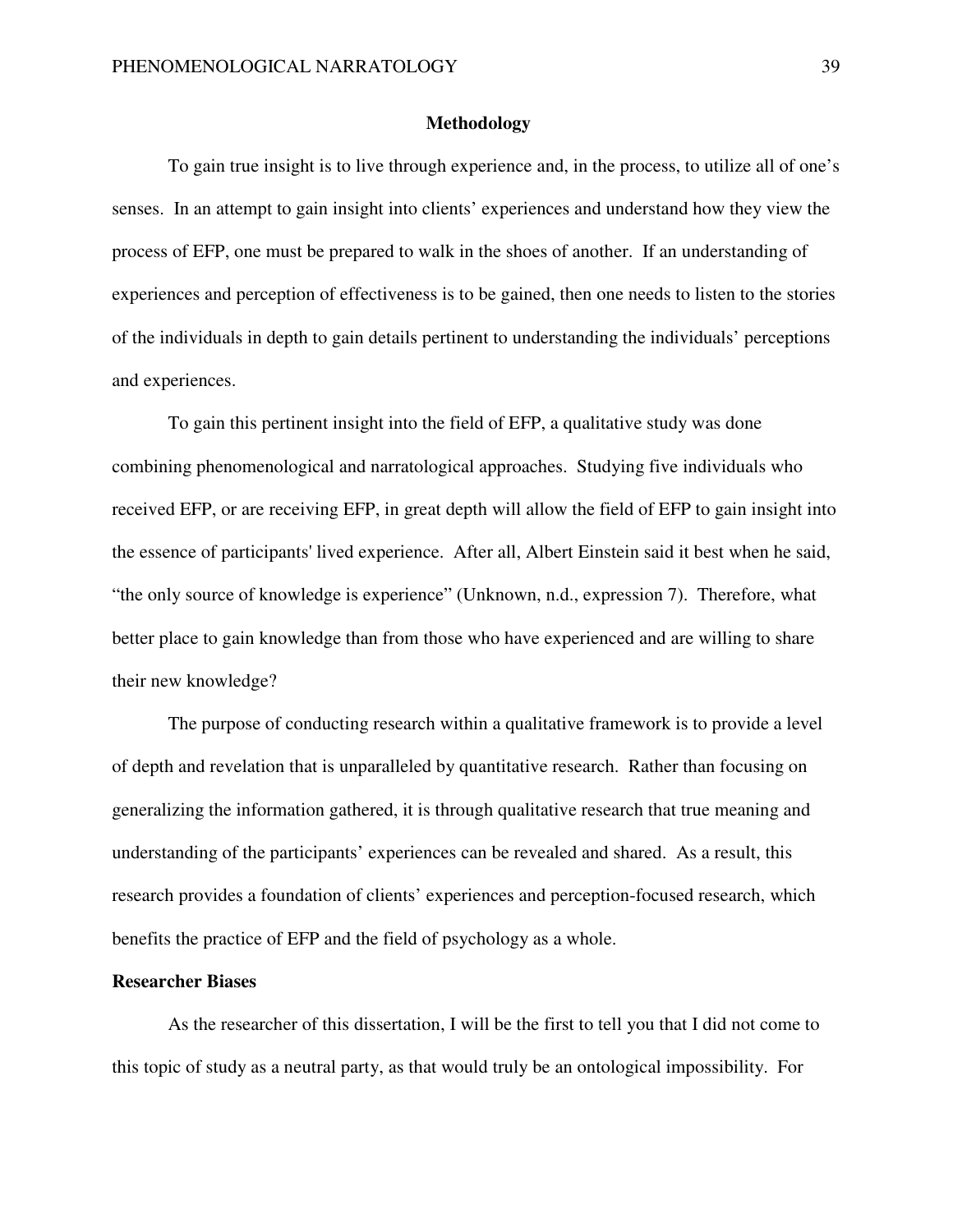## **Methodology**

To gain true insight is to live through experience and, in the process, to utilize all of one's senses. In an attempt to gain insight into clients' experiences and understand how they view the process of EFP, one must be prepared to walk in the shoes of another. If an understanding of experiences and perception of effectiveness is to be gained, then one needs to listen to the stories of the individuals in depth to gain details pertinent to understanding the individuals' perceptions and experiences.

To gain this pertinent insight into the field of EFP, a qualitative study was done combining phenomenological and narratological approaches. Studying five individuals who received EFP, or are receiving EFP, in great depth will allow the field of EFP to gain insight into the essence of participants' lived experience. After all, Albert Einstein said it best when he said, "the only source of knowledge is experience" (Unknown, n.d., expression 7). Therefore, what better place to gain knowledge than from those who have experienced and are willing to share their new knowledge?

The purpose of conducting research within a qualitative framework is to provide a level of depth and revelation that is unparalleled by quantitative research. Rather than focusing on generalizing the information gathered, it is through qualitative research that true meaning and understanding of the participants' experiences can be revealed and shared. As a result, this research provides a foundation of clients' experiences and perception-focused research, which benefits the practice of EFP and the field of psychology as a whole.

## **Researcher Biases**

As the researcher of this dissertation, I will be the first to tell you that I did not come to this topic of study as a neutral party, as that would truly be an ontological impossibility. For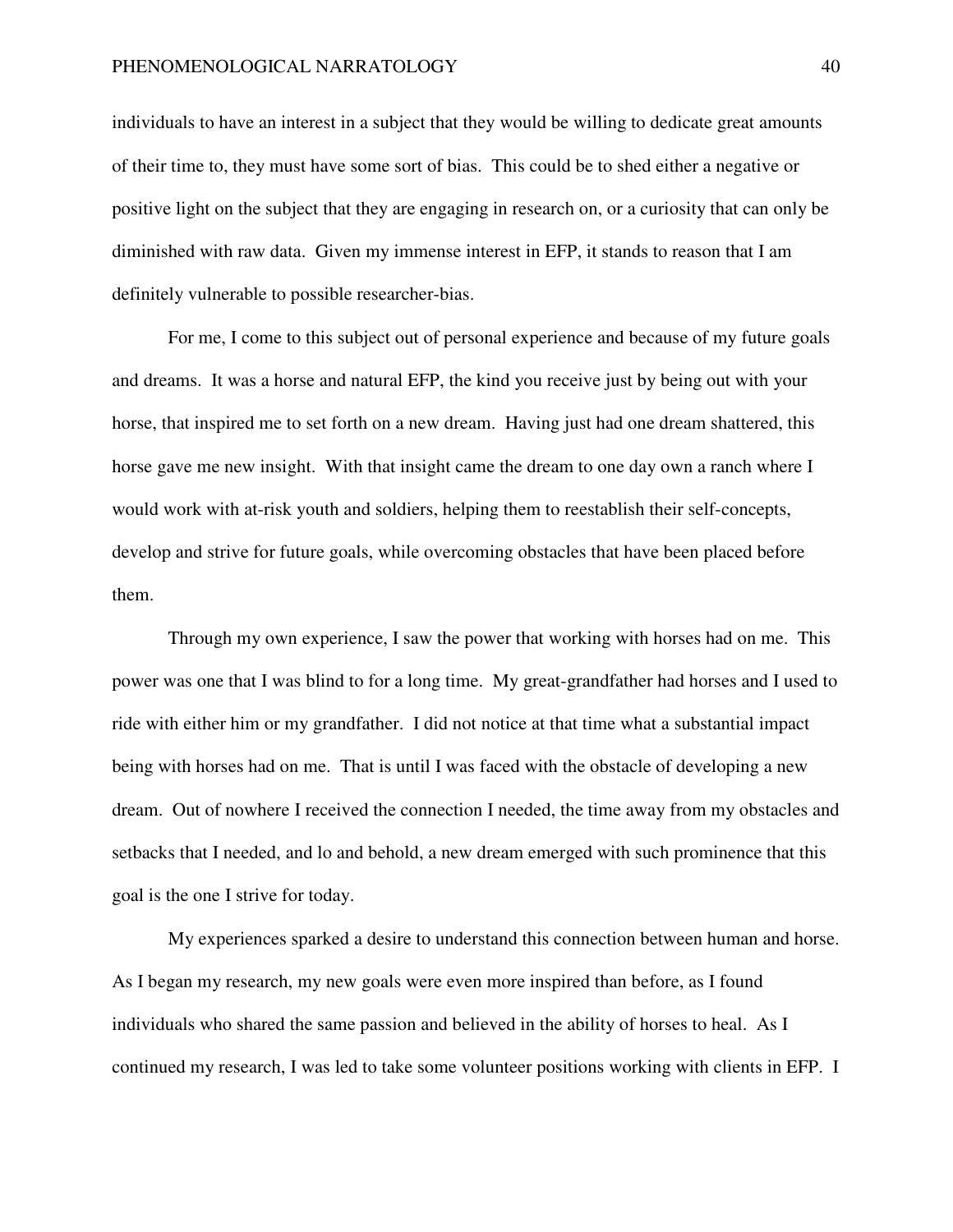individuals to have an interest in a subject that they would be willing to dedicate great amounts of their time to, they must have some sort of bias. This could be to shed either a negative or positive light on the subject that they are engaging in research on, or a curiosity that can only be diminished with raw data. Given my immense interest in EFP, it stands to reason that I am definitely vulnerable to possible researcher-bias.

For me, I come to this subject out of personal experience and because of my future goals and dreams. It was a horse and natural EFP, the kind you receive just by being out with your horse, that inspired me to set forth on a new dream. Having just had one dream shattered, this horse gave me new insight. With that insight came the dream to one day own a ranch where I would work with at-risk youth and soldiers, helping them to reestablish their self-concepts, develop and strive for future goals, while overcoming obstacles that have been placed before them.

Through my own experience, I saw the power that working with horses had on me. This power was one that I was blind to for a long time. My great-grandfather had horses and I used to ride with either him or my grandfather. I did not notice at that time what a substantial impact being with horses had on me. That is until I was faced with the obstacle of developing a new dream. Out of nowhere I received the connection I needed, the time away from my obstacles and setbacks that I needed, and lo and behold, a new dream emerged with such prominence that this goal is the one I strive for today.

My experiences sparked a desire to understand this connection between human and horse. As I began my research, my new goals were even more inspired than before, as I found individuals who shared the same passion and believed in the ability of horses to heal. As I continued my research, I was led to take some volunteer positions working with clients in EFP. I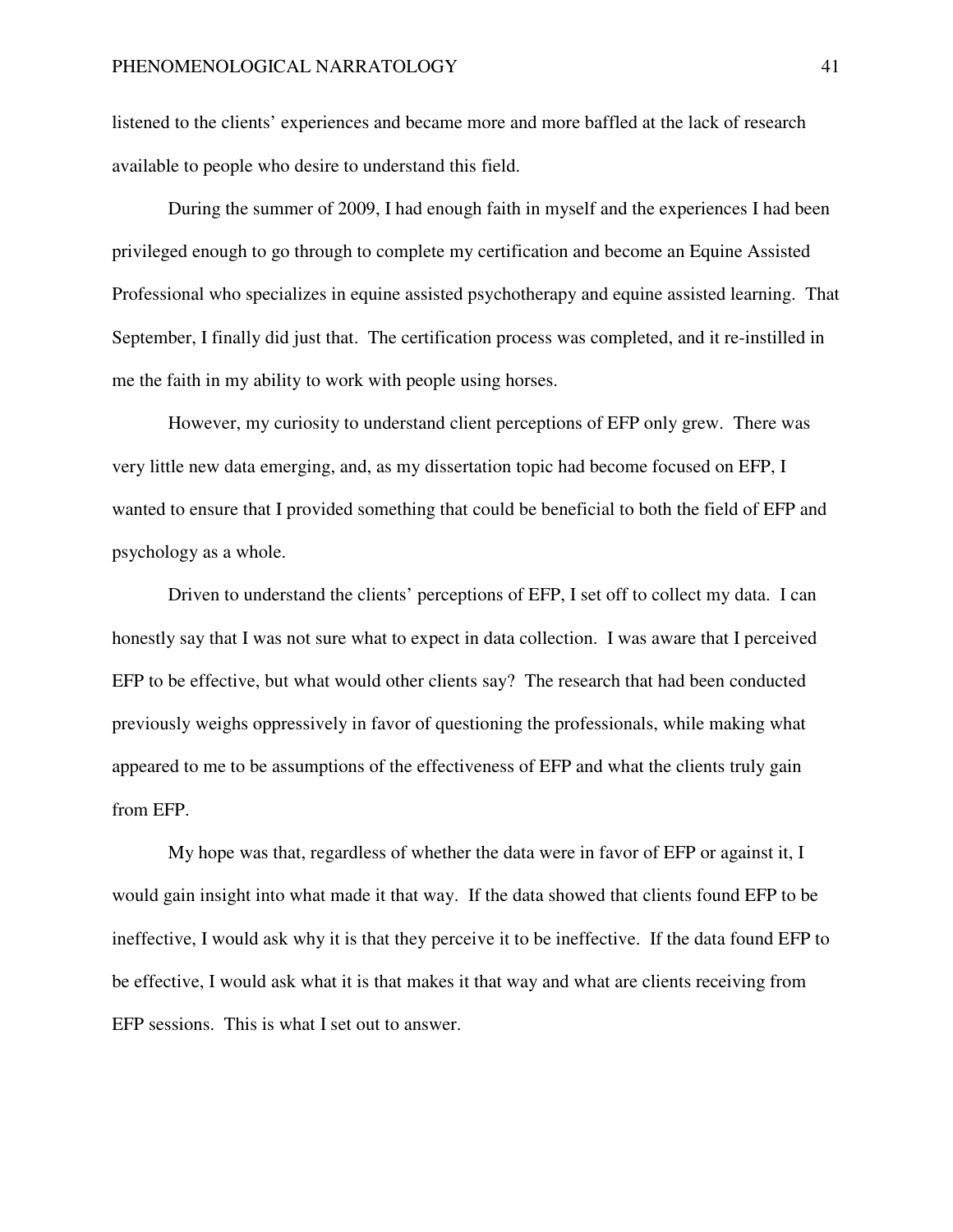listened to the clients' experiences and became more and more baffled at the lack of research available to people who desire to understand this field.

During the summer of 2009, I had enough faith in myself and the experiences I had been privileged enough to go through to complete my certification and become an Equine Assisted Professional who specializes in equine assisted psychotherapy and equine assisted learning. That September, I finally did just that. The certification process was completed, and it re-instilled in me the faith in my ability to work with people using horses.

However, my curiosity to understand client perceptions of EFP only grew. There was very little new data emerging, and, as my dissertation topic had become focused on EFP, I wanted to ensure that I provided something that could be beneficial to both the field of EFP and psychology as a whole.

Driven to understand the clients' perceptions of EFP, I set off to collect my data. I can honestly say that I was not sure what to expect in data collection. I was aware that I perceived EFP to be effective, but what would other clients say? The research that had been conducted previously weighs oppressively in favor of questioning the professionals, while making what appeared to me to be assumptions of the effectiveness of EFP and what the clients truly gain from EFP.

My hope was that, regardless of whether the data were in favor of EFP or against it, I would gain insight into what made it that way. If the data showed that clients found EFP to be ineffective, I would ask why it is that they perceive it to be ineffective. If the data found EFP to be effective, I would ask what it is that makes it that way and what are clients receiving from EFP sessions. This is what I set out to answer.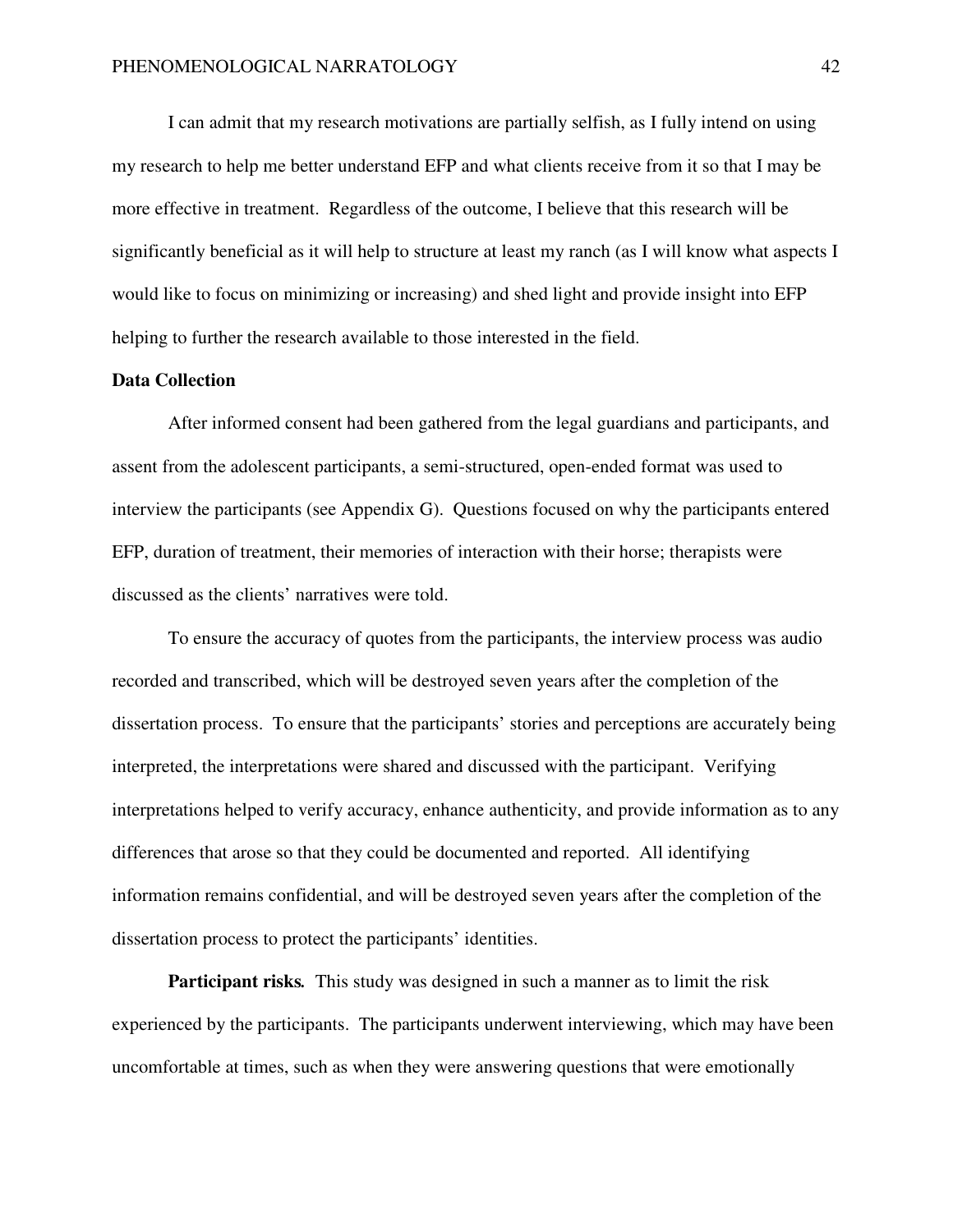I can admit that my research motivations are partially selfish, as I fully intend on using my research to help me better understand EFP and what clients receive from it so that I may be more effective in treatment. Regardless of the outcome, I believe that this research will be significantly beneficial as it will help to structure at least my ranch (as I will know what aspects I would like to focus on minimizing or increasing) and shed light and provide insight into EFP helping to further the research available to those interested in the field.

## **Data Collection**

After informed consent had been gathered from the legal guardians and participants, and assent from the adolescent participants, a semi-structured, open-ended format was used to interview the participants (see Appendix G). Questions focused on why the participants entered EFP, duration of treatment, their memories of interaction with their horse; therapists were discussed as the clients' narratives were told.

To ensure the accuracy of quotes from the participants, the interview process was audio recorded and transcribed, which will be destroyed seven years after the completion of the dissertation process. To ensure that the participants' stories and perceptions are accurately being interpreted, the interpretations were shared and discussed with the participant. Verifying interpretations helped to verify accuracy, enhance authenticity, and provide information as to any differences that arose so that they could be documented and reported. All identifying information remains confidential, and will be destroyed seven years after the completion of the dissertation process to protect the participants' identities.

**Participant risks***.* This study was designed in such a manner as to limit the risk experienced by the participants. The participants underwent interviewing, which may have been uncomfortable at times, such as when they were answering questions that were emotionally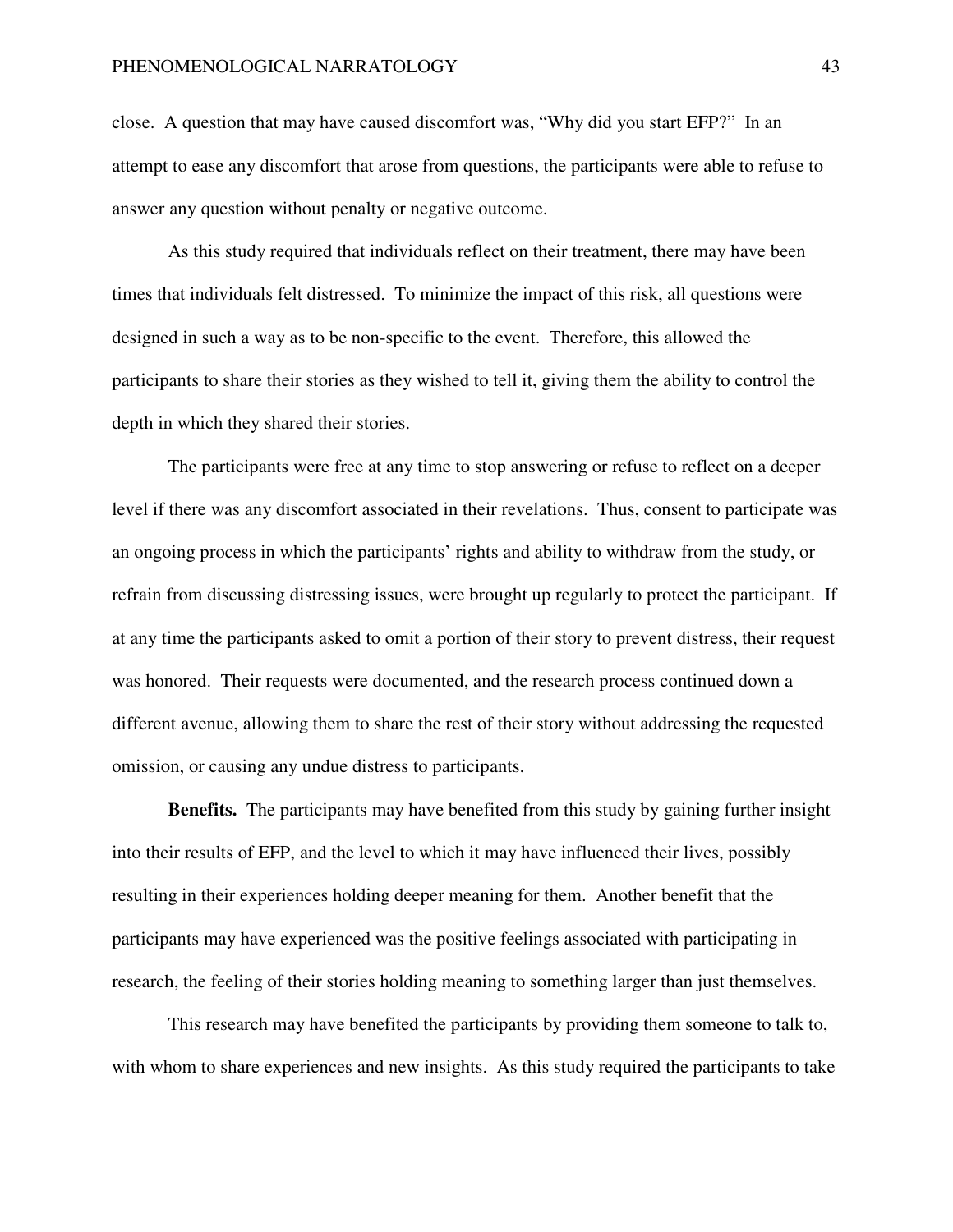close. A question that may have caused discomfort was, "Why did you start EFP?" In an attempt to ease any discomfort that arose from questions, the participants were able to refuse to answer any question without penalty or negative outcome.

As this study required that individuals reflect on their treatment, there may have been times that individuals felt distressed. To minimize the impact of this risk, all questions were designed in such a way as to be non-specific to the event. Therefore, this allowed the participants to share their stories as they wished to tell it, giving them the ability to control the depth in which they shared their stories.

The participants were free at any time to stop answering or refuse to reflect on a deeper level if there was any discomfort associated in their revelations. Thus, consent to participate was an ongoing process in which the participants' rights and ability to withdraw from the study, or refrain from discussing distressing issues, were brought up regularly to protect the participant. If at any time the participants asked to omit a portion of their story to prevent distress, their request was honored. Their requests were documented, and the research process continued down a different avenue, allowing them to share the rest of their story without addressing the requested omission, or causing any undue distress to participants.

**Benefits.**The participants may have benefited from this study by gaining further insight into their results of EFP, and the level to which it may have influenced their lives, possibly resulting in their experiences holding deeper meaning for them. Another benefit that the participants may have experienced was the positive feelings associated with participating in research, the feeling of their stories holding meaning to something larger than just themselves.

This research may have benefited the participants by providing them someone to talk to, with whom to share experiences and new insights. As this study required the participants to take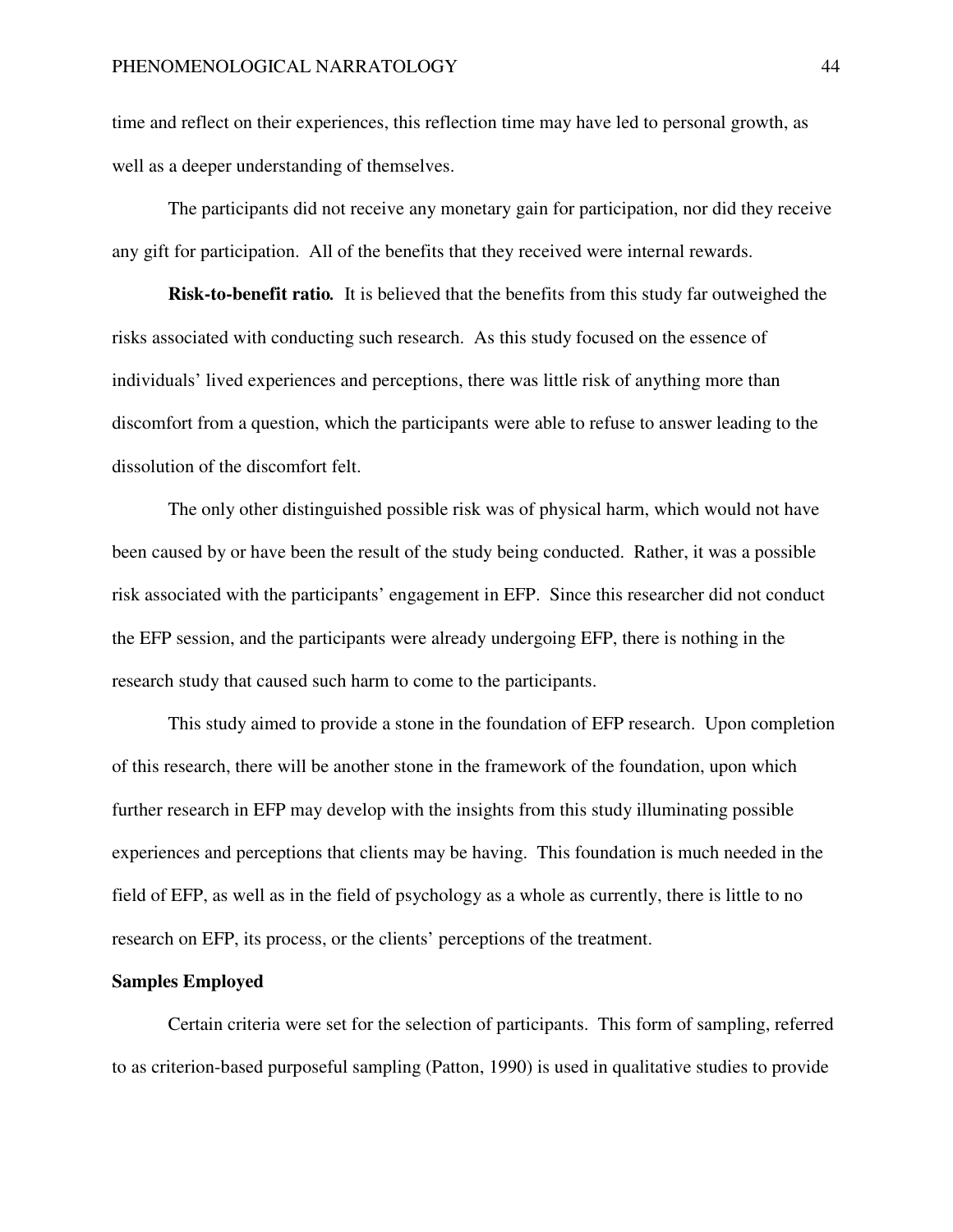time and reflect on their experiences, this reflection time may have led to personal growth, as well as a deeper understanding of themselves.

The participants did not receive any monetary gain for participation, nor did they receive any gift for participation. All of the benefits that they received were internal rewards.

**Risk-to-benefit ratio***.* It is believed that the benefits from this study far outweighed the risks associated with conducting such research. As this study focused on the essence of individuals' lived experiences and perceptions, there was little risk of anything more than discomfort from a question, which the participants were able to refuse to answer leading to the dissolution of the discomfort felt.

The only other distinguished possible risk was of physical harm, which would not have been caused by or have been the result of the study being conducted. Rather, it was a possible risk associated with the participants' engagement in EFP. Since this researcher did not conduct the EFP session, and the participants were already undergoing EFP, there is nothing in the research study that caused such harm to come to the participants.

This study aimed to provide a stone in the foundation of EFP research. Upon completion of this research, there will be another stone in the framework of the foundation, upon which further research in EFP may develop with the insights from this study illuminating possible experiences and perceptions that clients may be having. This foundation is much needed in the field of EFP, as well as in the field of psychology as a whole as currently, there is little to no research on EFP, its process, or the clients' perceptions of the treatment.

#### **Samples Employed**

Certain criteria were set for the selection of participants. This form of sampling, referred to as criterion-based purposeful sampling (Patton, 1990) is used in qualitative studies to provide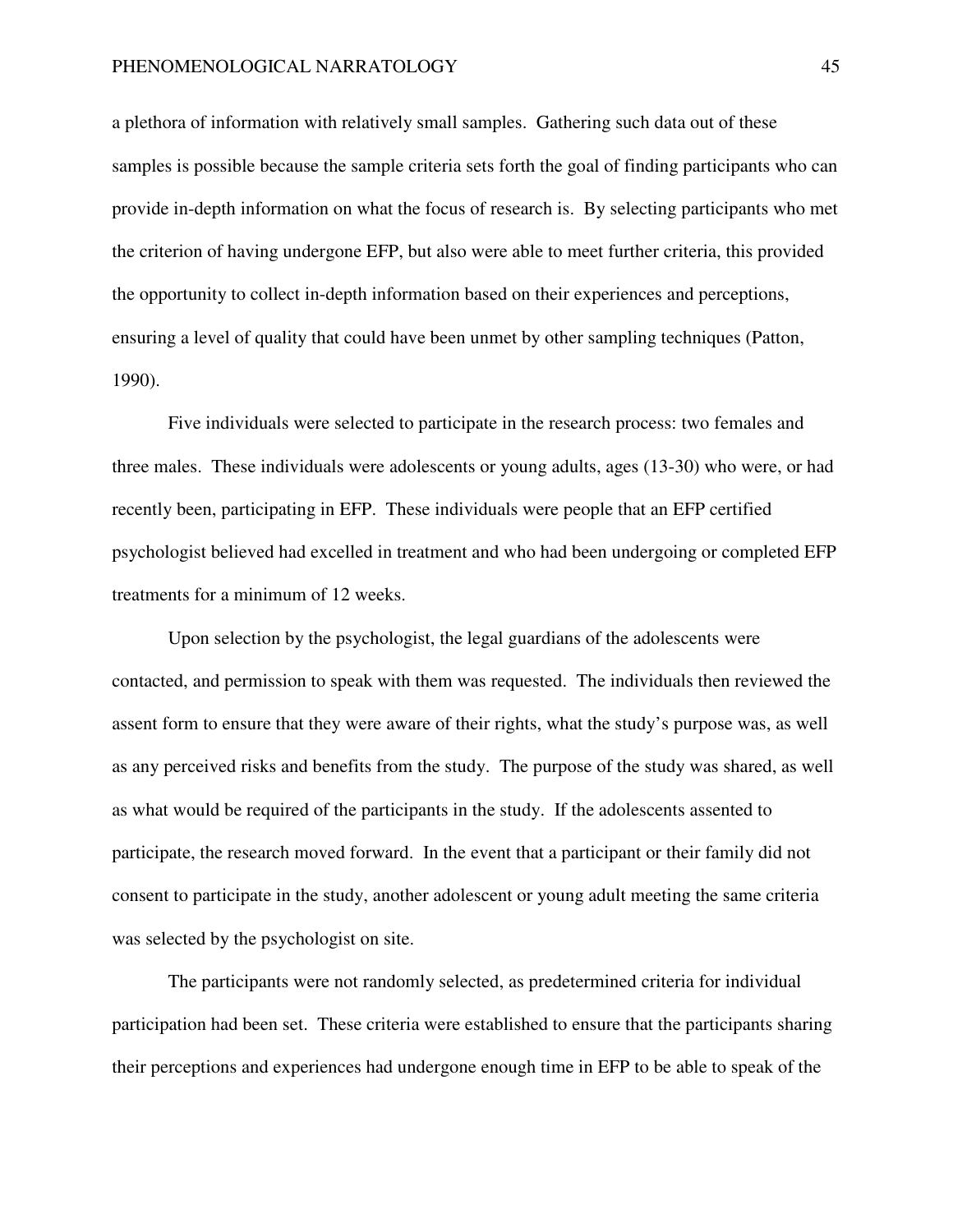a plethora of information with relatively small samples. Gathering such data out of these samples is possible because the sample criteria sets forth the goal of finding participants who can provide in-depth information on what the focus of research is. By selecting participants who met the criterion of having undergone EFP, but also were able to meet further criteria, this provided the opportunity to collect in-depth information based on their experiences and perceptions, ensuring a level of quality that could have been unmet by other sampling techniques (Patton, 1990).

Five individuals were selected to participate in the research process: two females and three males. These individuals were adolescents or young adults, ages (13-30) who were, or had recently been, participating in EFP. These individuals were people that an EFP certified psychologist believed had excelled in treatment and who had been undergoing or completed EFP treatments for a minimum of 12 weeks.

Upon selection by the psychologist, the legal guardians of the adolescents were contacted, and permission to speak with them was requested. The individuals then reviewed the assent form to ensure that they were aware of their rights, what the study's purpose was, as well as any perceived risks and benefits from the study. The purpose of the study was shared, as well as what would be required of the participants in the study. If the adolescents assented to participate, the research moved forward. In the event that a participant or their family did not consent to participate in the study, another adolescent or young adult meeting the same criteria was selected by the psychologist on site.

The participants were not randomly selected, as predetermined criteria for individual participation had been set. These criteria were established to ensure that the participants sharing their perceptions and experiences had undergone enough time in EFP to be able to speak of the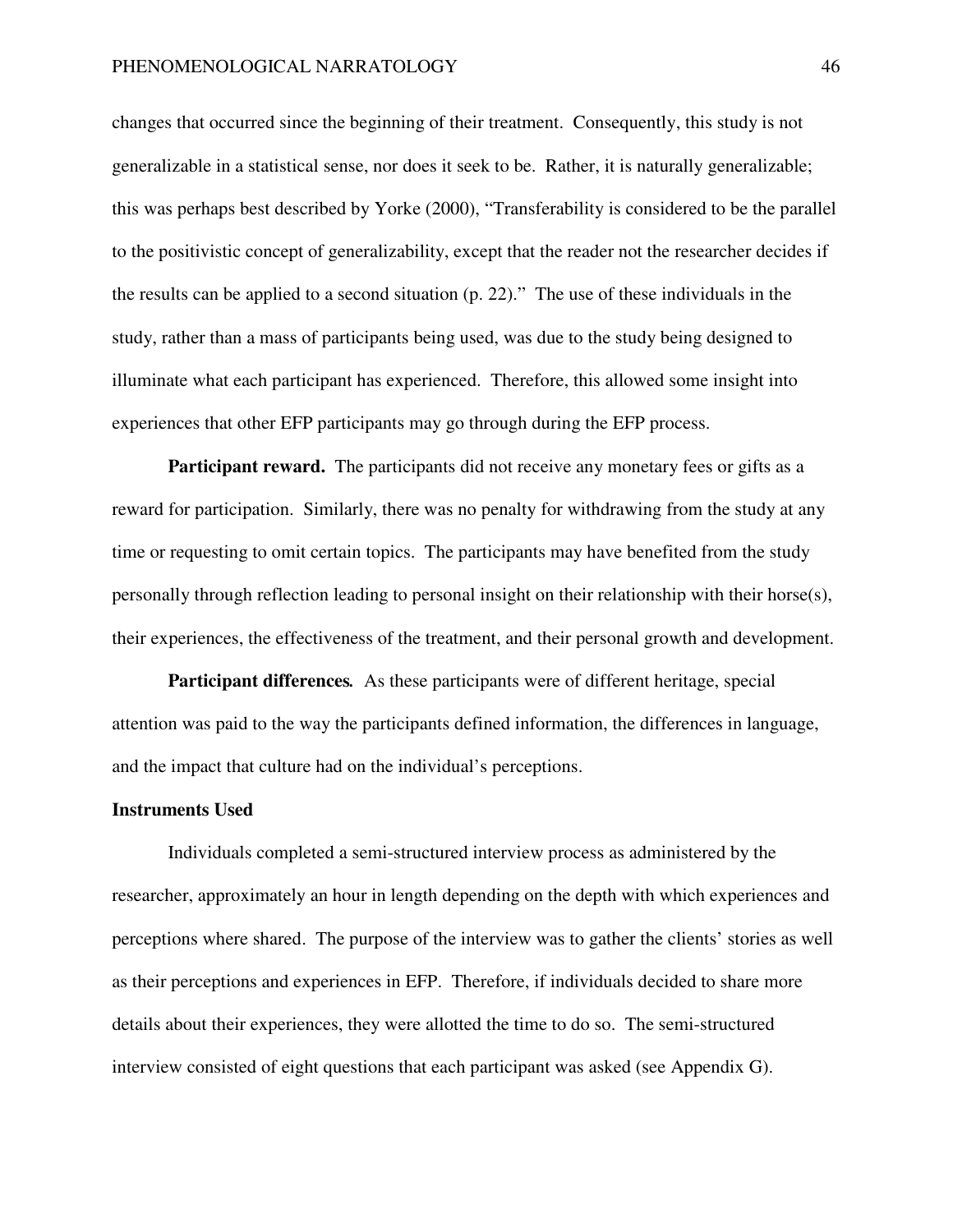changes that occurred since the beginning of their treatment. Consequently, this study is not generalizable in a statistical sense, nor does it seek to be. Rather, it is naturally generalizable; this was perhaps best described by Yorke (2000), "Transferability is considered to be the parallel to the positivistic concept of generalizability, except that the reader not the researcher decides if the results can be applied to a second situation (p. 22)." The use of these individuals in the study, rather than a mass of participants being used, was due to the study being designed to illuminate what each participant has experienced. Therefore, this allowed some insight into experiences that other EFP participants may go through during the EFP process.

**Participant reward.** The participants did not receive any monetary fees or gifts as a reward for participation. Similarly, there was no penalty for withdrawing from the study at any time or requesting to omit certain topics. The participants may have benefited from the study personally through reflection leading to personal insight on their relationship with their horse(s), their experiences, the effectiveness of the treatment, and their personal growth and development.

**Participant differences***.* As these participants were of different heritage, special attention was paid to the way the participants defined information, the differences in language, and the impact that culture had on the individual's perceptions.

#### **Instruments Used**

Individuals completed a semi-structured interview process as administered by the researcher, approximately an hour in length depending on the depth with which experiences and perceptions where shared. The purpose of the interview was to gather the clients' stories as well as their perceptions and experiences in EFP. Therefore, if individuals decided to share more details about their experiences, they were allotted the time to do so. The semi-structured interview consisted of eight questions that each participant was asked (see Appendix G).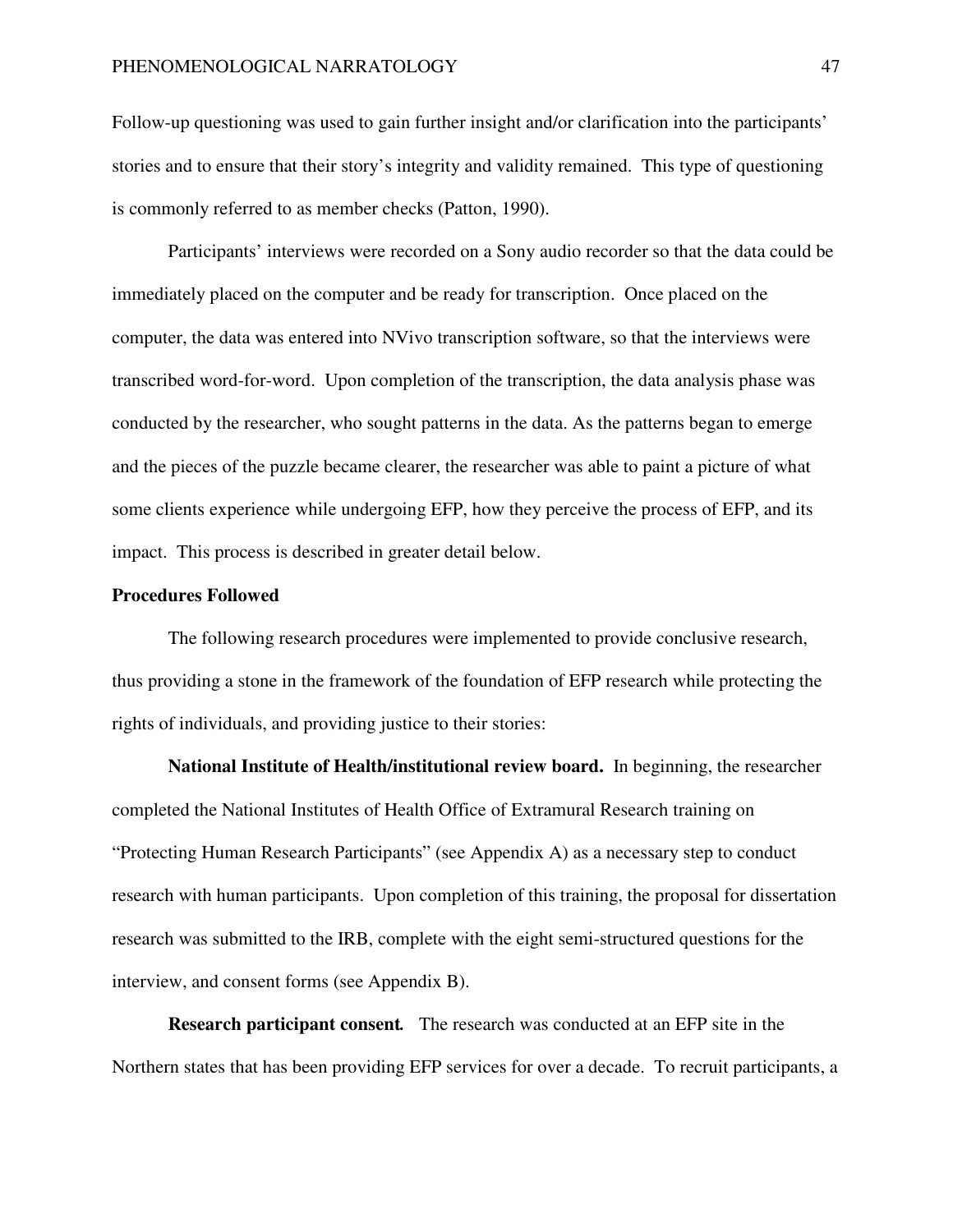Follow-up questioning was used to gain further insight and/or clarification into the participants' stories and to ensure that their story's integrity and validity remained. This type of questioning is commonly referred to as member checks (Patton, 1990).

Participants' interviews were recorded on a Sony audio recorder so that the data could be immediately placed on the computer and be ready for transcription. Once placed on the computer, the data was entered into NVivo transcription software, so that the interviews were transcribed word-for-word. Upon completion of the transcription, the data analysis phase was conducted by the researcher, who sought patterns in the data. As the patterns began to emerge and the pieces of the puzzle became clearer, the researcher was able to paint a picture of what some clients experience while undergoing EFP, how they perceive the process of EFP, and its impact. This process is described in greater detail below.

## **Procedures Followed**

The following research procedures were implemented to provide conclusive research, thus providing a stone in the framework of the foundation of EFP research while protecting the rights of individuals, and providing justice to their stories:

**National Institute of Health/institutional review board.**In beginning, the researcher completed the National Institutes of Health Office of Extramural Research training on "Protecting Human Research Participants" (see Appendix A) as a necessary step to conduct research with human participants. Upon completion of this training, the proposal for dissertation research was submitted to the IRB, complete with the eight semi-structured questions for the interview, and consent forms (see Appendix B).

**Research participant consent***.* The research was conducted at an EFP site in the Northern states that has been providing EFP services for over a decade. To recruit participants, a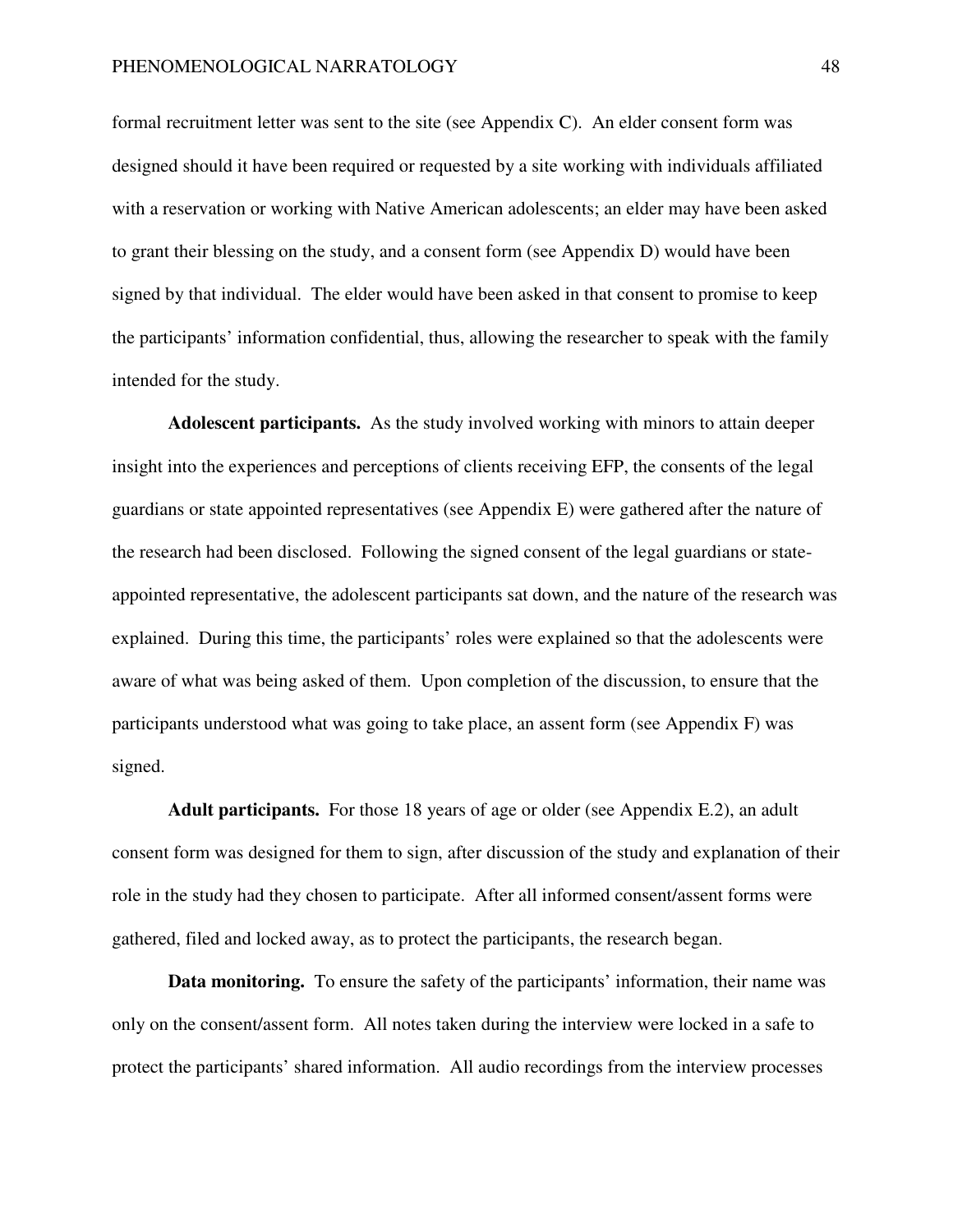formal recruitment letter was sent to the site (see Appendix C). An elder consent form was designed should it have been required or requested by a site working with individuals affiliated with a reservation or working with Native American adolescents; an elder may have been asked to grant their blessing on the study, and a consent form (see Appendix D) would have been signed by that individual. The elder would have been asked in that consent to promise to keep the participants' information confidential, thus, allowing the researcher to speak with the family intended for the study.

**Adolescent participants.** As the study involved working with minors to attain deeper insight into the experiences and perceptions of clients receiving EFP, the consents of the legal guardians or state appointed representatives (see Appendix E) were gathered after the nature of the research had been disclosed. Following the signed consent of the legal guardians or stateappointed representative, the adolescent participants sat down, and the nature of the research was explained. During this time, the participants' roles were explained so that the adolescents were aware of what was being asked of them. Upon completion of the discussion, to ensure that the participants understood what was going to take place, an assent form (see Appendix F) was signed.

**Adult participants.** For those 18 years of age or older (see Appendix E.2), an adult consent form was designed for them to sign, after discussion of the study and explanation of their role in the study had they chosen to participate. After all informed consent/assent forms were gathered, filed and locked away, as to protect the participants, the research began.

**Data monitoring.**To ensure the safety of the participants' information, their name was only on the consent/assent form. All notes taken during the interview were locked in a safe to protect the participants' shared information. All audio recordings from the interview processes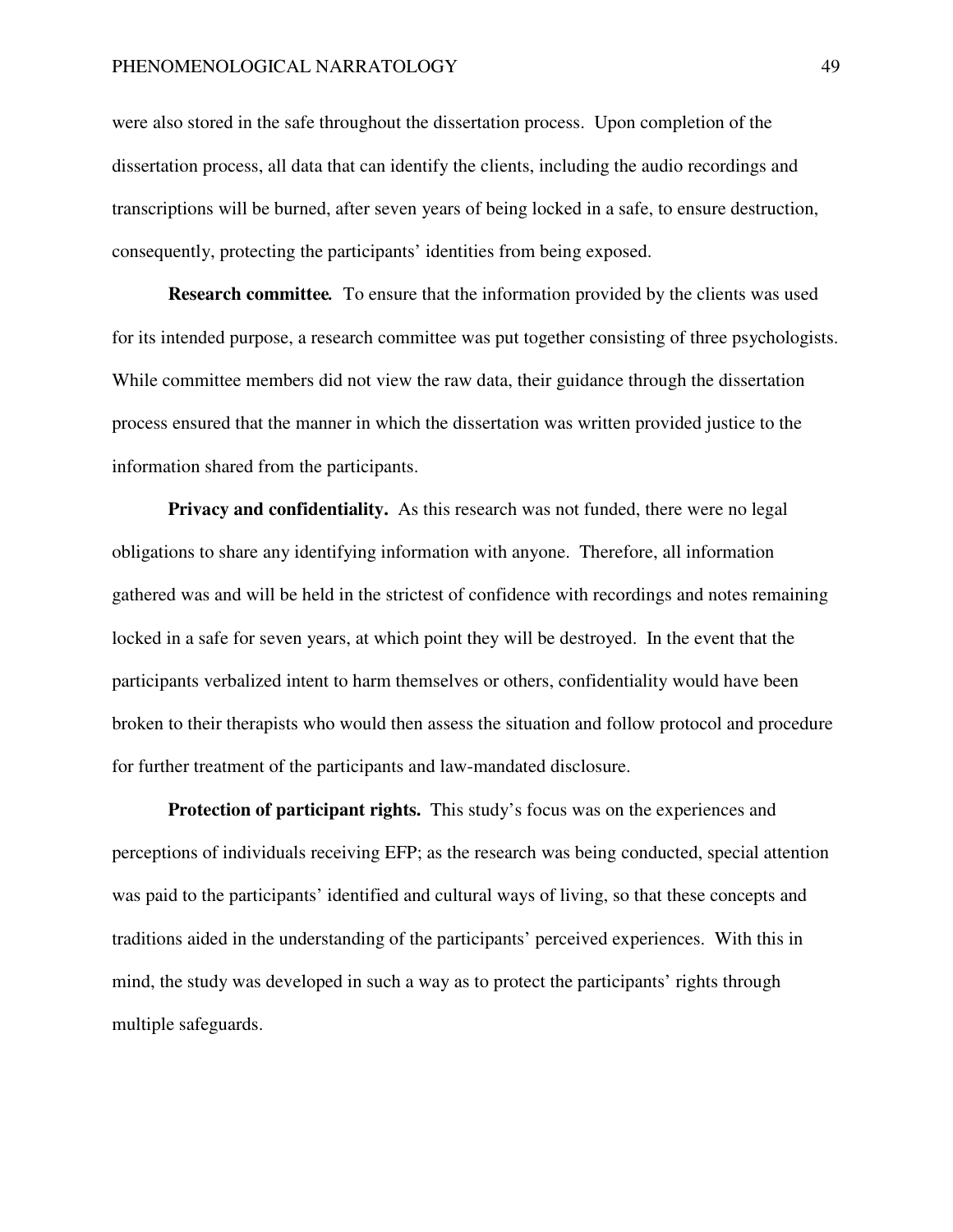were also stored in the safe throughout the dissertation process. Upon completion of the dissertation process, all data that can identify the clients, including the audio recordings and transcriptions will be burned, after seven years of being locked in a safe, to ensure destruction, consequently, protecting the participants' identities from being exposed.

**Research committee***.* To ensure that the information provided by the clients was used for its intended purpose, a research committee was put together consisting of three psychologists. While committee members did not view the raw data, their guidance through the dissertation process ensured that the manner in which the dissertation was written provided justice to the information shared from the participants.

**Privacy and confidentiality.** As this research was not funded, there were no legal obligations to share any identifying information with anyone. Therefore, all information gathered was and will be held in the strictest of confidence with recordings and notes remaining locked in a safe for seven years, at which point they will be destroyed. In the event that the participants verbalized intent to harm themselves or others, confidentiality would have been broken to their therapists who would then assess the situation and follow protocol and procedure for further treatment of the participants and law-mandated disclosure.

**Protection of participant rights.** This study's focus was on the experiences and perceptions of individuals receiving EFP; as the research was being conducted, special attention was paid to the participants' identified and cultural ways of living, so that these concepts and traditions aided in the understanding of the participants' perceived experiences. With this in mind, the study was developed in such a way as to protect the participants' rights through multiple safeguards.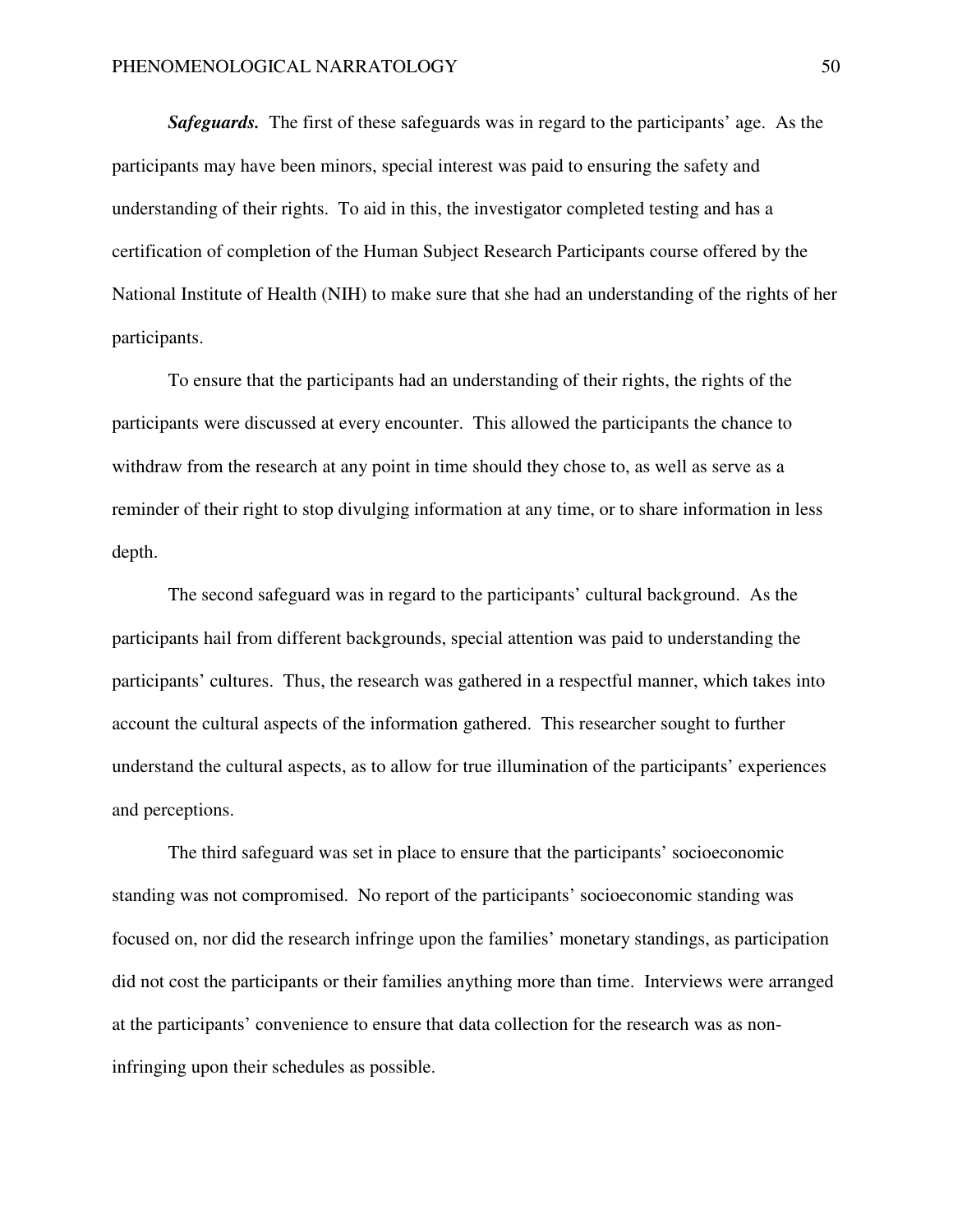*Safeguards.* The first of these safeguards was in regard to the participants' age. As the participants may have been minors, special interest was paid to ensuring the safety and understanding of their rights. To aid in this, the investigator completed testing and has a certification of completion of the Human Subject Research Participants course offered by the National Institute of Health (NIH) to make sure that she had an understanding of the rights of her participants.

To ensure that the participants had an understanding of their rights, the rights of the participants were discussed at every encounter. This allowed the participants the chance to withdraw from the research at any point in time should they chose to, as well as serve as a reminder of their right to stop divulging information at any time, or to share information in less depth.

The second safeguard was in regard to the participants' cultural background. As the participants hail from different backgrounds, special attention was paid to understanding the participants' cultures. Thus, the research was gathered in a respectful manner, which takes into account the cultural aspects of the information gathered. This researcher sought to further understand the cultural aspects, as to allow for true illumination of the participants' experiences and perceptions.

The third safeguard was set in place to ensure that the participants' socioeconomic standing was not compromised. No report of the participants' socioeconomic standing was focused on, nor did the research infringe upon the families' monetary standings, as participation did not cost the participants or their families anything more than time. Interviews were arranged at the participants' convenience to ensure that data collection for the research was as noninfringing upon their schedules as possible.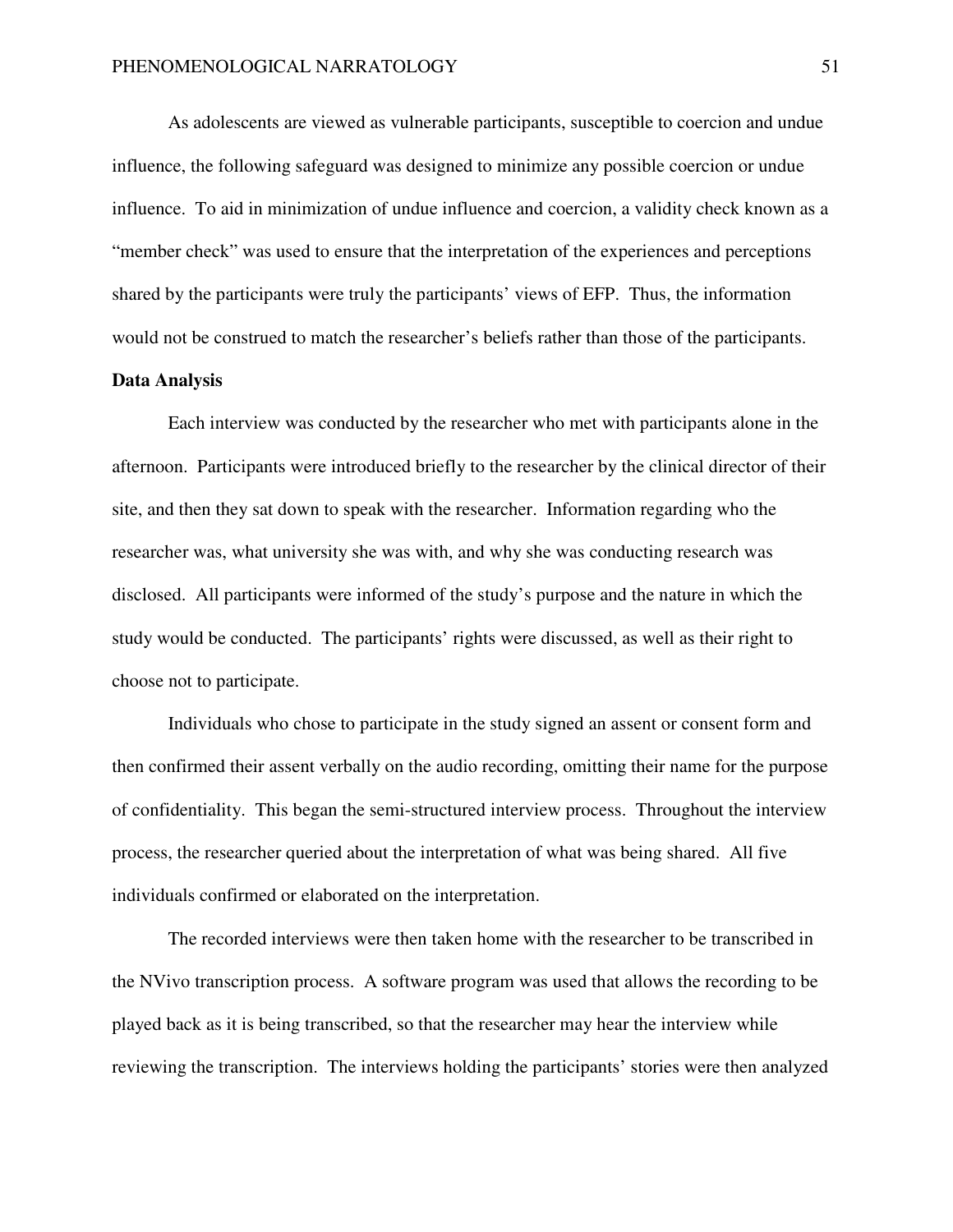As adolescents are viewed as vulnerable participants, susceptible to coercion and undue influence, the following safeguard was designed to minimize any possible coercion or undue influence. To aid in minimization of undue influence and coercion, a validity check known as a "member check" was used to ensure that the interpretation of the experiences and perceptions shared by the participants were truly the participants' views of EFP. Thus, the information would not be construed to match the researcher's beliefs rather than those of the participants.

#### **Data Analysis**

Each interview was conducted by the researcher who met with participants alone in the afternoon. Participants were introduced briefly to the researcher by the clinical director of their site, and then they sat down to speak with the researcher. Information regarding who the researcher was, what university she was with, and why she was conducting research was disclosed. All participants were informed of the study's purpose and the nature in which the study would be conducted. The participants' rights were discussed, as well as their right to choose not to participate.

Individuals who chose to participate in the study signed an assent or consent form and then confirmed their assent verbally on the audio recording, omitting their name for the purpose of confidentiality. This began the semi-structured interview process. Throughout the interview process, the researcher queried about the interpretation of what was being shared. All five individuals confirmed or elaborated on the interpretation.

The recorded interviews were then taken home with the researcher to be transcribed in the NVivo transcription process. A software program was used that allows the recording to be played back as it is being transcribed, so that the researcher may hear the interview while reviewing the transcription. The interviews holding the participants' stories were then analyzed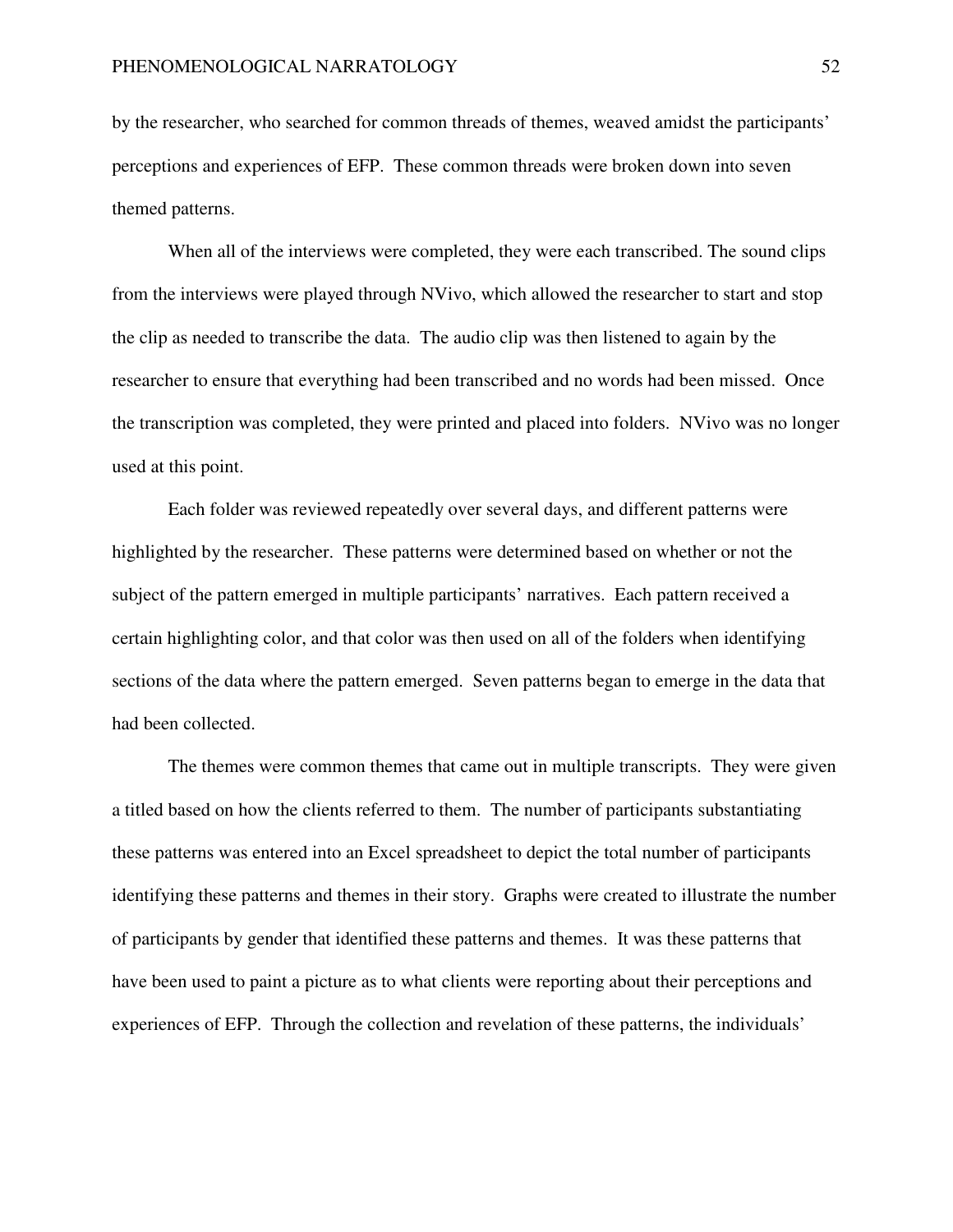by the researcher, who searched for common threads of themes, weaved amidst the participants' perceptions and experiences of EFP. These common threads were broken down into seven themed patterns.

When all of the interviews were completed, they were each transcribed. The sound clips from the interviews were played through NVivo, which allowed the researcher to start and stop the clip as needed to transcribe the data. The audio clip was then listened to again by the researcher to ensure that everything had been transcribed and no words had been missed. Once the transcription was completed, they were printed and placed into folders. NVivo was no longer used at this point.

Each folder was reviewed repeatedly over several days, and different patterns were highlighted by the researcher. These patterns were determined based on whether or not the subject of the pattern emerged in multiple participants' narratives. Each pattern received a certain highlighting color, and that color was then used on all of the folders when identifying sections of the data where the pattern emerged. Seven patterns began to emerge in the data that had been collected.

The themes were common themes that came out in multiple transcripts. They were given a titled based on how the clients referred to them. The number of participants substantiating these patterns was entered into an Excel spreadsheet to depict the total number of participants identifying these patterns and themes in their story. Graphs were created to illustrate the number of participants by gender that identified these patterns and themes. It was these patterns that have been used to paint a picture as to what clients were reporting about their perceptions and experiences of EFP. Through the collection and revelation of these patterns, the individuals'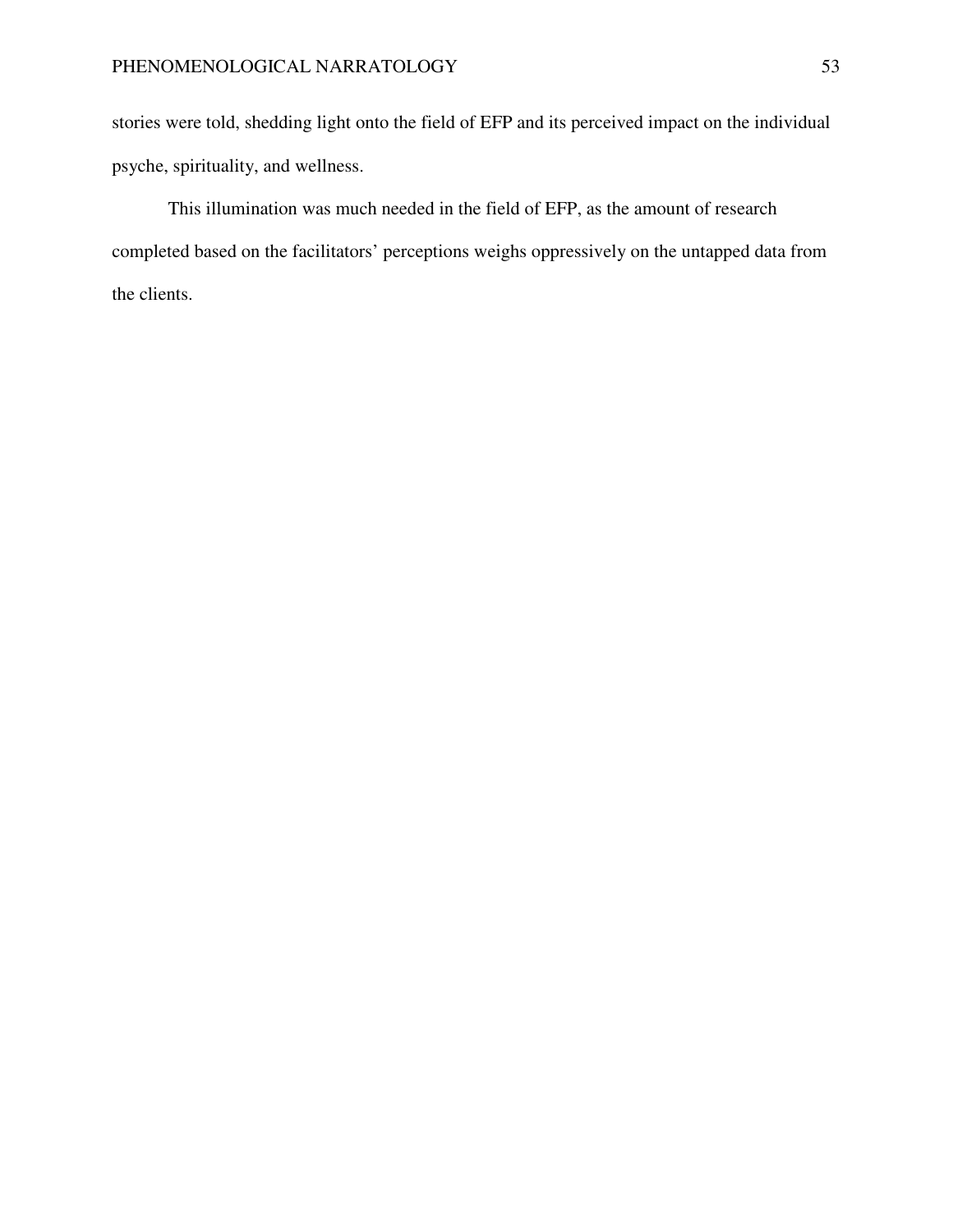stories were told, shedding light onto the field of EFP and its perceived impact on the individual psyche, spirituality, and wellness.

This illumination was much needed in the field of EFP, as the amount of research completed based on the facilitators' perceptions weighs oppressively on the untapped data from the clients.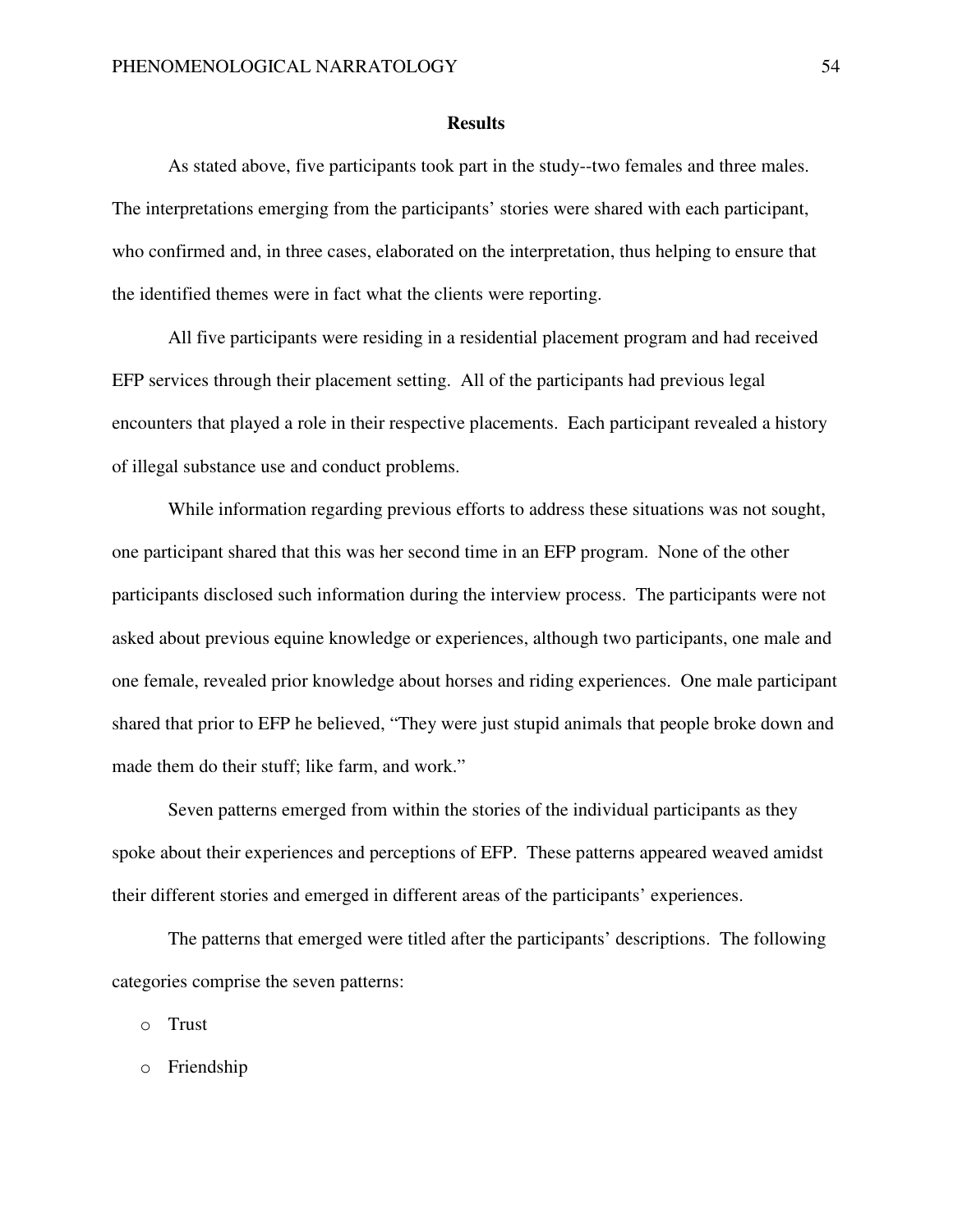#### **Results**

As stated above, five participants took part in the study--two females and three males. The interpretations emerging from the participants' stories were shared with each participant, who confirmed and, in three cases, elaborated on the interpretation, thus helping to ensure that the identified themes were in fact what the clients were reporting.

All five participants were residing in a residential placement program and had received EFP services through their placement setting. All of the participants had previous legal encounters that played a role in their respective placements. Each participant revealed a history of illegal substance use and conduct problems.

While information regarding previous efforts to address these situations was not sought, one participant shared that this was her second time in an EFP program. None of the other participants disclosed such information during the interview process. The participants were not asked about previous equine knowledge or experiences, although two participants, one male and one female, revealed prior knowledge about horses and riding experiences. One male participant shared that prior to EFP he believed, "They were just stupid animals that people broke down and made them do their stuff; like farm, and work."

Seven patterns emerged from within the stories of the individual participants as they spoke about their experiences and perceptions of EFP. These patterns appeared weaved amidst their different stories and emerged in different areas of the participants' experiences.

The patterns that emerged were titled after the participants' descriptions. The following categories comprise the seven patterns:

o Trust

o Friendship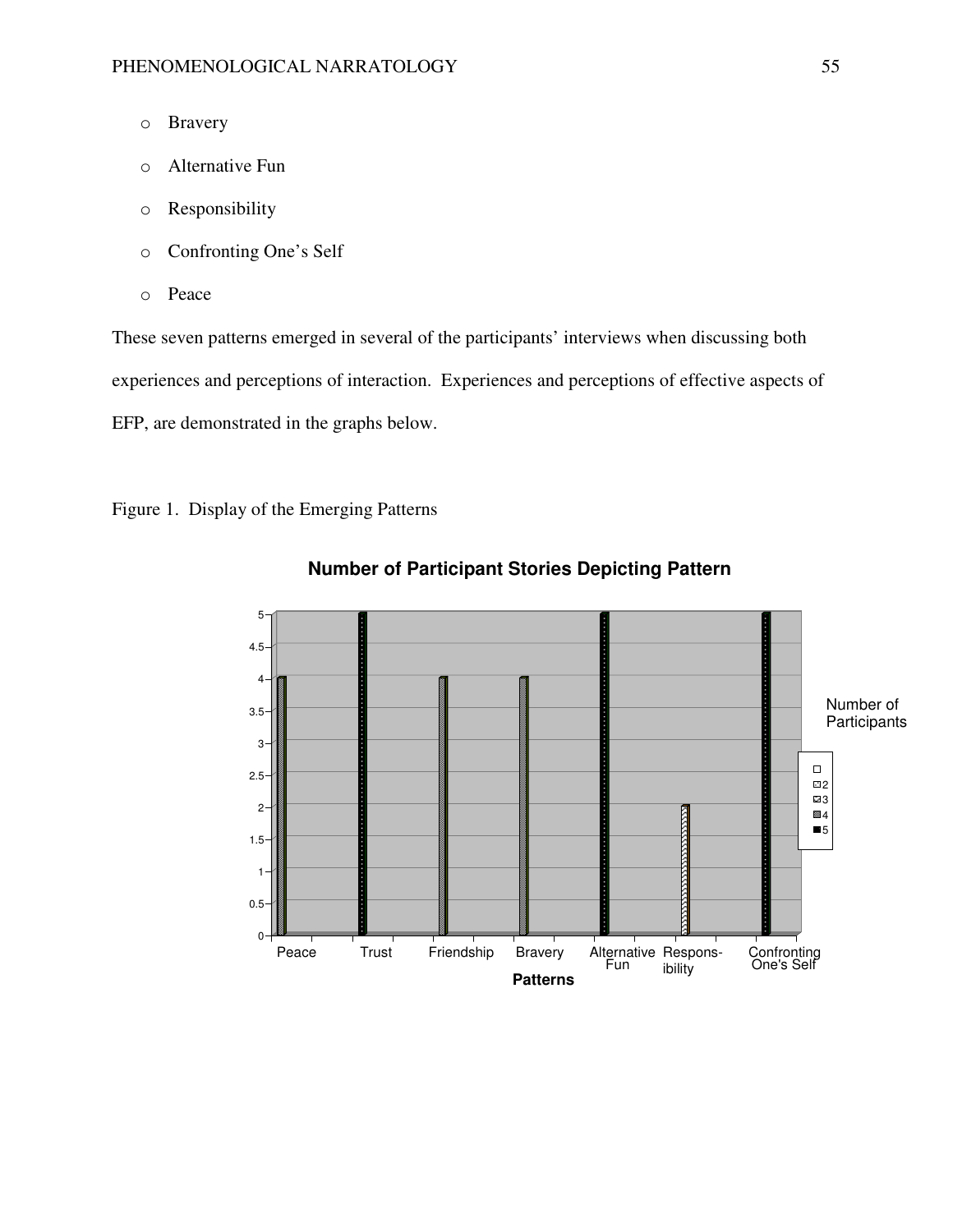- o Bravery
- o Alternative Fun
- o Responsibility
- o Confronting One's Self
- o Peace

These seven patterns emerged in several of the participants' interviews when discussing both experiences and perceptions of interaction. Experiences and perceptions of effective aspects of EFP, are demonstrated in the graphs below.

Figure 1. Display of the Emerging Patterns



# **Number of Participant Stories Depicting Pattern**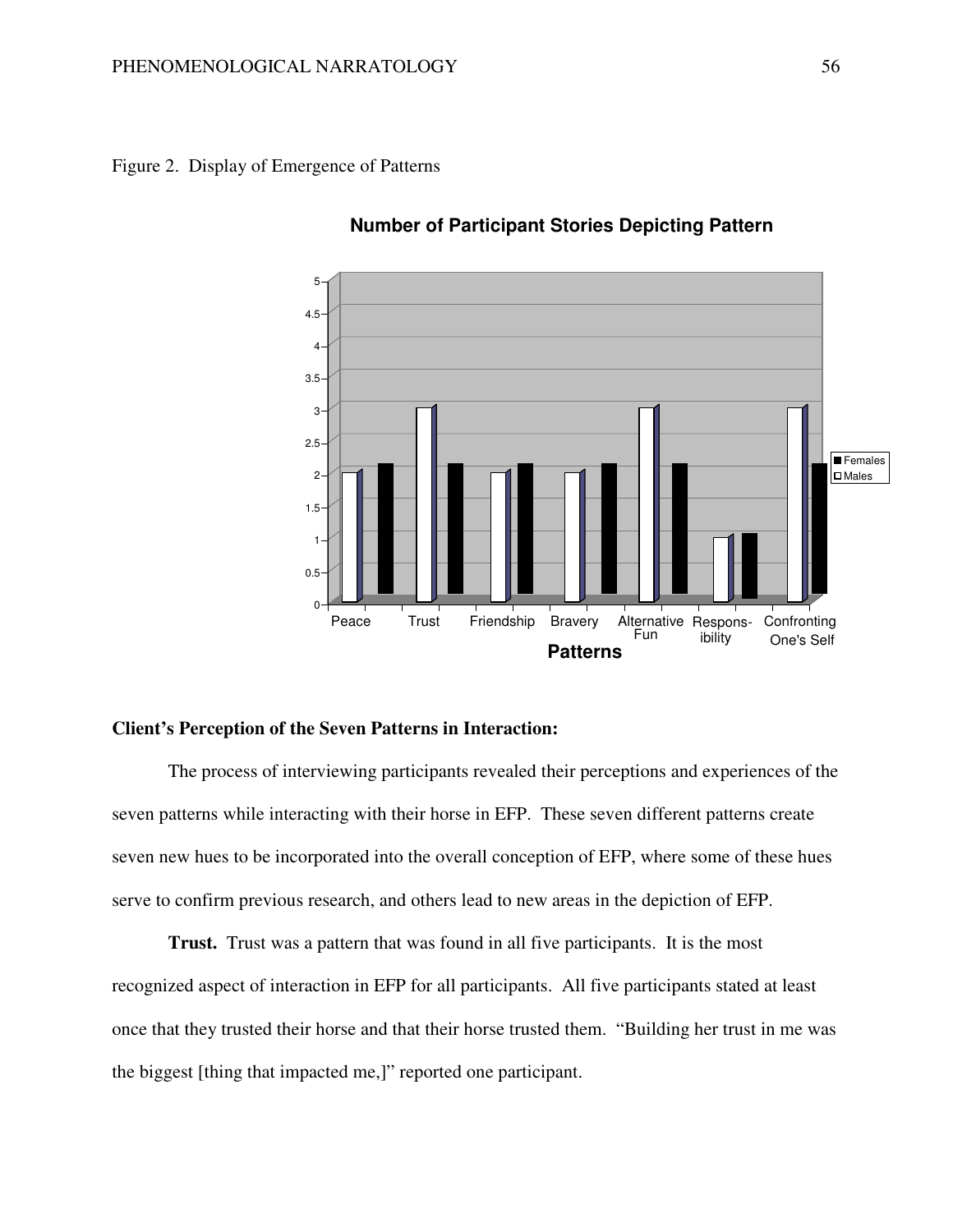



## **Number of Participant Stories Depicting Pattern**

## **Client's Perception of the Seven Patterns in Interaction:**

The process of interviewing participants revealed their perceptions and experiences of the seven patterns while interacting with their horse in EFP. These seven different patterns create seven new hues to be incorporated into the overall conception of EFP, where some of these hues serve to confirm previous research, and others lead to new areas in the depiction of EFP.

**Trust.** Trust was a pattern that was found in all five participants. It is the most recognized aspect of interaction in EFP for all participants. All five participants stated at least once that they trusted their horse and that their horse trusted them. "Building her trust in me was the biggest [thing that impacted me,]" reported one participant.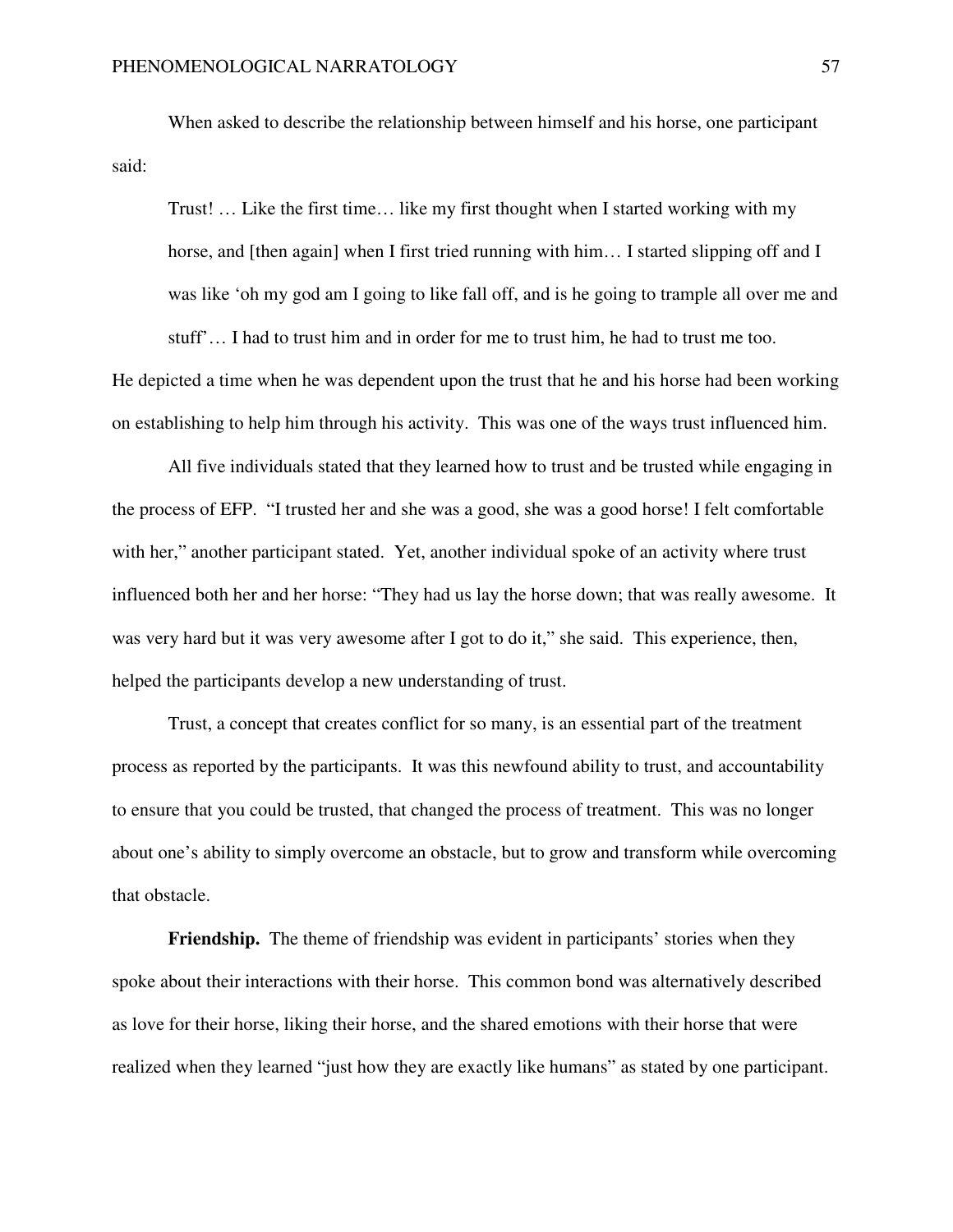When asked to describe the relationship between himself and his horse, one participant said:

Trust! … Like the first time… like my first thought when I started working with my horse, and [then again] when I first tried running with him... I started slipping off and I was like 'oh my god am I going to like fall off, and is he going to trample all over me and

He depicted a time when he was dependent upon the trust that he and his horse had been working on establishing to help him through his activity. This was one of the ways trust influenced him.

stuff'… I had to trust him and in order for me to trust him, he had to trust me too.

All five individuals stated that they learned how to trust and be trusted while engaging in the process of EFP. "I trusted her and she was a good, she was a good horse! I felt comfortable with her," another participant stated. Yet, another individual spoke of an activity where trust influenced both her and her horse: "They had us lay the horse down; that was really awesome. It was very hard but it was very awesome after I got to do it," she said. This experience, then, helped the participants develop a new understanding of trust.

 Trust, a concept that creates conflict for so many, is an essential part of the treatment process as reported by the participants. It was this newfound ability to trust, and accountability to ensure that you could be trusted, that changed the process of treatment. This was no longer about one's ability to simply overcome an obstacle, but to grow and transform while overcoming that obstacle.

**Friendship.** The theme of friendship was evident in participants' stories when they spoke about their interactions with their horse. This common bond was alternatively described as love for their horse, liking their horse, and the shared emotions with their horse that were realized when they learned "just how they are exactly like humans" as stated by one participant.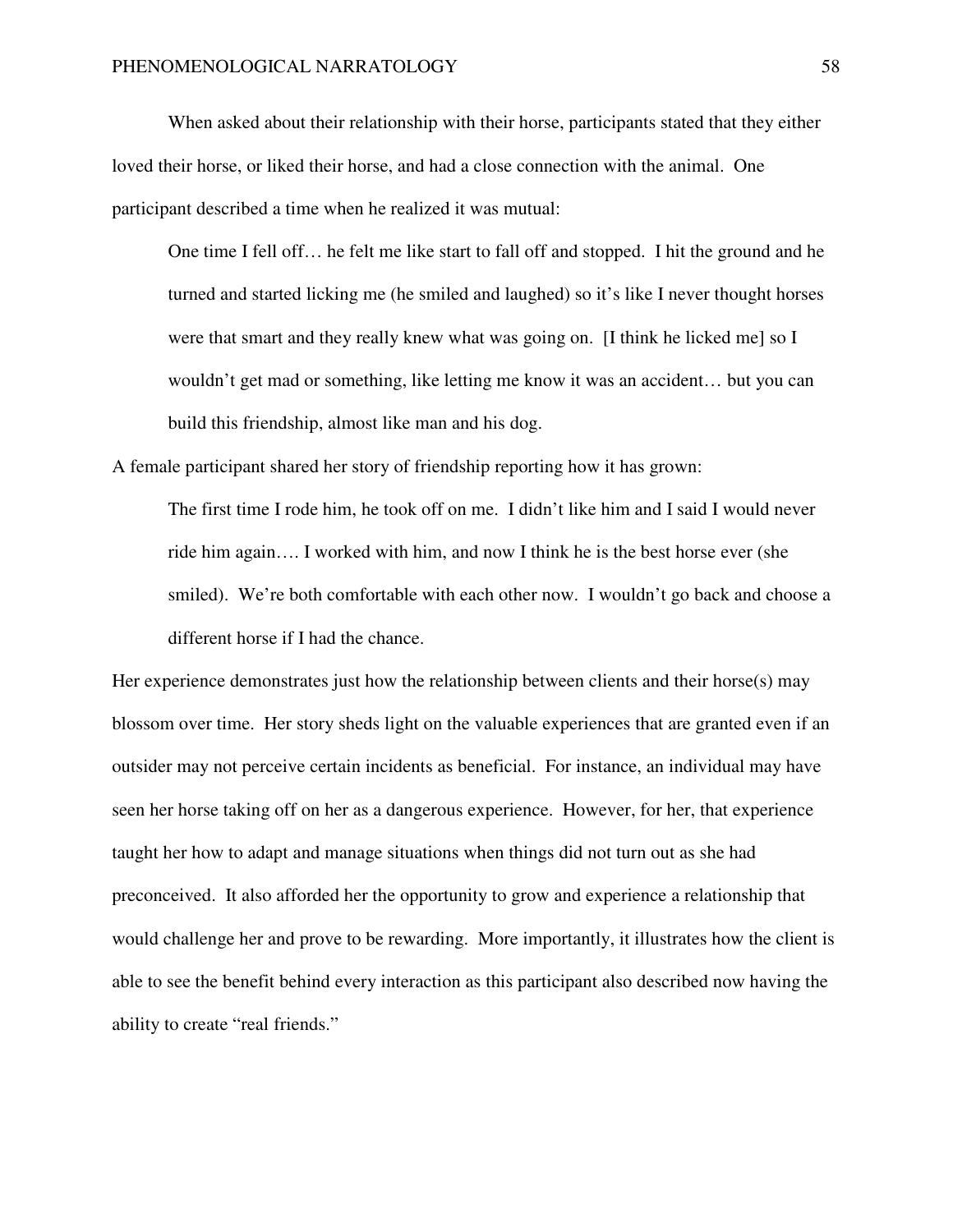When asked about their relationship with their horse, participants stated that they either loved their horse, or liked their horse, and had a close connection with the animal. One participant described a time when he realized it was mutual:

One time I fell off… he felt me like start to fall off and stopped. I hit the ground and he turned and started licking me (he smiled and laughed) so it's like I never thought horses were that smart and they really knew what was going on. [I think he licked me] so I wouldn't get mad or something, like letting me know it was an accident… but you can build this friendship, almost like man and his dog.

A female participant shared her story of friendship reporting how it has grown:

The first time I rode him, he took off on me. I didn't like him and I said I would never ride him again…. I worked with him, and now I think he is the best horse ever (she smiled). We're both comfortable with each other now. I wouldn't go back and choose a different horse if I had the chance.

Her experience demonstrates just how the relationship between clients and their horse(s) may blossom over time. Her story sheds light on the valuable experiences that are granted even if an outsider may not perceive certain incidents as beneficial. For instance, an individual may have seen her horse taking off on her as a dangerous experience. However, for her, that experience taught her how to adapt and manage situations when things did not turn out as she had preconceived. It also afforded her the opportunity to grow and experience a relationship that would challenge her and prove to be rewarding. More importantly, it illustrates how the client is able to see the benefit behind every interaction as this participant also described now having the ability to create "real friends."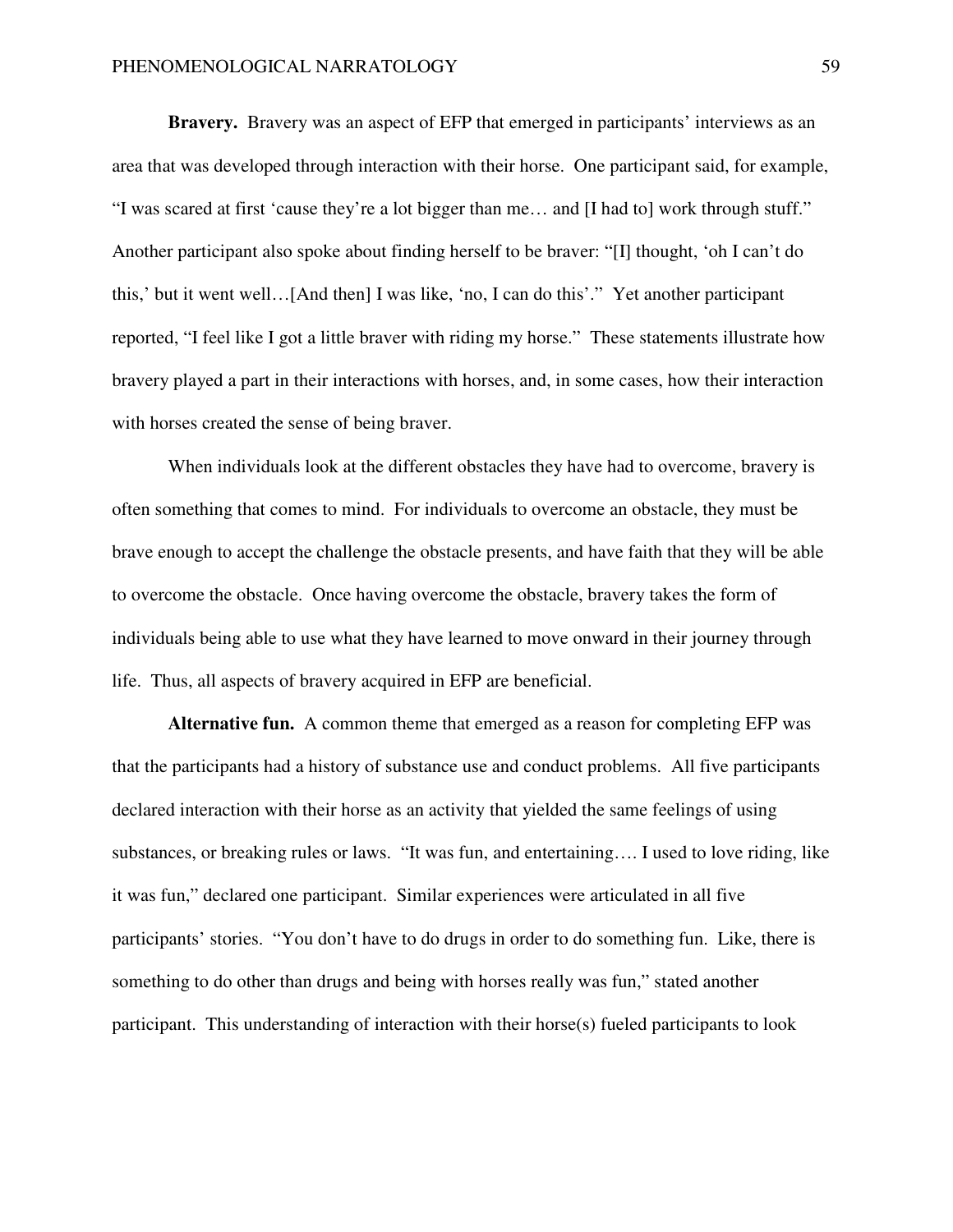**Bravery.** Bravery was an aspect of EFP that emerged in participants' interviews as an area that was developed through interaction with their horse. One participant said, for example, "I was scared at first 'cause they're a lot bigger than me… and [I had to] work through stuff." Another participant also spoke about finding herself to be braver: "[I] thought, 'oh I can't do this,' but it went well…[And then] I was like, 'no, I can do this'." Yet another participant reported, "I feel like I got a little braver with riding my horse." These statements illustrate how bravery played a part in their interactions with horses, and, in some cases, how their interaction with horses created the sense of being braver.

 When individuals look at the different obstacles they have had to overcome, bravery is often something that comes to mind. For individuals to overcome an obstacle, they must be brave enough to accept the challenge the obstacle presents, and have faith that they will be able to overcome the obstacle. Once having overcome the obstacle, bravery takes the form of individuals being able to use what they have learned to move onward in their journey through life. Thus, all aspects of bravery acquired in EFP are beneficial.

**Alternative fun.** A common theme that emerged as a reason for completing EFP was that the participants had a history of substance use and conduct problems. All five participants declared interaction with their horse as an activity that yielded the same feelings of using substances, or breaking rules or laws. "It was fun, and entertaining…. I used to love riding, like it was fun," declared one participant. Similar experiences were articulated in all five participants' stories. "You don't have to do drugs in order to do something fun. Like, there is something to do other than drugs and being with horses really was fun," stated another participant.This understanding of interaction with their horse(s) fueled participants to look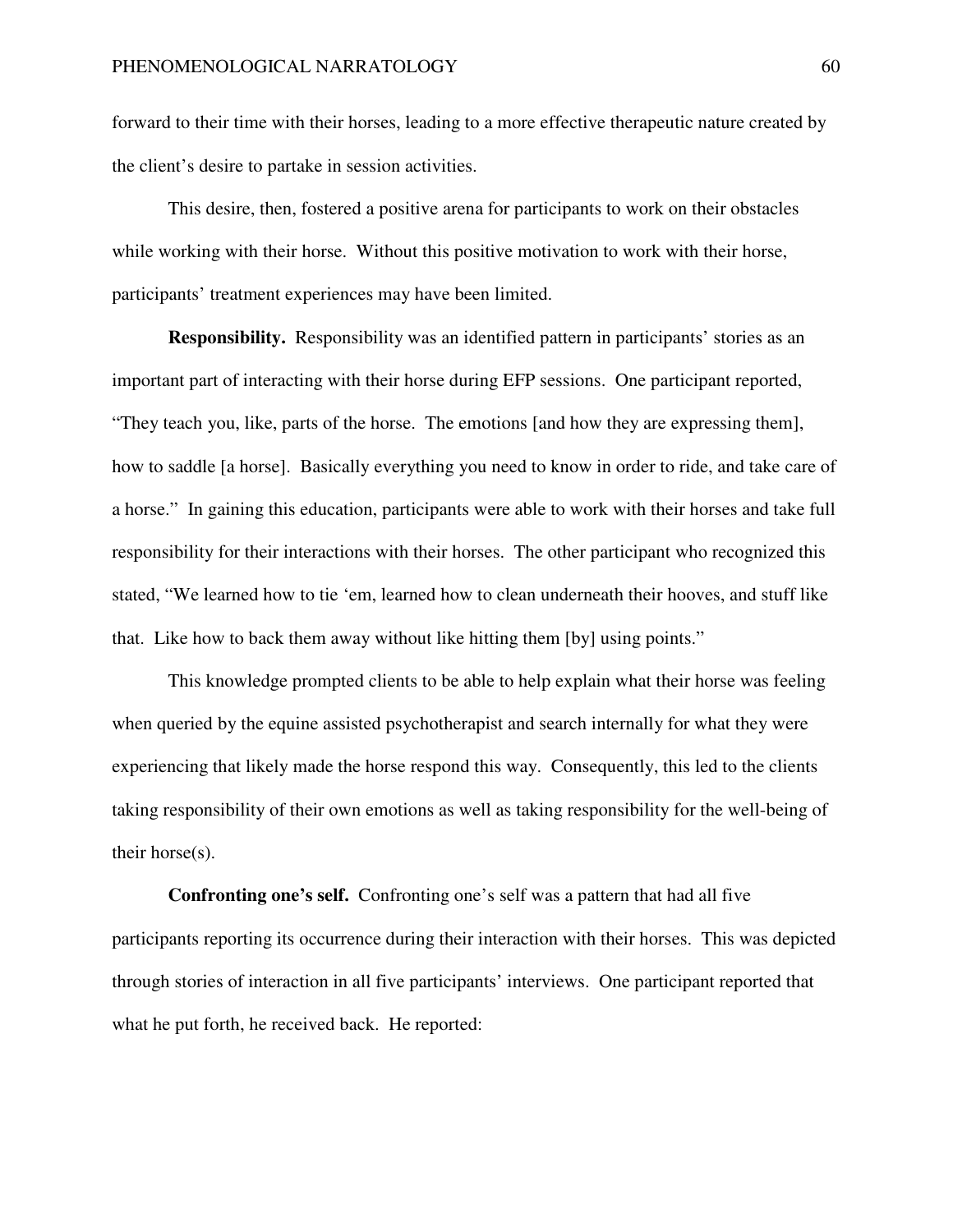forward to their time with their horses, leading to a more effective therapeutic nature created by the client's desire to partake in session activities.

 This desire, then, fostered a positive arena for participants to work on their obstacles while working with their horse. Without this positive motivation to work with their horse, participants' treatment experiences may have been limited.

**Responsibility.** Responsibility was an identified pattern in participants' stories as an important part of interacting with their horse during EFP sessions. One participant reported, "They teach you, like, parts of the horse. The emotions [and how they are expressing them], how to saddle [a horse]. Basically everything you need to know in order to ride, and take care of a horse."In gaining this education, participants were able to work with their horses and take full responsibility for their interactions with their horses. The other participant who recognized this stated, "We learned how to tie 'em, learned how to clean underneath their hooves, and stuff like that. Like how to back them away without like hitting them [by] using points."

This knowledge prompted clients to be able to help explain what their horse was feeling when queried by the equine assisted psychotherapist and search internally for what they were experiencing that likely made the horse respond this way. Consequently, this led to the clients taking responsibility of their own emotions as well as taking responsibility for the well-being of their horse(s).

**Confronting one's self.** Confronting one's self was a pattern that had all five participants reporting its occurrence during their interaction with their horses. This was depicted through stories of interaction in all five participants' interviews. One participant reported that what he put forth, he received back. He reported: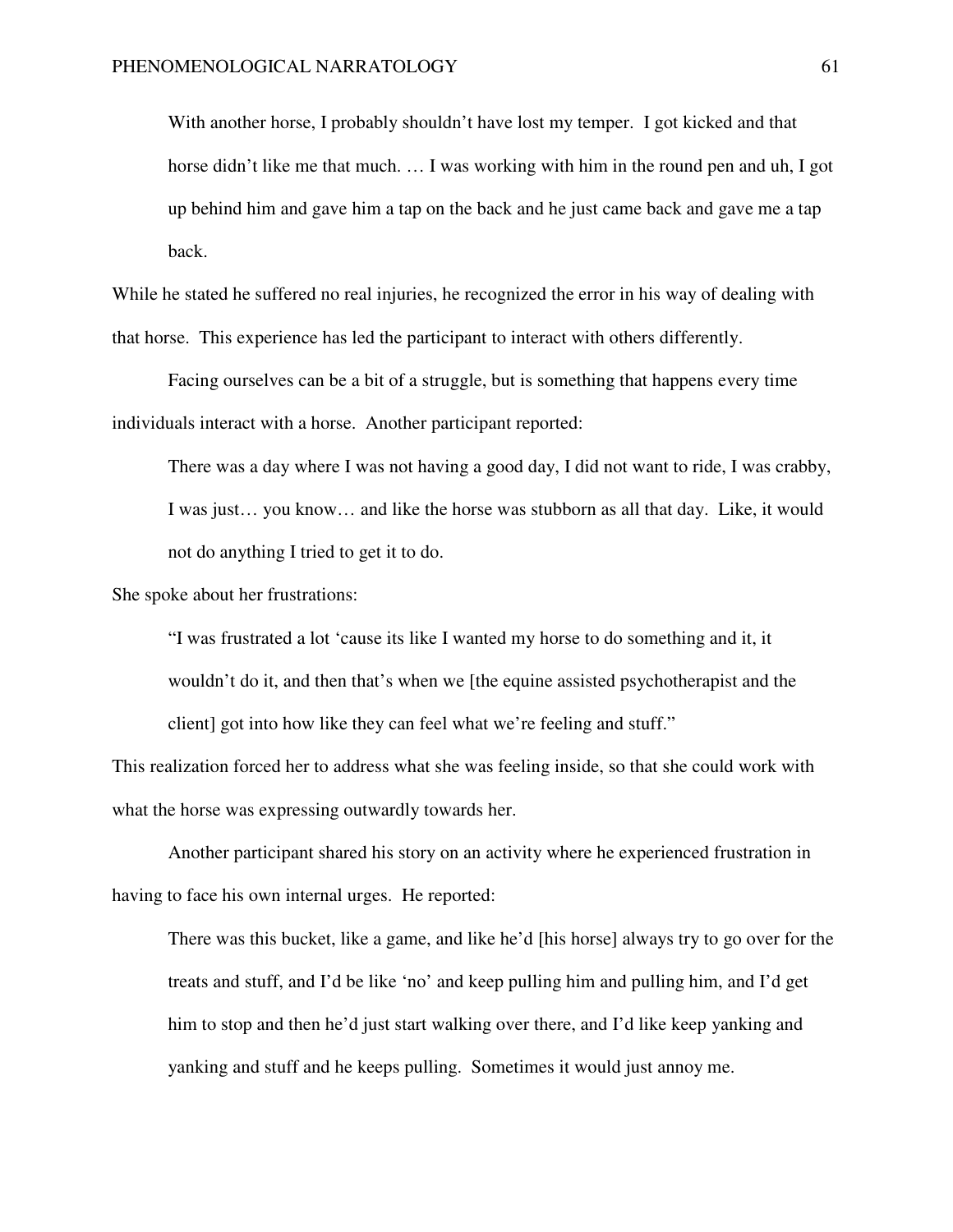With another horse, I probably shouldn't have lost my temper. I got kicked and that horse didn't like me that much. ... I was working with him in the round pen and uh, I got up behind him and gave him a tap on the back and he just came back and gave me a tap back.

While he stated he suffered no real injuries, he recognized the error in his way of dealing with that horse. This experience has led the participant to interact with others differently.

 Facing ourselves can be a bit of a struggle, but is something that happens every time individuals interact with a horse. Another participant reported:

There was a day where I was not having a good day, I did not want to ride, I was crabby, I was just… you know… and like the horse was stubborn as all that day. Like, it would not do anything I tried to get it to do.

She spoke about her frustrations:

"I was frustrated a lot 'cause its like I wanted my horse to do something and it, it wouldn't do it, and then that's when we [the equine assisted psychotherapist and the client] got into how like they can feel what we're feeling and stuff."

This realization forced her to address what she was feeling inside, so that she could work with what the horse was expressing outwardly towards her.

 Another participant shared his story on an activity where he experienced frustration in having to face his own internal urges. He reported:

There was this bucket, like a game, and like he'd [his horse] always try to go over for the treats and stuff, and I'd be like 'no' and keep pulling him and pulling him, and I'd get him to stop and then he'd just start walking over there, and I'd like keep yanking and yanking and stuff and he keeps pulling. Sometimes it would just annoy me.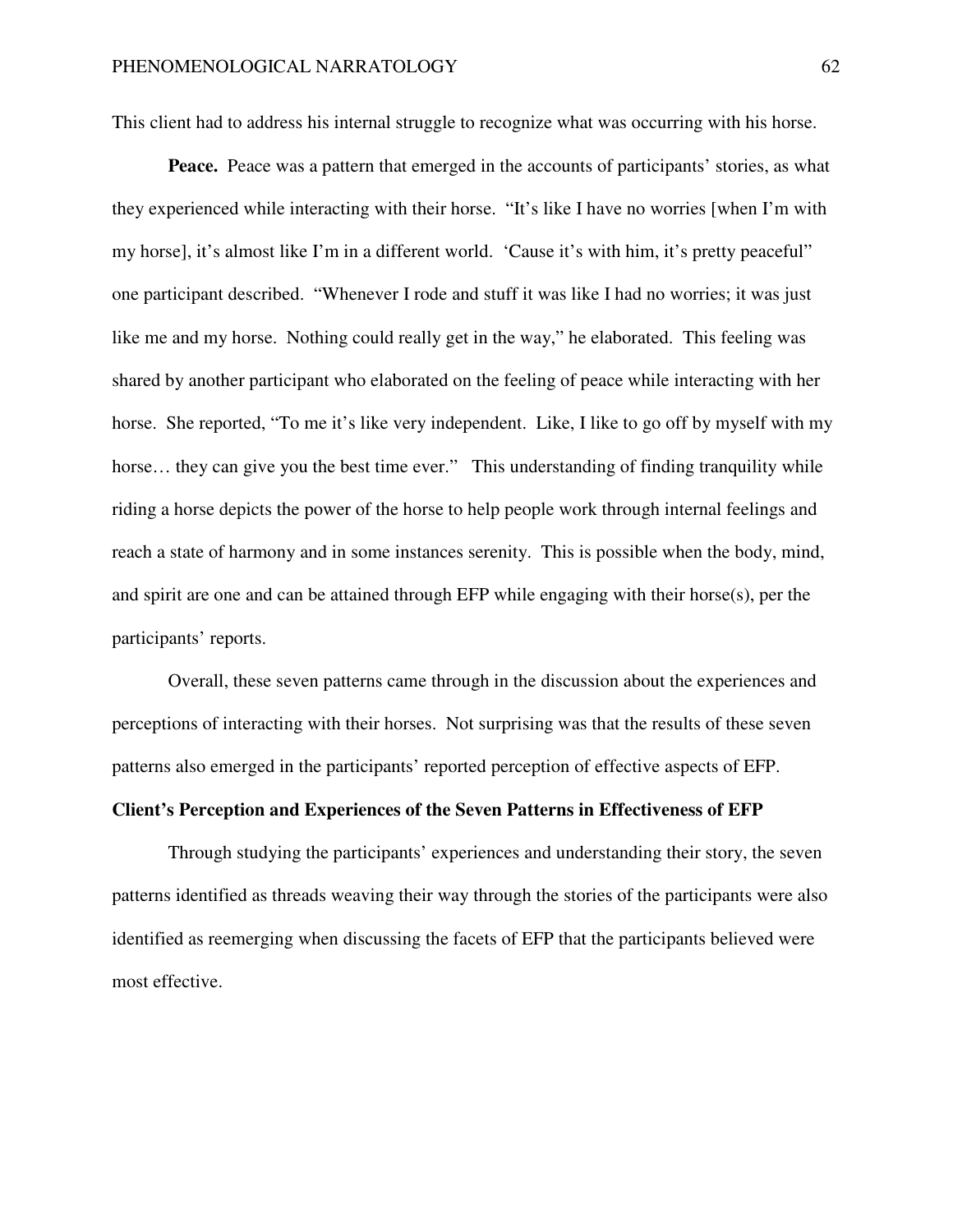This client had to address his internal struggle to recognize what was occurring with his horse.

**Peace.** Peace was a pattern that emerged in the accounts of participants' stories, as what they experienced while interacting with their horse. "It's like I have no worries [when I'm with my horse], it's almost like I'm in a different world. 'Cause it's with him, it's pretty peaceful" one participant described."Whenever I rode and stuff it was like I had no worries; it was just like me and my horse. Nothing could really get in the way," he elaborated. This feeling was shared by another participant who elaborated on the feeling of peace while interacting with her horse. She reported, "To me it's like very independent. Like, I like to go off by myself with my horse... they can give you the best time ever." This understanding of finding tranquility while riding a horse depicts the power of the horse to help people work through internal feelings and reach a state of harmony and in some instances serenity. This is possible when the body, mind, and spirit are one and can be attained through EFP while engaging with their horse(s), per the participants' reports.

 Overall, these seven patterns came through in the discussion about the experiences and perceptions of interacting with their horses. Not surprising was that the results of these seven patterns also emerged in the participants' reported perception of effective aspects of EFP.

## **Client's Perception and Experiences of the Seven Patterns in Effectiveness of EFP**

Through studying the participants' experiences and understanding their story, the seven patterns identified as threads weaving their way through the stories of the participants were also identified as reemerging when discussing the facets of EFP that the participants believed were most effective.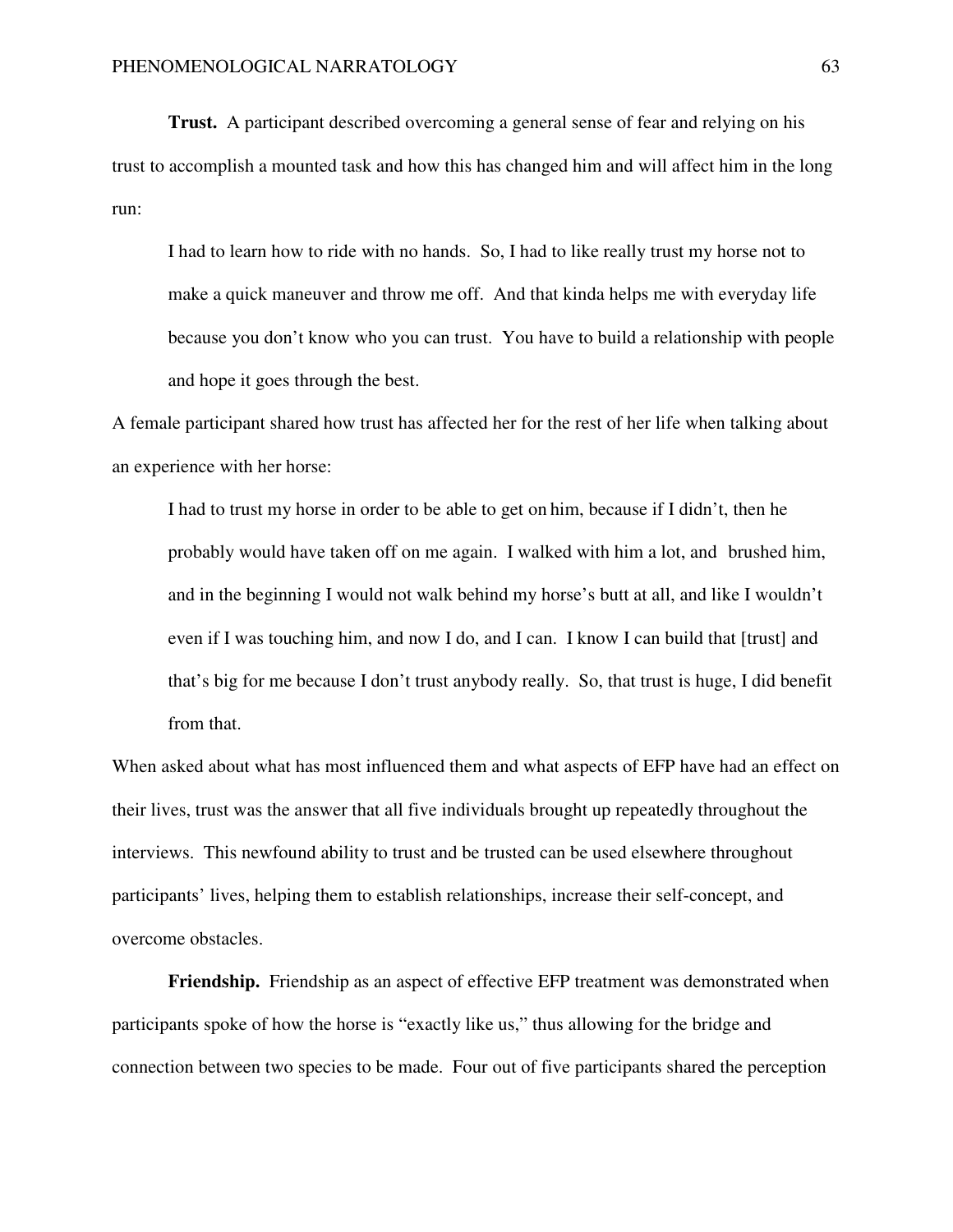**Trust.** A participant described overcoming a general sense of fear and relying on his trust to accomplish a mounted task and how this has changed him and will affect him in the long run:

I had to learn how to ride with no hands. So, I had to like really trust my horse not to make a quick maneuver and throw me off. And that kinda helps me with everyday life because you don't know who you can trust. You have to build a relationship with people and hope it goes through the best.

A female participant shared how trust has affected her for the rest of her life when talking about an experience with her horse:

I had to trust my horse in order to be able to get on him, because if I didn't, then he probably would have taken off on me again. I walked with him a lot, and brushed him, and in the beginning I would not walk behind my horse's butt at all, and like I wouldn't even if I was touching him, and now I do, and I can. I know I can build that [trust] and that's big for me because I don't trust anybody really. So, that trust is huge, I did benefit from that.

When asked about what has most influenced them and what aspects of EFP have had an effect on their lives, trust was the answer that all five individuals brought up repeatedly throughout the interviews. This newfound ability to trust and be trusted can be used elsewhere throughout participants' lives, helping them to establish relationships, increase their self-concept, and overcome obstacles.

**Friendship.** Friendship as an aspect of effective EFP treatment was demonstrated when participants spoke of how the horse is "exactly like us," thus allowing for the bridge and connection between two species to be made. Four out of five participants shared the perception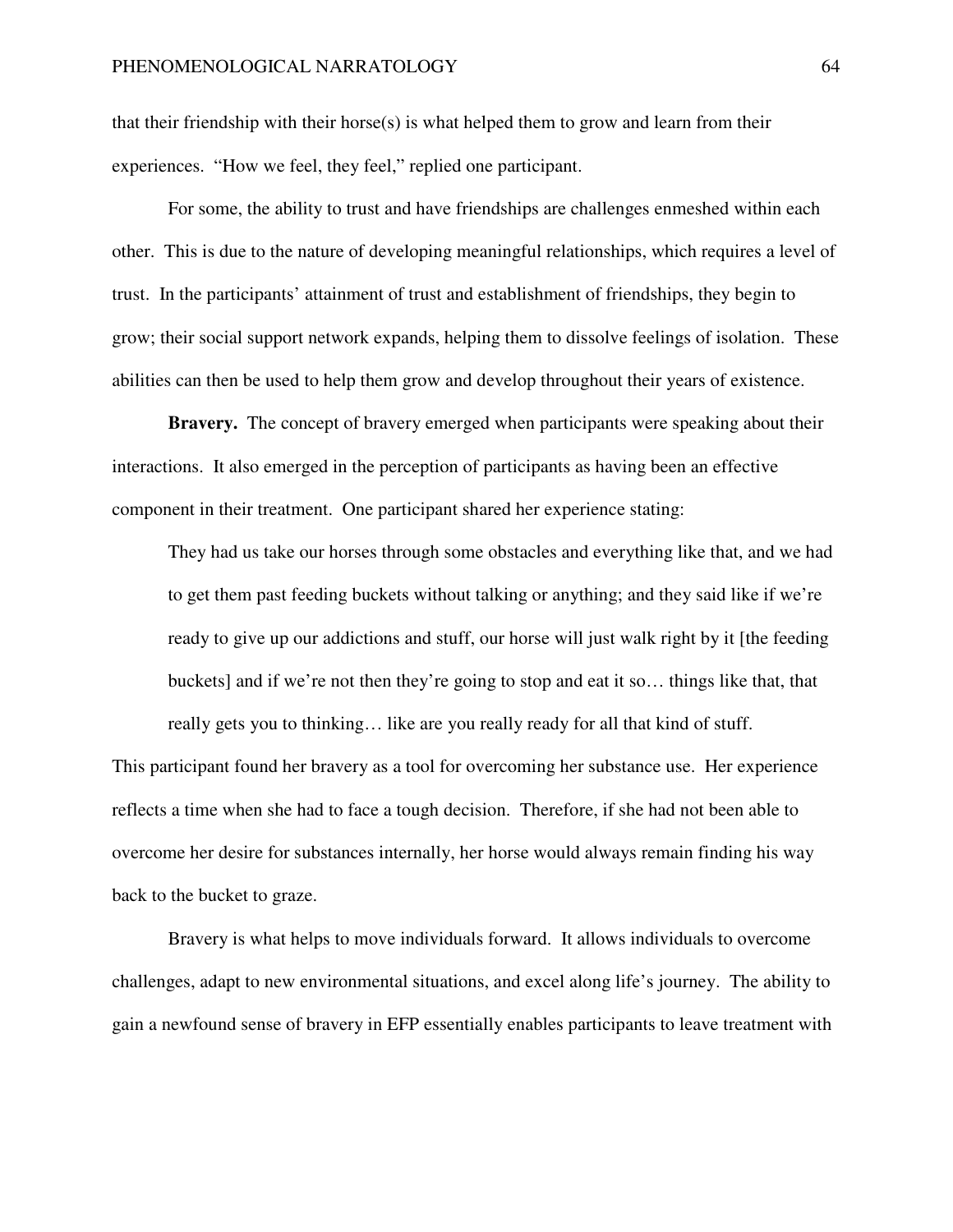that their friendship with their horse(s) is what helped them to grow and learn from their experiences. "How we feel, they feel," replied one participant.

For some, the ability to trust and have friendships are challenges enmeshed within each other. This is due to the nature of developing meaningful relationships, which requires a level of trust. In the participants' attainment of trust and establishment of friendships, they begin to grow; their social support network expands, helping them to dissolve feelings of isolation. These abilities can then be used to help them grow and develop throughout their years of existence.

**Bravery.** The concept of bravery emerged when participants were speaking about their interactions. It also emerged in the perception of participants as having been an effective component in their treatment. One participant shared her experience stating:

They had us take our horses through some obstacles and everything like that, and we had to get them past feeding buckets without talking or anything; and they said like if we're ready to give up our addictions and stuff, our horse will just walk right by it [the feeding buckets] and if we're not then they're going to stop and eat it so… things like that, that really gets you to thinking… like are you really ready for all that kind of stuff.

This participant found her bravery as a tool for overcoming her substance use. Her experience reflects a time when she had to face a tough decision. Therefore, if she had not been able to overcome her desire for substances internally, her horse would always remain finding his way back to the bucket to graze.

 Bravery is what helps to move individuals forward. It allows individuals to overcome challenges, adapt to new environmental situations, and excel along life's journey. The ability to gain a newfound sense of bravery in EFP essentially enables participants to leave treatment with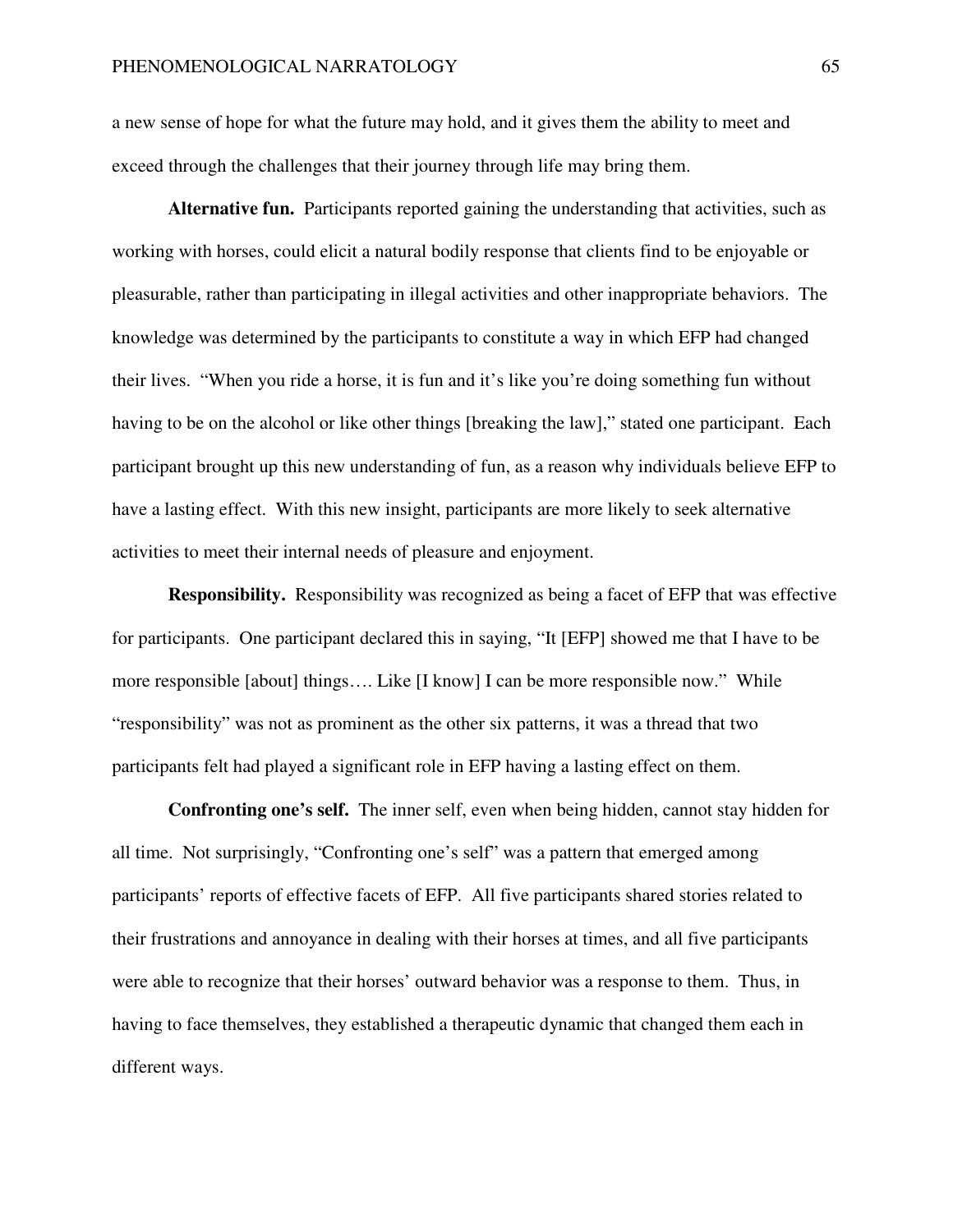a new sense of hope for what the future may hold, and it gives them the ability to meet and exceed through the challenges that their journey through life may bring them.

**Alternative fun.** Participants reported gaining the understanding that activities, such as working with horses, could elicit a natural bodily response that clients find to be enjoyable or pleasurable, rather than participating in illegal activities and other inappropriate behaviors. The knowledge was determined by the participants to constitute a way in which EFP had changed their lives. "When you ride a horse, it is fun and it's like you're doing something fun without having to be on the alcohol or like other things [breaking the law]," stated one participant. Each participant brought up this new understanding of fun, as a reason why individuals believe EFP to have a lasting effect. With this new insight, participants are more likely to seek alternative activities to meet their internal needs of pleasure and enjoyment.

**Responsibility.** Responsibility was recognized as being a facet of EFP that was effective for participants. One participant declared this in saying, "It [EFP] showed me that I have to be more responsible [about] things…. Like [I know] I can be more responsible now."While "responsibility" was not as prominent as the other six patterns, it was a thread that two participants felt had played a significant role in EFP having a lasting effect on them.

**Confronting one's self.** The inner self, even when being hidden, cannot stay hidden for all time. Not surprisingly, "Confronting one's self" was a pattern that emerged among participants' reports of effective facets of EFP. All five participants shared stories related to their frustrations and annoyance in dealing with their horses at times, and all five participants were able to recognize that their horses' outward behavior was a response to them. Thus, in having to face themselves, they established a therapeutic dynamic that changed them each in different ways.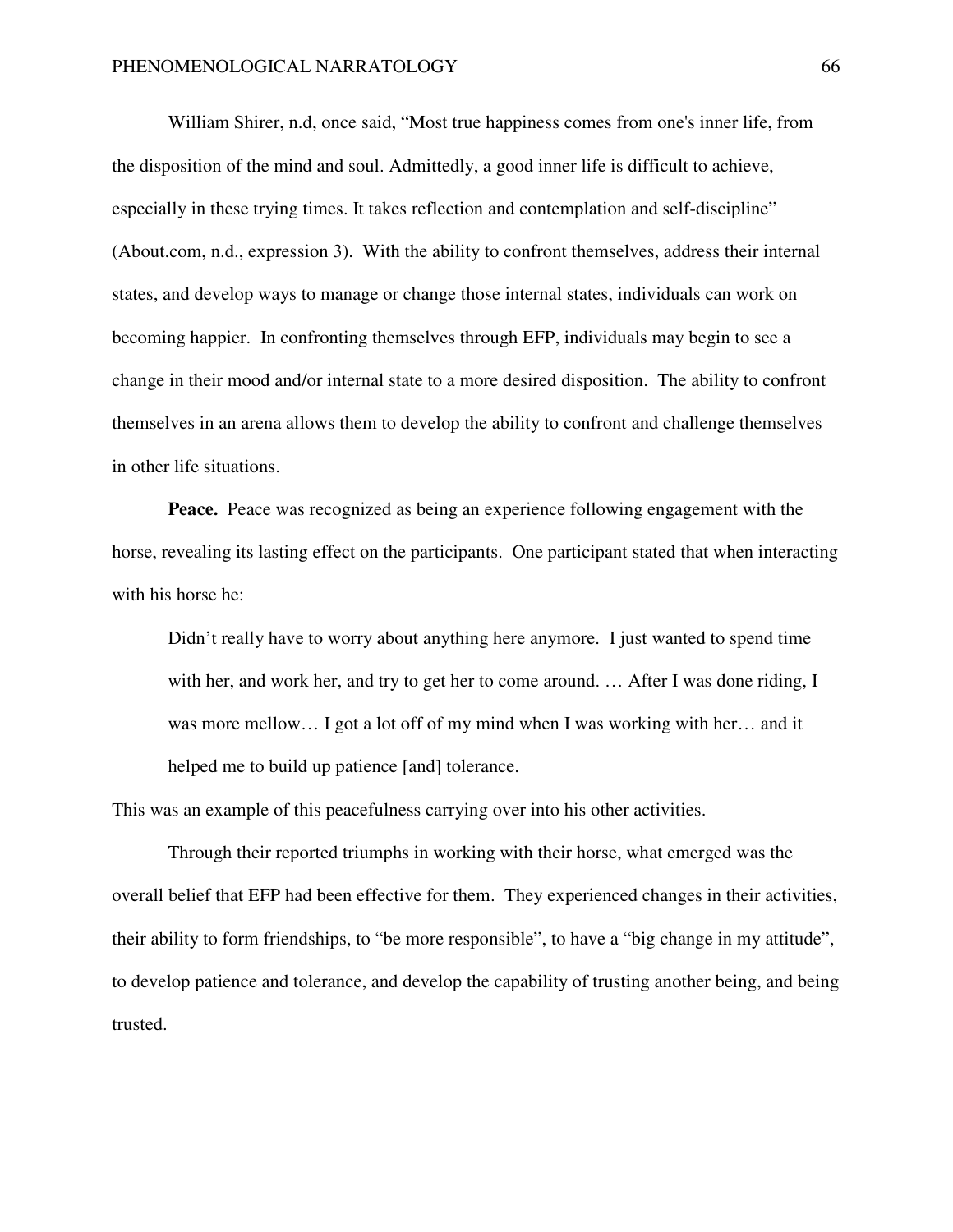William Shirer, n.d, once said, "Most true happiness comes from one's inner life, from the disposition of the mind and soul. Admittedly, a good inner life is difficult to achieve, especially in these trying times. It takes reflection and contemplation and self-discipline" (About.com, n.d., expression 3). With the ability to confront themselves, address their internal states, and develop ways to manage or change those internal states, individuals can work on becoming happier. In confronting themselves through EFP, individuals may begin to see a change in their mood and/or internal state to a more desired disposition. The ability to confront themselves in an arena allows them to develop the ability to confront and challenge themselves in other life situations.

**Peace.** Peace was recognized as being an experience following engagement with the horse, revealing its lasting effect on the participants. One participant stated that when interacting with his horse he:

Didn't really have to worry about anything here anymore. I just wanted to spend time with her, and work her, and try to get her to come around. … After I was done riding, I was more mellow... I got a lot off of my mind when I was working with her... and it helped me to build up patience [and] tolerance.

This was an example of this peacefulness carrying over into his other activities.

Through their reported triumphs in working with their horse, what emerged was the overall belief that EFP had been effective for them. They experienced changes in their activities, their ability to form friendships, to "be more responsible", to have a "big change in my attitude", to develop patience and tolerance, and develop the capability of trusting another being, and being trusted.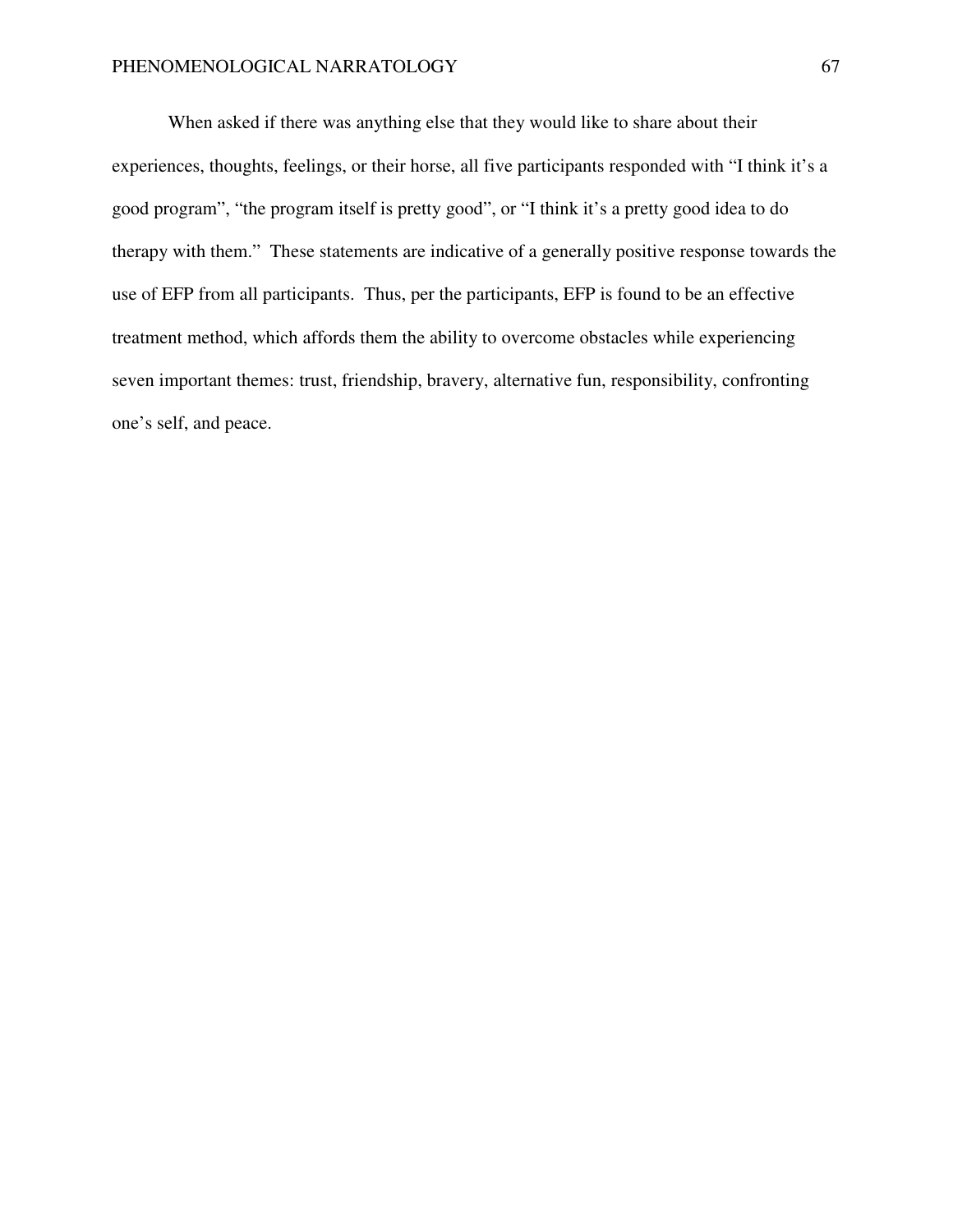When asked if there was anything else that they would like to share about their experiences, thoughts, feelings, or their horse, all five participants responded with "I think it's a good program", "the program itself is pretty good", or "I think it's a pretty good idea to do therapy with them." These statements are indicative of a generally positive response towards the use of EFP from all participants. Thus, per the participants, EFP is found to be an effective treatment method, which affords them the ability to overcome obstacles while experiencing seven important themes: trust, friendship, bravery, alternative fun, responsibility, confronting one's self, and peace.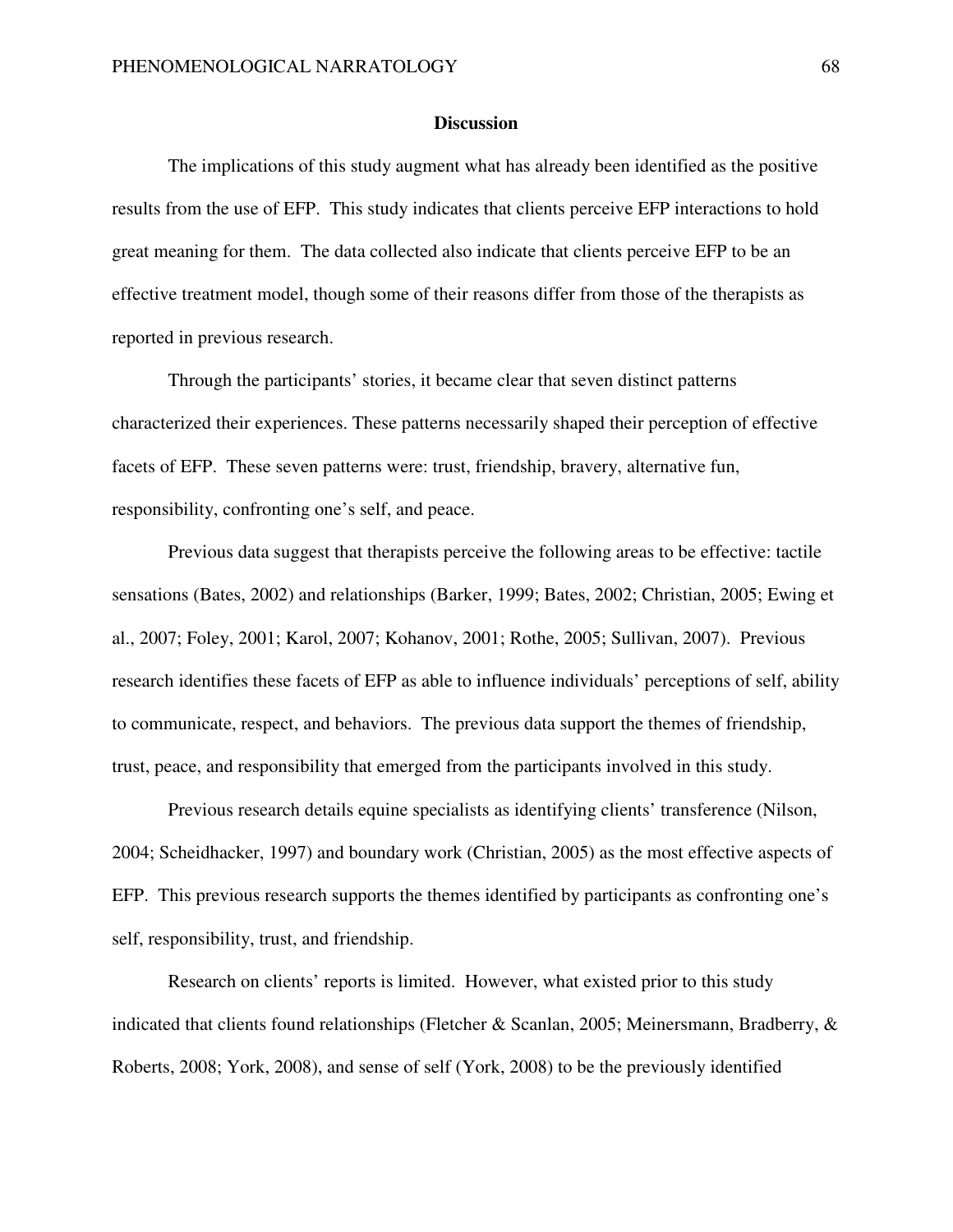#### **Discussion**

The implications of this study augment what has already been identified as the positive results from the use of EFP. This study indicates that clients perceive EFP interactions to hold great meaning for them. The data collected also indicate that clients perceive EFP to be an effective treatment model, though some of their reasons differ from those of the therapists as reported in previous research.

Through the participants' stories, it became clear that seven distinct patterns characterized their experiences. These patterns necessarily shaped their perception of effective facets of EFP. These seven patterns were: trust, friendship, bravery, alternative fun, responsibility, confronting one's self, and peace.

Previous data suggest that therapists perceive the following areas to be effective: tactile sensations (Bates, 2002) and relationships (Barker, 1999; Bates, 2002; Christian, 2005; Ewing et al., 2007; Foley, 2001; Karol, 2007; Kohanov, 2001; Rothe, 2005; Sullivan, 2007). Previous research identifies these facets of EFP as able to influence individuals' perceptions of self, ability to communicate, respect, and behaviors. The previous data support the themes of friendship, trust, peace, and responsibility that emerged from the participants involved in this study.

Previous research details equine specialists as identifying clients' transference (Nilson, 2004; Scheidhacker, 1997) and boundary work (Christian, 2005) as the most effective aspects of EFP. This previous research supports the themes identified by participants as confronting one's self, responsibility, trust, and friendship.

Research on clients' reports is limited. However, what existed prior to this study indicated that clients found relationships (Fletcher & Scanlan, 2005; Meinersmann, Bradberry, & Roberts, 2008; York, 2008), and sense of self (York, 2008) to be the previously identified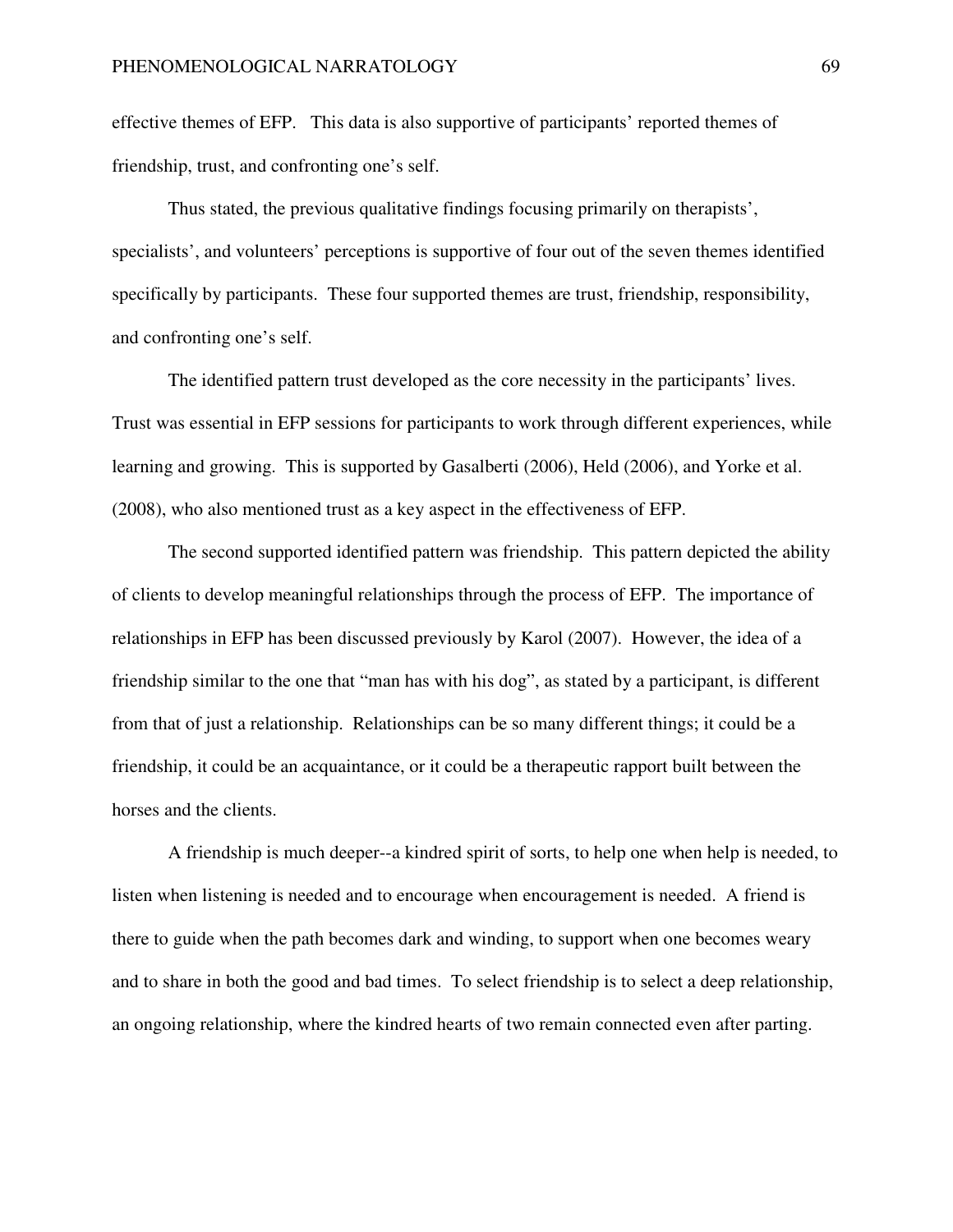effective themes of EFP. This data is also supportive of participants' reported themes of friendship, trust, and confronting one's self.

Thus stated, the previous qualitative findings focusing primarily on therapists', specialists', and volunteers' perceptions is supportive of four out of the seven themes identified specifically by participants. These four supported themes are trust, friendship, responsibility, and confronting one's self.

The identified pattern trust developed as the core necessity in the participants' lives. Trust was essential in EFP sessions for participants to work through different experiences, while learning and growing. This is supported by Gasalberti (2006), Held (2006), and Yorke et al. (2008), who also mentioned trust as a key aspect in the effectiveness of EFP.

The second supported identified pattern was friendship. This pattern depicted the ability of clients to develop meaningful relationships through the process of EFP. The importance of relationships in EFP has been discussed previously by Karol (2007). However, the idea of a friendship similar to the one that "man has with his dog", as stated by a participant, is different from that of just a relationship. Relationships can be so many different things; it could be a friendship, it could be an acquaintance, or it could be a therapeutic rapport built between the horses and the clients.

A friendship is much deeper--a kindred spirit of sorts, to help one when help is needed, to listen when listening is needed and to encourage when encouragement is needed. A friend is there to guide when the path becomes dark and winding, to support when one becomes weary and to share in both the good and bad times. To select friendship is to select a deep relationship, an ongoing relationship, where the kindred hearts of two remain connected even after parting.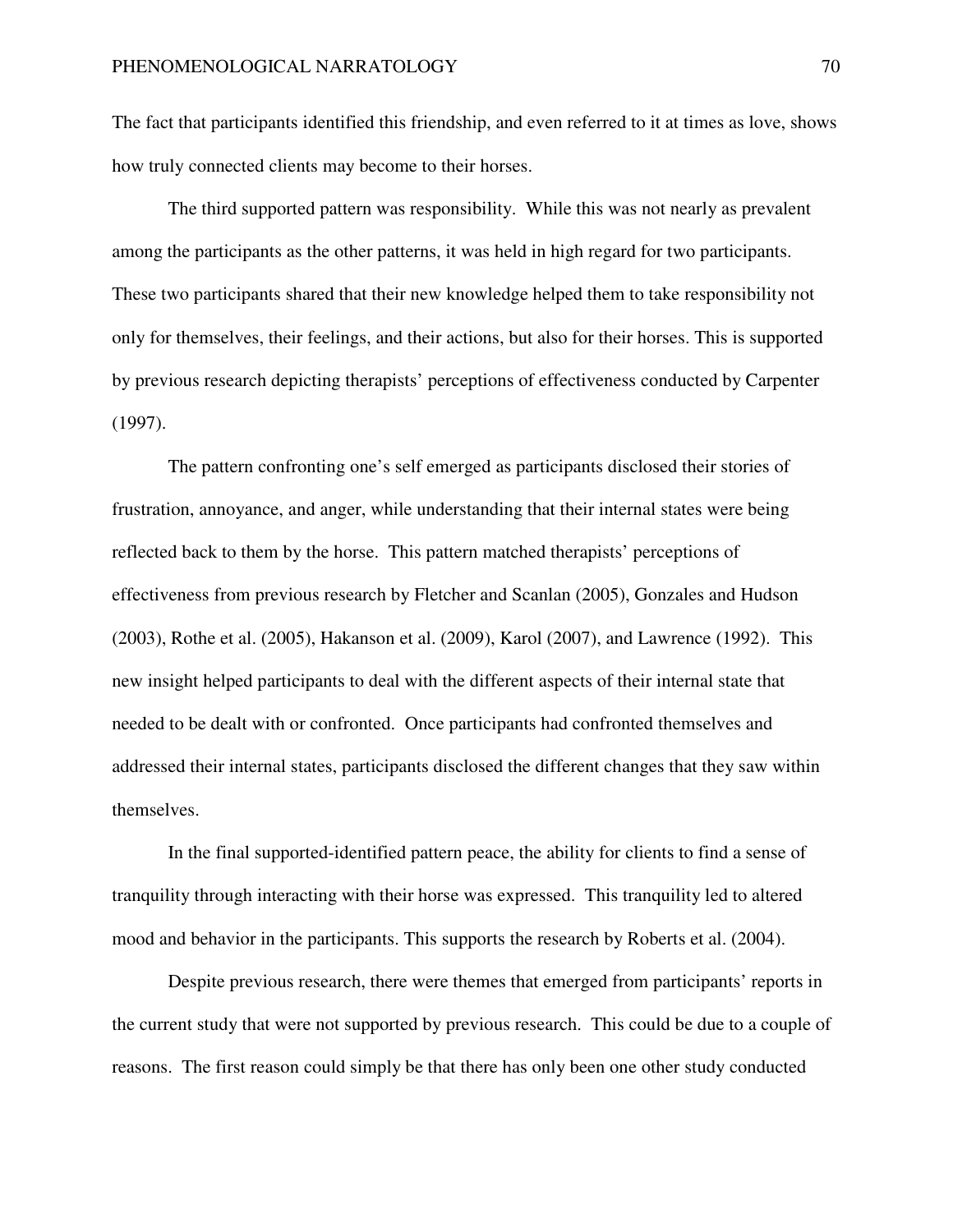The fact that participants identified this friendship, and even referred to it at times as love, shows how truly connected clients may become to their horses.

The third supported pattern was responsibility. While this was not nearly as prevalent among the participants as the other patterns, it was held in high regard for two participants. These two participants shared that their new knowledge helped them to take responsibility not only for themselves, their feelings, and their actions, but also for their horses. This is supported by previous research depicting therapists' perceptions of effectiveness conducted by Carpenter (1997).

The pattern confronting one's self emerged as participants disclosed their stories of frustration, annoyance, and anger, while understanding that their internal states were being reflected back to them by the horse. This pattern matched therapists' perceptions of effectiveness from previous research by Fletcher and Scanlan (2005), Gonzales and Hudson (2003), Rothe et al. (2005), Hakanson et al. (2009), Karol (2007), and Lawrence (1992). This new insight helped participants to deal with the different aspects of their internal state that needed to be dealt with or confronted. Once participants had confronted themselves and addressed their internal states, participants disclosed the different changes that they saw within themselves.

In the final supported-identified pattern peace, the ability for clients to find a sense of tranquility through interacting with their horse was expressed. This tranquility led to altered mood and behavior in the participants. This supports the research by Roberts et al. (2004).

Despite previous research, there were themes that emerged from participants' reports in the current study that were not supported by previous research. This could be due to a couple of reasons. The first reason could simply be that there has only been one other study conducted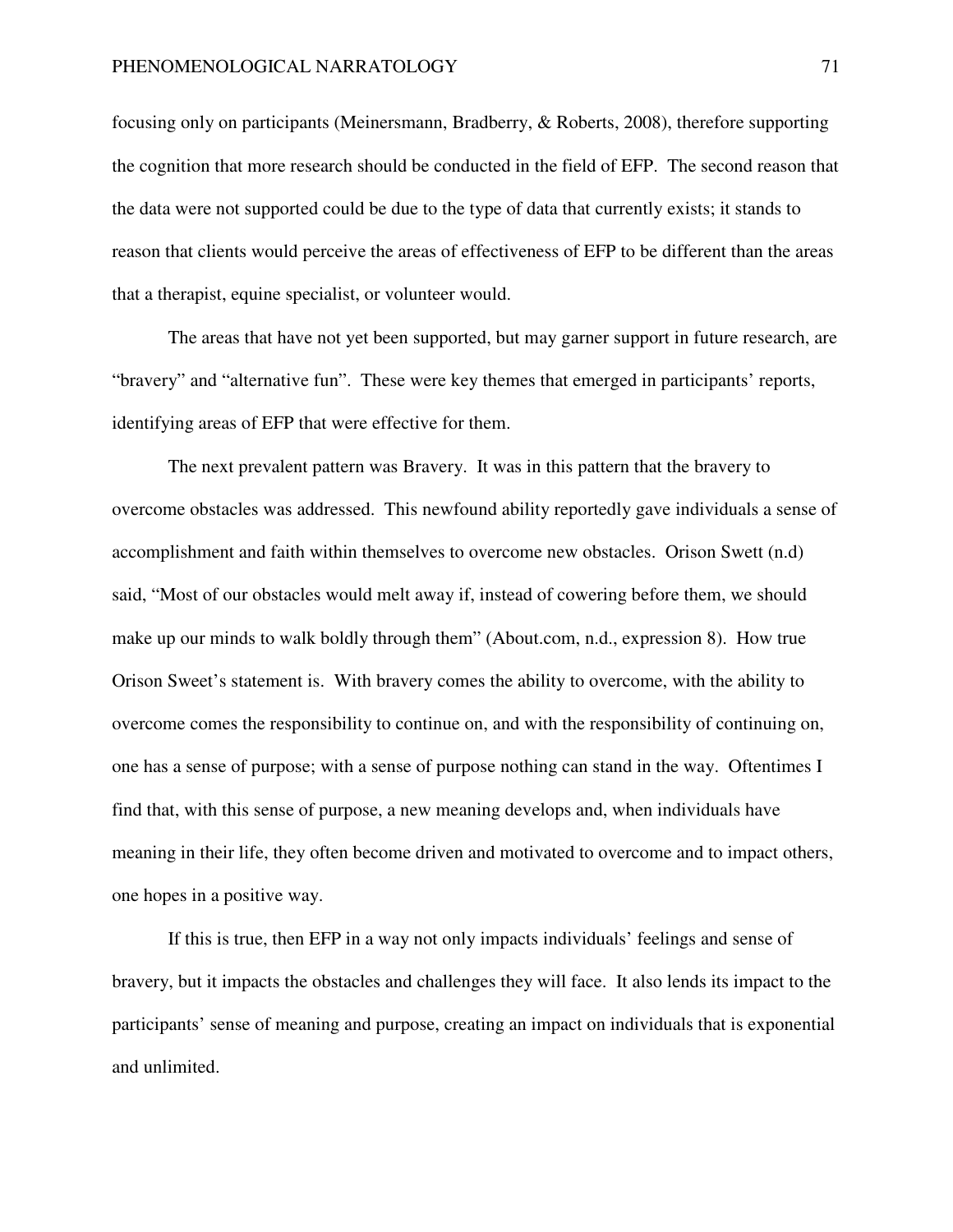focusing only on participants (Meinersmann, Bradberry, & Roberts, 2008), therefore supporting the cognition that more research should be conducted in the field of EFP. The second reason that the data were not supported could be due to the type of data that currently exists; it stands to reason that clients would perceive the areas of effectiveness of EFP to be different than the areas that a therapist, equine specialist, or volunteer would.

The areas that have not yet been supported, but may garner support in future research, are "bravery" and "alternative fun". These were key themes that emerged in participants' reports, identifying areas of EFP that were effective for them.

The next prevalent pattern was Bravery. It was in this pattern that the bravery to overcome obstacles was addressed. This newfound ability reportedly gave individuals a sense of accomplishment and faith within themselves to overcome new obstacles. Orison Swett (n.d) said, "Most of our obstacles would melt away if, instead of cowering before them, we should make up our minds to walk boldly through them" (About.com, n.d., expression 8). How true Orison Sweet's statement is. With bravery comes the ability to overcome, with the ability to overcome comes the responsibility to continue on, and with the responsibility of continuing on, one has a sense of purpose; with a sense of purpose nothing can stand in the way. Oftentimes I find that, with this sense of purpose, a new meaning develops and, when individuals have meaning in their life, they often become driven and motivated to overcome and to impact others, one hopes in a positive way.

 If this is true, then EFP in a way not only impacts individuals' feelings and sense of bravery, but it impacts the obstacles and challenges they will face. It also lends its impact to the participants' sense of meaning and purpose, creating an impact on individuals that is exponential and unlimited.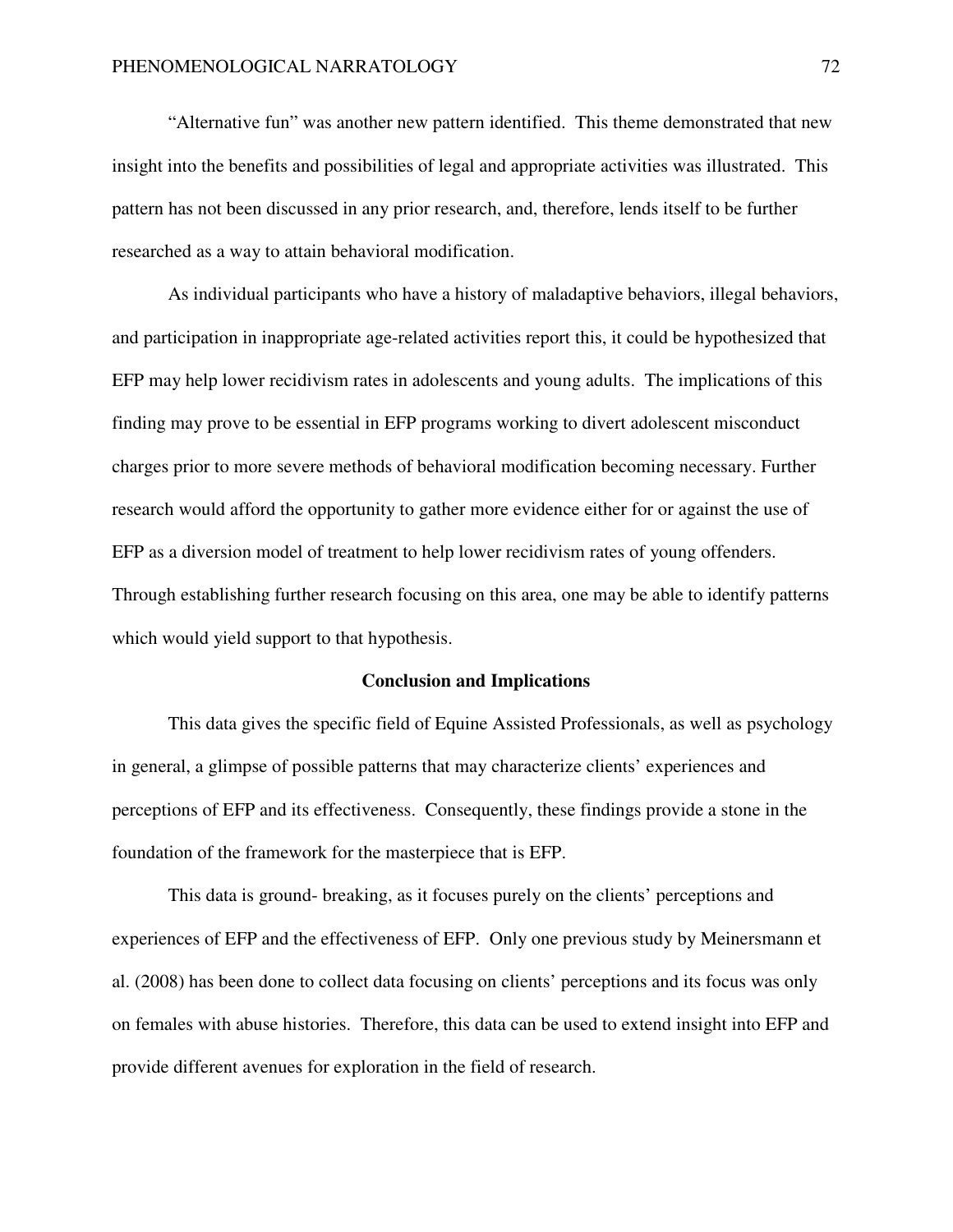"Alternative fun" was another new pattern identified. This theme demonstrated that new insight into the benefits and possibilities of legal and appropriate activities was illustrated. This pattern has not been discussed in any prior research, and, therefore, lends itself to be further researched as a way to attain behavioral modification.

As individual participants who have a history of maladaptive behaviors, illegal behaviors, and participation in inappropriate age-related activities report this, it could be hypothesized that EFP may help lower recidivism rates in adolescents and young adults. The implications of this finding may prove to be essential in EFP programs working to divert adolescent misconduct charges prior to more severe methods of behavioral modification becoming necessary. Further research would afford the opportunity to gather more evidence either for or against the use of EFP as a diversion model of treatment to help lower recidivism rates of young offenders. Through establishing further research focusing on this area, one may be able to identify patterns which would yield support to that hypothesis.

#### **Conclusion and Implications**

This data gives the specific field of Equine Assisted Professionals, as well as psychology in general, a glimpse of possible patterns that may characterize clients' experiences and perceptions of EFP and its effectiveness. Consequently, these findings provide a stone in the foundation of the framework for the masterpiece that is EFP.

This data is ground- breaking, as it focuses purely on the clients' perceptions and experiences of EFP and the effectiveness of EFP. Only one previous study by Meinersmann et al. (2008) has been done to collect data focusing on clients' perceptions and its focus was only on females with abuse histories. Therefore, this data can be used to extend insight into EFP and provide different avenues for exploration in the field of research.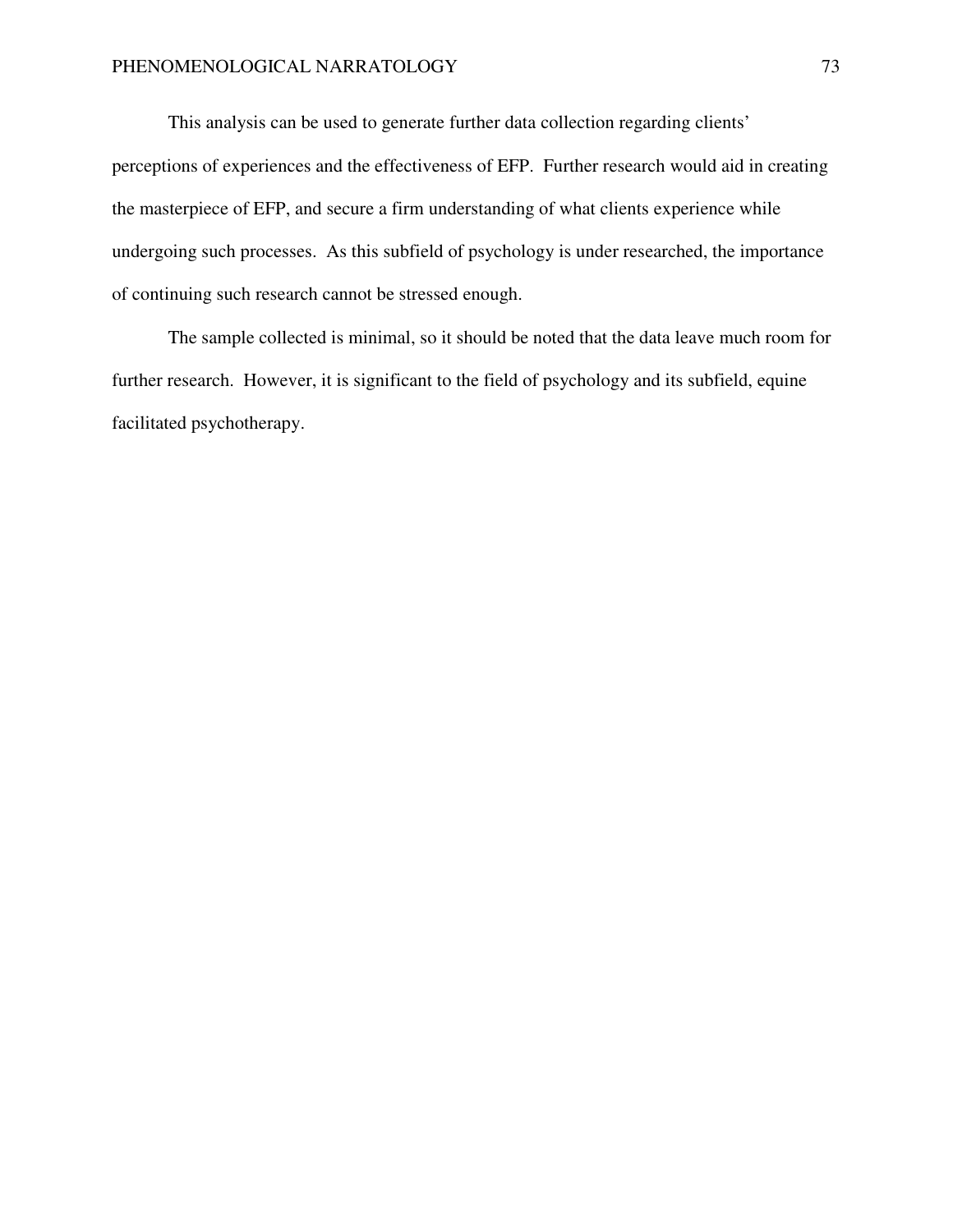This analysis can be used to generate further data collection regarding clients' perceptions of experiences and the effectiveness of EFP. Further research would aid in creating the masterpiece of EFP, and secure a firm understanding of what clients experience while undergoing such processes. As this subfield of psychology is under researched, the importance of continuing such research cannot be stressed enough.

The sample collected is minimal, so it should be noted that the data leave much room for further research. However, it is significant to the field of psychology and its subfield, equine facilitated psychotherapy.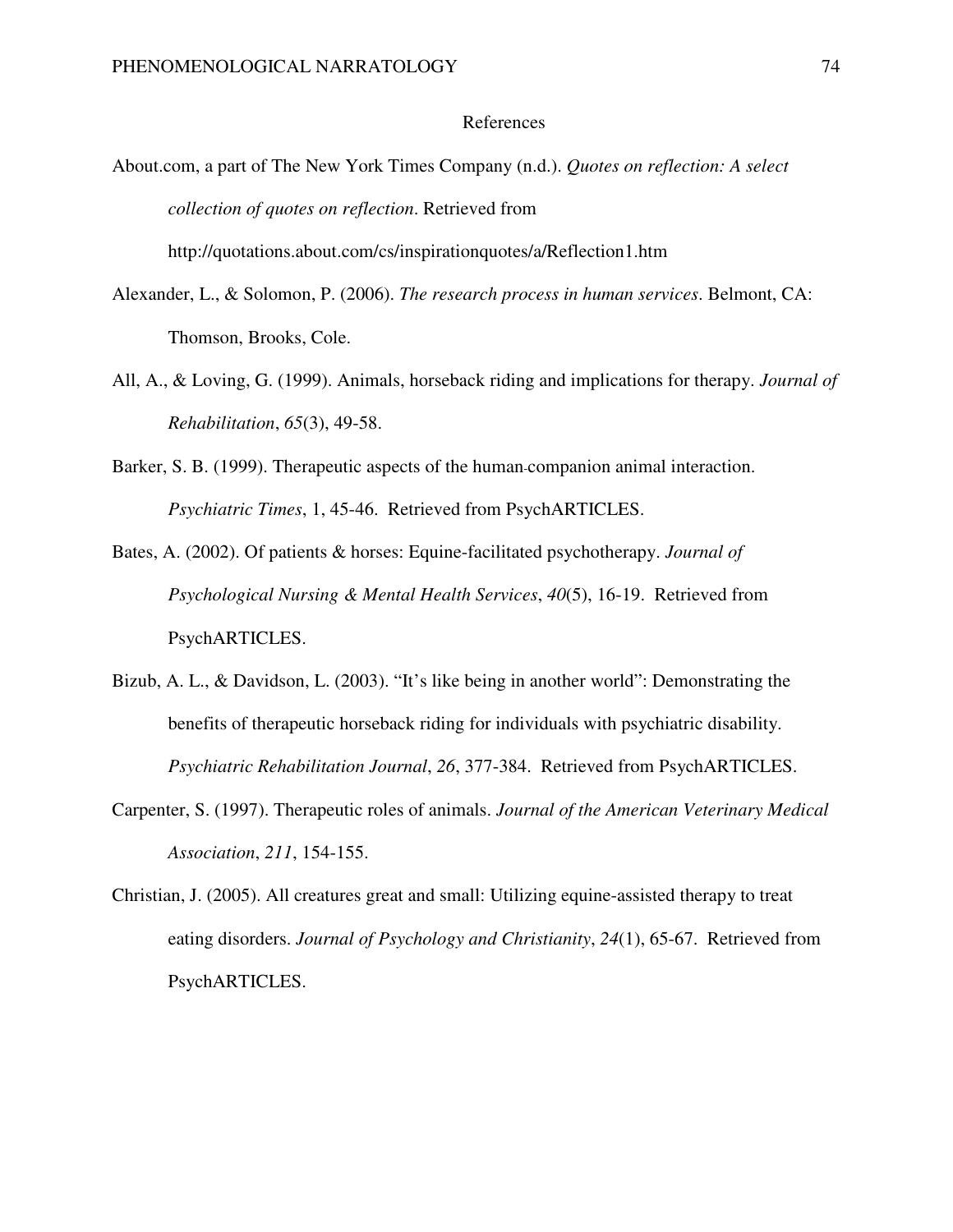#### References

About.com, a part of The New York Times Company (n.d.). *Quotes on reflection: A select collection of quotes on reflection*. Retrieved from

http://quotations.about.com/cs/inspirationquotes/a/Reflection1.htm

- Alexander, L., & Solomon, P. (2006). *The research process in human services*. Belmont, CA: Thomson, Brooks, Cole.
- All, A., & Loving, G. (1999). Animals, horseback riding and implications for therapy. *Journal of Rehabilitation*, *65*(3), 49-58.
- Barker, S. B. (1999). Therapeutic aspects of the human-companion animal interaction. *Psychiatric Times*, 1, 45-46. Retrieved from PsychARTICLES.
- Bates, A. (2002). Of patients & horses: Equine-facilitated psychotherapy. *Journal of Psychological Nursing & Mental Health Services*, *40*(5), 16-19. Retrieved from PsychARTICLES.
- Bizub, A. L., & Davidson, L. (2003). "It's like being in another world": Demonstrating the benefits of therapeutic horseback riding for individuals with psychiatric disability. *Psychiatric Rehabilitation Journal*, *26*, 377-384. Retrieved from PsychARTICLES.
- Carpenter, S. (1997). Therapeutic roles of animals. *Journal of the American Veterinary Medical Association*, *211*, 154-155.
- Christian, J. (2005). All creatures great and small: Utilizing equine-assisted therapy to treat eating disorders. *Journal of Psychology and Christianity*, *24*(1), 65-67. Retrieved from PsychARTICLES.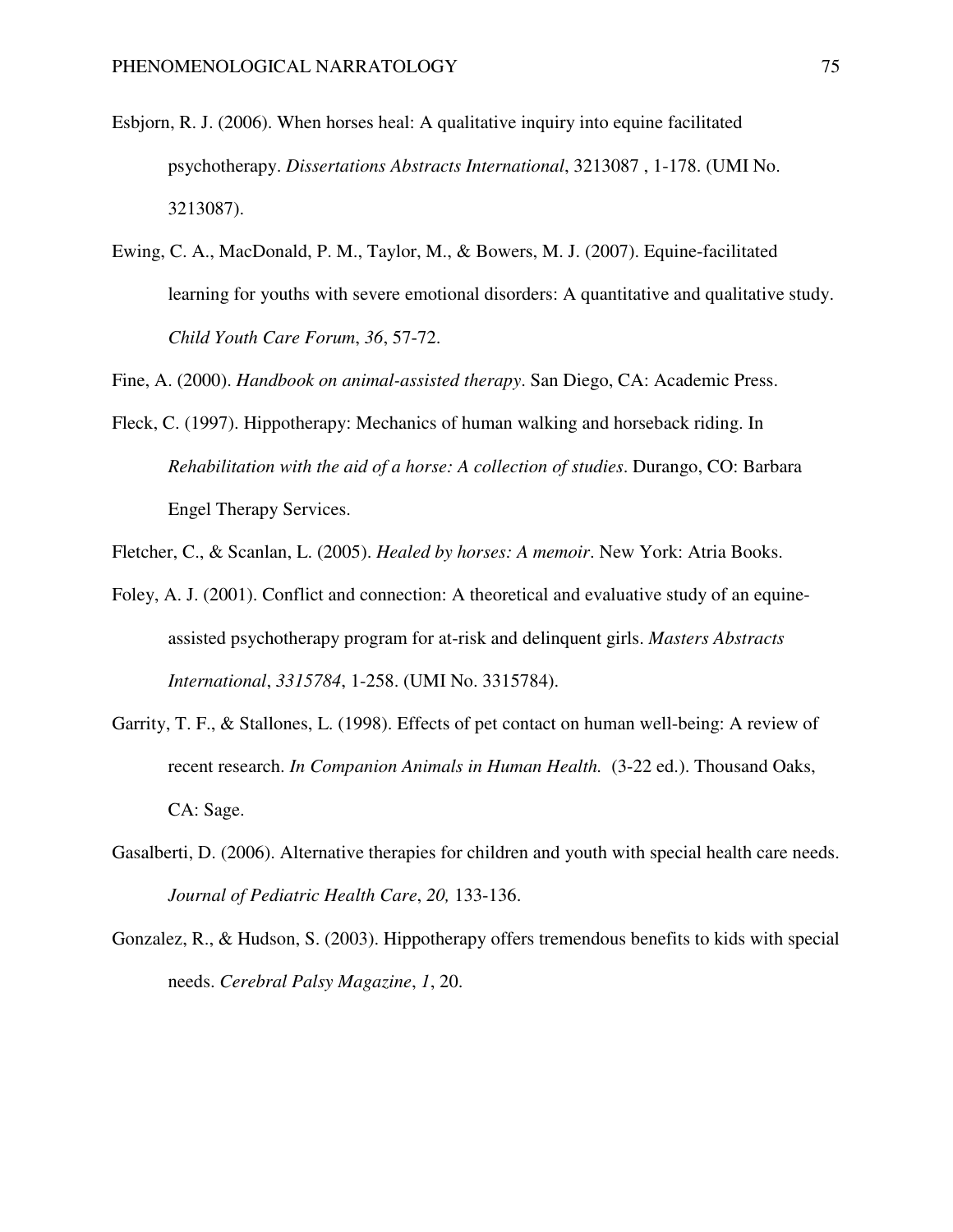- Esbjorn, R. J. (2006). When horses heal: A qualitative inquiry into equine facilitated psychotherapy. *Dissertations Abstracts International*, 3213087 , 1-178. (UMI No. 3213087).
- Ewing, C. A., MacDonald, P. M., Taylor, M., & Bowers, M. J. (2007). Equine-facilitated learning for youths with severe emotional disorders: A quantitative and qualitative study. *Child Youth Care Forum*, *36*, 57-72.

Fine, A. (2000). *Handbook on animal-assisted therapy*. San Diego, CA: Academic Press.

Fleck, C. (1997). Hippotherapy: Mechanics of human walking and horseback riding. In *Rehabilitation with the aid of a horse: A collection of studies*. Durango, CO: Barbara Engel Therapy Services.

Fletcher, C., & Scanlan, L. (2005). *Healed by horses: A memoir*. New York: Atria Books.

- Foley, A. J. (2001). Conflict and connection: A theoretical and evaluative study of an equineassisted psychotherapy program for at-risk and delinquent girls. *Masters Abstracts International*, *3315784*, 1-258. (UMI No. 3315784).
- Garrity, T. F., & Stallones, L. (1998). Effects of pet contact on human well-being: A review of recent research. *In Companion Animals in Human Health.* (3-22 ed.). Thousand Oaks, CA: Sage.
- Gasalberti, D. (2006). Alternative therapies for children and youth with special health care needs. *Journal of Pediatric Health Care*, *20,* 133-136.
- Gonzalez, R., & Hudson, S. (2003). Hippotherapy offers tremendous benefits to kids with special needs. *Cerebral Palsy Magazine*, *1*, 20.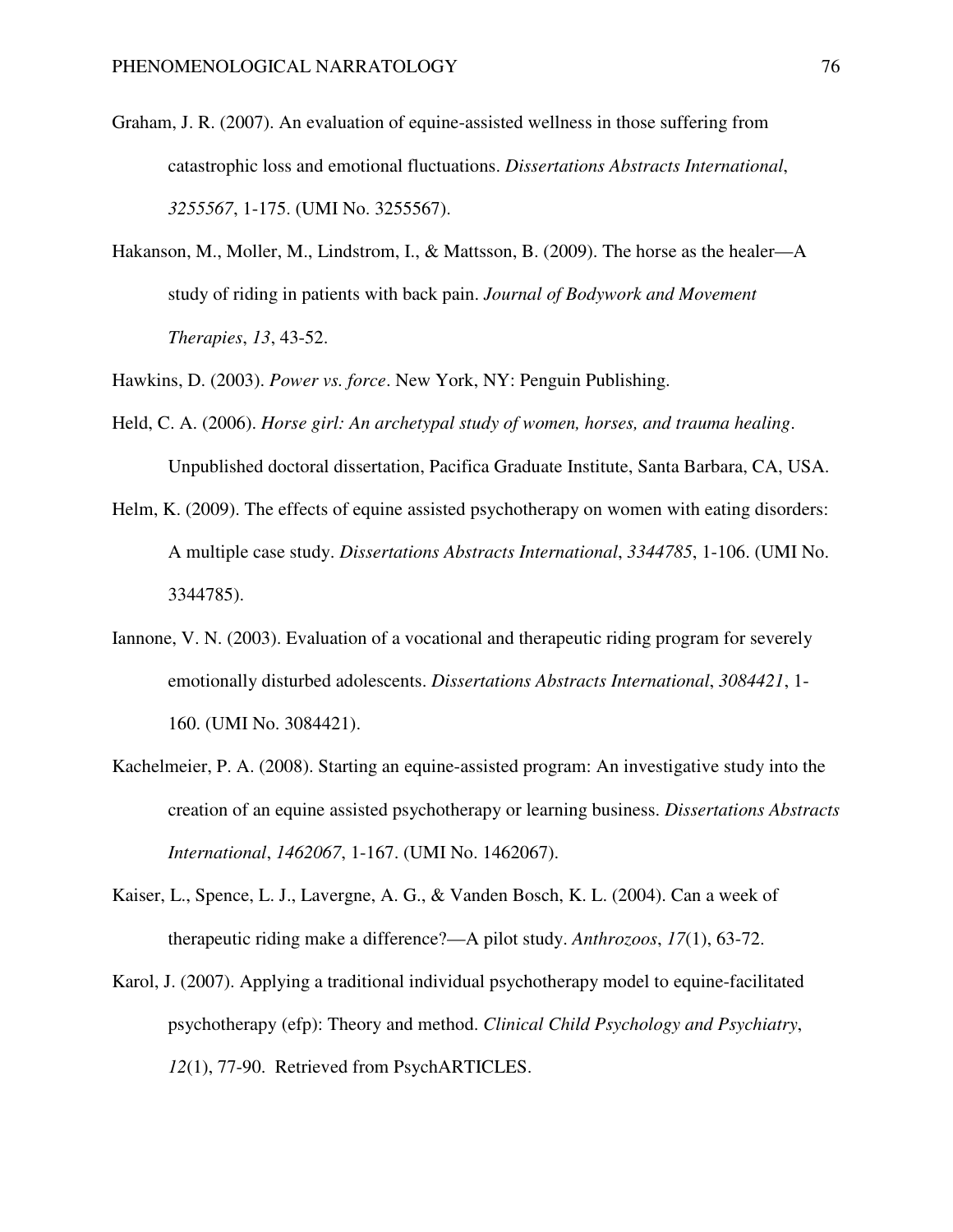- Graham, J. R. (2007). An evaluation of equine-assisted wellness in those suffering from catastrophic loss and emotional fluctuations. *Dissertations Abstracts International*, *3255567*, 1-175. (UMI No. 3255567).
- Hakanson, M., Moller, M., Lindstrom, I., & Mattsson, B. (2009). The horse as the healer—A study of riding in patients with back pain. *Journal of Bodywork and Movement Therapies*, *13*, 43-52.

Hawkins, D. (2003). *Power vs. force*. New York, NY: Penguin Publishing.

- Held, C. A. (2006). *Horse girl: An archetypal study of women, horses, and trauma healing*. Unpublished doctoral dissertation, Pacifica Graduate Institute, Santa Barbara, CA, USA.
- Helm, K. (2009). The effects of equine assisted psychotherapy on women with eating disorders: A multiple case study. *Dissertations Abstracts International*, *3344785*, 1-106. (UMI No. 3344785).
- Iannone, V. N. (2003). Evaluation of a vocational and therapeutic riding program for severely emotionally disturbed adolescents. *Dissertations Abstracts International*, *3084421*, 1- 160. (UMI No. 3084421).
- Kachelmeier, P. A. (2008). Starting an equine-assisted program: An investigative study into the creation of an equine assisted psychotherapy or learning business. *Dissertations Abstracts International*, *1462067*, 1-167. (UMI No. 1462067).
- Kaiser, L., Spence, L. J., Lavergne, A. G., & Vanden Bosch, K. L. (2004). Can a week of therapeutic riding make a difference?—A pilot study. *Anthrozoos*, *17*(1), 63-72.
- Karol, J. (2007). Applying a traditional individual psychotherapy model to equine-facilitated psychotherapy (efp): Theory and method. *Clinical Child Psychology and Psychiatry*, *12*(1), 77-90. Retrieved from PsychARTICLES.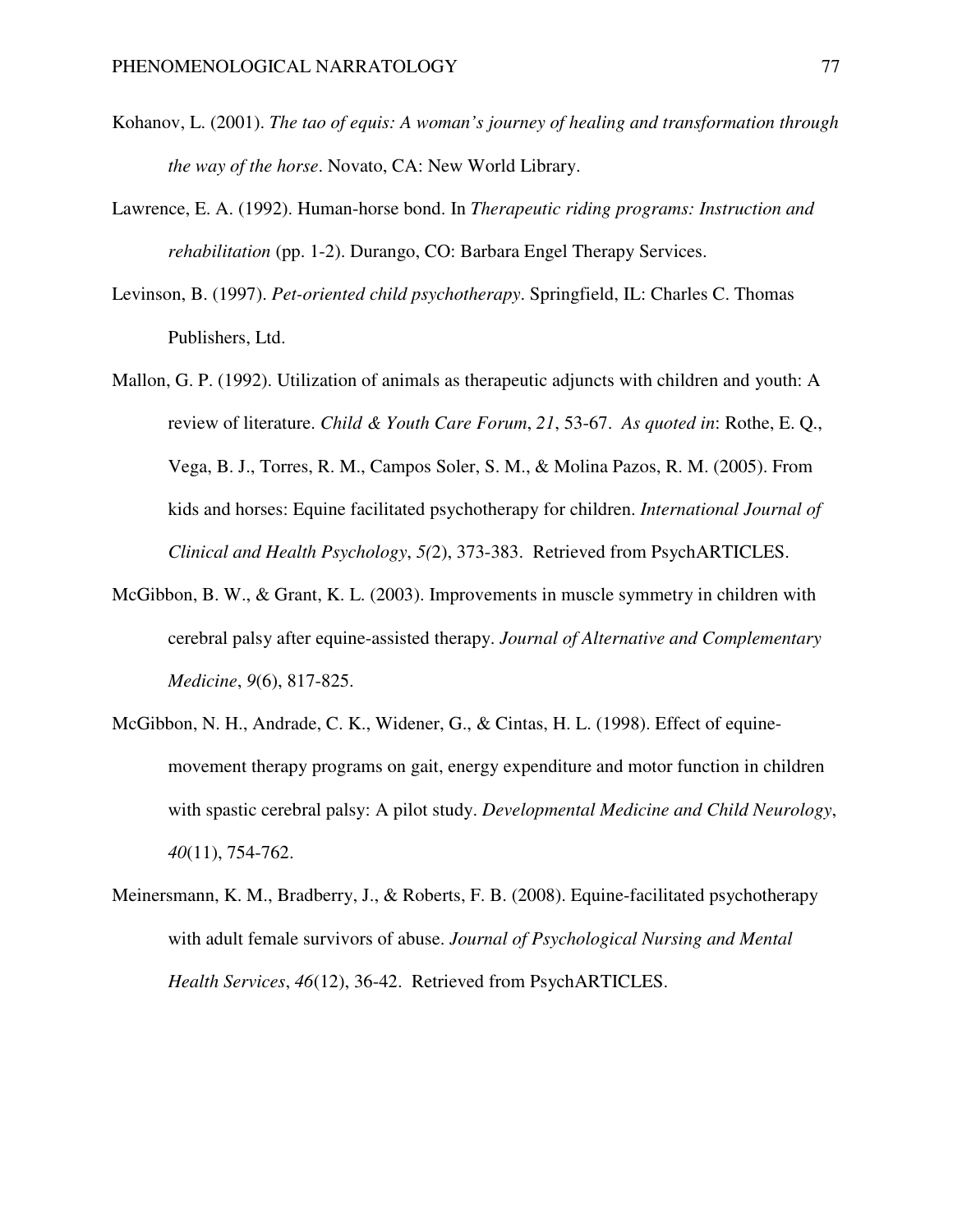- Kohanov, L. (2001). *The tao of equis: A woman's journey of healing and transformation through the way of the horse*. Novato, CA: New World Library.
- Lawrence, E. A. (1992). Human-horse bond. In *Therapeutic riding programs: Instruction and rehabilitation* (pp. 1-2). Durango, CO: Barbara Engel Therapy Services.
- Levinson, B. (1997). *Pet-oriented child psychotherapy*. Springfield, IL: Charles C. Thomas Publishers, Ltd.
- Mallon, G. P. (1992). Utilization of animals as therapeutic adjuncts with children and youth: A review of literature. *Child & Youth Care Forum*, *21*, 53-67. *As quoted in*: Rothe, E. Q., Vega, B. J., Torres, R. M., Campos Soler, S. M., & Molina Pazos, R. M. (2005). From kids and horses: Equine facilitated psychotherapy for children. *International Journal of Clinical and Health Psychology*, *5(*2), 373-383. Retrieved from PsychARTICLES.
- McGibbon, B. W., & Grant, K. L. (2003). Improvements in muscle symmetry in children with cerebral palsy after equine-assisted therapy. *Journal of Alternative and Complementary Medicine*, *9*(6), 817-825.
- McGibbon, N. H., Andrade, C. K., Widener, G., & Cintas, H. L. (1998). Effect of equinemovement therapy programs on gait, energy expenditure and motor function in children with spastic cerebral palsy: A pilot study. *Developmental Medicine and Child Neurology*, *40*(11), 754-762.
- Meinersmann, K. M., Bradberry, J., & Roberts, F. B. (2008). Equine-facilitated psychotherapy with adult female survivors of abuse. *Journal of Psychological Nursing and Mental Health Services*, *46*(12), 36-42. Retrieved from PsychARTICLES.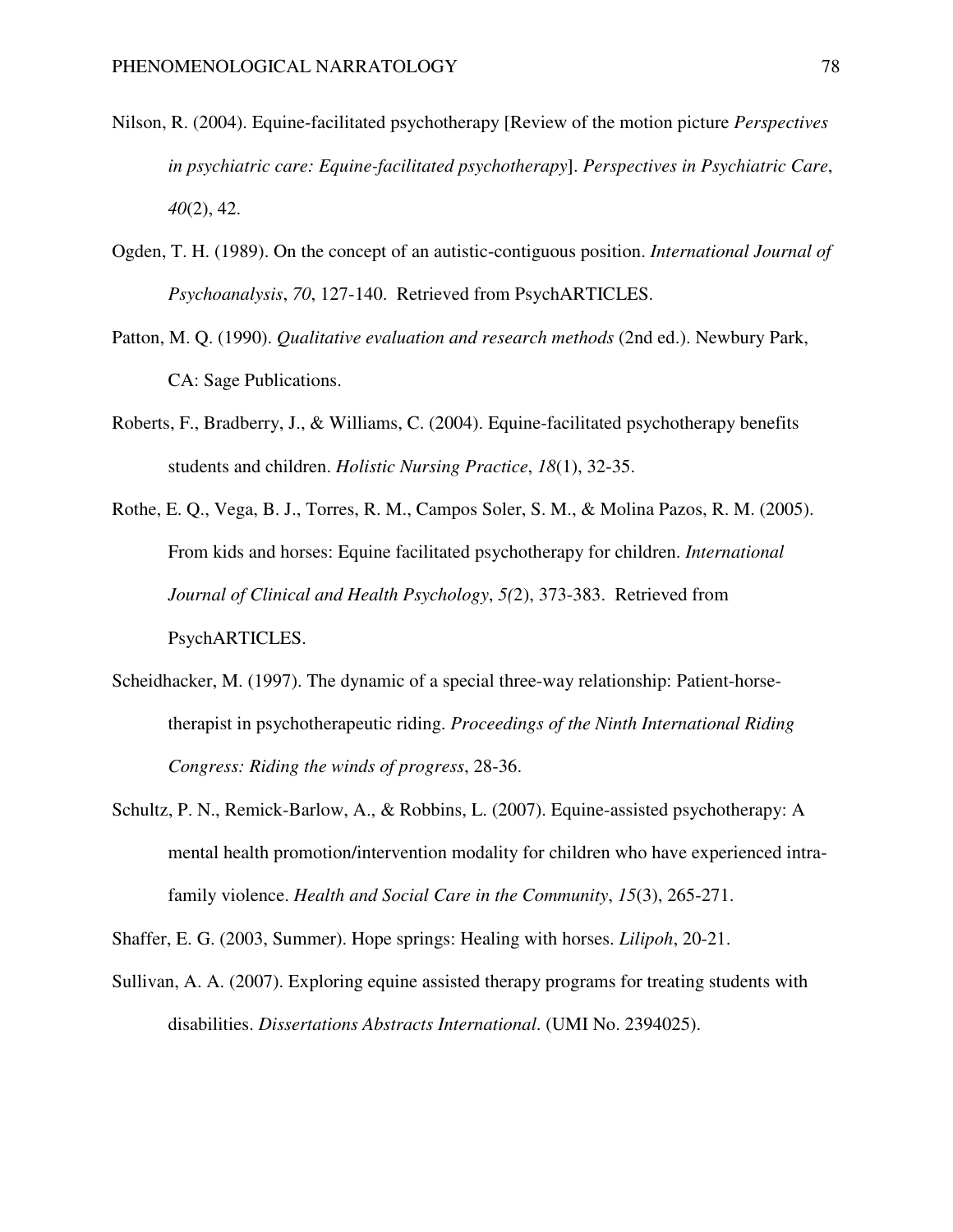- Nilson, R. (2004). Equine-facilitated psychotherapy [Review of the motion picture *Perspectives in psychiatric care: Equine-facilitated psychotherapy*]. *Perspectives in Psychiatric Care*, *40*(2), 42.
- Ogden, T. H. (1989). On the concept of an autistic-contiguous position. *International Journal of Psychoanalysis*, *70*, 127-140. Retrieved from PsychARTICLES.
- Patton, M. Q. (1990). *Qualitative evaluation and research methods* (2nd ed.). Newbury Park, CA: Sage Publications.
- Roberts, F., Bradberry, J., & Williams, C. (2004). Equine-facilitated psychotherapy benefits students and children. *Holistic Nursing Practice*, *18*(1), 32-35.
- Rothe, E. Q., Vega, B. J., Torres, R. M., Campos Soler, S. M., & Molina Pazos, R. M. (2005). From kids and horses: Equine facilitated psychotherapy for children. *International Journal of Clinical and Health Psychology*, *5(*2), 373-383. Retrieved from PsychARTICLES.
- Scheidhacker, M. (1997). The dynamic of a special three-way relationship: Patient-horsetherapist in psychotherapeutic riding. *Proceedings of the Ninth International Riding Congress: Riding the winds of progress*, 28-36.
- Schultz, P. N., Remick-Barlow, A., & Robbins, L. (2007). Equine-assisted psychotherapy: A mental health promotion/intervention modality for children who have experienced intrafamily violence. *Health and Social Care in the Community*, *15*(3), 265-271.

Shaffer, E. G. (2003, Summer). Hope springs: Healing with horses. *Lilipoh*, 20-21.

Sullivan, A. A. (2007). Exploring equine assisted therapy programs for treating students with disabilities. *Dissertations Abstracts International*. (UMI No. 2394025).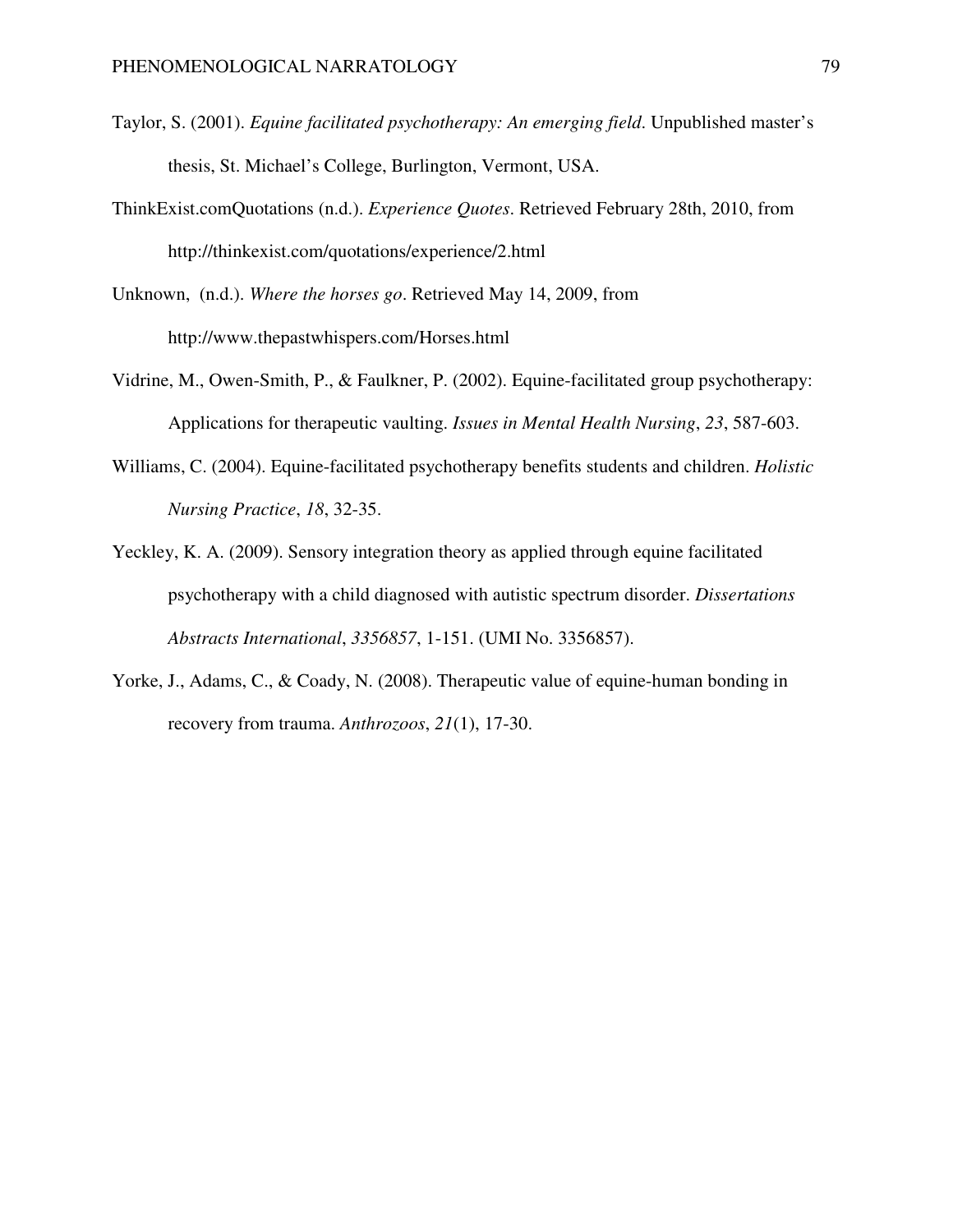- Taylor, S. (2001). *Equine facilitated psychotherapy: An emerging field*. Unpublished master's thesis, St. Michael's College, Burlington, Vermont, USA.
- ThinkExist.comQuotations (n.d.). *Experience Quotes*. Retrieved February 28th, 2010, from http://thinkexist.com/quotations/experience/2.html
- Unknown, (n.d.). *Where the horses go*. Retrieved May 14, 2009, from http://www.thepastwhispers.com/Horses.html
- Vidrine, M., Owen-Smith, P., & Faulkner, P. (2002). Equine-facilitated group psychotherapy: Applications for therapeutic vaulting. *Issues in Mental Health Nursing*, *23*, 587-603.
- Williams, C. (2004). Equine-facilitated psychotherapy benefits students and children. *Holistic Nursing Practice*, *18*, 32-35.
- Yeckley, K. A. (2009). Sensory integration theory as applied through equine facilitated psychotherapy with a child diagnosed with autistic spectrum disorder. *Dissertations Abstracts International*, *3356857*, 1-151. (UMI No. 3356857).
- Yorke, J., Adams, C., & Coady, N. (2008). Therapeutic value of equine-human bonding in recovery from trauma. *Anthrozoos*, *21*(1), 17-30.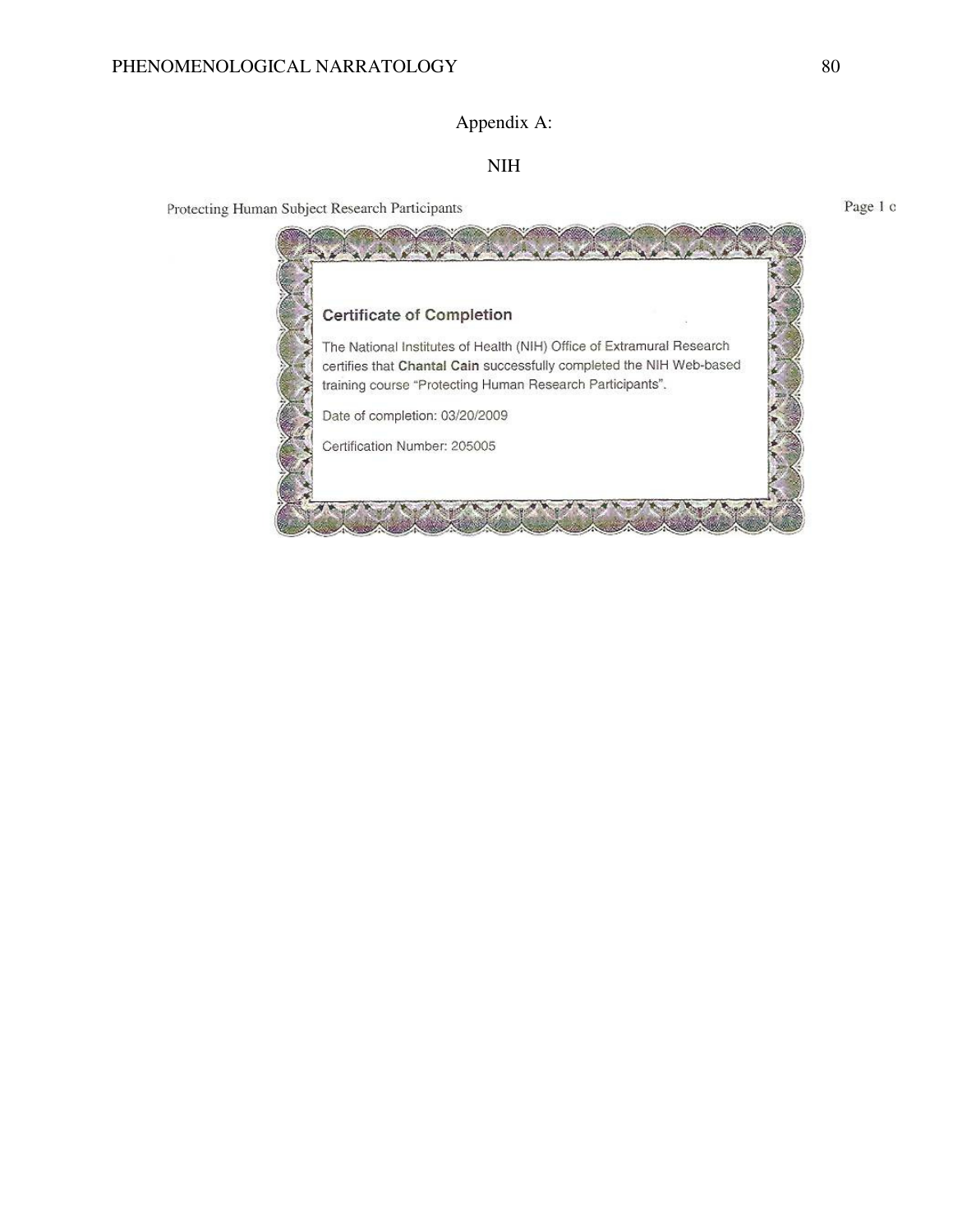# Appendix A:

### NIH

Protecting Human Subject Research Participants



Page 1 c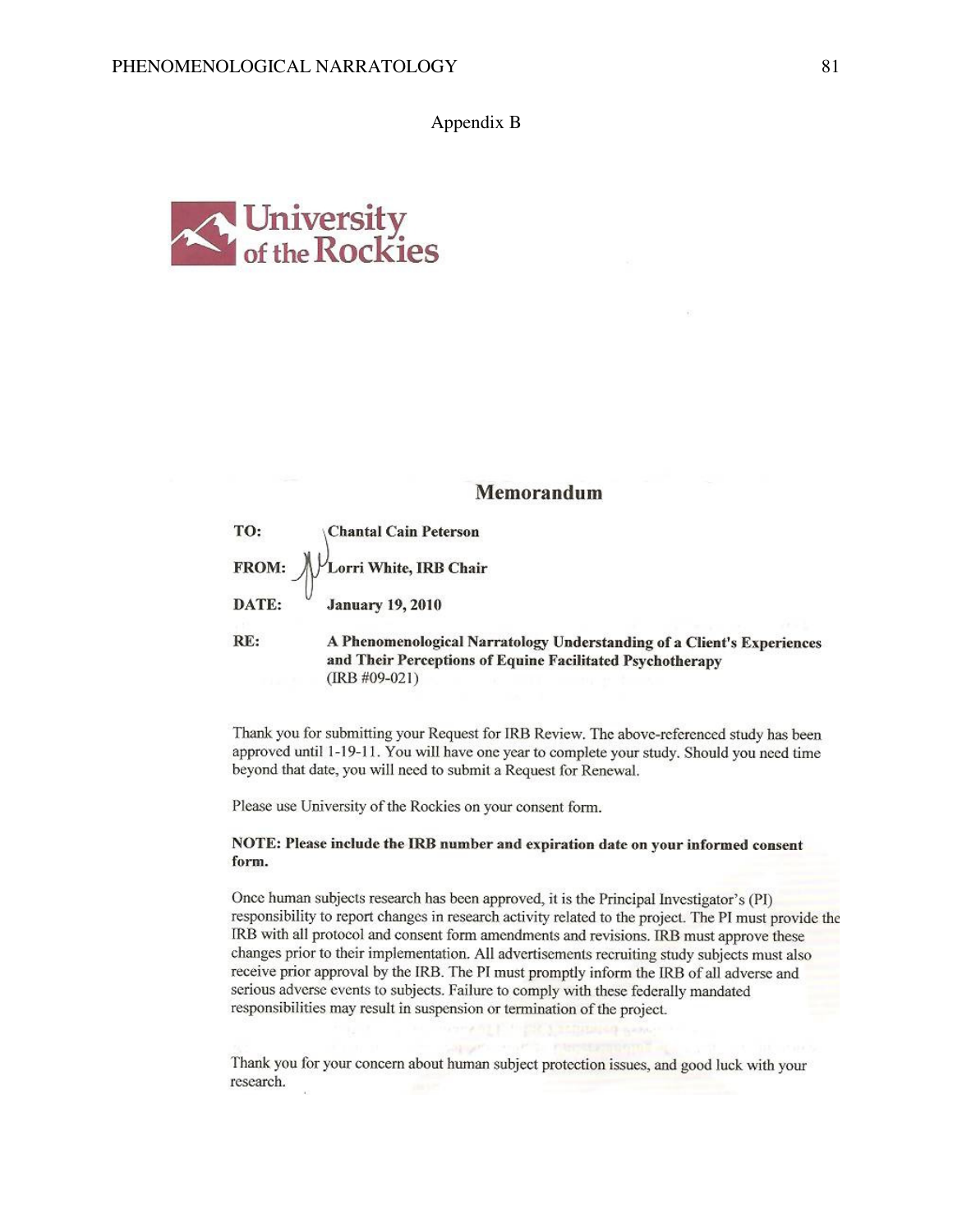Appendix B



### Memorandum

TO: **Chantal Cain Peterson** Lorri White, IRB Chair FROM: DATE: **January 19, 2010** 

A Phenomenological Narratology Understanding of a Client's Experiences RE: and Their Perceptions of Equine Facilitated Psychotherapy  $(IRB \#09-021)$ 

Thank you for submitting your Request for IRB Review. The above-referenced study has been approved until 1-19-11. You will have one year to complete your study. Should you need time beyond that date, you will need to submit a Request for Renewal.

Please use University of the Rockies on your consent form.

#### NOTE: Please include the IRB number and expiration date on your informed consent form.

Once human subjects research has been approved, it is the Principal Investigator's (PI) responsibility to report changes in research activity related to the project. The PI must provide the IRB with all protocol and consent form amendments and revisions. IRB must approve these changes prior to their implementation. All advertisements recruiting study subjects must also receive prior approval by the IRB. The PI must promptly inform the IRB of all adverse and serious adverse events to subjects. Failure to comply with these federally mandated responsibilities may result in suspension or termination of the project.

Thank you for your concern about human subject protection issues, and good luck with your research.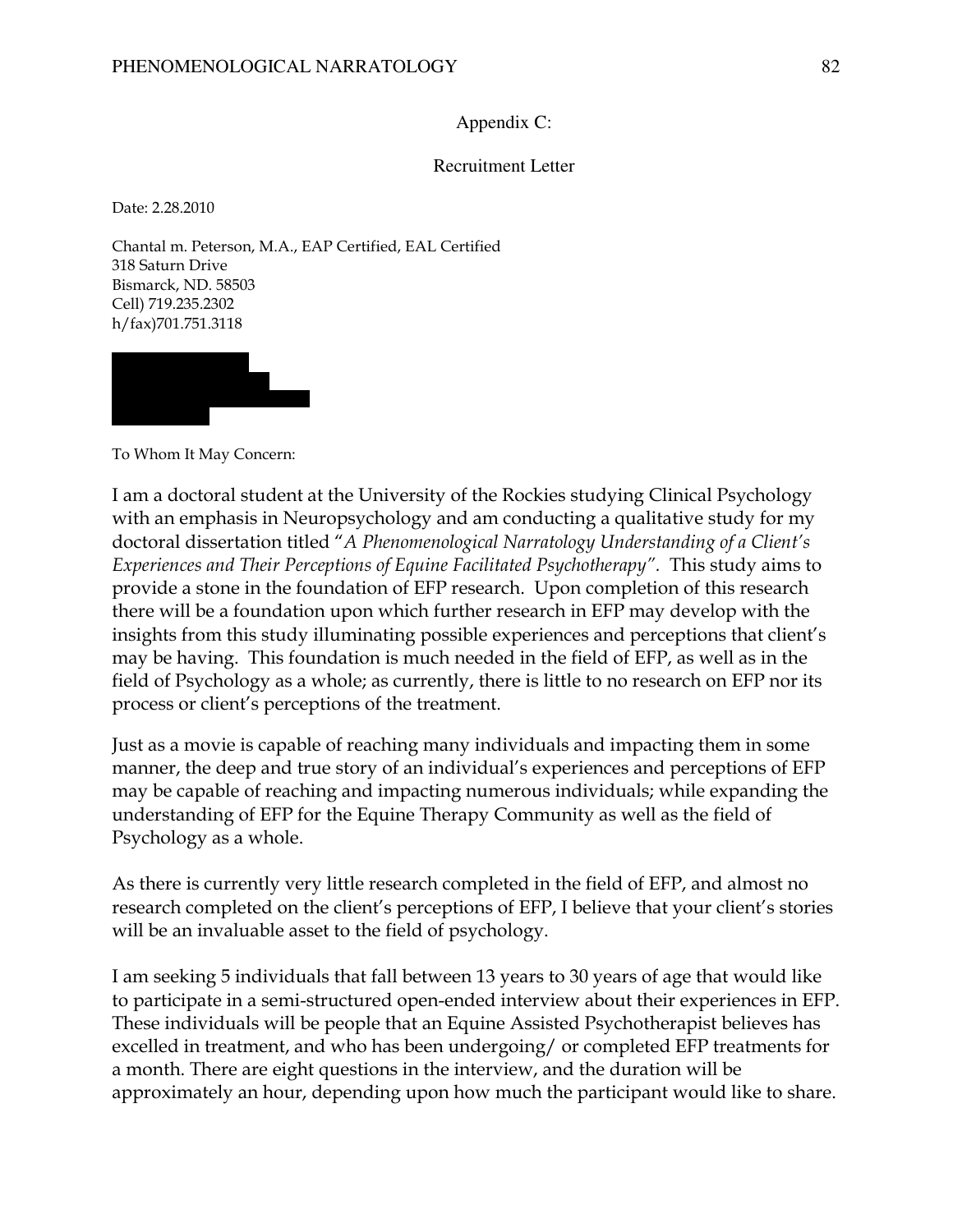### Appendix C:

### Recruitment Letter

Date: 2.28.2010

Chantal m. Peterson, M.A., EAP Certified, EAL Certified 318 Saturn Drive Bismarck, ND. 58503 Cell) 719.235.2302 h/fax)701.751.3118



To Whom It May Concern:

I am a doctoral student at the University of the Rockies studying Clinical Psychology with an emphasis in Neuropsychology and am conducting a qualitative study for my doctoral dissertation titled "A Phenomenological Narratology Understanding of a Client's Experiences and Their Perceptions of Equine Facilitated Psychotherapy". This study aims to provide a stone in the foundation of EFP research. Upon completion of this research there will be a foundation upon which further research in EFP may develop with the insights from this study illuminating possible experiences and perceptions that client's may be having. This foundation is much needed in the field of EFP, as well as in the field of Psychology as a whole; as currently, there is little to no research on EFP nor its process or client's perceptions of the treatment.

Just as a movie is capable of reaching many individuals and impacting them in some manner, the deep and true story of an individual's experiences and perceptions of EFP may be capable of reaching and impacting numerous individuals; while expanding the understanding of EFP for the Equine Therapy Community as well as the field of Psychology as a whole.

As there is currently very little research completed in the field of EFP, and almost no research completed on the client's perceptions of EFP, I believe that your client's stories will be an invaluable asset to the field of psychology.

I am seeking 5 individuals that fall between 13 years to 30 years of age that would like to participate in a semi-structured open-ended interview about their experiences in EFP. These individuals will be people that an Equine Assisted Psychotherapist believes has excelled in treatment, and who has been undergoing/ or completed EFP treatments for a month. There are eight questions in the interview, and the duration will be approximately an hour, depending upon how much the participant would like to share.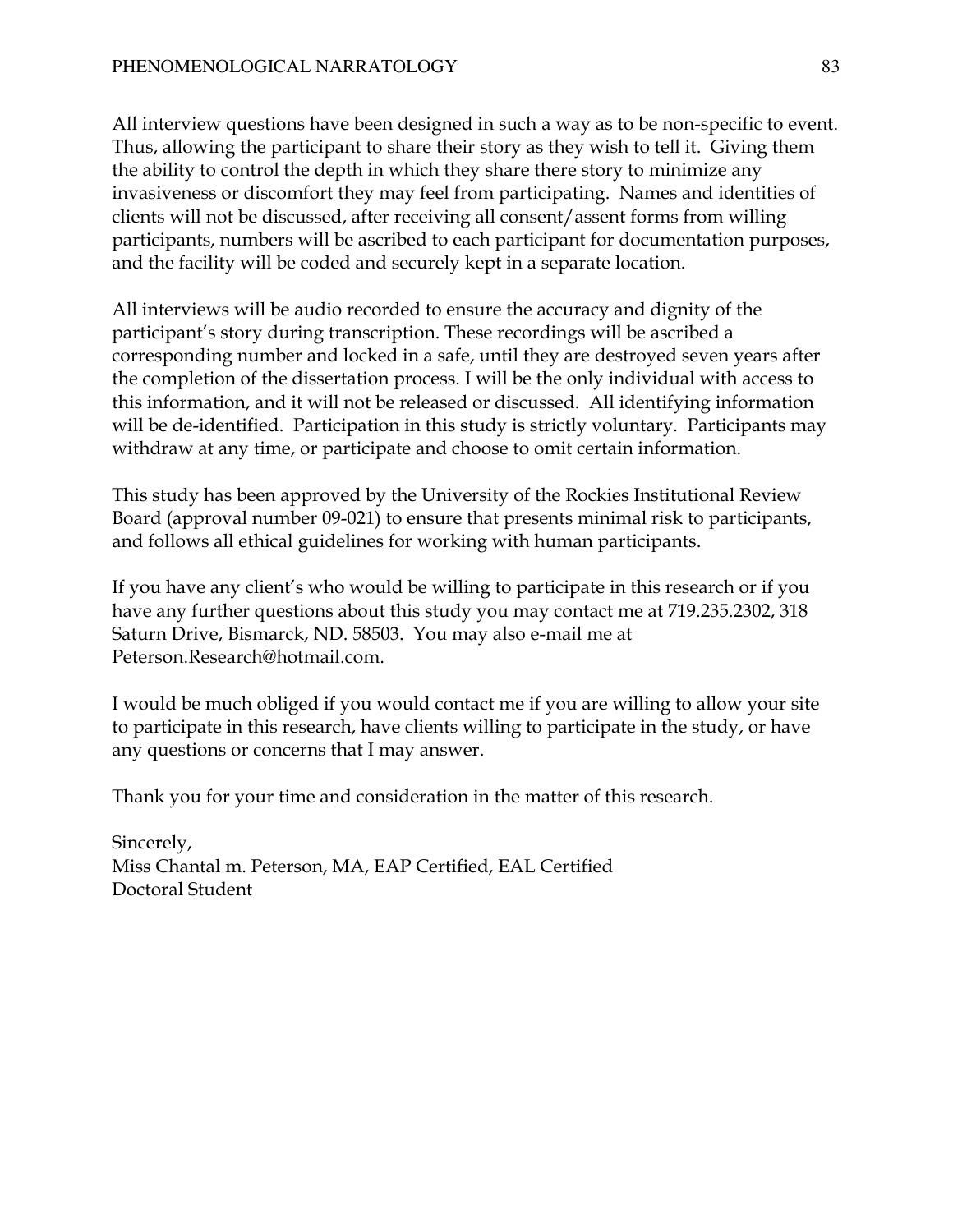All interview questions have been designed in such a way as to be non-specific to event. Thus, allowing the participant to share their story as they wish to tell it. Giving them the ability to control the depth in which they share there story to minimize any invasiveness or discomfort they may feel from participating. Names and identities of clients will not be discussed, after receiving all consent/assent forms from willing participants, numbers will be ascribed to each participant for documentation purposes, and the facility will be coded and securely kept in a separate location.

All interviews will be audio recorded to ensure the accuracy and dignity of the participant's story during transcription. These recordings will be ascribed a corresponding number and locked in a safe, until they are destroyed seven years after the completion of the dissertation process. I will be the only individual with access to this information, and it will not be released or discussed. All identifying information will be de-identified. Participation in this study is strictly voluntary. Participants may withdraw at any time, or participate and choose to omit certain information.

This study has been approved by the University of the Rockies Institutional Review Board (approval number 09-021) to ensure that presents minimal risk to participants, and follows all ethical guidelines for working with human participants.

If you have any client's who would be willing to participate in this research or if you have any further questions about this study you may contact me at 719.235.2302, 318 Saturn Drive, Bismarck, ND. 58503. You may also e-mail me at Peterson.Research@hotmail.com.

I would be much obliged if you would contact me if you are willing to allow your site to participate in this research, have clients willing to participate in the study, or have any questions or concerns that I may answer.

Thank you for your time and consideration in the matter of this research.

Sincerely, Miss Chantal m. Peterson, MA, EAP Certified, EAL Certified Doctoral Student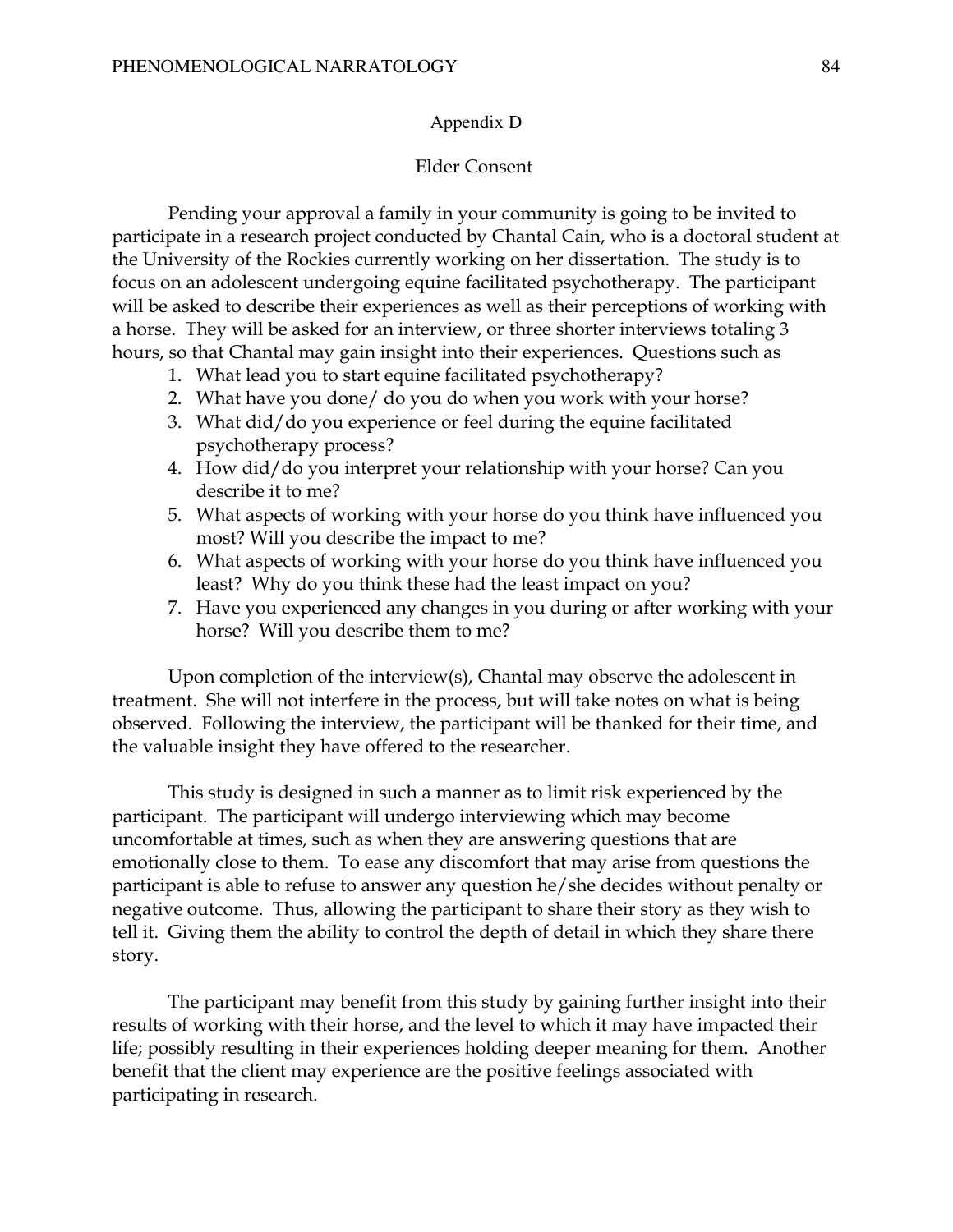#### Appendix D

### Elder Consent

Pending your approval a family in your community is going to be invited to participate in a research project conducted by Chantal Cain, who is a doctoral student at the University of the Rockies currently working on her dissertation. The study is to focus on an adolescent undergoing equine facilitated psychotherapy. The participant will be asked to describe their experiences as well as their perceptions of working with a horse. They will be asked for an interview, or three shorter interviews totaling 3 hours, so that Chantal may gain insight into their experiences. Questions such as

- 1. What lead you to start equine facilitated psychotherapy?
- 2. What have you done/ do you do when you work with your horse?
- 3. What did/do you experience or feel during the equine facilitated psychotherapy process?
- 4. How did/do you interpret your relationship with your horse? Can you describe it to me?
- 5. What aspects of working with your horse do you think have influenced you most? Will you describe the impact to me?
- 6. What aspects of working with your horse do you think have influenced you least? Why do you think these had the least impact on you?
- 7. Have you experienced any changes in you during or after working with your horse? Will you describe them to me?

Upon completion of the interview(s), Chantal may observe the adolescent in treatment. She will not interfere in the process, but will take notes on what is being observed. Following the interview, the participant will be thanked for their time, and the valuable insight they have offered to the researcher.

This study is designed in such a manner as to limit risk experienced by the participant. The participant will undergo interviewing which may become uncomfortable at times, such as when they are answering questions that are emotionally close to them. To ease any discomfort that may arise from questions the participant is able to refuse to answer any question he/she decides without penalty or negative outcome. Thus, allowing the participant to share their story as they wish to tell it. Giving them the ability to control the depth of detail in which they share there story.

The participant may benefit from this study by gaining further insight into their results of working with their horse, and the level to which it may have impacted their life; possibly resulting in their experiences holding deeper meaning for them. Another benefit that the client may experience are the positive feelings associated with participating in research.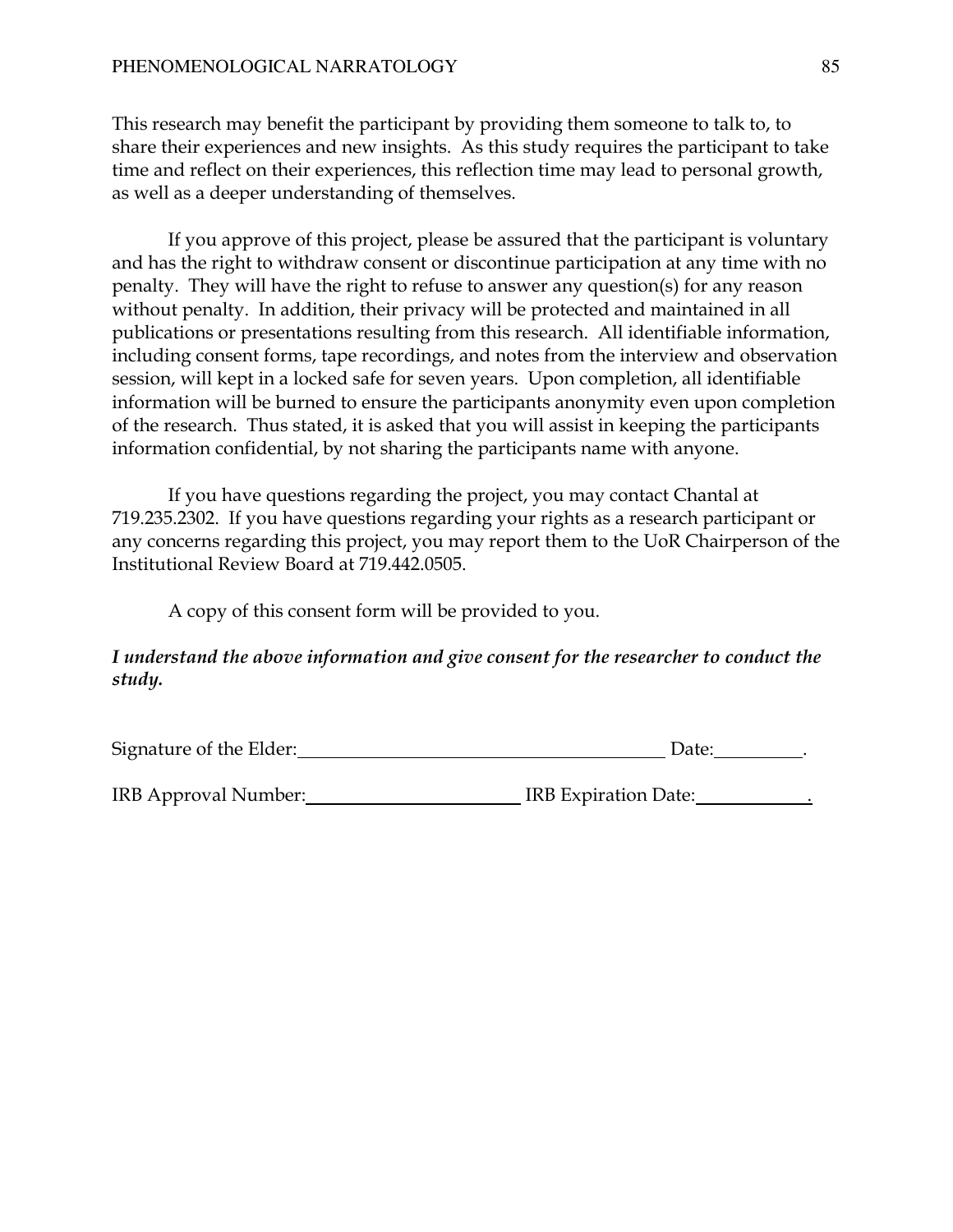This research may benefit the participant by providing them someone to talk to, to share their experiences and new insights. As this study requires the participant to take time and reflect on their experiences, this reflection time may lead to personal growth, as well as a deeper understanding of themselves.

 If you approve of this project, please be assured that the participant is voluntary and has the right to withdraw consent or discontinue participation at any time with no penalty. They will have the right to refuse to answer any question(s) for any reason without penalty. In addition, their privacy will be protected and maintained in all publications or presentations resulting from this research. All identifiable information, including consent forms, tape recordings, and notes from the interview and observation session, will kept in a locked safe for seven years. Upon completion, all identifiable information will be burned to ensure the participants anonymity even upon completion of the research. Thus stated, it is asked that you will assist in keeping the participants information confidential, by not sharing the participants name with anyone.

 If you have questions regarding the project, you may contact Chantal at 719.235.2302. If you have questions regarding your rights as a research participant or any concerns regarding this project, you may report them to the UoR Chairperson of the Institutional Review Board at 719.442.0505.

A copy of this consent form will be provided to you.

## I understand the above information and give consent for the researcher to conduct the study.

| Signature of the Elder:<br>Date: |
|----------------------------------|
|                                  |

IRB Approval Number: IRB Expiration Date: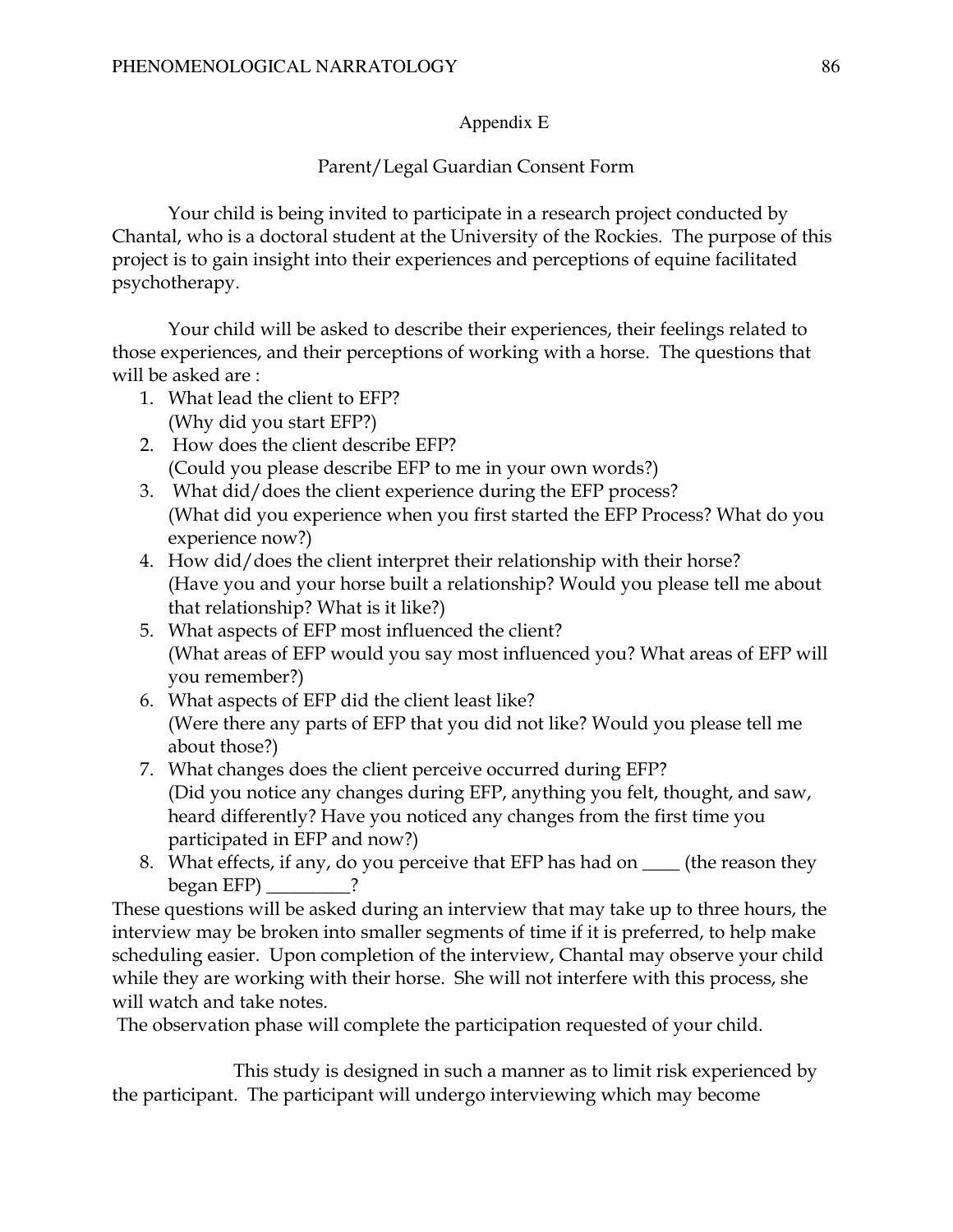## Appendix E

## Parent/Legal Guardian Consent Form

Your child is being invited to participate in a research project conducted by Chantal, who is a doctoral student at the University of the Rockies. The purpose of this project is to gain insight into their experiences and perceptions of equine facilitated psychotherapy.

Your child will be asked to describe their experiences, their feelings related to those experiences, and their perceptions of working with a horse. The questions that will be asked are :

- 1. What lead the client to EFP? (Why did you start EFP?)
- 2. How does the client describe EFP? (Could you please describe EFP to me in your own words?)
- 3. What did/does the client experience during the EFP process? (What did you experience when you first started the EFP Process? What do you experience now?)
- 4. How did/does the client interpret their relationship with their horse? (Have you and your horse built a relationship? Would you please tell me about that relationship? What is it like?)
- 5. What aspects of EFP most influenced the client? (What areas of EFP would you say most influenced you? What areas of EFP will you remember?)
- 6. What aspects of EFP did the client least like? (Were there any parts of EFP that you did not like? Would you please tell me about those?)
- 7. What changes does the client perceive occurred during EFP? (Did you notice any changes during EFP, anything you felt, thought, and saw, heard differently? Have you noticed any changes from the first time you participated in EFP and now?)
- 8. What effects, if any, do you perceive that EFP has had on \_\_\_\_ (the reason they  $begin EFP$  ?

These questions will be asked during an interview that may take up to three hours, the interview may be broken into smaller segments of time if it is preferred, to help make scheduling easier. Upon completion of the interview, Chantal may observe your child while they are working with their horse. She will not interfere with this process, she will watch and take notes.

The observation phase will complete the participation requested of your child.

 This study is designed in such a manner as to limit risk experienced by the participant. The participant will undergo interviewing which may become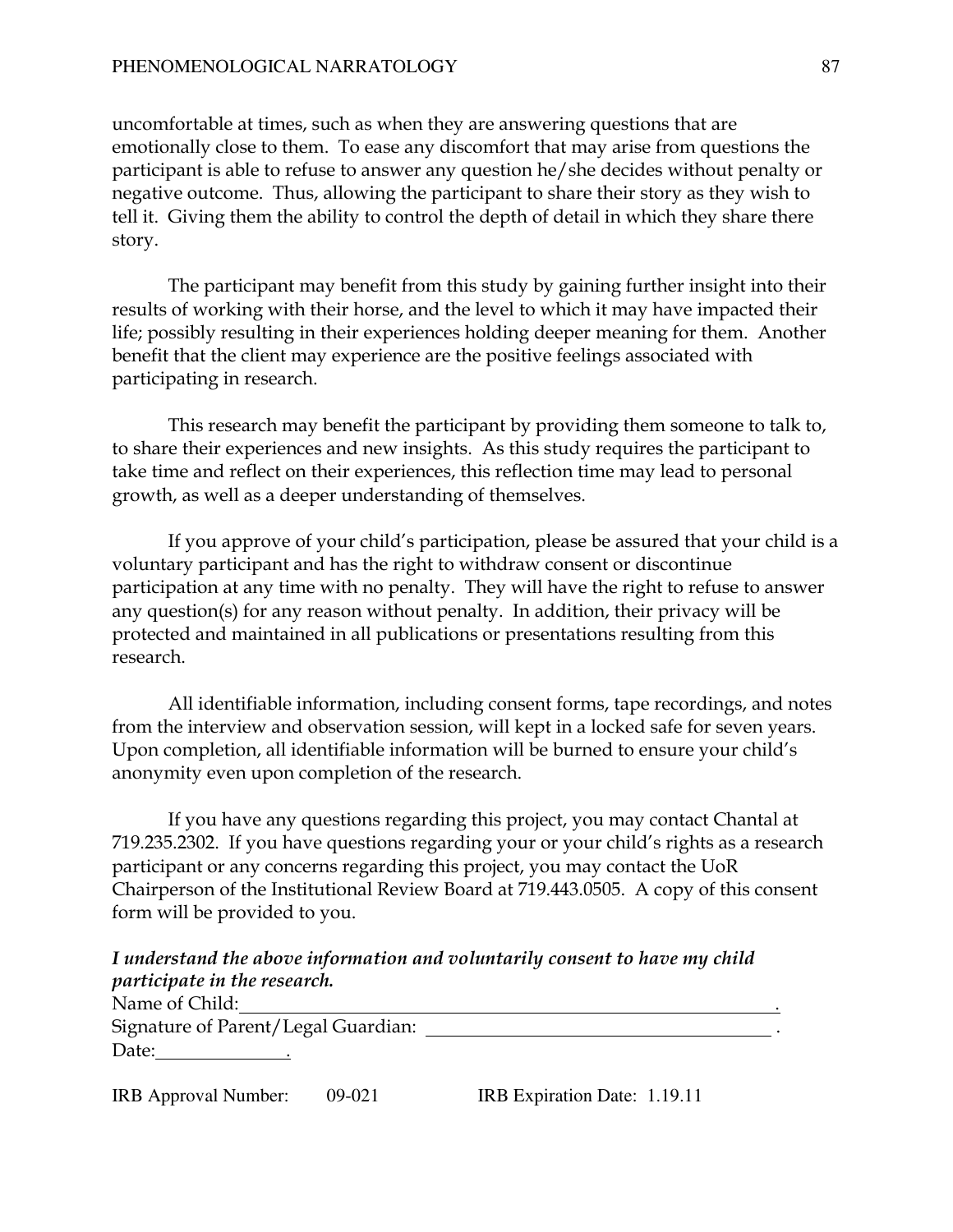uncomfortable at times, such as when they are answering questions that are emotionally close to them. To ease any discomfort that may arise from questions the participant is able to refuse to answer any question he/she decides without penalty or negative outcome. Thus, allowing the participant to share their story as they wish to tell it. Giving them the ability to control the depth of detail in which they share there story.

The participant may benefit from this study by gaining further insight into their results of working with their horse, and the level to which it may have impacted their life; possibly resulting in their experiences holding deeper meaning for them. Another benefit that the client may experience are the positive feelings associated with participating in research.

This research may benefit the participant by providing them someone to talk to, to share their experiences and new insights. As this study requires the participant to take time and reflect on their experiences, this reflection time may lead to personal growth, as well as a deeper understanding of themselves.

 If you approve of your child's participation, please be assured that your child is a voluntary participant and has the right to withdraw consent or discontinue participation at any time with no penalty. They will have the right to refuse to answer any question(s) for any reason without penalty. In addition, their privacy will be protected and maintained in all publications or presentations resulting from this research.

All identifiable information, including consent forms, tape recordings, and notes from the interview and observation session, will kept in a locked safe for seven years. Upon completion, all identifiable information will be burned to ensure your child's anonymity even upon completion of the research.

If you have any questions regarding this project, you may contact Chantal at 719.235.2302. If you have questions regarding your or your child's rights as a research participant or any concerns regarding this project, you may contact the UoR Chairperson of the Institutional Review Board at 719.443.0505. A copy of this consent form will be provided to you.

I understand the above information and voluntarily consent to have my child participate in the research.

| Name of Child:                      |  |
|-------------------------------------|--|
| Signature of Parent/Legal Guardian: |  |
| Date:                               |  |

| <b>IRB</b> Approval Number: | 09-021 | IRB Expiration Date: 1.19.11 |
|-----------------------------|--------|------------------------------|
|-----------------------------|--------|------------------------------|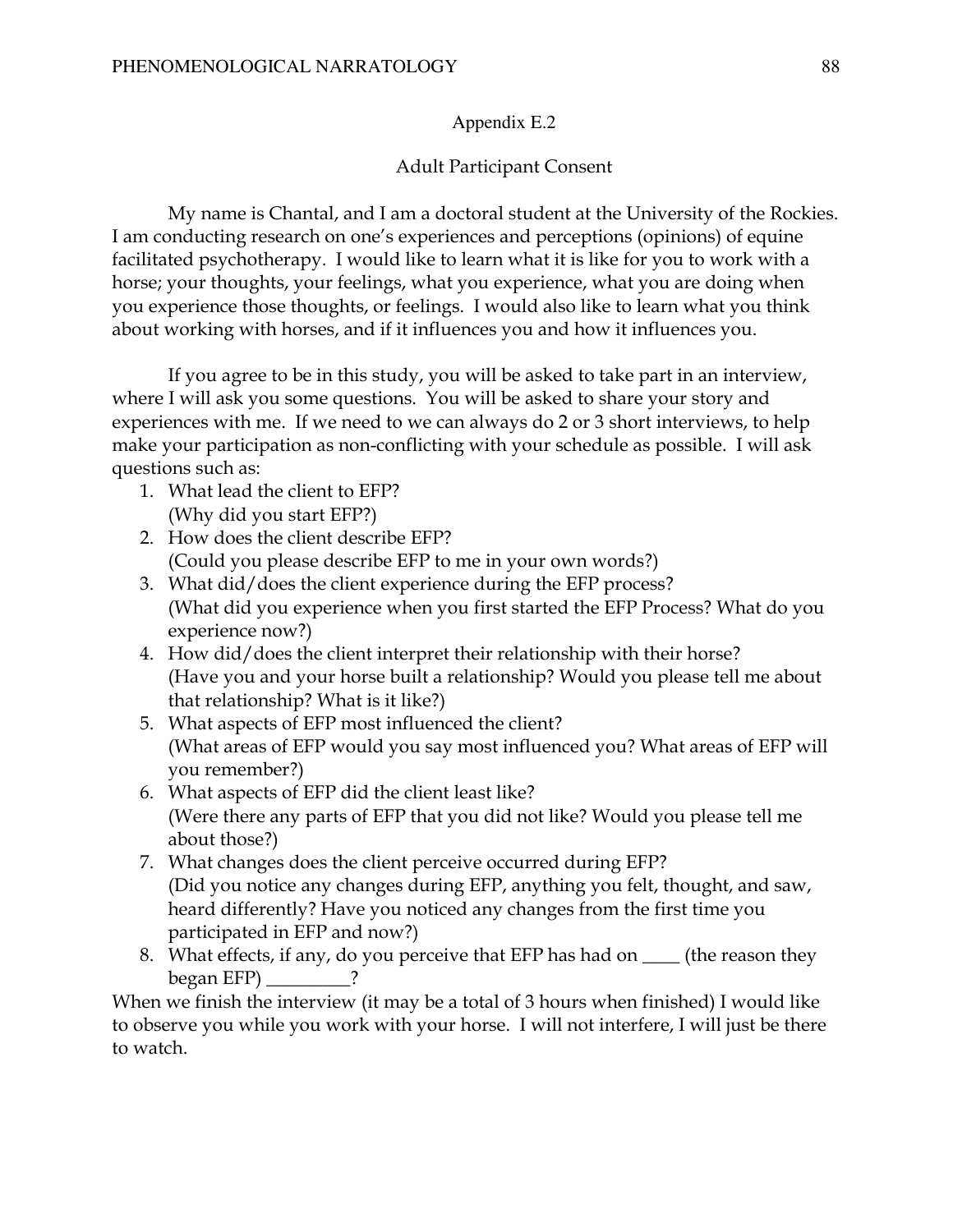### Appendix E.2

### Adult Participant Consent

My name is Chantal, and I am a doctoral student at the University of the Rockies. I am conducting research on one's experiences and perceptions (opinions) of equine facilitated psychotherapy. I would like to learn what it is like for you to work with a horse; your thoughts, your feelings, what you experience, what you are doing when you experience those thoughts, or feelings. I would also like to learn what you think about working with horses, and if it influences you and how it influences you.

If you agree to be in this study, you will be asked to take part in an interview, where I will ask you some questions. You will be asked to share your story and experiences with me. If we need to we can always do 2 or 3 short interviews, to help make your participation as non-conflicting with your schedule as possible. I will ask questions such as:

- 1. What lead the client to EFP? (Why did you start EFP?)
- 2. How does the client describe EFP? (Could you please describe EFP to me in your own words?)
- 3. What did/does the client experience during the EFP process? (What did you experience when you first started the EFP Process? What do you experience now?)
- 4. How did/does the client interpret their relationship with their horse? (Have you and your horse built a relationship? Would you please tell me about that relationship? What is it like?)
- 5. What aspects of EFP most influenced the client? (What areas of EFP would you say most influenced you? What areas of EFP will you remember?)
- 6. What aspects of EFP did the client least like? (Were there any parts of EFP that you did not like? Would you please tell me about those?)
- 7. What changes does the client perceive occurred during EFP? (Did you notice any changes during EFP, anything you felt, thought, and saw, heard differently? Have you noticed any changes from the first time you participated in EFP and now?)
- 8. What effects, if any, do you perceive that EFP has had on  $\_\_\_\$  (the reason they began EFP) \_\_\_\_\_\_\_\_\_?

When we finish the interview (it may be a total of 3 hours when finished) I would like to observe you while you work with your horse. I will not interfere, I will just be there to watch.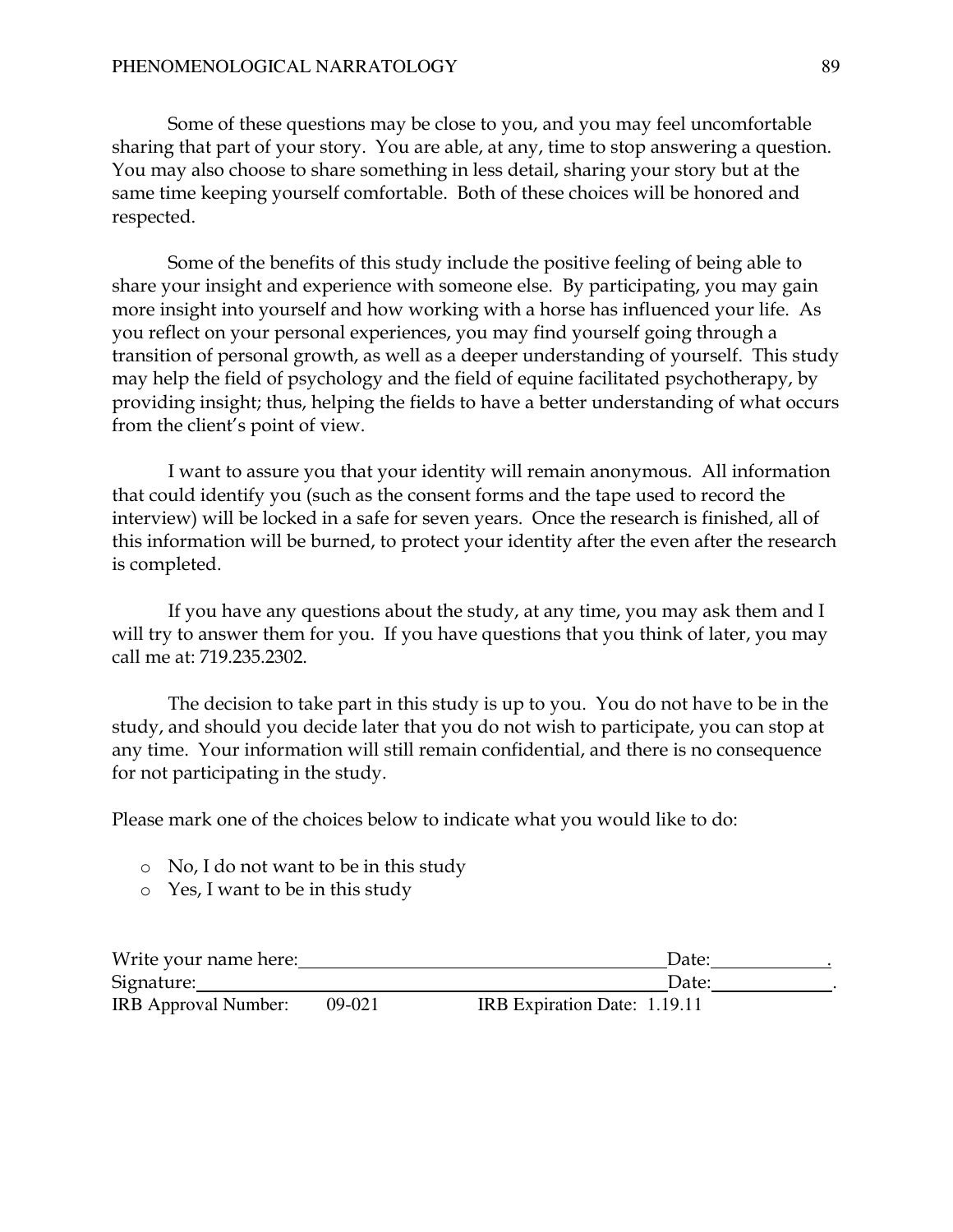### PHENOMENOLOGICAL NARRATOLOGY 89

 Some of these questions may be close to you, and you may feel uncomfortable sharing that part of your story. You are able, at any, time to stop answering a question. You may also choose to share something in less detail, sharing your story but at the same time keeping yourself comfortable. Both of these choices will be honored and respected.

 Some of the benefits of this study include the positive feeling of being able to share your insight and experience with someone else. By participating, you may gain more insight into yourself and how working with a horse has influenced your life. As you reflect on your personal experiences, you may find yourself going through a transition of personal growth, as well as a deeper understanding of yourself. This study may help the field of psychology and the field of equine facilitated psychotherapy, by providing insight; thus, helping the fields to have a better understanding of what occurs from the client's point of view.

 I want to assure you that your identity will remain anonymous. All information that could identify you (such as the consent forms and the tape used to record the interview) will be locked in a safe for seven years. Once the research is finished, all of this information will be burned, to protect your identity after the even after the research is completed.

 If you have any questions about the study, at any time, you may ask them and I will try to answer them for you. If you have questions that you think of later, you may call me at: 719.235.2302.

 The decision to take part in this study is up to you. You do not have to be in the study, and should you decide later that you do not wish to participate, you can stop at any time. Your information will still remain confidential, and there is no consequence for not participating in the study.

Please mark one of the choices below to indicate what you would like to do:

- o No, I do not want to be in this study
- o Yes, I want to be in this study

| Write your name here: |        | Date:                        |  |
|-----------------------|--------|------------------------------|--|
| Signature:            |        | Date:                        |  |
| IRB Approval Number:  | 09-021 | IRB Expiration Date: 1.19.11 |  |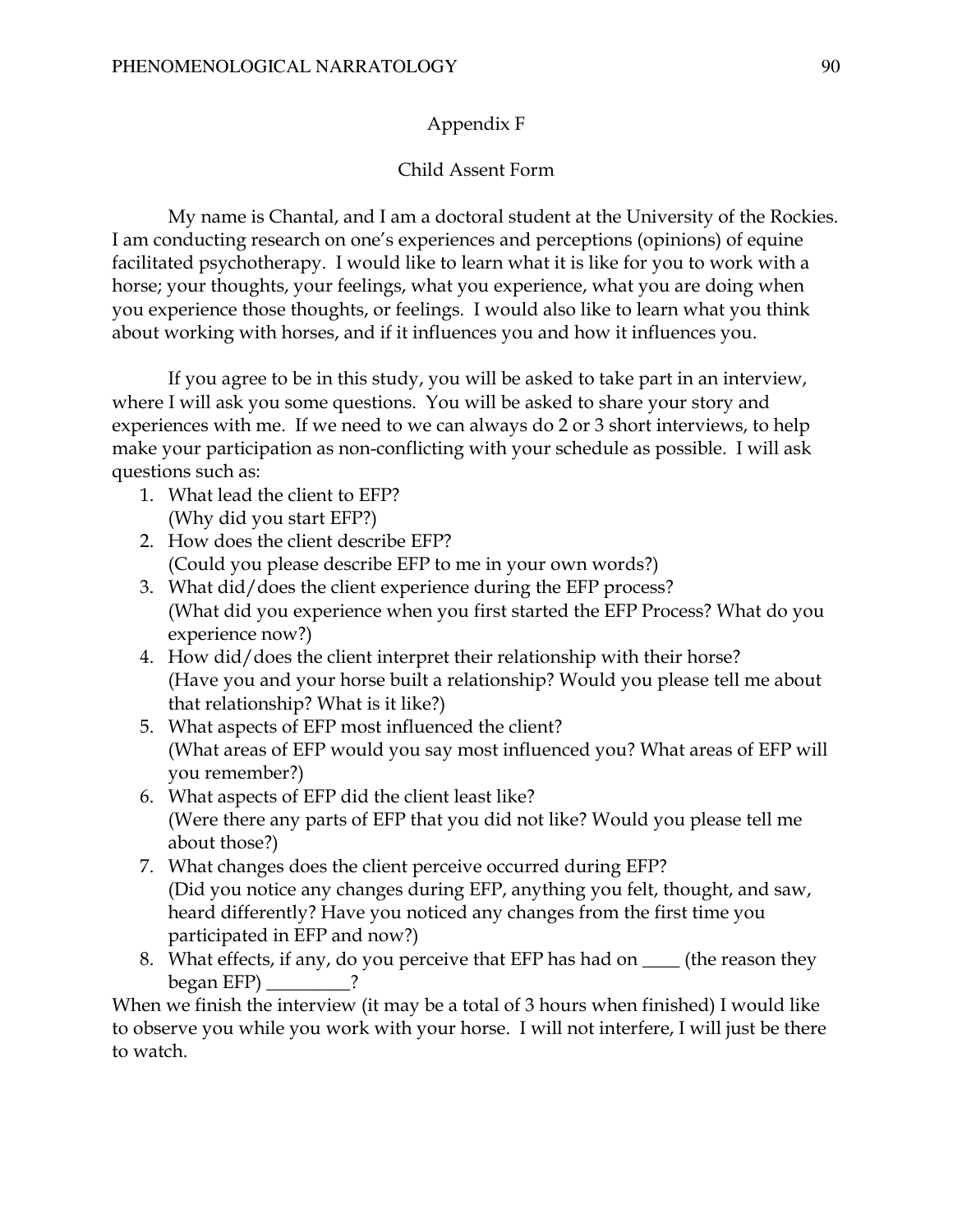## Appendix F

## Child Assent Form

My name is Chantal, and I am a doctoral student at the University of the Rockies. I am conducting research on one's experiences and perceptions (opinions) of equine facilitated psychotherapy. I would like to learn what it is like for you to work with a horse; your thoughts, your feelings, what you experience, what you are doing when you experience those thoughts, or feelings. I would also like to learn what you think about working with horses, and if it influences you and how it influences you.

If you agree to be in this study, you will be asked to take part in an interview, where I will ask you some questions. You will be asked to share your story and experiences with me. If we need to we can always do 2 or 3 short interviews, to help make your participation as non-conflicting with your schedule as possible. I will ask questions such as:

- 1. What lead the client to EFP? (Why did you start EFP?)
- 2. How does the client describe EFP? (Could you please describe EFP to me in your own words?)
- 3. What did/does the client experience during the EFP process? (What did you experience when you first started the EFP Process? What do you experience now?)
- 4. How did/does the client interpret their relationship with their horse? (Have you and your horse built a relationship? Would you please tell me about that relationship? What is it like?)
- 5. What aspects of EFP most influenced the client? (What areas of EFP would you say most influenced you? What areas of EFP will you remember?)
- 6. What aspects of EFP did the client least like? (Were there any parts of EFP that you did not like? Would you please tell me about those?)
- 7. What changes does the client perceive occurred during EFP? (Did you notice any changes during EFP, anything you felt, thought, and saw, heard differently? Have you noticed any changes from the first time you participated in EFP and now?)
- 8. What effects, if any, do you perceive that EFP has had on \_\_\_\_ (the reason they began EFP) \_\_\_\_\_\_\_\_\_?

When we finish the interview (it may be a total of 3 hours when finished) I would like to observe you while you work with your horse. I will not interfere, I will just be there to watch.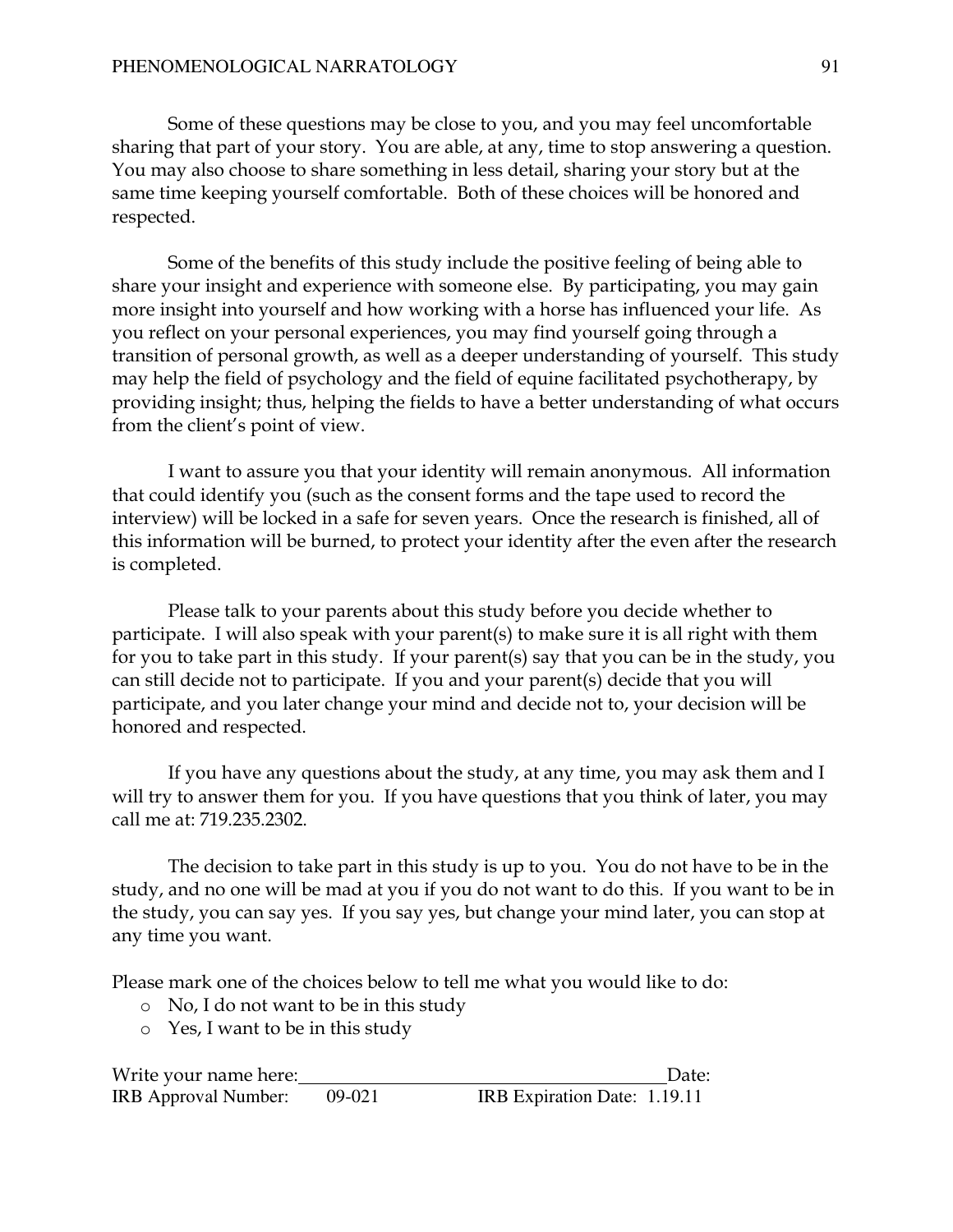Some of these questions may be close to you, and you may feel uncomfortable sharing that part of your story. You are able, at any, time to stop answering a question. You may also choose to share something in less detail, sharing your story but at the same time keeping yourself comfortable. Both of these choices will be honored and respected.

 Some of the benefits of this study include the positive feeling of being able to share your insight and experience with someone else. By participating, you may gain more insight into yourself and how working with a horse has influenced your life. As you reflect on your personal experiences, you may find yourself going through a transition of personal growth, as well as a deeper understanding of yourself. This study may help the field of psychology and the field of equine facilitated psychotherapy, by providing insight; thus, helping the fields to have a better understanding of what occurs from the client's point of view.

 I want to assure you that your identity will remain anonymous. All information that could identify you (such as the consent forms and the tape used to record the interview) will be locked in a safe for seven years. Once the research is finished, all of this information will be burned, to protect your identity after the even after the research is completed.

Please talk to your parents about this study before you decide whether to participate. I will also speak with your parent(s) to make sure it is all right with them for you to take part in this study. If your parent(s) say that you can be in the study, you can still decide not to participate. If you and your parent(s) decide that you will participate, and you later change your mind and decide not to, your decision will be honored and respected.

 If you have any questions about the study, at any time, you may ask them and I will try to answer them for you. If you have questions that you think of later, you may call me at: 719.235.2302.

 The decision to take part in this study is up to you. You do not have to be in the study, and no one will be mad at you if you do not want to do this. If you want to be in the study, you can say yes. If you say yes, but change your mind later, you can stop at any time you want.

Please mark one of the choices below to tell me what you would like to do:

- o No, I do not want to be in this study
- o Yes, I want to be in this study

Write your name here: Date: IRB Approval Number: 09-021 IRB Expiration Date: 1.19.11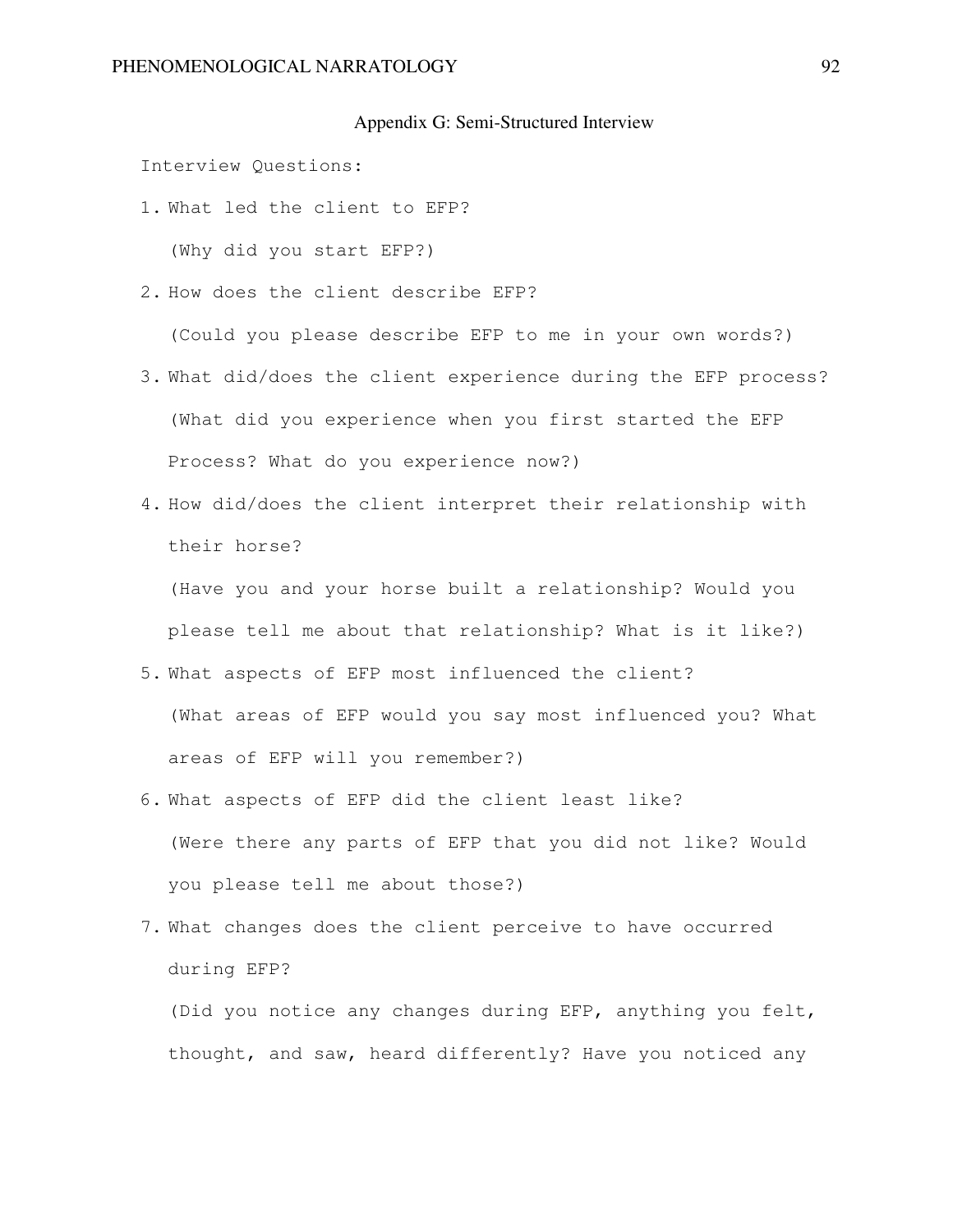#### Appendix G: Semi-Structured Interview

Interview Questions:

- 1. What led the client to EFP? (Why did you start EFP?)
- 2. How does the client describe EFP?

(Could you please describe EFP to me in your own words?)

- 3. What did/does the client experience during the EFP process? (What did you experience when you first started the EFP Process? What do you experience now?)
- 4. How did/does the client interpret their relationship with their horse?

(Have you and your horse built a relationship? Would you please tell me about that relationship? What is it like?)

- 5. What aspects of EFP most influenced the client? (What areas of EFP would you say most influenced you? What areas of EFP will you remember?)
- 6. What aspects of EFP did the client least like? (Were there any parts of EFP that you did not like? Would you please tell me about those?)
- 7. What changes does the client perceive to have occurred during EFP?

(Did you notice any changes during EFP, anything you felt, thought, and saw, heard differently? Have you noticed any